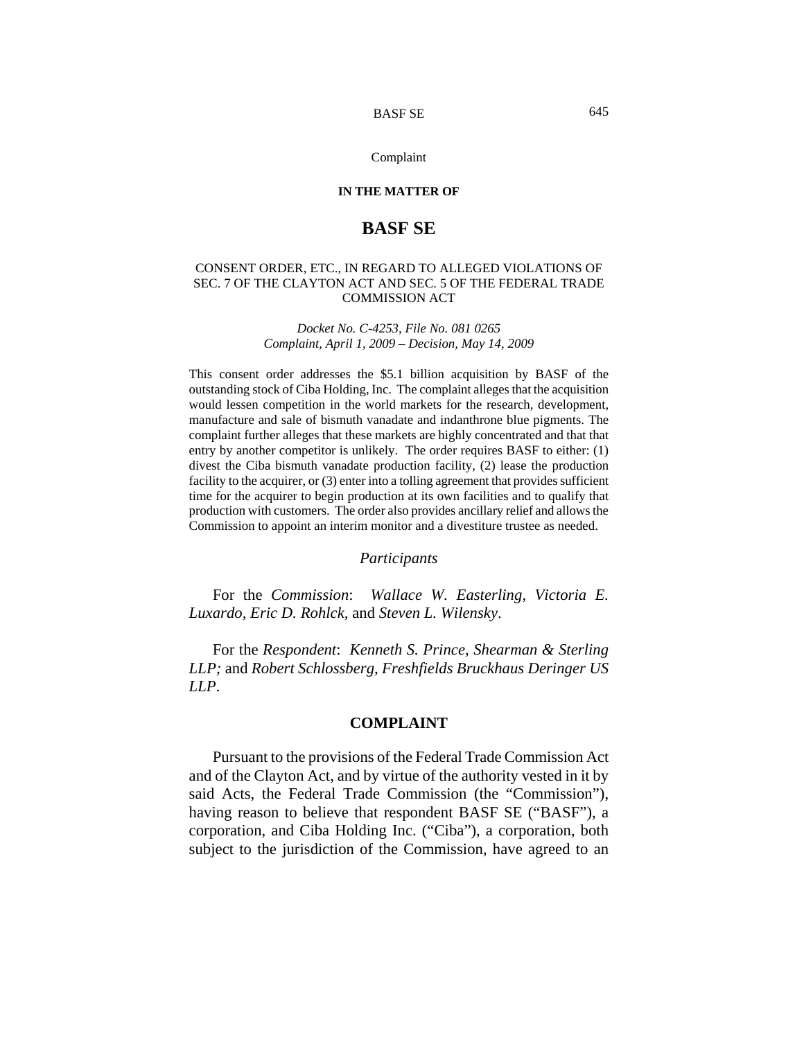#### Complaint

## **IN THE MATTER OF**

# **BASF SE**

## CONSENT ORDER, ETC., IN REGARD TO ALLEGED VIOLATIONS OF SEC. 7 OF THE CLAYTON ACT AND SEC. 5 OF THE FEDERAL TRADE COMMISSION ACT

#### *Docket No. C-4253, File No. 081 0265 Complaint, April 1, 2009 – Decision, May 14, 2009*

This consent order addresses the \$5.1 billion acquisition by BASF of the outstanding stock of Ciba Holding, Inc. The complaint alleges that the acquisition would lessen competition in the world markets for the research, development, manufacture and sale of bismuth vanadate and indanthrone blue pigments. The complaint further alleges that these markets are highly concentrated and that that entry by another competitor is unlikely. The order requires BASF to either: (1) divest the Ciba bismuth vanadate production facility, (2) lease the production facility to the acquirer, or (3) enter into a tolling agreement that provides sufficient time for the acquirer to begin production at its own facilities and to qualify that production with customers. The order also provides ancillary relief and allows the Commission to appoint an interim monitor and a divestiture trustee as needed.

#### *Participants*

For the *Commission*: *Wallace W. Easterling, Victoria E. Luxardo, Eric D. Rohlck,* and *Steven L. Wilensky*.

For the *Respondent*: *Kenneth S. Prince, Shearman & Sterling LLP;* and *Robert Schlossberg, Freshfields Bruckhaus Deringer US LLP*.

## **COMPLAINT**

Pursuant to the provisions of the Federal Trade Commission Act and of the Clayton Act, and by virtue of the authority vested in it by said Acts, the Federal Trade Commission (the "Commission"), having reason to believe that respondent BASF SE ("BASF"), a corporation, and Ciba Holding Inc. ("Ciba"), a corporation, both subject to the jurisdiction of the Commission, have agreed to an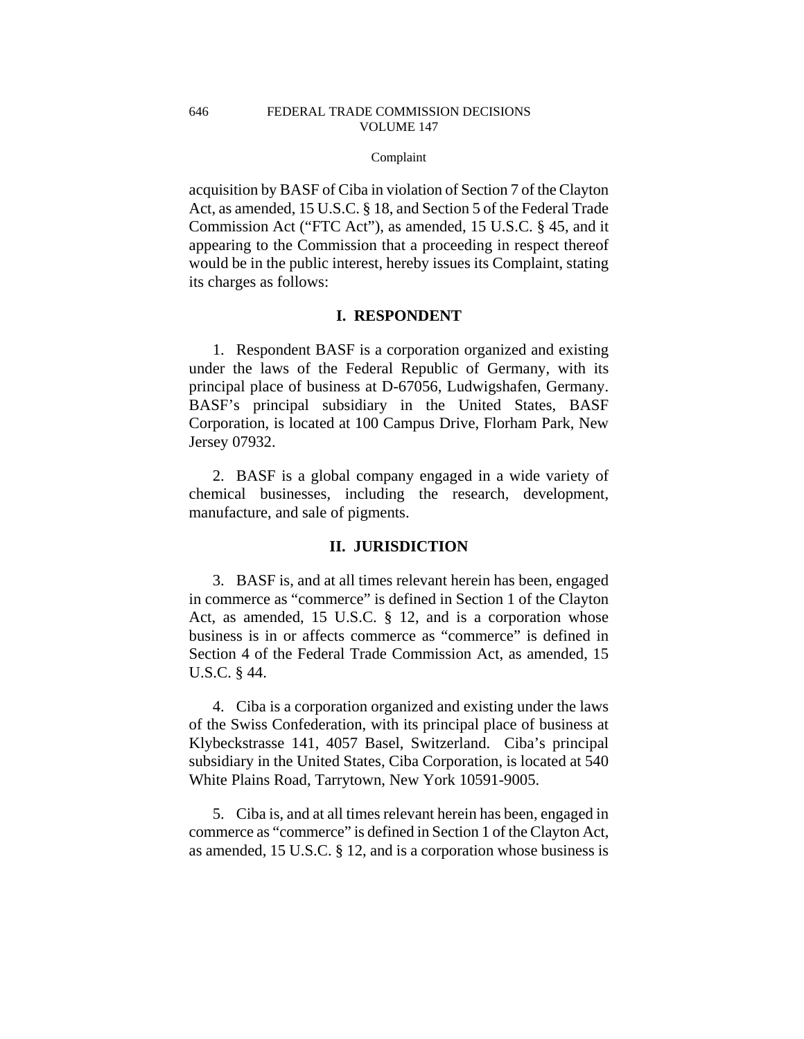#### Complaint

acquisition by BASF of Ciba in violation of Section 7 of the Clayton Act, as amended, 15 U.S.C. § 18, and Section 5 of the Federal Trade Commission Act ("FTC Act"), as amended, 15 U.S.C. § 45, and it appearing to the Commission that a proceeding in respect thereof would be in the public interest, hereby issues its Complaint, stating its charges as follows:

## **I. RESPONDENT**

1. Respondent BASF is a corporation organized and existing under the laws of the Federal Republic of Germany, with its principal place of business at D-67056, Ludwigshafen, Germany. BASF's principal subsidiary in the United States, BASF Corporation, is located at 100 Campus Drive, Florham Park, New Jersey 07932.

2. BASF is a global company engaged in a wide variety of chemical businesses, including the research, development, manufacture, and sale of pigments.

## **II. JURISDICTION**

3. BASF is, and at all times relevant herein has been, engaged in commerce as "commerce" is defined in Section 1 of the Clayton Act, as amended, 15 U.S.C. § 12, and is a corporation whose business is in or affects commerce as "commerce" is defined in Section 4 of the Federal Trade Commission Act, as amended, 15 U.S.C. § 44.

4. Ciba is a corporation organized and existing under the laws of the Swiss Confederation, with its principal place of business at Klybeckstrasse 141, 4057 Basel, Switzerland. Ciba's principal subsidiary in the United States, Ciba Corporation, is located at 540 White Plains Road, Tarrytown, New York 10591-9005.

5. Ciba is, and at all times relevant herein has been, engaged in commerce as "commerce" is defined in Section 1 of the Clayton Act, as amended, 15 U.S.C. § 12, and is a corporation whose business is

646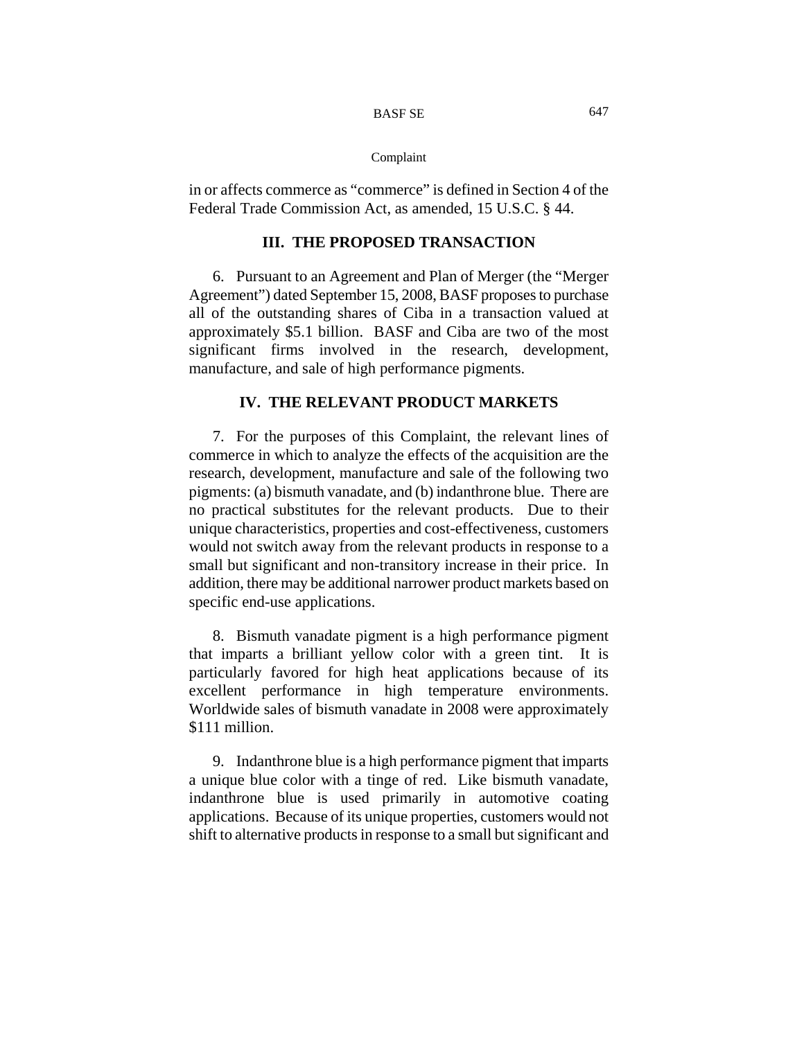### Complaint

in or affects commerce as "commerce" is defined in Section 4 of the Federal Trade Commission Act, as amended, 15 U.S.C. § 44.

## **III. THE PROPOSED TRANSACTION**

6. Pursuant to an Agreement and Plan of Merger (the "Merger Agreement") dated September 15, 2008, BASF proposes to purchase all of the outstanding shares of Ciba in a transaction valued at approximately \$5.1 billion. BASF and Ciba are two of the most significant firms involved in the research, development, manufacture, and sale of high performance pigments.

## **IV. THE RELEVANT PRODUCT MARKETS**

7. For the purposes of this Complaint, the relevant lines of commerce in which to analyze the effects of the acquisition are the research, development, manufacture and sale of the following two pigments: (a) bismuth vanadate, and (b) indanthrone blue. There are no practical substitutes for the relevant products. Due to their unique characteristics, properties and cost-effectiveness, customers would not switch away from the relevant products in response to a small but significant and non-transitory increase in their price. In addition, there may be additional narrower product markets based on specific end-use applications.

8. Bismuth vanadate pigment is a high performance pigment that imparts a brilliant yellow color with a green tint. It is particularly favored for high heat applications because of its excellent performance in high temperature environments. Worldwide sales of bismuth vanadate in 2008 were approximately \$111 million.

9. Indanthrone blue is a high performance pigment that imparts a unique blue color with a tinge of red. Like bismuth vanadate, indanthrone blue is used primarily in automotive coating applications. Because of its unique properties, customers would not shift to alternative products in response to a small but significant and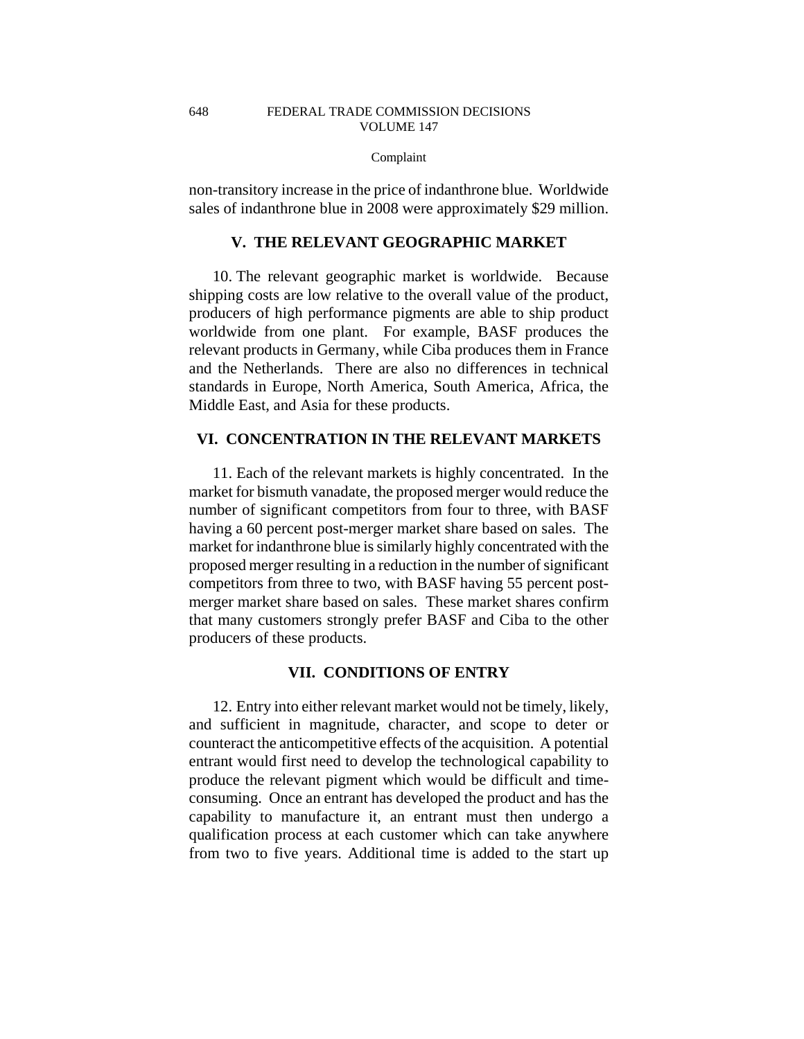### Complaint

non-transitory increase in the price of indanthrone blue. Worldwide sales of indanthrone blue in 2008 were approximately \$29 million.

## **V. THE RELEVANT GEOGRAPHIC MARKET**

10. The relevant geographic market is worldwide. Because shipping costs are low relative to the overall value of the product, producers of high performance pigments are able to ship product worldwide from one plant. For example, BASF produces the relevant products in Germany, while Ciba produces them in France and the Netherlands. There are also no differences in technical standards in Europe, North America, South America, Africa, the Middle East, and Asia for these products.

# **VI. CONCENTRATION IN THE RELEVANT MARKETS**

11. Each of the relevant markets is highly concentrated. In the market for bismuth vanadate, the proposed merger would reduce the number of significant competitors from four to three, with BASF having a 60 percent post-merger market share based on sales. The market for indanthrone blue is similarly highly concentrated with the proposed merger resulting in a reduction in the number of significant competitors from three to two, with BASF having 55 percent postmerger market share based on sales. These market shares confirm that many customers strongly prefer BASF and Ciba to the other producers of these products.

## **VII. CONDITIONS OF ENTRY**

12. Entry into either relevant market would not be timely, likely, and sufficient in magnitude, character, and scope to deter or counteract the anticompetitive effects of the acquisition. A potential entrant would first need to develop the technological capability to produce the relevant pigment which would be difficult and timeconsuming. Once an entrant has developed the product and has the capability to manufacture it, an entrant must then undergo a qualification process at each customer which can take anywhere from two to five years. Additional time is added to the start up

648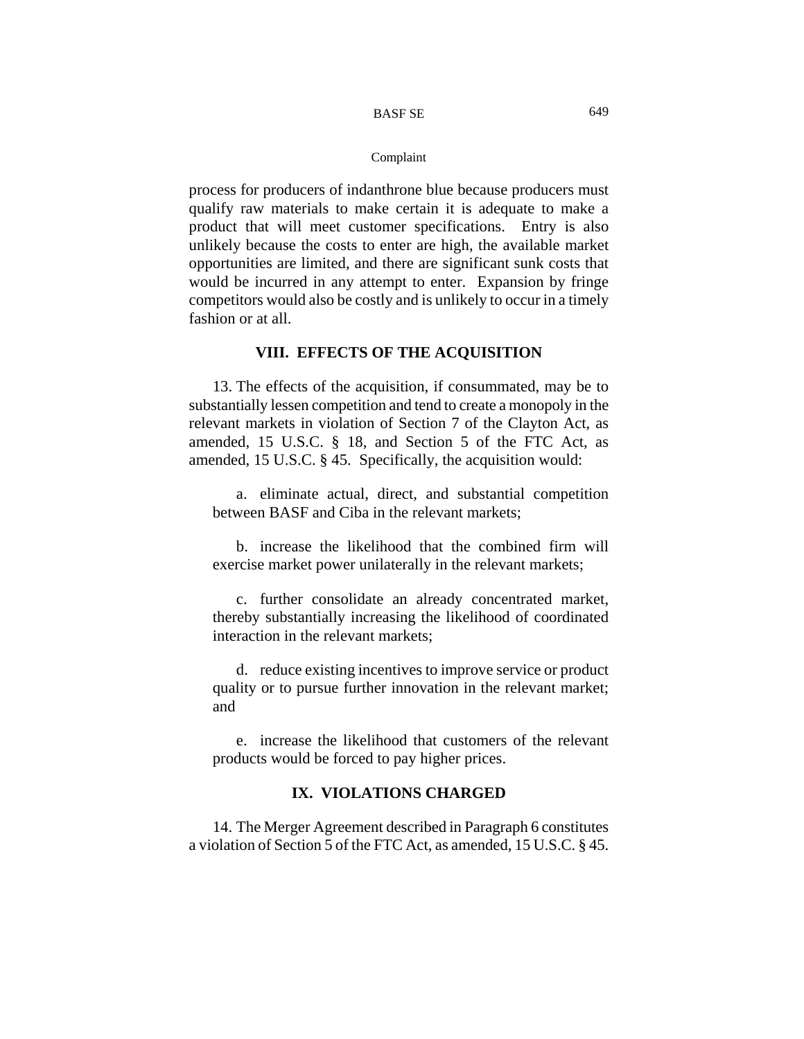#### Complaint

process for producers of indanthrone blue because producers must qualify raw materials to make certain it is adequate to make a product that will meet customer specifications. Entry is also unlikely because the costs to enter are high, the available market opportunities are limited, and there are significant sunk costs that would be incurred in any attempt to enter. Expansion by fringe competitors would also be costly and is unlikely to occur in a timely fashion or at all.

## **VIII. EFFECTS OF THE ACQUISITION**

13. The effects of the acquisition, if consummated, may be to substantially lessen competition and tend to create a monopoly in the relevant markets in violation of Section 7 of the Clayton Act, as amended, 15 U.S.C. § 18, and Section 5 of the FTC Act, as amended, 15 U.S.C. § 45. Specifically, the acquisition would:

a. eliminate actual, direct, and substantial competition between BASF and Ciba in the relevant markets;

b. increase the likelihood that the combined firm will exercise market power unilaterally in the relevant markets;

c. further consolidate an already concentrated market, thereby substantially increasing the likelihood of coordinated interaction in the relevant markets;

d. reduce existing incentives to improve service or product quality or to pursue further innovation in the relevant market; and

e. increase the likelihood that customers of the relevant products would be forced to pay higher prices.

## **IX. VIOLATIONS CHARGED**

14. The Merger Agreement described in Paragraph 6 constitutes a violation of Section 5 of the FTC Act, as amended, 15 U.S.C. § 45.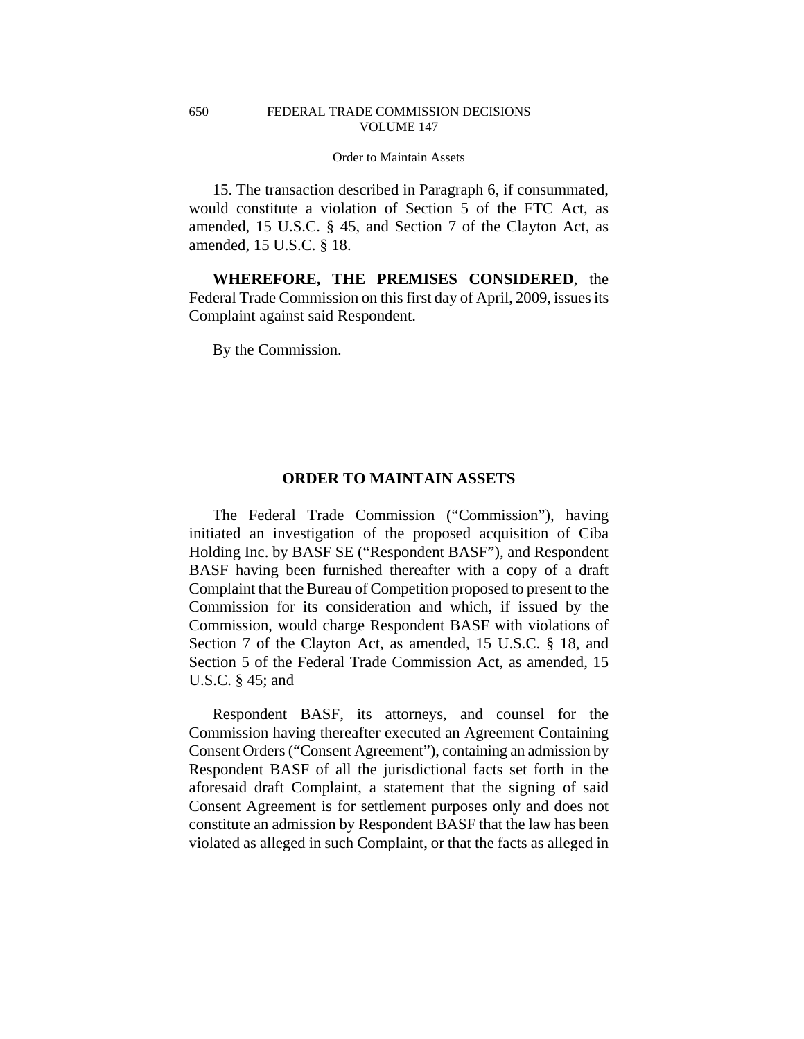15. The transaction described in Paragraph 6, if consummated, would constitute a violation of Section 5 of the FTC Act, as amended, 15 U.S.C. § 45, and Section 7 of the Clayton Act, as amended, 15 U.S.C. § 18.

**WHEREFORE, THE PREMISES CONSIDERED**, the Federal Trade Commission on this first day of April, 2009, issues its Complaint against said Respondent.

By the Commission.

650

## **ORDER TO MAINTAIN ASSETS**

The Federal Trade Commission ("Commission"), having initiated an investigation of the proposed acquisition of Ciba Holding Inc. by BASF SE ("Respondent BASF"), and Respondent BASF having been furnished thereafter with a copy of a draft Complaint that the Bureau of Competition proposed to present to the Commission for its consideration and which, if issued by the Commission, would charge Respondent BASF with violations of Section 7 of the Clayton Act, as amended, 15 U.S.C. § 18, and Section 5 of the Federal Trade Commission Act, as amended, 15 U.S.C. § 45; and

Respondent BASF, its attorneys, and counsel for the Commission having thereafter executed an Agreement Containing Consent Orders ("Consent Agreement"), containing an admission by Respondent BASF of all the jurisdictional facts set forth in the aforesaid draft Complaint, a statement that the signing of said Consent Agreement is for settlement purposes only and does not constitute an admission by Respondent BASF that the law has been violated as alleged in such Complaint, or that the facts as alleged in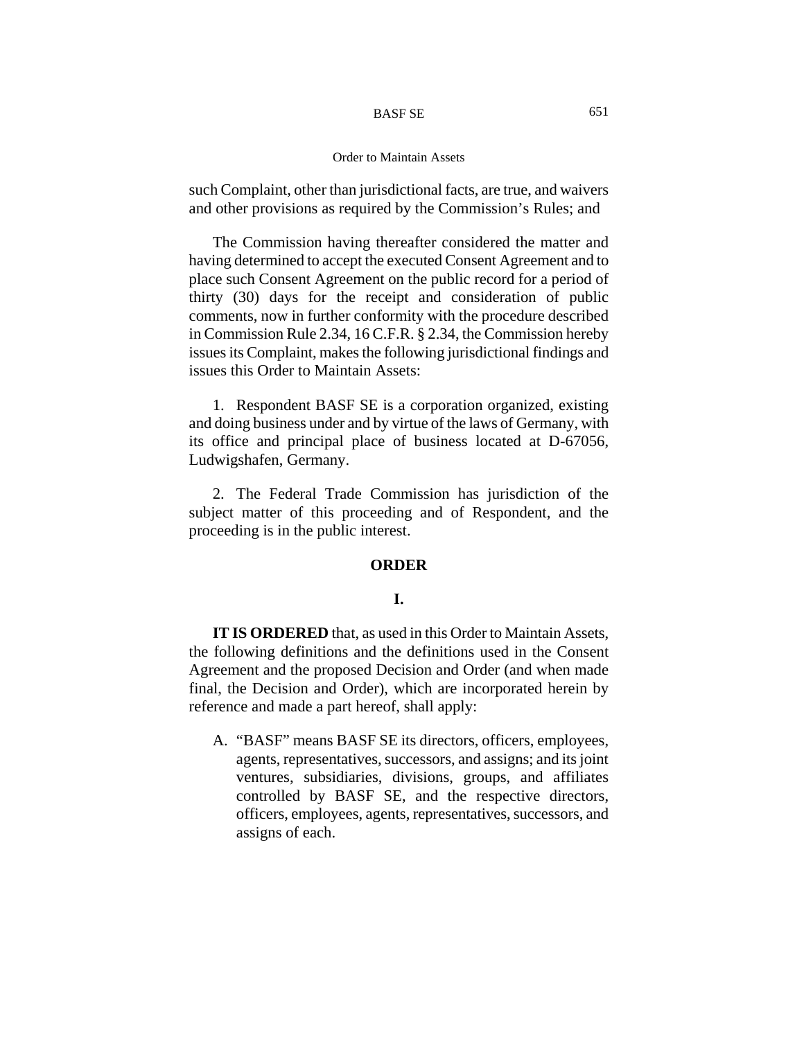#### Order to Maintain Assets

such Complaint, other than jurisdictional facts, are true, and waivers and other provisions as required by the Commission's Rules; and

The Commission having thereafter considered the matter and having determined to accept the executed Consent Agreement and to place such Consent Agreement on the public record for a period of thirty (30) days for the receipt and consideration of public comments, now in further conformity with the procedure described in Commission Rule 2.34, 16 C.F.R. § 2.34, the Commission hereby issues its Complaint, makes the following jurisdictional findings and issues this Order to Maintain Assets:

1. Respondent BASF SE is a corporation organized, existing and doing business under and by virtue of the laws of Germany, with its office and principal place of business located at D-67056, Ludwigshafen, Germany.

2. The Federal Trade Commission has jurisdiction of the subject matter of this proceeding and of Respondent, and the proceeding is in the public interest.

## **ORDER**

# **I.**

**IT IS ORDERED** that, as used in this Order to Maintain Assets, the following definitions and the definitions used in the Consent Agreement and the proposed Decision and Order (and when made final, the Decision and Order), which are incorporated herein by reference and made a part hereof, shall apply:

A. "BASF" means BASF SE its directors, officers, employees, agents, representatives, successors, and assigns; and its joint ventures, subsidiaries, divisions, groups, and affiliates controlled by BASF SE, and the respective directors, officers, employees, agents, representatives, successors, and assigns of each.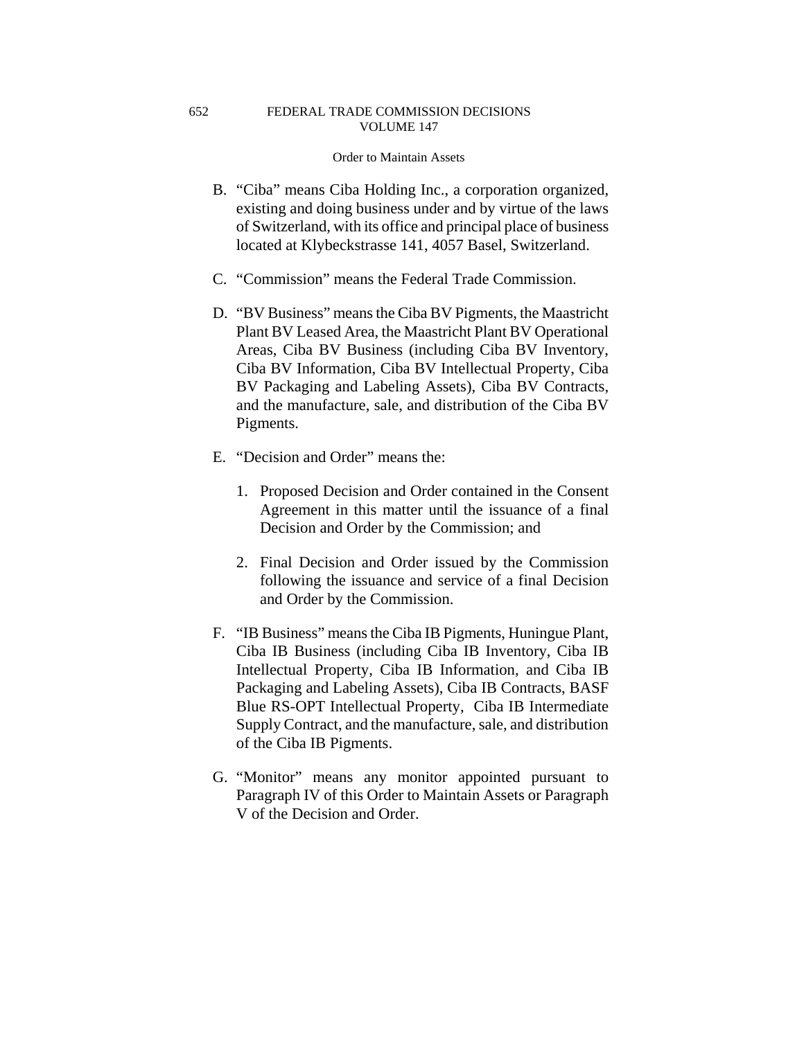652

#### Order to Maintain Assets

- B. "Ciba" means Ciba Holding Inc., a corporation organized, existing and doing business under and by virtue of the laws of Switzerland, with its office and principal place of business located at Klybeckstrasse 141, 4057 Basel, Switzerland.
- C. "Commission" means the Federal Trade Commission.
- D. "BV Business" means the Ciba BV Pigments, the Maastricht Plant BV Leased Area, the Maastricht Plant BV Operational Areas, Ciba BV Business (including Ciba BV Inventory, Ciba BV Information, Ciba BV Intellectual Property, Ciba BV Packaging and Labeling Assets), Ciba BV Contracts, and the manufacture, sale, and distribution of the Ciba BV Pigments.
- E. "Decision and Order" means the:
	- 1. Proposed Decision and Order contained in the Consent Agreement in this matter until the issuance of a final Decision and Order by the Commission; and
	- 2. Final Decision and Order issued by the Commission following the issuance and service of a final Decision and Order by the Commission.
- F. "IB Business" means the Ciba IB Pigments, Huningue Plant, Ciba IB Business (including Ciba IB Inventory, Ciba IB Intellectual Property, Ciba IB Information, and Ciba IB Packaging and Labeling Assets), Ciba IB Contracts, BASF Blue RS-OPT Intellectual Property, Ciba IB Intermediate Supply Contract, and the manufacture, sale, and distribution of the Ciba IB Pigments.
- G. "Monitor" means any monitor appointed pursuant to Paragraph IV of this Order to Maintain Assets or Paragraph V of the Decision and Order.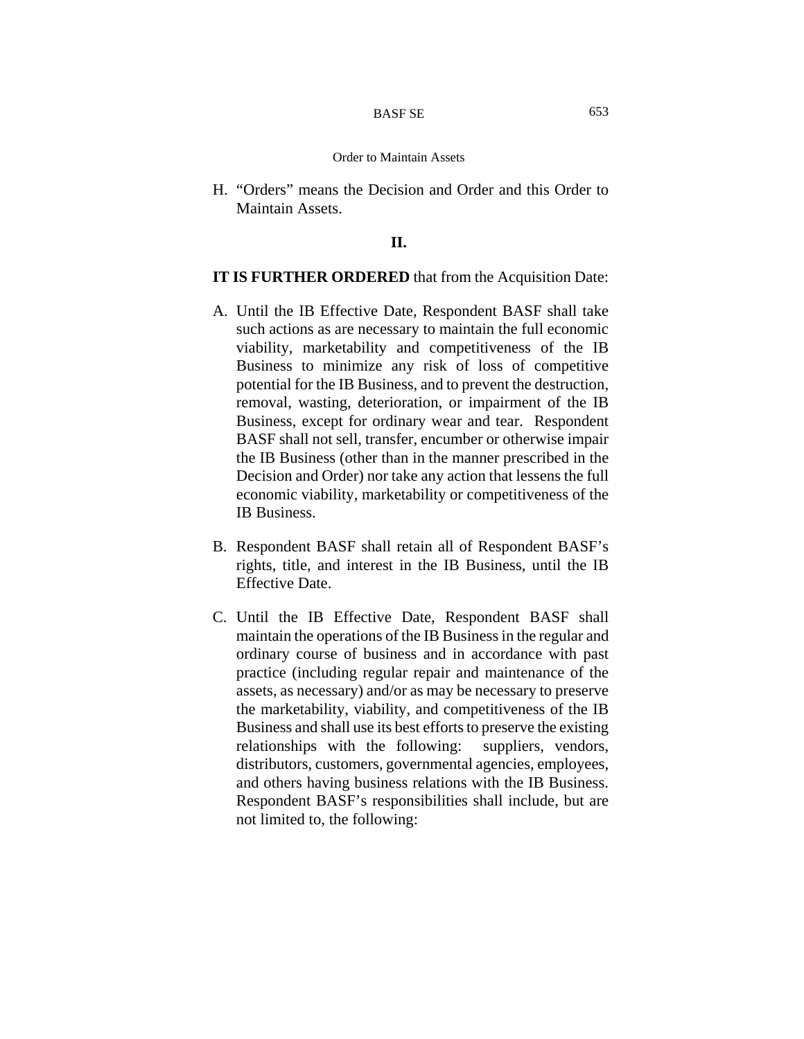#### Order to Maintain Assets

H. "Orders" means the Decision and Order and this Order to Maintain Assets.

### **II.**

## **IT IS FURTHER ORDERED** that from the Acquisition Date:

- A. Until the IB Effective Date, Respondent BASF shall take such actions as are necessary to maintain the full economic viability, marketability and competitiveness of the IB Business to minimize any risk of loss of competitive potential for the IB Business, and to prevent the destruction, removal, wasting, deterioration, or impairment of the IB Business, except for ordinary wear and tear. Respondent BASF shall not sell, transfer, encumber or otherwise impair the IB Business (other than in the manner prescribed in the Decision and Order) nor take any action that lessens the full economic viability, marketability or competitiveness of the IB Business.
- B. Respondent BASF shall retain all of Respondent BASF's rights, title, and interest in the IB Business, until the IB Effective Date.
- C. Until the IB Effective Date, Respondent BASF shall maintain the operations of the IB Business in the regular and ordinary course of business and in accordance with past practice (including regular repair and maintenance of the assets, as necessary) and/or as may be necessary to preserve the marketability, viability, and competitiveness of the IB Business and shall use its best efforts to preserve the existing relationships with the following: suppliers, vendors, distributors, customers, governmental agencies, employees, and others having business relations with the IB Business. Respondent BASF's responsibilities shall include, but are not limited to, the following: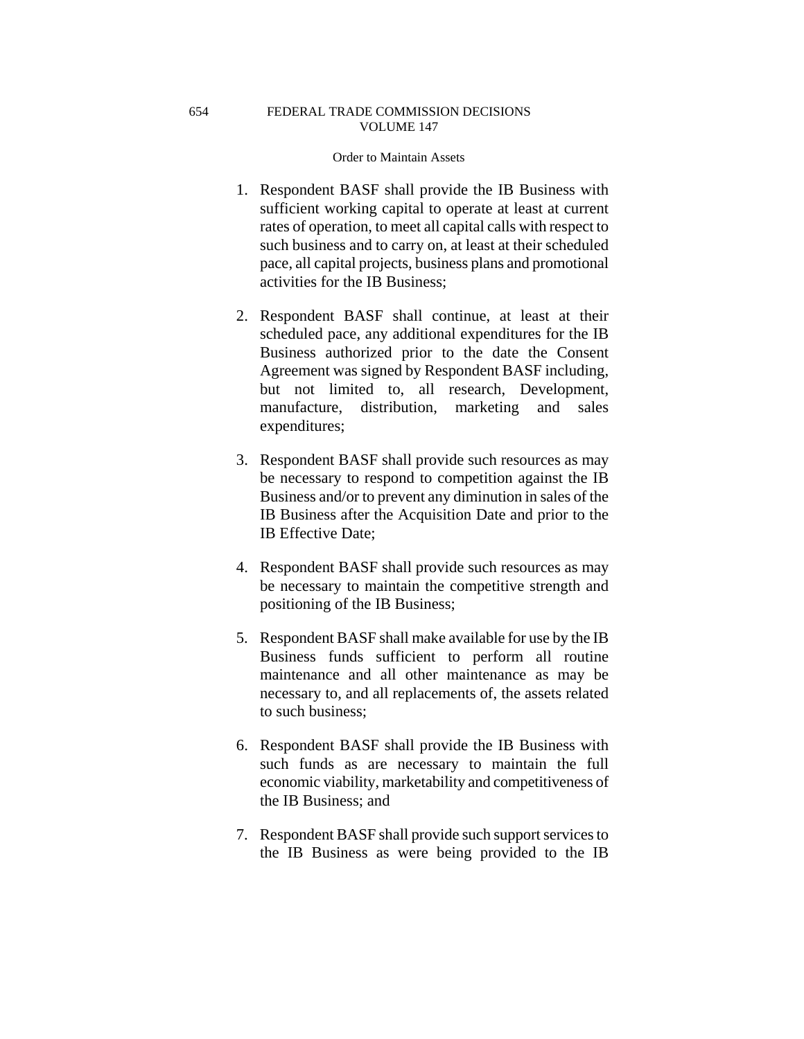### Order to Maintain Assets

- 1. Respondent BASF shall provide the IB Business with sufficient working capital to operate at least at current rates of operation, to meet all capital calls with respect to such business and to carry on, at least at their scheduled pace, all capital projects, business plans and promotional activities for the IB Business;
- 2. Respondent BASF shall continue, at least at their scheduled pace, any additional expenditures for the IB Business authorized prior to the date the Consent Agreement was signed by Respondent BASF including, but not limited to, all research, Development, manufacture, distribution, marketing and sales expenditures;
- 3. Respondent BASF shall provide such resources as may be necessary to respond to competition against the IB Business and/or to prevent any diminution in sales of the IB Business after the Acquisition Date and prior to the IB Effective Date;
- 4. Respondent BASF shall provide such resources as may be necessary to maintain the competitive strength and positioning of the IB Business;
- 5. Respondent BASF shall make available for use by the IB Business funds sufficient to perform all routine maintenance and all other maintenance as may be necessary to, and all replacements of, the assets related to such business;
- 6. Respondent BASF shall provide the IB Business with such funds as are necessary to maintain the full economic viability, marketability and competitiveness of the IB Business; and
- 7. Respondent BASF shall provide such support services to the IB Business as were being provided to the IB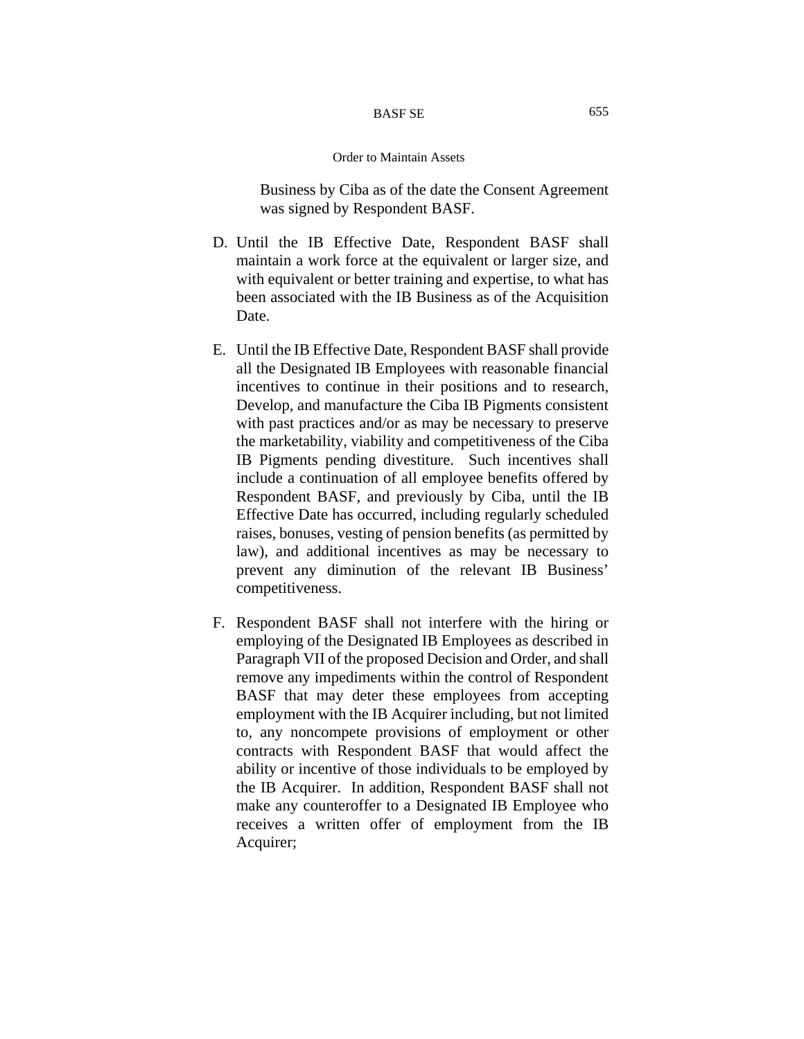Business by Ciba as of the date the Consent Agreement was signed by Respondent BASF.

- D. Until the IB Effective Date, Respondent BASF shall maintain a work force at the equivalent or larger size, and with equivalent or better training and expertise, to what has been associated with the IB Business as of the Acquisition Date.
- E. Until the IB Effective Date, Respondent BASF shall provide all the Designated IB Employees with reasonable financial incentives to continue in their positions and to research, Develop, and manufacture the Ciba IB Pigments consistent with past practices and/or as may be necessary to preserve the marketability, viability and competitiveness of the Ciba IB Pigments pending divestiture. Such incentives shall include a continuation of all employee benefits offered by Respondent BASF, and previously by Ciba, until the IB Effective Date has occurred, including regularly scheduled raises, bonuses, vesting of pension benefits (as permitted by law), and additional incentives as may be necessary to prevent any diminution of the relevant IB Business' competitiveness.
- F. Respondent BASF shall not interfere with the hiring or employing of the Designated IB Employees as described in Paragraph VII of the proposed Decision and Order, and shall remove any impediments within the control of Respondent BASF that may deter these employees from accepting employment with the IB Acquirer including, but not limited to, any noncompete provisions of employment or other contracts with Respondent BASF that would affect the ability or incentive of those individuals to be employed by the IB Acquirer. In addition, Respondent BASF shall not make any counteroffer to a Designated IB Employee who receives a written offer of employment from the IB Acquirer;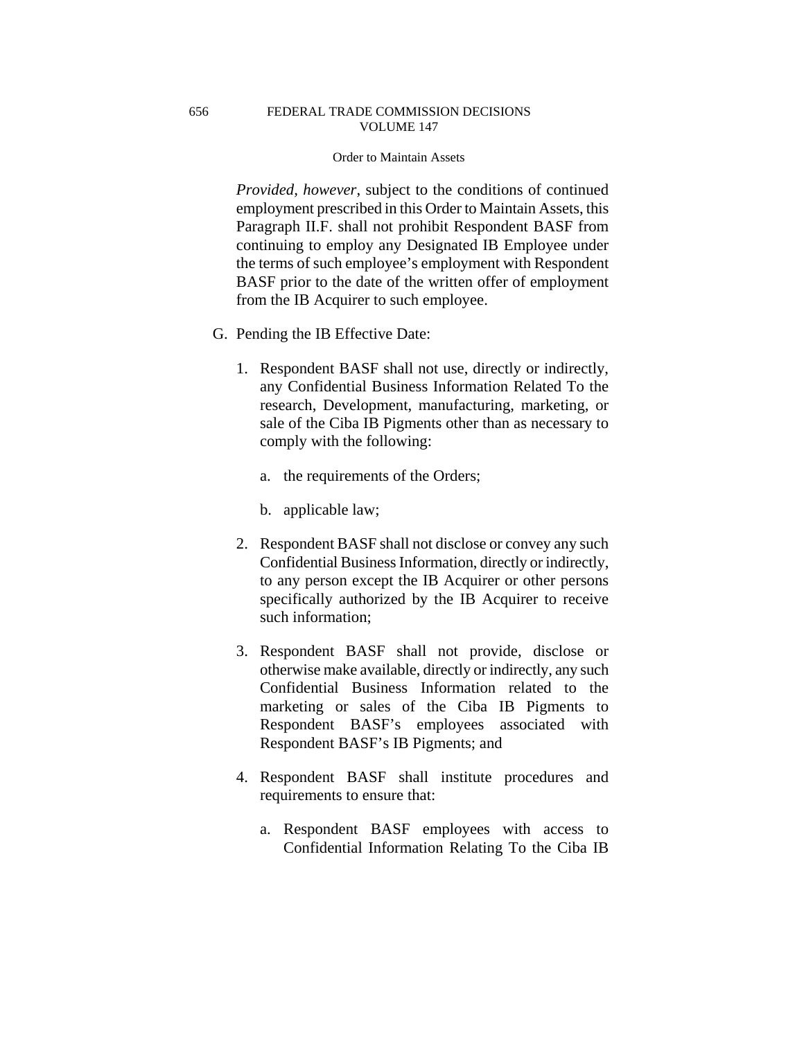### Order to Maintain Assets

*Provided, however*, subject to the conditions of continued employment prescribed in this Order to Maintain Assets, this Paragraph II.F. shall not prohibit Respondent BASF from continuing to employ any Designated IB Employee under the terms of such employee's employment with Respondent BASF prior to the date of the written offer of employment from the IB Acquirer to such employee.

- G. Pending the IB Effective Date:
	- 1. Respondent BASF shall not use, directly or indirectly, any Confidential Business Information Related To the research, Development, manufacturing, marketing, or sale of the Ciba IB Pigments other than as necessary to comply with the following:
		- a. the requirements of the Orders;
		- b. applicable law;
	- 2. Respondent BASF shall not disclose or convey any such Confidential Business Information, directly or indirectly, to any person except the IB Acquirer or other persons specifically authorized by the IB Acquirer to receive such information;
	- 3. Respondent BASF shall not provide, disclose or otherwise make available, directly or indirectly, any such Confidential Business Information related to the marketing or sales of the Ciba IB Pigments to Respondent BASF's employees associated with Respondent BASF's IB Pigments; and
	- 4. Respondent BASF shall institute procedures and requirements to ensure that:
		- a. Respondent BASF employees with access to Confidential Information Relating To the Ciba IB

656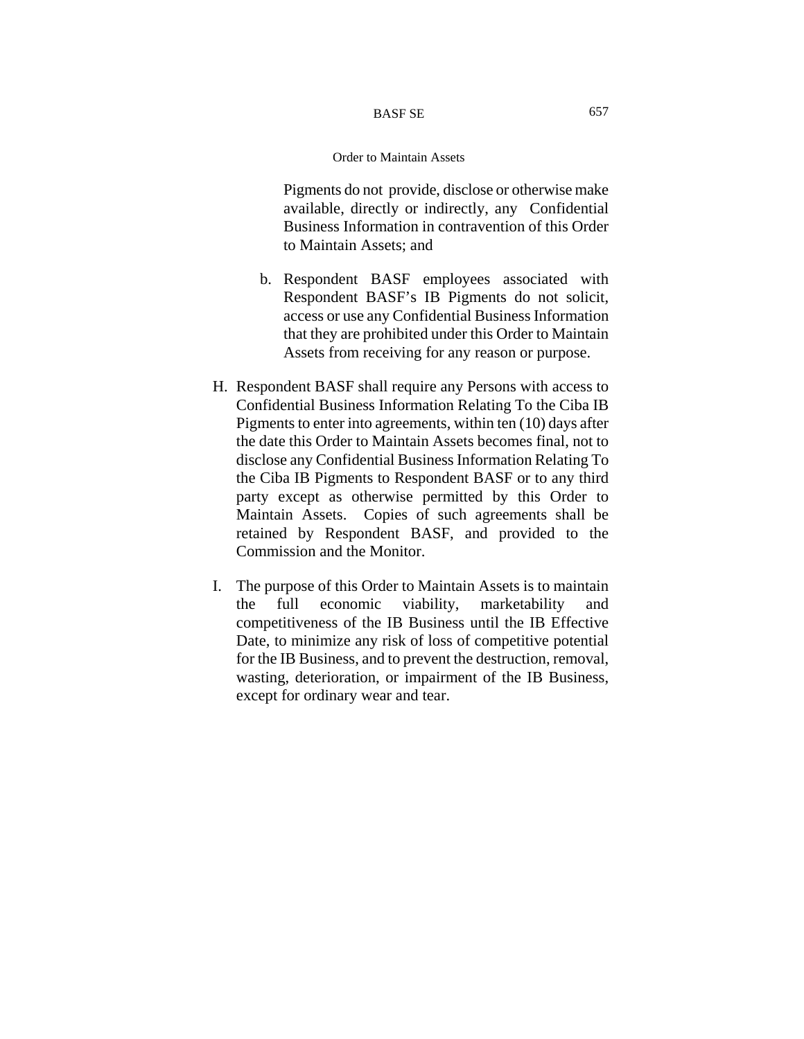Pigments do not provide, disclose or otherwise make available, directly or indirectly, any Confidential Business Information in contravention of this Order to Maintain Assets; and

- b. Respondent BASF employees associated with Respondent BASF's IB Pigments do not solicit, access or use any Confidential Business Information that they are prohibited under this Order to Maintain Assets from receiving for any reason or purpose.
- H. Respondent BASF shall require any Persons with access to Confidential Business Information Relating To the Ciba IB Pigments to enter into agreements, within ten (10) days after the date this Order to Maintain Assets becomes final, not to disclose any Confidential Business Information Relating To the Ciba IB Pigments to Respondent BASF or to any third party except as otherwise permitted by this Order to Maintain Assets. Copies of such agreements shall be retained by Respondent BASF, and provided to the Commission and the Monitor.
- I. The purpose of this Order to Maintain Assets is to maintain the full economic viability, marketability and competitiveness of the IB Business until the IB Effective Date, to minimize any risk of loss of competitive potential for the IB Business, and to prevent the destruction, removal, wasting, deterioration, or impairment of the IB Business, except for ordinary wear and tear.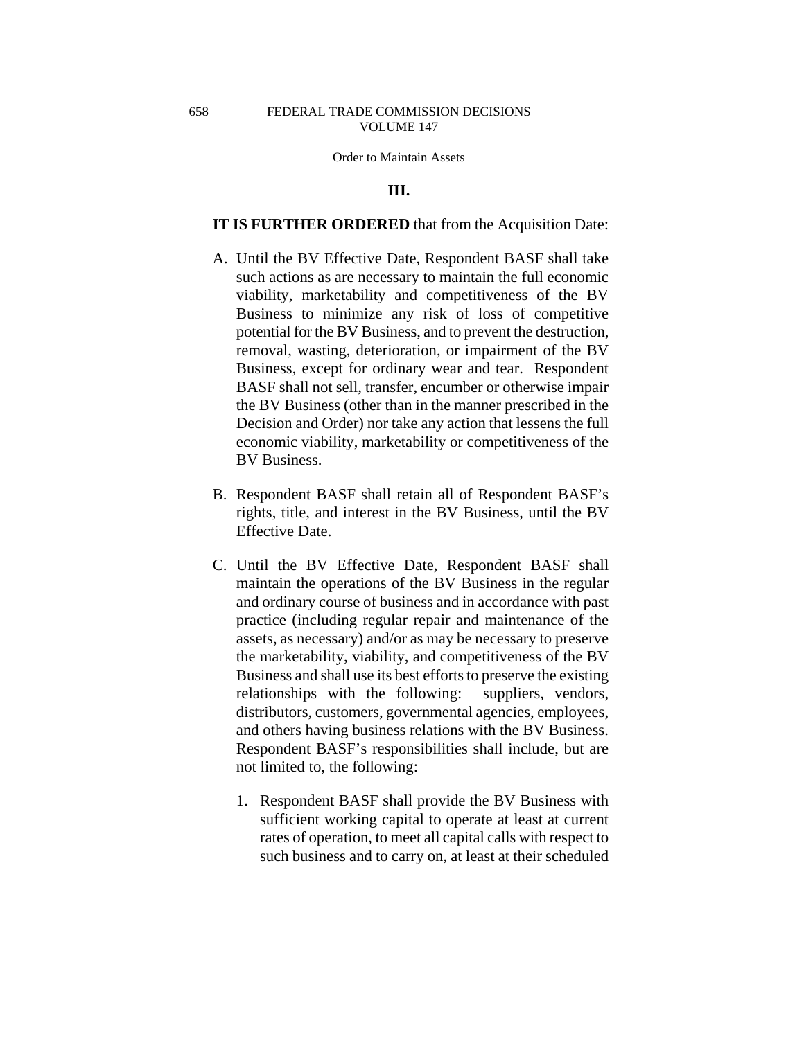### **III.**

## **IT IS FURTHER ORDERED** that from the Acquisition Date:

- A. Until the BV Effective Date, Respondent BASF shall take such actions as are necessary to maintain the full economic viability, marketability and competitiveness of the BV Business to minimize any risk of loss of competitive potential for the BV Business, and to prevent the destruction, removal, wasting, deterioration, or impairment of the BV Business, except for ordinary wear and tear. Respondent BASF shall not sell, transfer, encumber or otherwise impair the BV Business (other than in the manner prescribed in the Decision and Order) nor take any action that lessens the full economic viability, marketability or competitiveness of the BV Business.
- B. Respondent BASF shall retain all of Respondent BASF's rights, title, and interest in the BV Business, until the BV Effective Date.
- C. Until the BV Effective Date, Respondent BASF shall maintain the operations of the BV Business in the regular and ordinary course of business and in accordance with past practice (including regular repair and maintenance of the assets, as necessary) and/or as may be necessary to preserve the marketability, viability, and competitiveness of the BV Business and shall use its best efforts to preserve the existing relationships with the following: suppliers, vendors, distributors, customers, governmental agencies, employees, and others having business relations with the BV Business. Respondent BASF's responsibilities shall include, but are not limited to, the following:
	- 1. Respondent BASF shall provide the BV Business with sufficient working capital to operate at least at current rates of operation, to meet all capital calls with respect to such business and to carry on, at least at their scheduled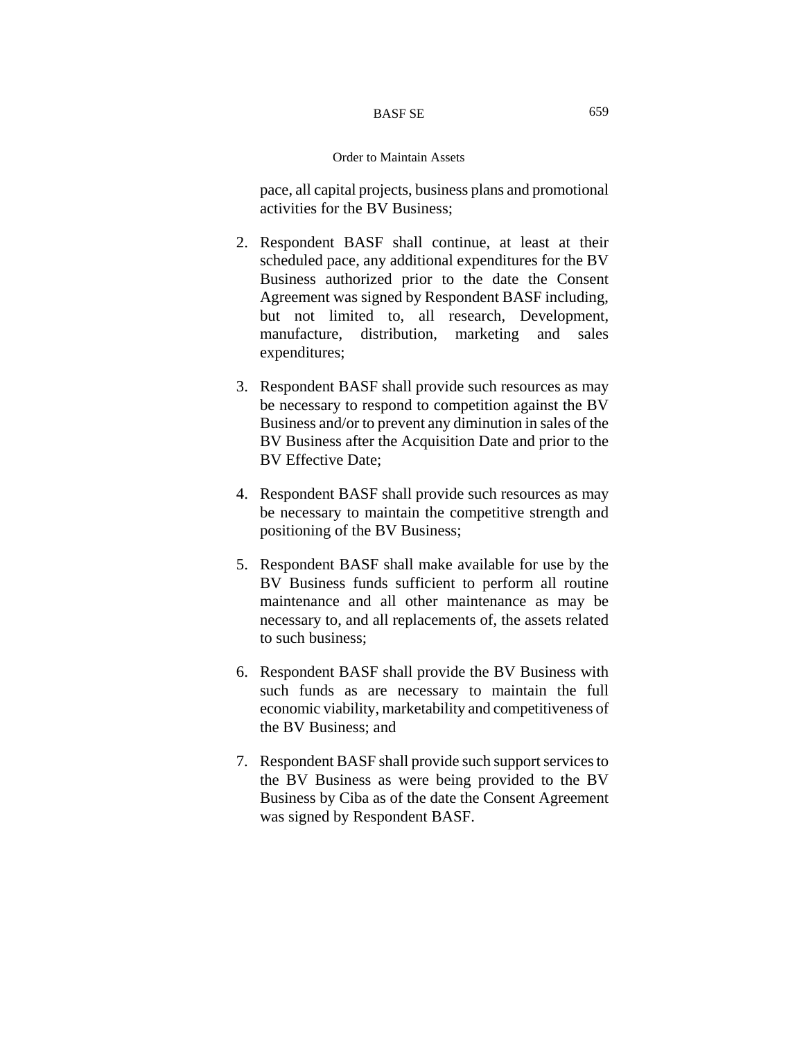#### Order to Maintain Assets

pace, all capital projects, business plans and promotional activities for the BV Business;

- 2. Respondent BASF shall continue, at least at their scheduled pace, any additional expenditures for the BV Business authorized prior to the date the Consent Agreement was signed by Respondent BASF including, but not limited to, all research, Development, manufacture, distribution, marketing and sales expenditures;
- 3. Respondent BASF shall provide such resources as may be necessary to respond to competition against the BV Business and/or to prevent any diminution in sales of the BV Business after the Acquisition Date and prior to the BV Effective Date;
- 4. Respondent BASF shall provide such resources as may be necessary to maintain the competitive strength and positioning of the BV Business;
- 5. Respondent BASF shall make available for use by the BV Business funds sufficient to perform all routine maintenance and all other maintenance as may be necessary to, and all replacements of, the assets related to such business;
- 6. Respondent BASF shall provide the BV Business with such funds as are necessary to maintain the full economic viability, marketability and competitiveness of the BV Business; and
- 7. Respondent BASF shall provide such support services to the BV Business as were being provided to the BV Business by Ciba as of the date the Consent Agreement was signed by Respondent BASF.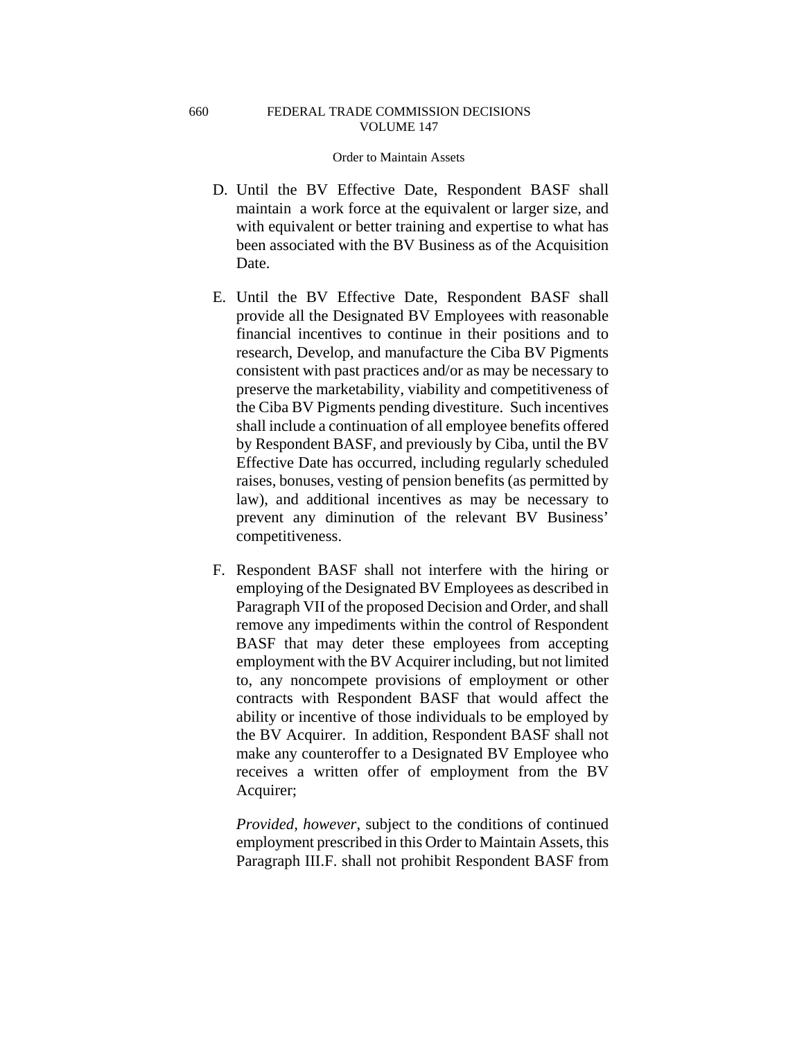#### Order to Maintain Assets

- D. Until the BV Effective Date, Respondent BASF shall maintain a work force at the equivalent or larger size, and with equivalent or better training and expertise to what has been associated with the BV Business as of the Acquisition Date.
- E. Until the BV Effective Date, Respondent BASF shall provide all the Designated BV Employees with reasonable financial incentives to continue in their positions and to research, Develop, and manufacture the Ciba BV Pigments consistent with past practices and/or as may be necessary to preserve the marketability, viability and competitiveness of the Ciba BV Pigments pending divestiture. Such incentives shall include a continuation of all employee benefits offered by Respondent BASF, and previously by Ciba, until the BV Effective Date has occurred, including regularly scheduled raises, bonuses, vesting of pension benefits (as permitted by law), and additional incentives as may be necessary to prevent any diminution of the relevant BV Business' competitiveness.
- F. Respondent BASF shall not interfere with the hiring or employing of the Designated BV Employees as described in Paragraph VII of the proposed Decision and Order, and shall remove any impediments within the control of Respondent BASF that may deter these employees from accepting employment with the BV Acquirer including, but not limited to, any noncompete provisions of employment or other contracts with Respondent BASF that would affect the ability or incentive of those individuals to be employed by the BV Acquirer. In addition, Respondent BASF shall not make any counteroffer to a Designated BV Employee who receives a written offer of employment from the BV Acquirer;

*Provided, however*, subject to the conditions of continued employment prescribed in this Order to Maintain Assets, this Paragraph III.F. shall not prohibit Respondent BASF from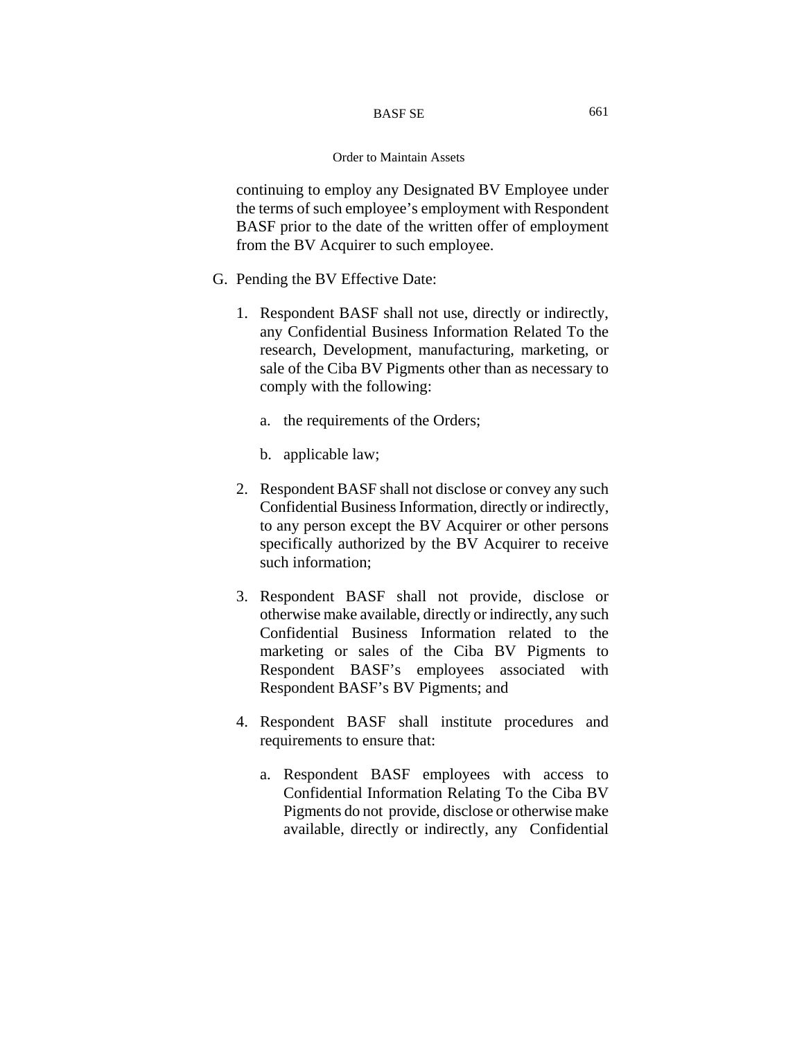continuing to employ any Designated BV Employee under the terms of such employee's employment with Respondent BASF prior to the date of the written offer of employment from the BV Acquirer to such employee.

- G. Pending the BV Effective Date:
	- 1. Respondent BASF shall not use, directly or indirectly, any Confidential Business Information Related To the research, Development, manufacturing, marketing, or sale of the Ciba BV Pigments other than as necessary to comply with the following:
		- a. the requirements of the Orders;
		- b. applicable law;
	- 2. Respondent BASF shall not disclose or convey any such Confidential Business Information, directly or indirectly, to any person except the BV Acquirer or other persons specifically authorized by the BV Acquirer to receive such information;
	- 3. Respondent BASF shall not provide, disclose or otherwise make available, directly or indirectly, any such Confidential Business Information related to the marketing or sales of the Ciba BV Pigments to Respondent BASF's employees associated with Respondent BASF's BV Pigments; and
	- 4. Respondent BASF shall institute procedures and requirements to ensure that:
		- a. Respondent BASF employees with access to Confidential Information Relating To the Ciba BV Pigments do not provide, disclose or otherwise make available, directly or indirectly, any Confidential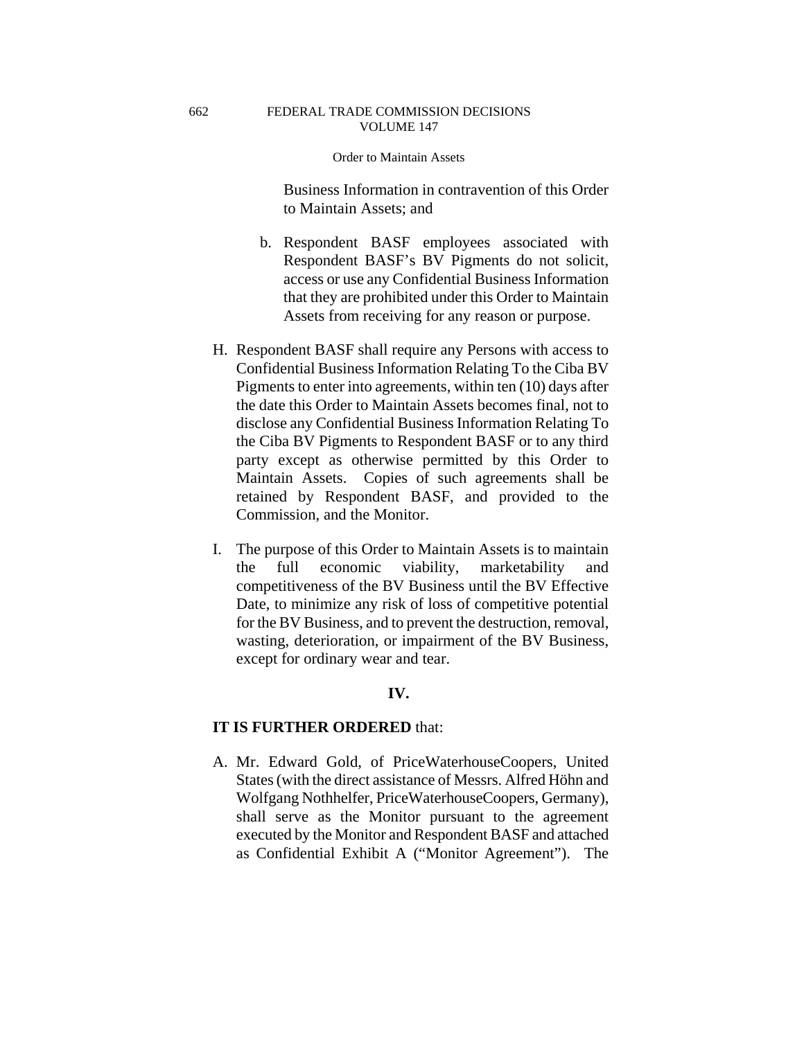662

#### Order to Maintain Assets

Business Information in contravention of this Order to Maintain Assets; and

- b. Respondent BASF employees associated with Respondent BASF's BV Pigments do not solicit, access or use any Confidential Business Information that they are prohibited under this Order to Maintain Assets from receiving for any reason or purpose.
- H. Respondent BASF shall require any Persons with access to Confidential Business Information Relating To the Ciba BV Pigments to enter into agreements, within ten (10) days after the date this Order to Maintain Assets becomes final, not to disclose any Confidential Business Information Relating To the Ciba BV Pigments to Respondent BASF or to any third party except as otherwise permitted by this Order to Maintain Assets. Copies of such agreements shall be retained by Respondent BASF, and provided to the Commission, and the Monitor.
- I. The purpose of this Order to Maintain Assets is to maintain the full economic viability, marketability and competitiveness of the BV Business until the BV Effective Date, to minimize any risk of loss of competitive potential for the BV Business, and to prevent the destruction, removal, wasting, deterioration, or impairment of the BV Business, except for ordinary wear and tear.

# **IV.**

## **IT IS FURTHER ORDERED** that:

A. Mr. Edward Gold, of PriceWaterhouseCoopers, United States (with the direct assistance of Messrs. Alfred Höhn and Wolfgang Nothhelfer, PriceWaterhouseCoopers, Germany), shall serve as the Monitor pursuant to the agreement executed by the Monitor and Respondent BASF and attached as Confidential Exhibit A ("Monitor Agreement"). The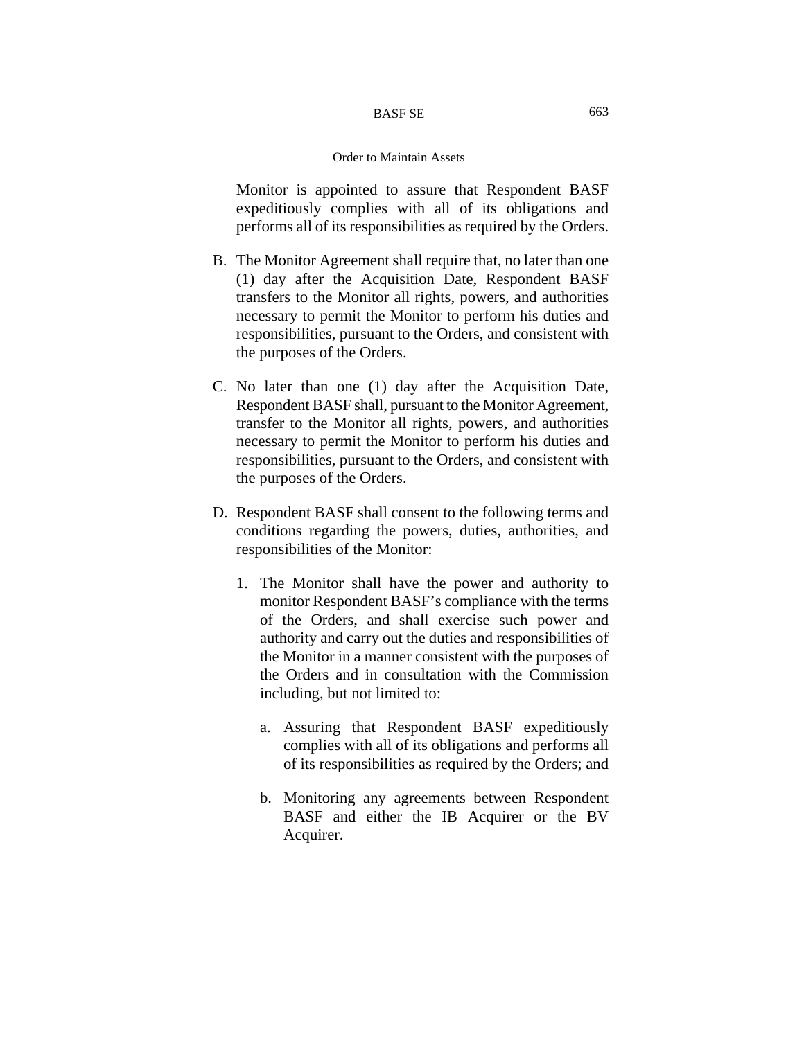Monitor is appointed to assure that Respondent BASF expeditiously complies with all of its obligations and performs all of its responsibilities as required by the Orders.

- B. The Monitor Agreement shall require that, no later than one (1) day after the Acquisition Date, Respondent BASF transfers to the Monitor all rights, powers, and authorities necessary to permit the Monitor to perform his duties and responsibilities, pursuant to the Orders, and consistent with the purposes of the Orders.
- C. No later than one (1) day after the Acquisition Date, Respondent BASF shall, pursuant to the Monitor Agreement, transfer to the Monitor all rights, powers, and authorities necessary to permit the Monitor to perform his duties and responsibilities, pursuant to the Orders, and consistent with the purposes of the Orders.
- D. Respondent BASF shall consent to the following terms and conditions regarding the powers, duties, authorities, and responsibilities of the Monitor:
	- 1. The Monitor shall have the power and authority to monitor Respondent BASF's compliance with the terms of the Orders, and shall exercise such power and authority and carry out the duties and responsibilities of the Monitor in a manner consistent with the purposes of the Orders and in consultation with the Commission including, but not limited to:
		- a. Assuring that Respondent BASF expeditiously complies with all of its obligations and performs all of its responsibilities as required by the Orders; and
		- b. Monitoring any agreements between Respondent BASF and either the IB Acquirer or the BV Acquirer.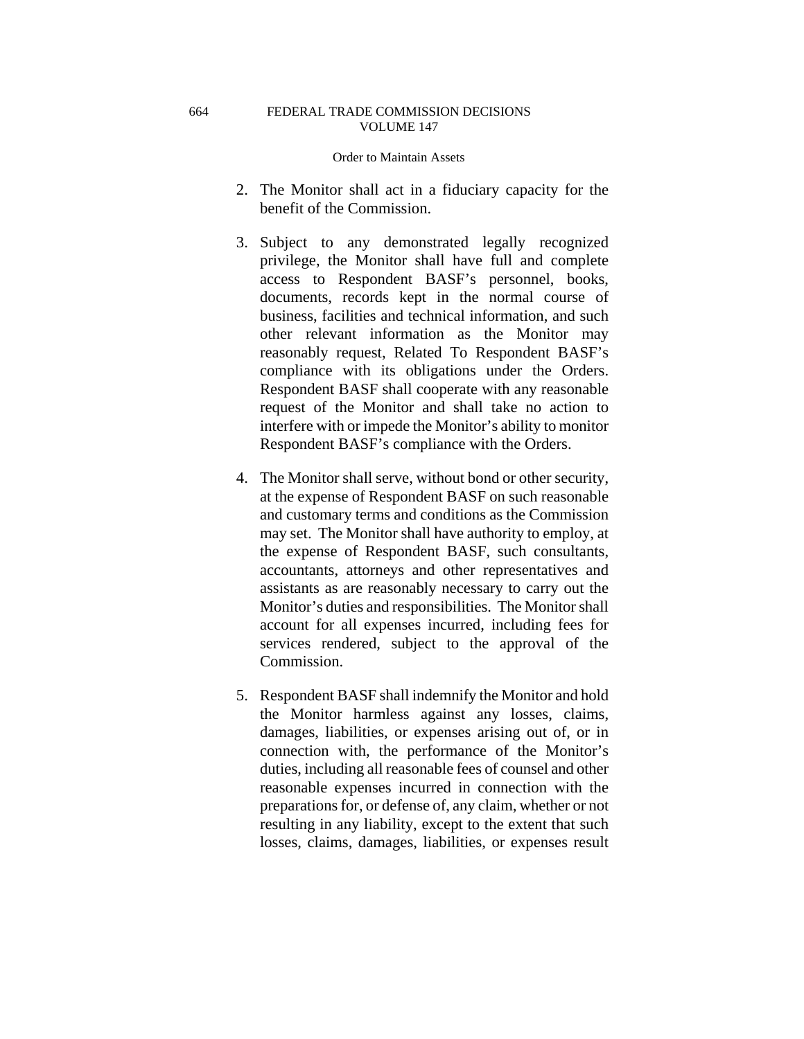### Order to Maintain Assets

- 2. The Monitor shall act in a fiduciary capacity for the benefit of the Commission.
- 3. Subject to any demonstrated legally recognized privilege, the Monitor shall have full and complete access to Respondent BASF's personnel, books, documents, records kept in the normal course of business, facilities and technical information, and such other relevant information as the Monitor may reasonably request, Related To Respondent BASF's compliance with its obligations under the Orders. Respondent BASF shall cooperate with any reasonable request of the Monitor and shall take no action to interfere with or impede the Monitor's ability to monitor Respondent BASF's compliance with the Orders.
- 4. The Monitor shall serve, without bond or other security, at the expense of Respondent BASF on such reasonable and customary terms and conditions as the Commission may set. The Monitor shall have authority to employ, at the expense of Respondent BASF, such consultants, accountants, attorneys and other representatives and assistants as are reasonably necessary to carry out the Monitor's duties and responsibilities. The Monitor shall account for all expenses incurred, including fees for services rendered, subject to the approval of the Commission.
- 5. Respondent BASF shall indemnify the Monitor and hold the Monitor harmless against any losses, claims, damages, liabilities, or expenses arising out of, or in connection with, the performance of the Monitor's duties, including all reasonable fees of counsel and other reasonable expenses incurred in connection with the preparations for, or defense of, any claim, whether or not resulting in any liability, except to the extent that such losses, claims, damages, liabilities, or expenses result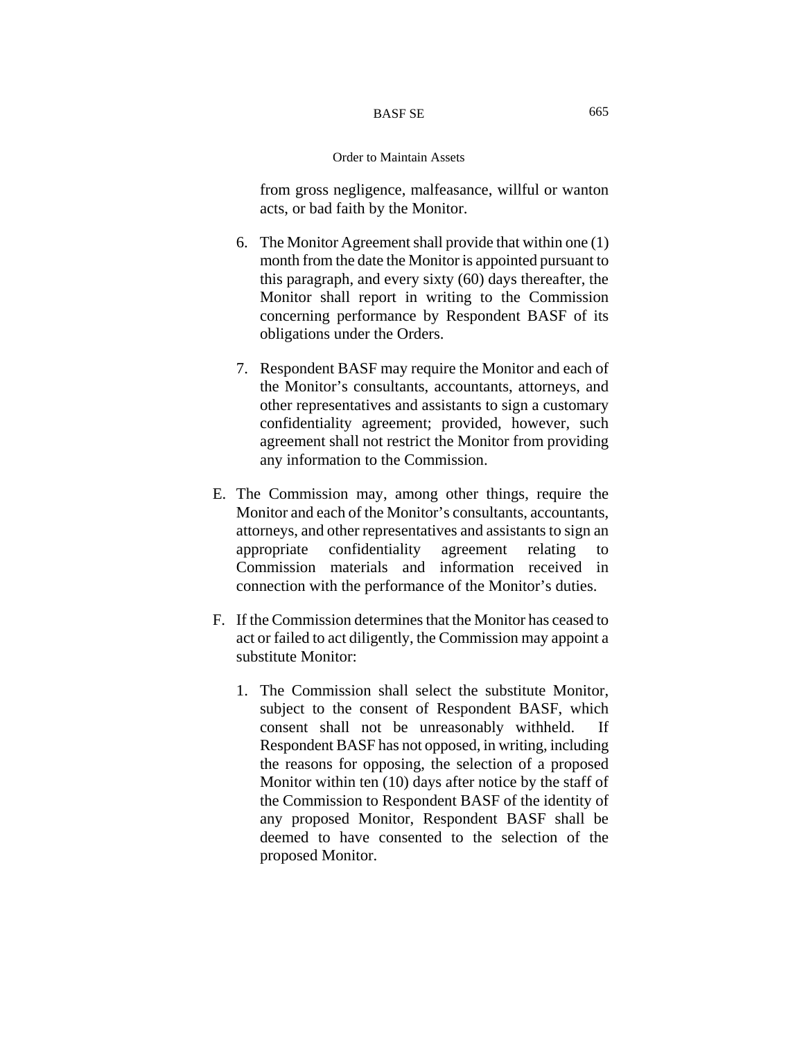### Order to Maintain Assets

from gross negligence, malfeasance, willful or wanton acts, or bad faith by the Monitor.

- 6. The Monitor Agreement shall provide that within one (1) month from the date the Monitor is appointed pursuant to this paragraph, and every sixty (60) days thereafter, the Monitor shall report in writing to the Commission concerning performance by Respondent BASF of its obligations under the Orders.
- 7. Respondent BASF may require the Monitor and each of the Monitor's consultants, accountants, attorneys, and other representatives and assistants to sign a customary confidentiality agreement; provided, however, such agreement shall not restrict the Monitor from providing any information to the Commission.
- E. The Commission may, among other things, require the Monitor and each of the Monitor's consultants, accountants, attorneys, and other representatives and assistants to sign an appropriate confidentiality agreement relating to Commission materials and information received in connection with the performance of the Monitor's duties.
- F. If the Commission determines that the Monitor has ceased to act or failed to act diligently, the Commission may appoint a substitute Monitor:
	- 1. The Commission shall select the substitute Monitor, subject to the consent of Respondent BASF, which consent shall not be unreasonably withheld. If Respondent BASF has not opposed, in writing, including the reasons for opposing, the selection of a proposed Monitor within ten (10) days after notice by the staff of the Commission to Respondent BASF of the identity of any proposed Monitor, Respondent BASF shall be deemed to have consented to the selection of the proposed Monitor.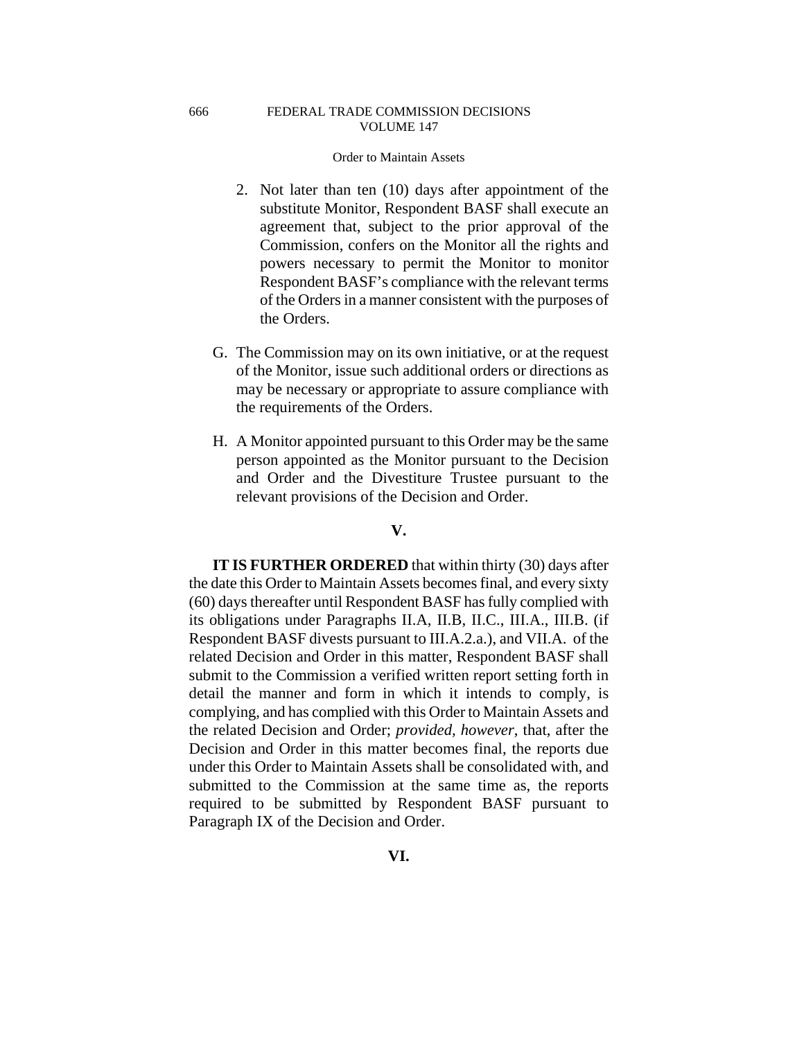### Order to Maintain Assets

- 2. Not later than ten (10) days after appointment of the substitute Monitor, Respondent BASF shall execute an agreement that, subject to the prior approval of the Commission, confers on the Monitor all the rights and powers necessary to permit the Monitor to monitor Respondent BASF's compliance with the relevant terms of the Orders in a manner consistent with the purposes of the Orders.
- G. The Commission may on its own initiative, or at the request of the Monitor, issue such additional orders or directions as may be necessary or appropriate to assure compliance with the requirements of the Orders.
- H. A Monitor appointed pursuant to this Order may be the same person appointed as the Monitor pursuant to the Decision and Order and the Divestiture Trustee pursuant to the relevant provisions of the Decision and Order.

## **V.**

**IT IS FURTHER ORDERED** that within thirty (30) days after the date this Order to Maintain Assets becomes final, and every sixty (60) days thereafter until Respondent BASF has fully complied with its obligations under Paragraphs II.A, II.B, II.C., III.A., III.B. (if Respondent BASF divests pursuant to III.A.2.a.), and VII.A. of the related Decision and Order in this matter, Respondent BASF shall submit to the Commission a verified written report setting forth in detail the manner and form in which it intends to comply, is complying, and has complied with this Order to Maintain Assets and the related Decision and Order; *provided, however*, that, after the Decision and Order in this matter becomes final, the reports due under this Order to Maintain Assets shall be consolidated with, and submitted to the Commission at the same time as, the reports required to be submitted by Respondent BASF pursuant to Paragraph IX of the Decision and Order.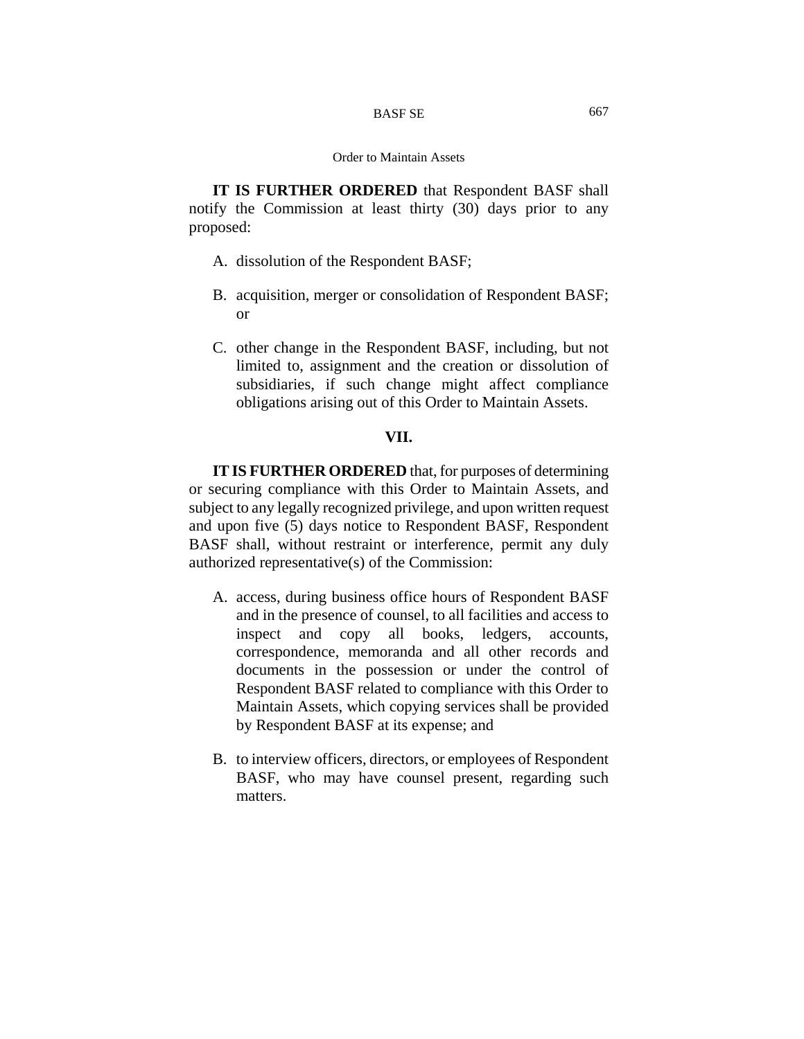**IT IS FURTHER ORDERED** that Respondent BASF shall notify the Commission at least thirty (30) days prior to any proposed:

- A. dissolution of the Respondent BASF;
- B. acquisition, merger or consolidation of Respondent BASF; or
- C. other change in the Respondent BASF, including, but not limited to, assignment and the creation or dissolution of subsidiaries, if such change might affect compliance obligations arising out of this Order to Maintain Assets.

## **VII.**

**IT IS FURTHER ORDERED** that, for purposes of determining or securing compliance with this Order to Maintain Assets, and subject to any legally recognized privilege, and upon written request and upon five (5) days notice to Respondent BASF, Respondent BASF shall, without restraint or interference, permit any duly authorized representative(s) of the Commission:

- A. access, during business office hours of Respondent BASF and in the presence of counsel, to all facilities and access to inspect and copy all books, ledgers, accounts, correspondence, memoranda and all other records and documents in the possession or under the control of Respondent BASF related to compliance with this Order to Maintain Assets, which copying services shall be provided by Respondent BASF at its expense; and
- B. to interview officers, directors, or employees of Respondent BASF, who may have counsel present, regarding such matters.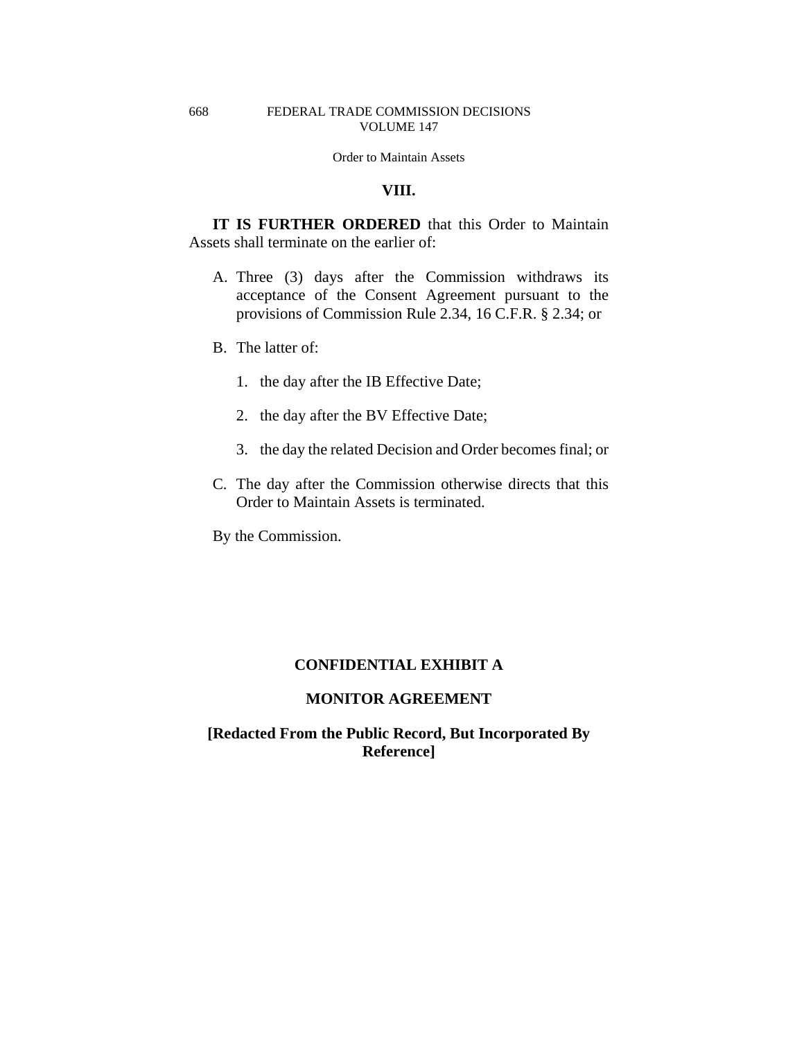## **VIII.**

**IT IS FURTHER ORDERED** that this Order to Maintain Assets shall terminate on the earlier of:

- A. Three (3) days after the Commission withdraws its acceptance of the Consent Agreement pursuant to the provisions of Commission Rule 2.34, 16 C.F.R. § 2.34; or
- B. The latter of:
	- 1. the day after the IB Effective Date;
	- 2. the day after the BV Effective Date;
	- 3. the day the related Decision and Order becomes final; or
- C. The day after the Commission otherwise directs that this Order to Maintain Assets is terminated.

By the Commission.

# **CONFIDENTIAL EXHIBIT A**

## **MONITOR AGREEMENT**

# **[Redacted From the Public Record, But Incorporated By Reference]**

#### 668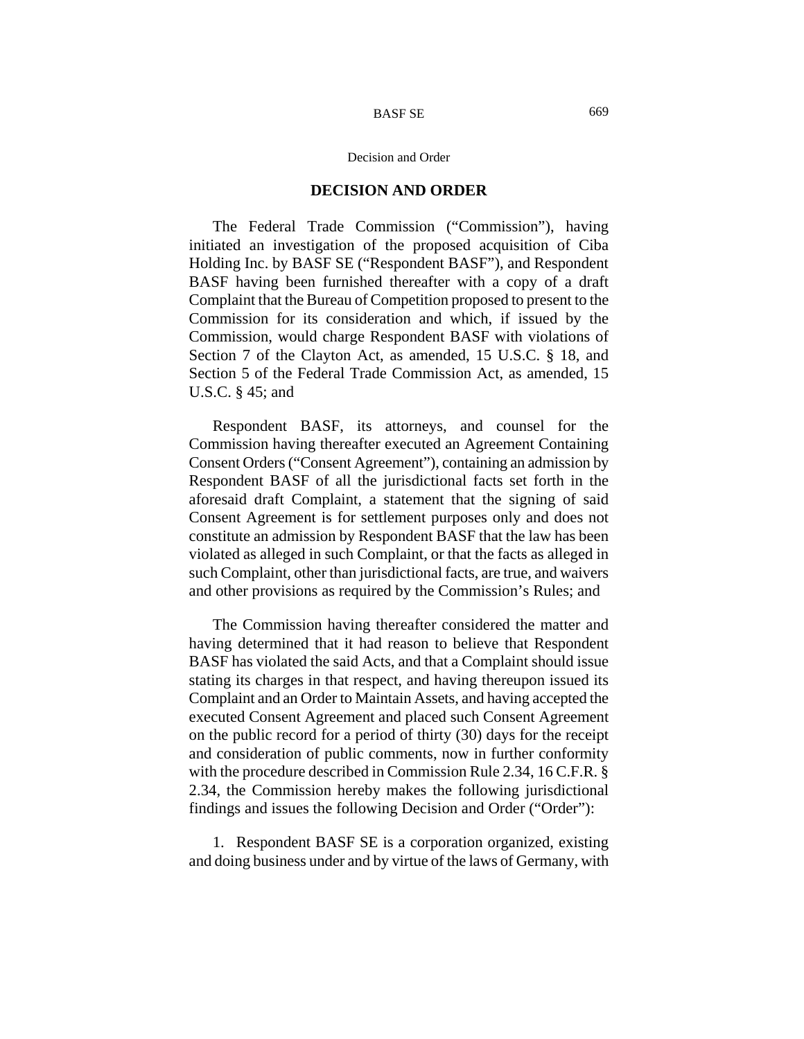#### Decision and Order

#### **DECISION AND ORDER**

The Federal Trade Commission ("Commission"), having initiated an investigation of the proposed acquisition of Ciba Holding Inc. by BASF SE ("Respondent BASF"), and Respondent BASF having been furnished thereafter with a copy of a draft Complaint that the Bureau of Competition proposed to present to the Commission for its consideration and which, if issued by the Commission, would charge Respondent BASF with violations of Section 7 of the Clayton Act, as amended, 15 U.S.C. § 18, and Section 5 of the Federal Trade Commission Act, as amended, 15 U.S.C. § 45; and

Respondent BASF, its attorneys, and counsel for the Commission having thereafter executed an Agreement Containing Consent Orders ("Consent Agreement"), containing an admission by Respondent BASF of all the jurisdictional facts set forth in the aforesaid draft Complaint, a statement that the signing of said Consent Agreement is for settlement purposes only and does not constitute an admission by Respondent BASF that the law has been violated as alleged in such Complaint, or that the facts as alleged in such Complaint, other than jurisdictional facts, are true, and waivers and other provisions as required by the Commission's Rules; and

The Commission having thereafter considered the matter and having determined that it had reason to believe that Respondent BASF has violated the said Acts, and that a Complaint should issue stating its charges in that respect, and having thereupon issued its Complaint and an Order to Maintain Assets, and having accepted the executed Consent Agreement and placed such Consent Agreement on the public record for a period of thirty (30) days for the receipt and consideration of public comments, now in further conformity with the procedure described in Commission Rule 2.34, 16 C.F.R. § 2.34, the Commission hereby makes the following jurisdictional findings and issues the following Decision and Order ("Order"):

1. Respondent BASF SE is a corporation organized, existing and doing business under and by virtue of the laws of Germany, with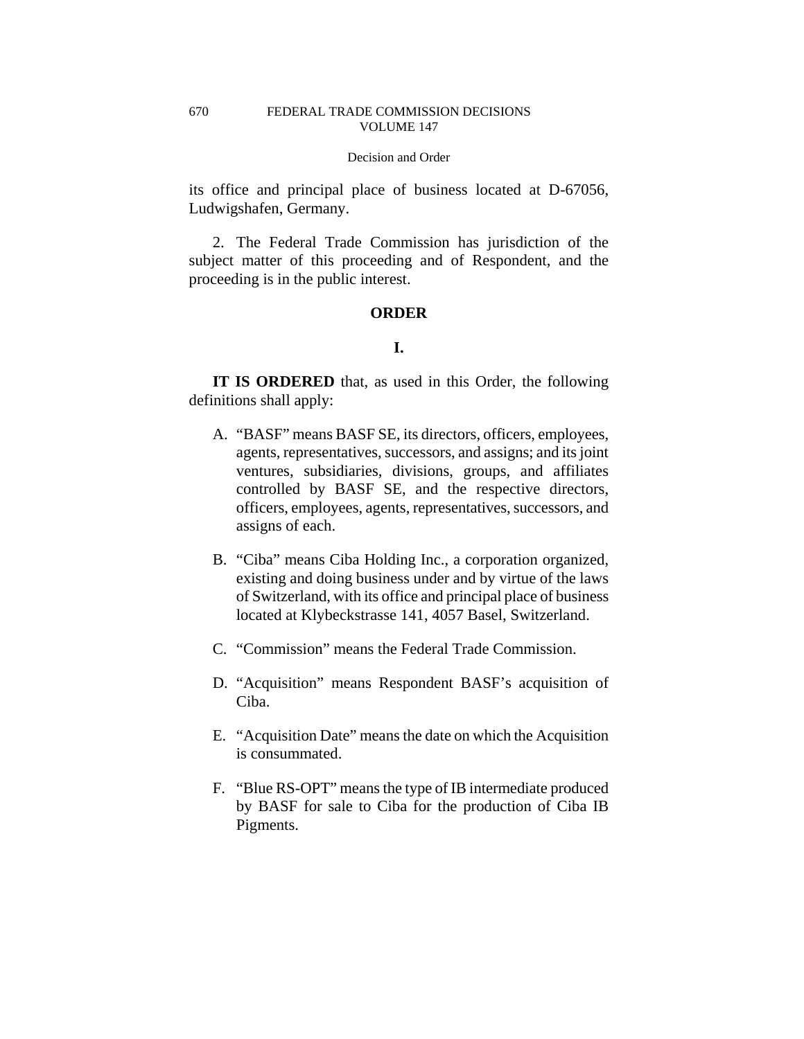#### Decision and Order

its office and principal place of business located at D-67056, Ludwigshafen, Germany.

2. The Federal Trade Commission has jurisdiction of the subject matter of this proceeding and of Respondent, and the proceeding is in the public interest.

## **ORDER**

# **I.**

**IT IS ORDERED** that, as used in this Order, the following definitions shall apply:

- A. "BASF" means BASF SE, its directors, officers, employees, agents, representatives, successors, and assigns; and its joint ventures, subsidiaries, divisions, groups, and affiliates controlled by BASF SE, and the respective directors, officers, employees, agents, representatives, successors, and assigns of each.
- B. "Ciba" means Ciba Holding Inc., a corporation organized, existing and doing business under and by virtue of the laws of Switzerland, with its office and principal place of business located at Klybeckstrasse 141, 4057 Basel, Switzerland.
- C. "Commission" means the Federal Trade Commission.
- D. "Acquisition" means Respondent BASF's acquisition of Ciba.
- E. "Acquisition Date" means the date on which the Acquisition is consummated.
- F. "Blue RS-OPT" means the type of IB intermediate produced by BASF for sale to Ciba for the production of Ciba IB Pigments.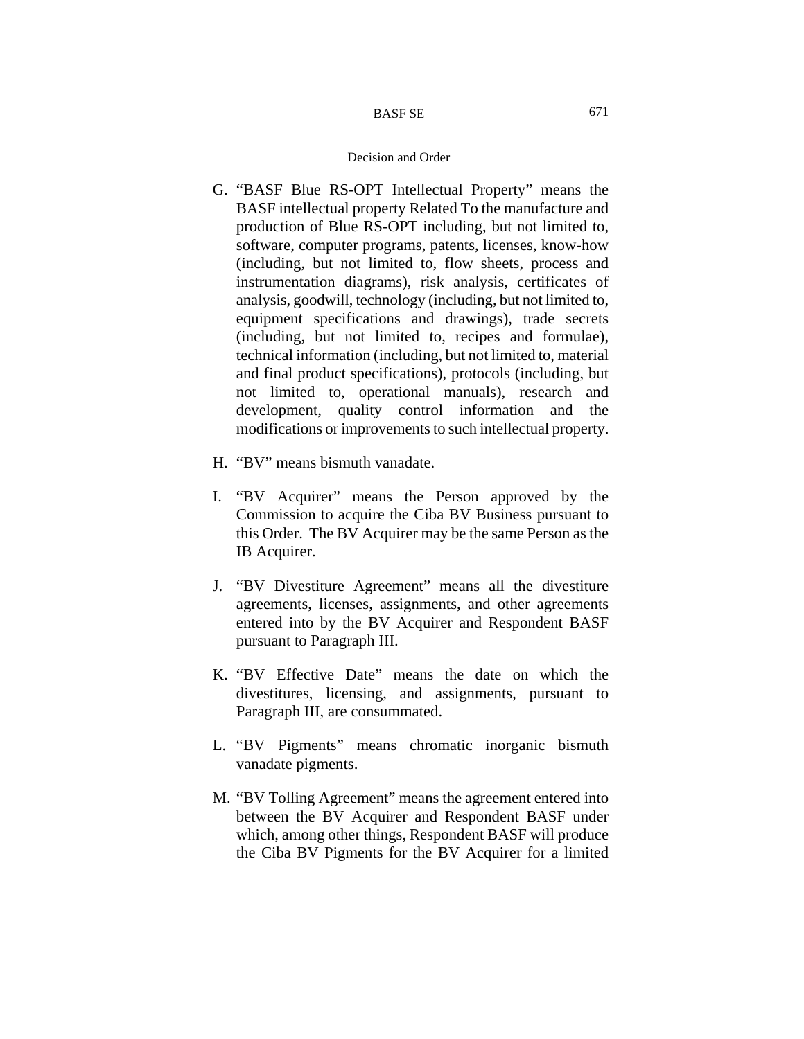- G. "BASF Blue RS-OPT Intellectual Property" means the BASF intellectual property Related To the manufacture and production of Blue RS-OPT including, but not limited to, software, computer programs, patents, licenses, know-how (including, but not limited to, flow sheets, process and instrumentation diagrams), risk analysis, certificates of analysis, goodwill, technology (including, but not limited to, equipment specifications and drawings), trade secrets (including, but not limited to, recipes and formulae), technical information (including, but not limited to, material and final product specifications), protocols (including, but not limited to, operational manuals), research and development, quality control information and the modifications or improvements to such intellectual property.
- H. "BV" means bismuth vanadate.
- I. "BV Acquirer" means the Person approved by the Commission to acquire the Ciba BV Business pursuant to this Order. The BV Acquirer may be the same Person as the IB Acquirer.
- J. "BV Divestiture Agreement" means all the divestiture agreements, licenses, assignments, and other agreements entered into by the BV Acquirer and Respondent BASF pursuant to Paragraph III.
- K. "BV Effective Date" means the date on which the divestitures, licensing, and assignments, pursuant to Paragraph III, are consummated.
- L. "BV Pigments" means chromatic inorganic bismuth vanadate pigments.
- M. "BV Tolling Agreement" means the agreement entered into between the BV Acquirer and Respondent BASF under which, among other things, Respondent BASF will produce the Ciba BV Pigments for the BV Acquirer for a limited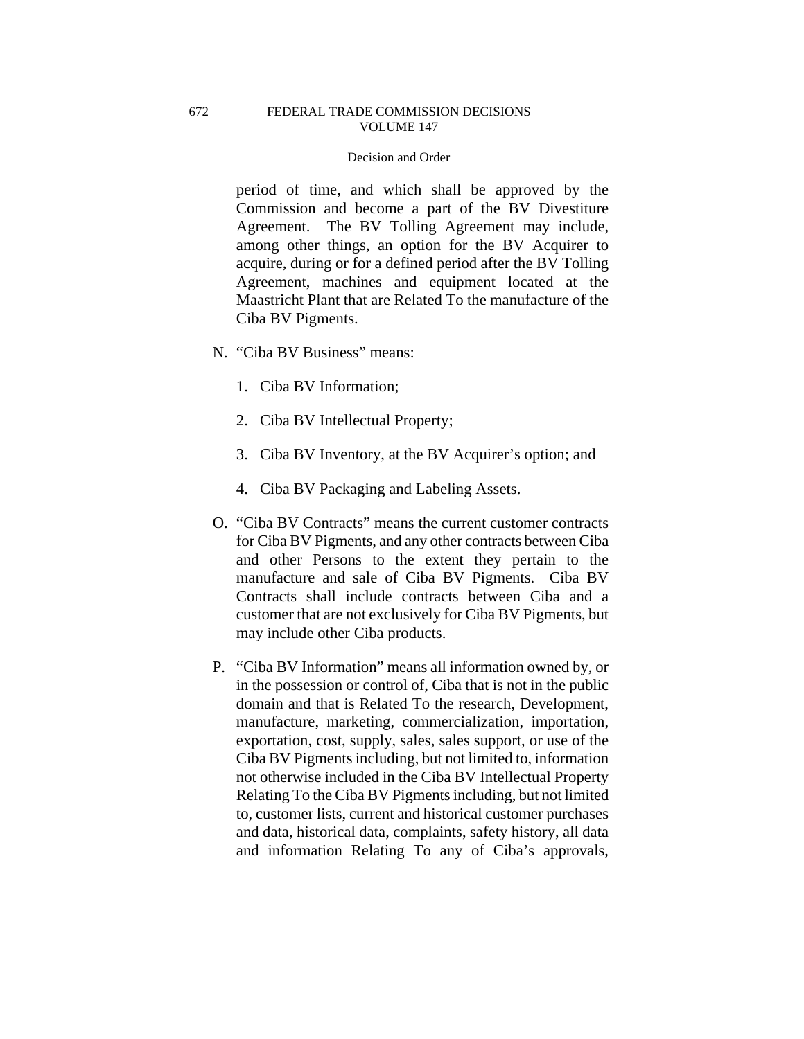#### Decision and Order

period of time, and which shall be approved by the Commission and become a part of the BV Divestiture Agreement. The BV Tolling Agreement may include, among other things, an option for the BV Acquirer to acquire, during or for a defined period after the BV Tolling Agreement, machines and equipment located at the Maastricht Plant that are Related To the manufacture of the Ciba BV Pigments.

- N. "Ciba BV Business" means:
	- 1. Ciba BV Information;
	- 2. Ciba BV Intellectual Property;
	- 3. Ciba BV Inventory, at the BV Acquirer's option; and
	- 4. Ciba BV Packaging and Labeling Assets.
- O. "Ciba BV Contracts" means the current customer contracts for Ciba BV Pigments, and any other contracts between Ciba and other Persons to the extent they pertain to the manufacture and sale of Ciba BV Pigments. Ciba BV Contracts shall include contracts between Ciba and a customer that are not exclusively for Ciba BV Pigments, but may include other Ciba products.
- P. "Ciba BV Information" means all information owned by, or in the possession or control of, Ciba that is not in the public domain and that is Related To the research, Development, manufacture, marketing, commercialization, importation, exportation, cost, supply, sales, sales support, or use of the Ciba BV Pigments including, but not limited to, information not otherwise included in the Ciba BV Intellectual Property Relating To the Ciba BV Pigments including, but not limited to, customer lists, current and historical customer purchases and data, historical data, complaints, safety history, all data and information Relating To any of Ciba's approvals,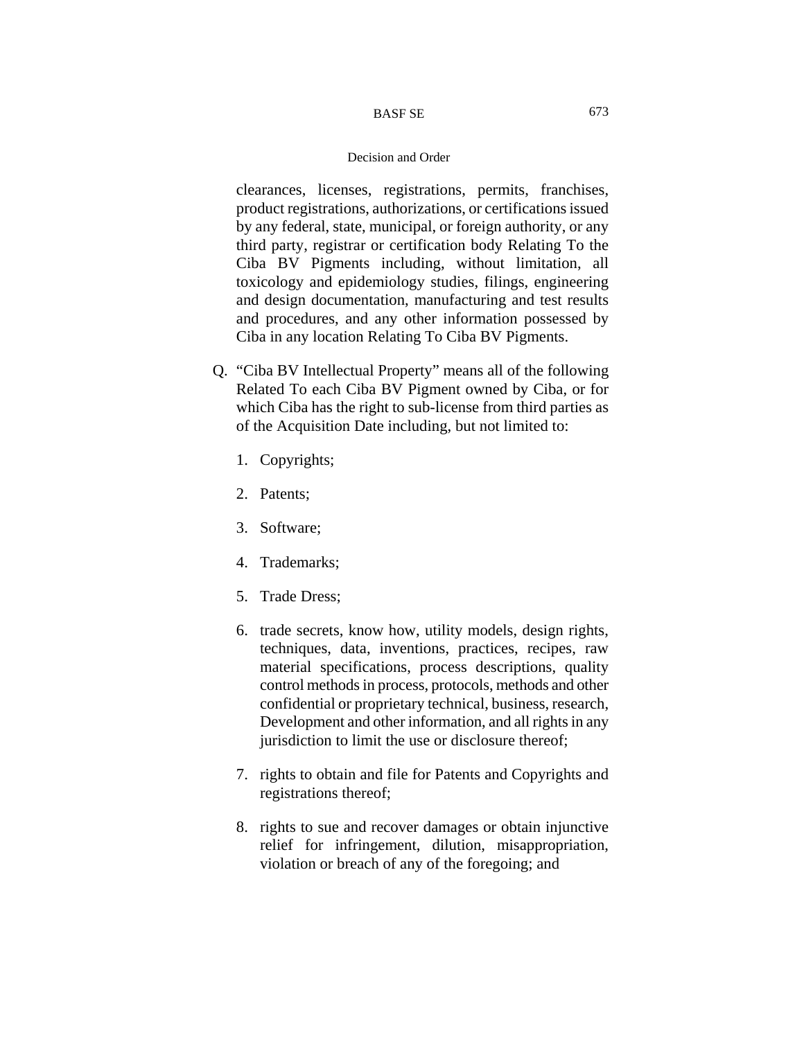### Decision and Order

clearances, licenses, registrations, permits, franchises, product registrations, authorizations, or certifications issued by any federal, state, municipal, or foreign authority, or any third party, registrar or certification body Relating To the Ciba BV Pigments including, without limitation, all toxicology and epidemiology studies, filings, engineering and design documentation, manufacturing and test results and procedures, and any other information possessed by Ciba in any location Relating To Ciba BV Pigments.

- Q. "Ciba BV Intellectual Property" means all of the following Related To each Ciba BV Pigment owned by Ciba, or for which Ciba has the right to sub-license from third parties as of the Acquisition Date including, but not limited to:
	- 1. Copyrights;
	- 2. Patents;
	- 3. Software;
	- 4. Trademarks;
	- 5. Trade Dress;
	- 6. trade secrets, know how, utility models, design rights, techniques, data, inventions, practices, recipes, raw material specifications, process descriptions, quality control methods in process, protocols, methods and other confidential or proprietary technical, business, research, Development and other information, and all rights in any jurisdiction to limit the use or disclosure thereof;
	- 7. rights to obtain and file for Patents and Copyrights and registrations thereof;
	- 8. rights to sue and recover damages or obtain injunctive relief for infringement, dilution, misappropriation, violation or breach of any of the foregoing; and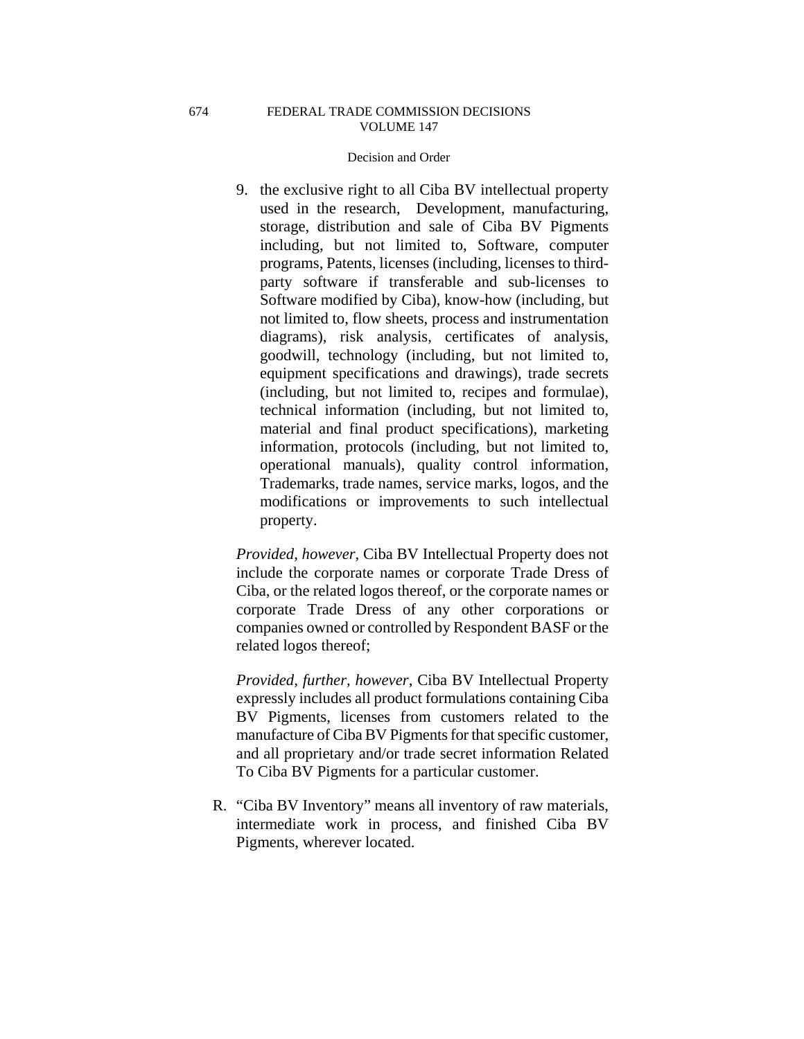### Decision and Order

9. the exclusive right to all Ciba BV intellectual property used in the research, Development, manufacturing, storage, distribution and sale of Ciba BV Pigments including, but not limited to, Software, computer programs, Patents, licenses (including, licenses to thirdparty software if transferable and sub-licenses to Software modified by Ciba), know-how (including, but not limited to, flow sheets, process and instrumentation diagrams), risk analysis, certificates of analysis, goodwill, technology (including, but not limited to, equipment specifications and drawings), trade secrets (including, but not limited to, recipes and formulae), technical information (including, but not limited to, material and final product specifications), marketing information, protocols (including, but not limited to, operational manuals), quality control information, Trademarks, trade names, service marks, logos, and the modifications or improvements to such intellectual property.

*Provided, however*, Ciba BV Intellectual Property does not include the corporate names or corporate Trade Dress of Ciba, or the related logos thereof, or the corporate names or corporate Trade Dress of any other corporations or companies owned or controlled by Respondent BASF or the related logos thereof;

*Provided, further, however*, Ciba BV Intellectual Property expressly includes all product formulations containing Ciba BV Pigments, licenses from customers related to the manufacture of Ciba BV Pigments for that specific customer, and all proprietary and/or trade secret information Related To Ciba BV Pigments for a particular customer.

R. "Ciba BV Inventory" means all inventory of raw materials, intermediate work in process, and finished Ciba BV Pigments, wherever located.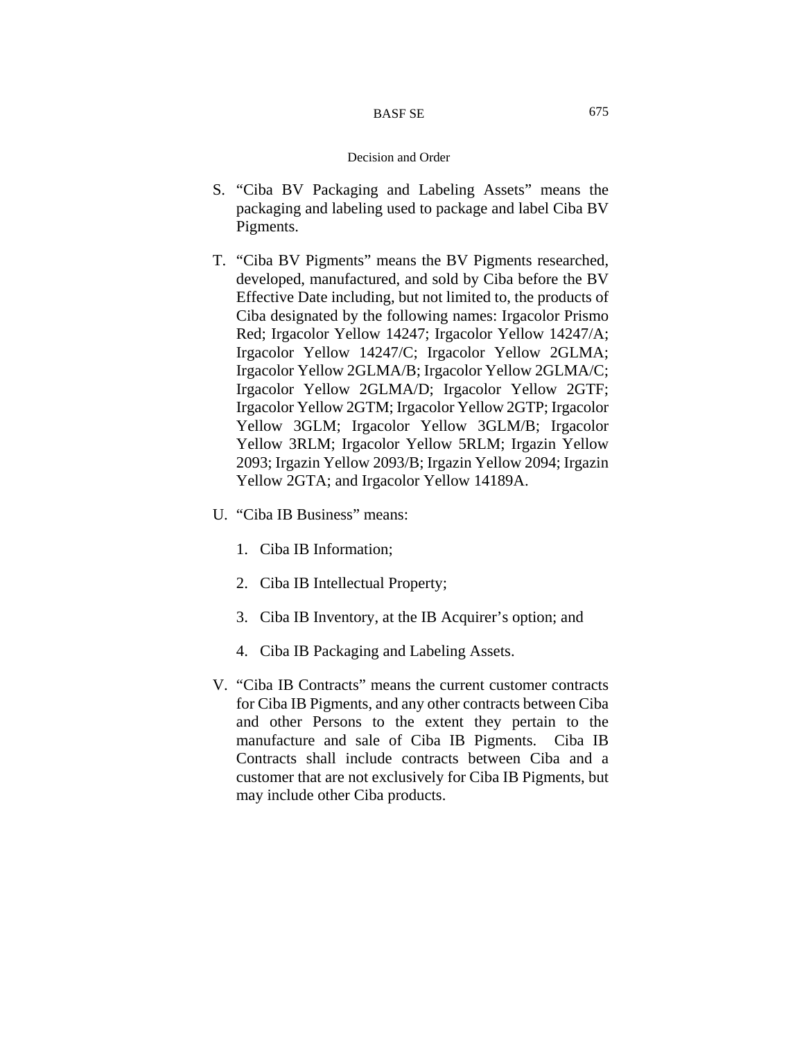- S. "Ciba BV Packaging and Labeling Assets" means the packaging and labeling used to package and label Ciba BV Pigments.
- T. "Ciba BV Pigments" means the BV Pigments researched, developed, manufactured, and sold by Ciba before the BV Effective Date including, but not limited to, the products of Ciba designated by the following names: Irgacolor Prismo Red; Irgacolor Yellow 14247; Irgacolor Yellow 14247/A; Irgacolor Yellow 14247/C; Irgacolor Yellow 2GLMA; Irgacolor Yellow 2GLMA/B; Irgacolor Yellow 2GLMA/C; Irgacolor Yellow 2GLMA/D; Irgacolor Yellow 2GTF; Irgacolor Yellow 2GTM; Irgacolor Yellow 2GTP; Irgacolor Yellow 3GLM; Irgacolor Yellow 3GLM/B; Irgacolor Yellow 3RLM; Irgacolor Yellow 5RLM; Irgazin Yellow 2093; Irgazin Yellow 2093/B; Irgazin Yellow 2094; Irgazin Yellow 2GTA; and Irgacolor Yellow 14189A.
- U. "Ciba IB Business" means:
	- 1. Ciba IB Information;
	- 2. Ciba IB Intellectual Property;
	- 3. Ciba IB Inventory, at the IB Acquirer's option; and
	- 4. Ciba IB Packaging and Labeling Assets.
- V. "Ciba IB Contracts" means the current customer contracts for Ciba IB Pigments, and any other contracts between Ciba and other Persons to the extent they pertain to the manufacture and sale of Ciba IB Pigments. Ciba IB Contracts shall include contracts between Ciba and a customer that are not exclusively for Ciba IB Pigments, but may include other Ciba products.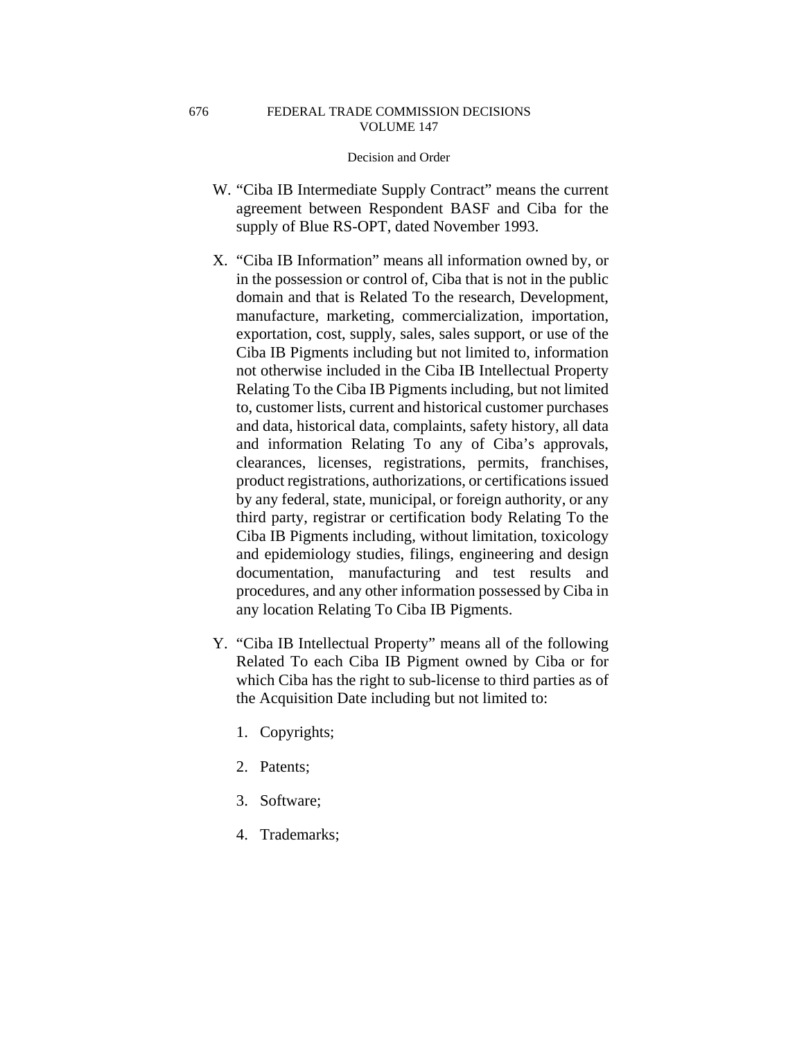- W. "Ciba IB Intermediate Supply Contract" means the current agreement between Respondent BASF and Ciba for the supply of Blue RS-OPT, dated November 1993.
- X. "Ciba IB Information" means all information owned by, or in the possession or control of, Ciba that is not in the public domain and that is Related To the research, Development, manufacture, marketing, commercialization, importation, exportation, cost, supply, sales, sales support, or use of the Ciba IB Pigments including but not limited to, information not otherwise included in the Ciba IB Intellectual Property Relating To the Ciba IB Pigments including, but not limited to, customer lists, current and historical customer purchases and data, historical data, complaints, safety history, all data and information Relating To any of Ciba's approvals, clearances, licenses, registrations, permits, franchises, product registrations, authorizations, or certifications issued by any federal, state, municipal, or foreign authority, or any third party, registrar or certification body Relating To the Ciba IB Pigments including, without limitation, toxicology and epidemiology studies, filings, engineering and design documentation, manufacturing and test results and procedures, and any other information possessed by Ciba in any location Relating To Ciba IB Pigments.
- Y. "Ciba IB Intellectual Property" means all of the following Related To each Ciba IB Pigment owned by Ciba or for which Ciba has the right to sub-license to third parties as of the Acquisition Date including but not limited to:
	- 1. Copyrights;
	- 2. Patents;
	- 3. Software;
	- 4. Trademarks;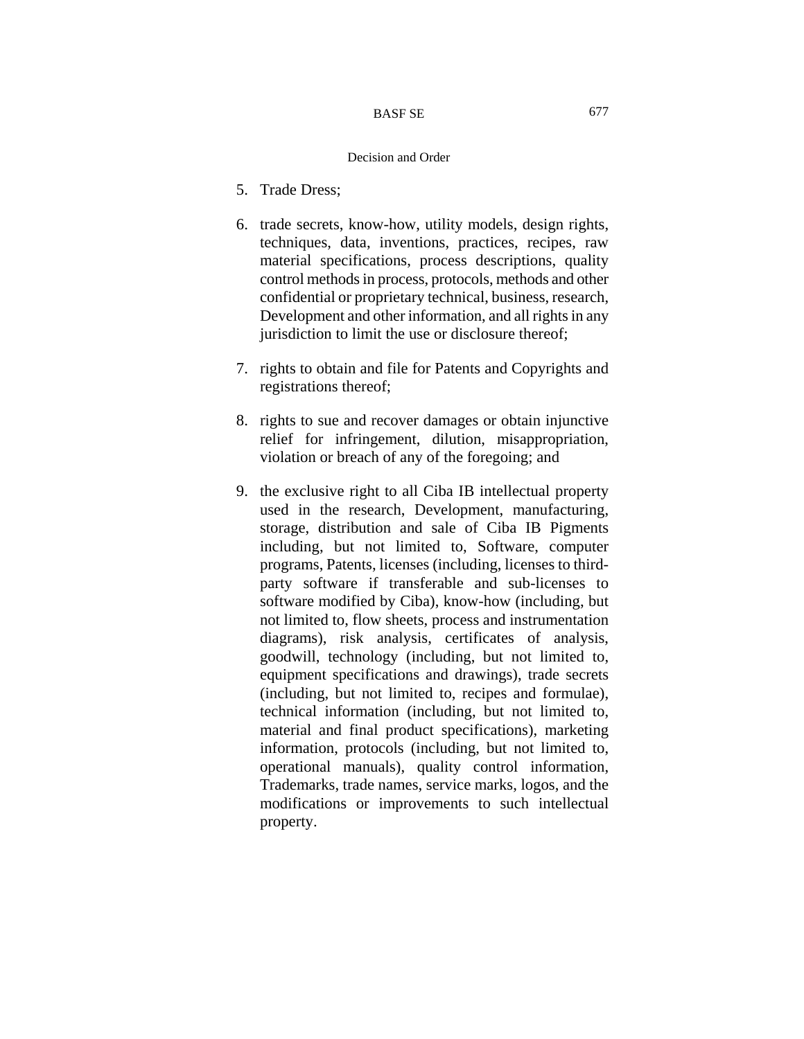- 5. Trade Dress;
- 6. trade secrets, know-how, utility models, design rights, techniques, data, inventions, practices, recipes, raw material specifications, process descriptions, quality control methods in process, protocols, methods and other confidential or proprietary technical, business, research, Development and other information, and all rights in any jurisdiction to limit the use or disclosure thereof;
- 7. rights to obtain and file for Patents and Copyrights and registrations thereof;
- 8. rights to sue and recover damages or obtain injunctive relief for infringement, dilution, misappropriation, violation or breach of any of the foregoing; and
- 9. the exclusive right to all Ciba IB intellectual property used in the research, Development, manufacturing, storage, distribution and sale of Ciba IB Pigments including, but not limited to, Software, computer programs, Patents, licenses (including, licenses to thirdparty software if transferable and sub-licenses to software modified by Ciba), know-how (including, but not limited to, flow sheets, process and instrumentation diagrams), risk analysis, certificates of analysis, goodwill, technology (including, but not limited to, equipment specifications and drawings), trade secrets (including, but not limited to, recipes and formulae), technical information (including, but not limited to, material and final product specifications), marketing information, protocols (including, but not limited to, operational manuals), quality control information, Trademarks, trade names, service marks, logos, and the modifications or improvements to such intellectual property.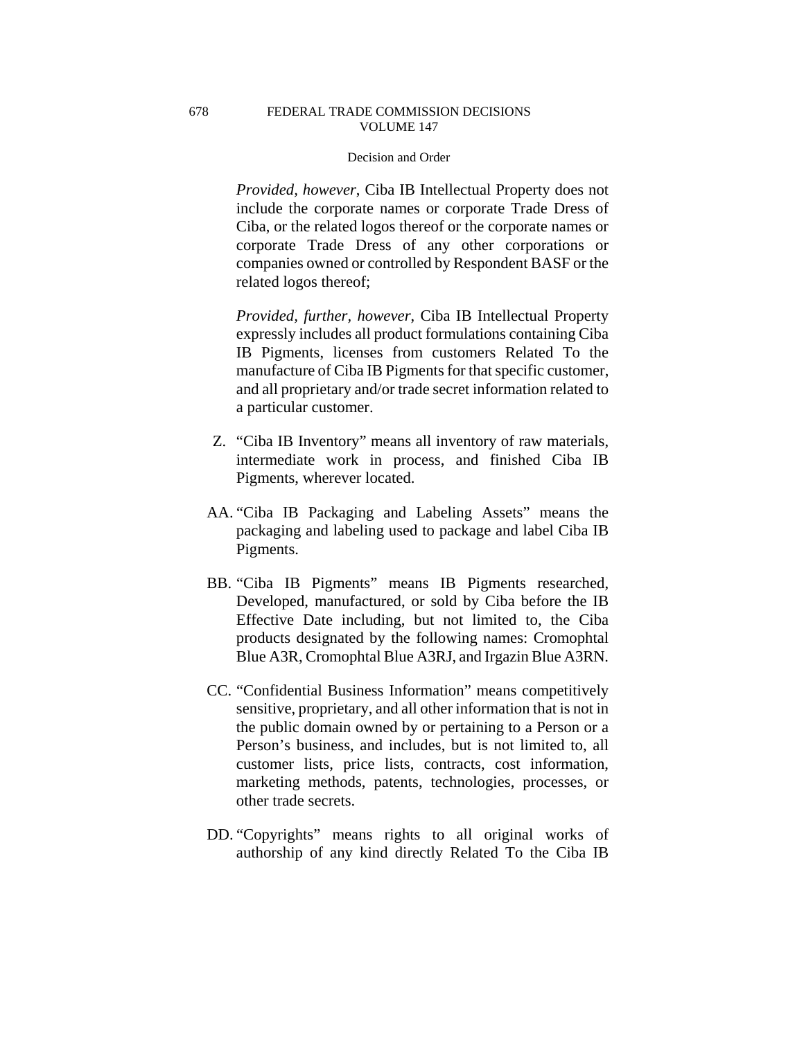## Decision and Order

*Provided, however*, Ciba IB Intellectual Property does not include the corporate names or corporate Trade Dress of Ciba, or the related logos thereof or the corporate names or corporate Trade Dress of any other corporations or companies owned or controlled by Respondent BASF or the related logos thereof;

*Provided, further, however*, Ciba IB Intellectual Property expressly includes all product formulations containing Ciba IB Pigments, licenses from customers Related To the manufacture of Ciba IB Pigments for that specific customer, and all proprietary and/or trade secret information related to a particular customer.

- Z. "Ciba IB Inventory" means all inventory of raw materials, intermediate work in process, and finished Ciba IB Pigments, wherever located.
- AA. "Ciba IB Packaging and Labeling Assets" means the packaging and labeling used to package and label Ciba IB Pigments.
- BB. "Ciba IB Pigments" means IB Pigments researched, Developed, manufactured, or sold by Ciba before the IB Effective Date including, but not limited to, the Ciba products designated by the following names: Cromophtal Blue A3R, Cromophtal Blue A3RJ, and Irgazin Blue A3RN.
- CC. "Confidential Business Information" means competitively sensitive, proprietary, and all other information that is not in the public domain owned by or pertaining to a Person or a Person's business, and includes, but is not limited to, all customer lists, price lists, contracts, cost information, marketing methods, patents, technologies, processes, or other trade secrets.
- DD. "Copyrights" means rights to all original works of authorship of any kind directly Related To the Ciba IB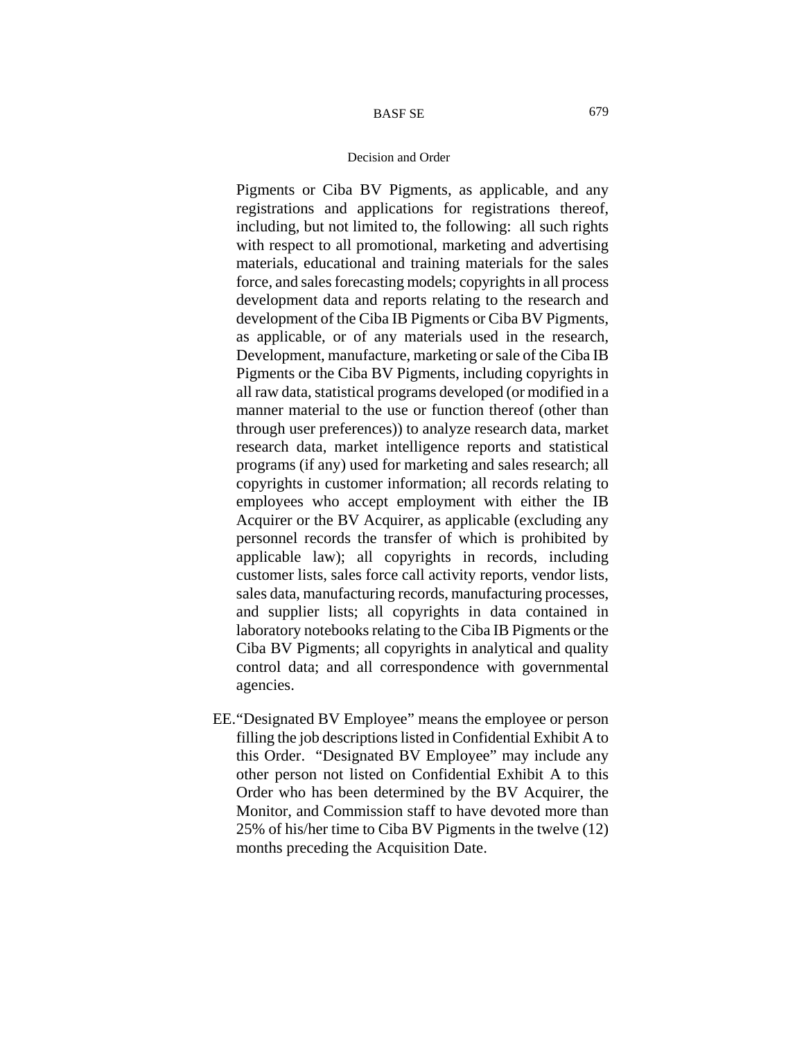#### Decision and Order

Pigments or Ciba BV Pigments, as applicable, and any registrations and applications for registrations thereof, including, but not limited to, the following: all such rights with respect to all promotional, marketing and advertising materials, educational and training materials for the sales force, and sales forecasting models; copyrights in all process development data and reports relating to the research and development of the Ciba IB Pigments or Ciba BV Pigments, as applicable, or of any materials used in the research, Development, manufacture, marketing or sale of the Ciba IB Pigments or the Ciba BV Pigments, including copyrights in all raw data, statistical programs developed (or modified in a manner material to the use or function thereof (other than through user preferences)) to analyze research data, market research data, market intelligence reports and statistical programs (if any) used for marketing and sales research; all copyrights in customer information; all records relating to employees who accept employment with either the IB Acquirer or the BV Acquirer, as applicable (excluding any personnel records the transfer of which is prohibited by applicable law); all copyrights in records, including customer lists, sales force call activity reports, vendor lists, sales data, manufacturing records, manufacturing processes, and supplier lists; all copyrights in data contained in laboratory notebooks relating to the Ciba IB Pigments or the Ciba BV Pigments; all copyrights in analytical and quality control data; and all correspondence with governmental agencies.

EE. "Designated BV Employee" means the employee or person filling the job descriptions listed in Confidential Exhibit A to this Order. "Designated BV Employee" may include any other person not listed on Confidential Exhibit A to this Order who has been determined by the BV Acquirer, the Monitor, and Commission staff to have devoted more than 25% of his/her time to Ciba BV Pigments in the twelve (12) months preceding the Acquisition Date.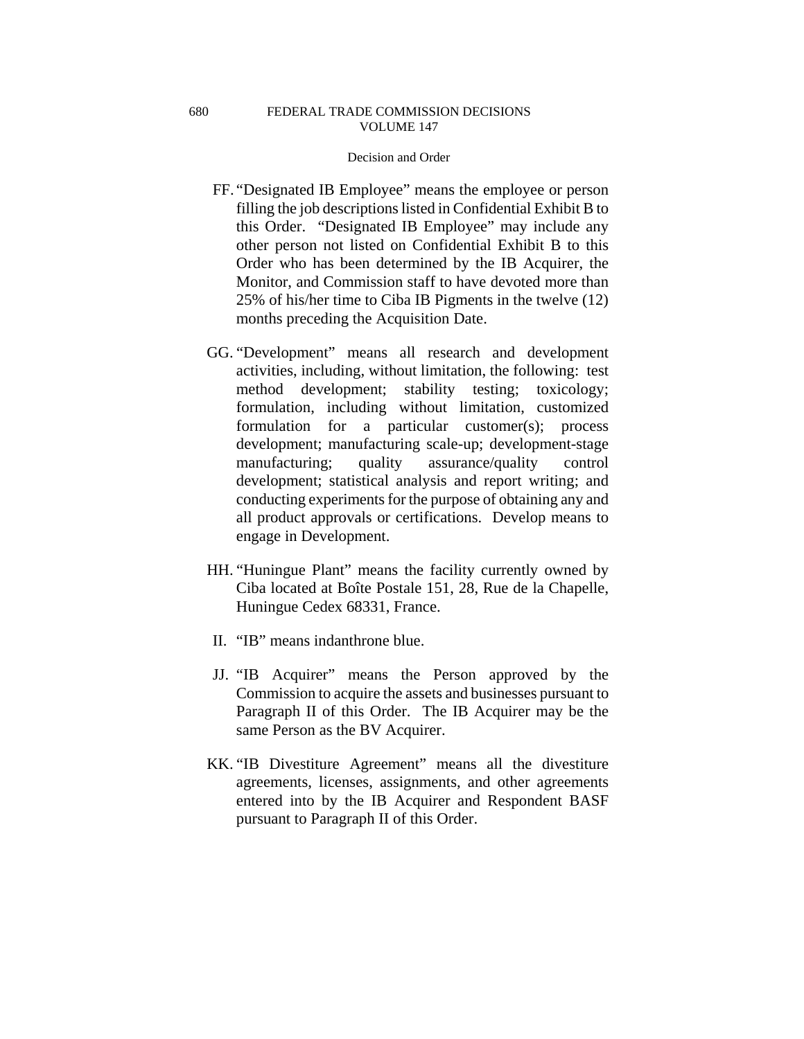- FF. "Designated IB Employee" means the employee or person filling the job descriptions listed in Confidential Exhibit B to this Order. "Designated IB Employee" may include any other person not listed on Confidential Exhibit B to this Order who has been determined by the IB Acquirer, the Monitor, and Commission staff to have devoted more than 25% of his/her time to Ciba IB Pigments in the twelve (12) months preceding the Acquisition Date.
- GG. "Development" means all research and development activities, including, without limitation, the following: test method development; stability testing; toxicology; formulation, including without limitation, customized formulation for a particular customer(s); process development; manufacturing scale-up; development-stage manufacturing; quality assurance/quality control development; statistical analysis and report writing; and conducting experiments for the purpose of obtaining any and all product approvals or certifications. Develop means to engage in Development.
- HH. "Huningue Plant" means the facility currently owned by Ciba located at Boîte Postale 151, 28, Rue de la Chapelle, Huningue Cedex 68331, France.
- II. "IB" means indanthrone blue.
- JJ. "IB Acquirer" means the Person approved by the Commission to acquire the assets and businesses pursuant to Paragraph II of this Order. The IB Acquirer may be the same Person as the BV Acquirer.
- KK. "IB Divestiture Agreement" means all the divestiture agreements, licenses, assignments, and other agreements entered into by the IB Acquirer and Respondent BASF pursuant to Paragraph II of this Order.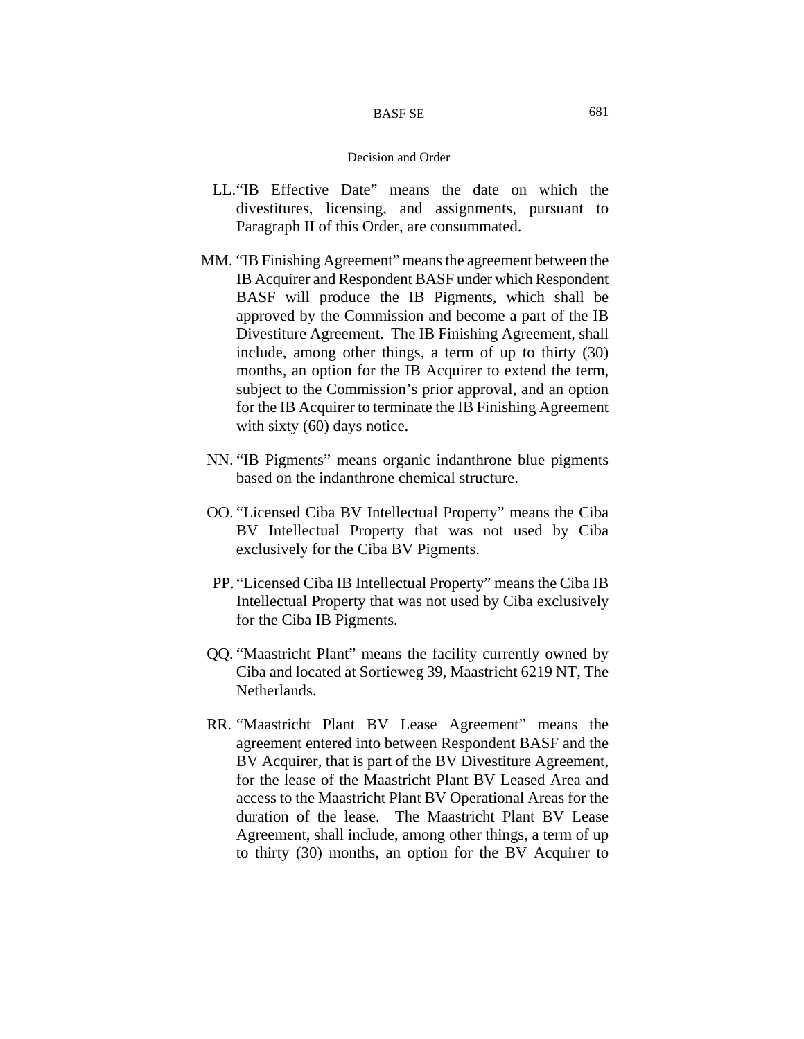#### BASF SE

- LL. "IB Effective Date" means the date on which the divestitures, licensing, and assignments, pursuant to Paragraph II of this Order, are consummated.
- MM. "IB Finishing Agreement" means the agreement between the IB Acquirer and Respondent BASF under which Respondent BASF will produce the IB Pigments, which shall be approved by the Commission and become a part of the IB Divestiture Agreement. The IB Finishing Agreement, shall include, among other things, a term of up to thirty (30) months, an option for the IB Acquirer to extend the term, subject to the Commission's prior approval, and an option for the IB Acquirer to terminate the IB Finishing Agreement with sixty (60) days notice.
- NN. "IB Pigments" means organic indanthrone blue pigments based on the indanthrone chemical structure.
- OO. "Licensed Ciba BV Intellectual Property" means the Ciba BV Intellectual Property that was not used by Ciba exclusively for the Ciba BV Pigments.
- PP. "Licensed Ciba IB Intellectual Property" means the Ciba IB Intellectual Property that was not used by Ciba exclusively for the Ciba IB Pigments.
- QQ. "Maastricht Plant" means the facility currently owned by Ciba and located at Sortieweg 39, Maastricht 6219 NT, The Netherlands.
- RR. "Maastricht Plant BV Lease Agreement" means the agreement entered into between Respondent BASF and the BV Acquirer, that is part of the BV Divestiture Agreement, for the lease of the Maastricht Plant BV Leased Area and access to the Maastricht Plant BV Operational Areas for the duration of the lease. The Maastricht Plant BV Lease Agreement, shall include, among other things, a term of up to thirty (30) months, an option for the BV Acquirer to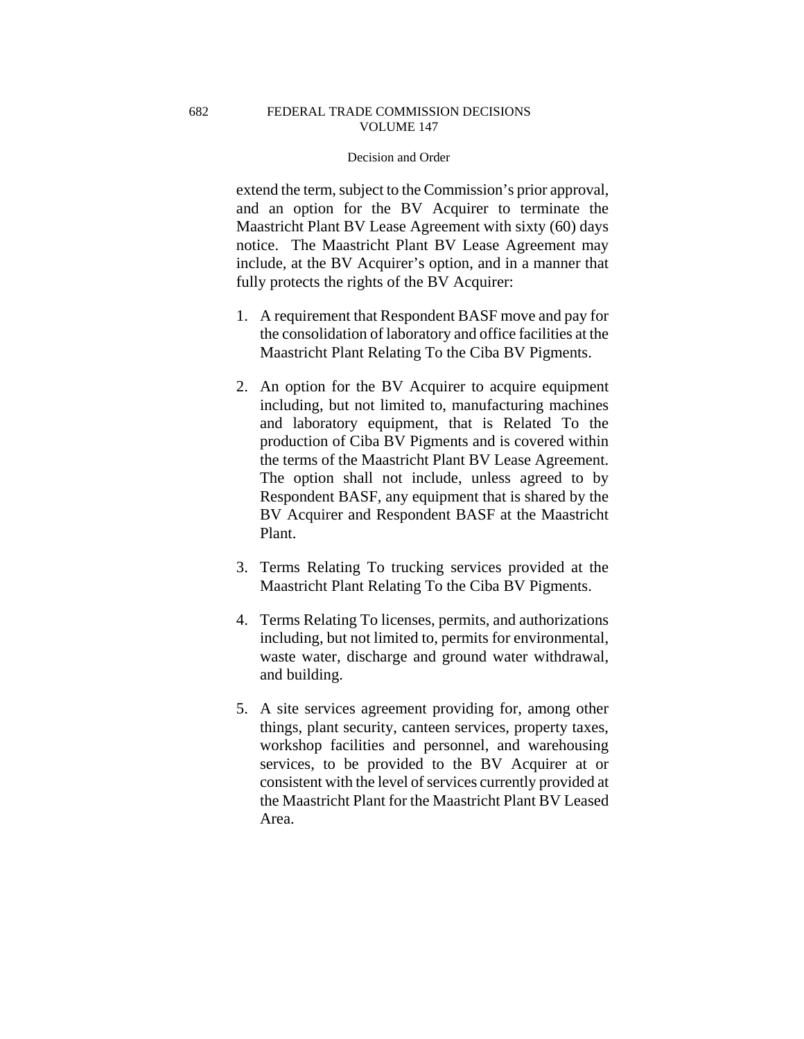extend the term, subject to the Commission's prior approval, and an option for the BV Acquirer to terminate the Maastricht Plant BV Lease Agreement with sixty (60) days notice. The Maastricht Plant BV Lease Agreement may include, at the BV Acquirer's option, and in a manner that fully protects the rights of the BV Acquirer:

- 1. A requirement that Respondent BASF move and pay for the consolidation of laboratory and office facilities at the Maastricht Plant Relating To the Ciba BV Pigments.
- 2. An option for the BV Acquirer to acquire equipment including, but not limited to, manufacturing machines and laboratory equipment, that is Related To the production of Ciba BV Pigments and is covered within the terms of the Maastricht Plant BV Lease Agreement. The option shall not include, unless agreed to by Respondent BASF, any equipment that is shared by the BV Acquirer and Respondent BASF at the Maastricht Plant.
- 3. Terms Relating To trucking services provided at the Maastricht Plant Relating To the Ciba BV Pigments.
- 4. Terms Relating To licenses, permits, and authorizations including, but not limited to, permits for environmental, waste water, discharge and ground water withdrawal, and building.
- 5. A site services agreement providing for, among other things, plant security, canteen services, property taxes, workshop facilities and personnel, and warehousing services, to be provided to the BV Acquirer at or consistent with the level of services currently provided at the Maastricht Plant for the Maastricht Plant BV Leased Area.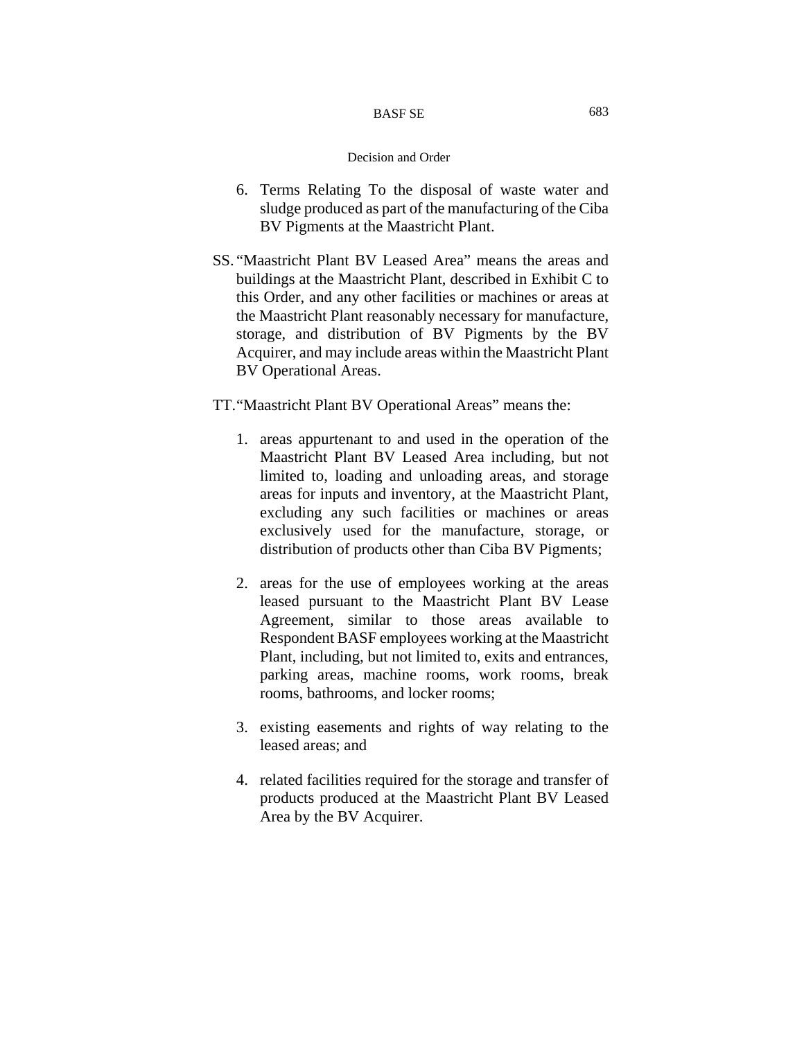#### BASF SE

- 6. Terms Relating To the disposal of waste water and sludge produced as part of the manufacturing of the Ciba BV Pigments at the Maastricht Plant.
- SS. "Maastricht Plant BV Leased Area" means the areas and buildings at the Maastricht Plant, described in Exhibit C to this Order, and any other facilities or machines or areas at the Maastricht Plant reasonably necessary for manufacture, storage, and distribution of BV Pigments by the BV Acquirer, and may include areas within the Maastricht Plant BV Operational Areas.
- TT. "Maastricht Plant BV Operational Areas" means the:
	- 1. areas appurtenant to and used in the operation of the Maastricht Plant BV Leased Area including, but not limited to, loading and unloading areas, and storage areas for inputs and inventory, at the Maastricht Plant, excluding any such facilities or machines or areas exclusively used for the manufacture, storage, or distribution of products other than Ciba BV Pigments;
	- 2. areas for the use of employees working at the areas leased pursuant to the Maastricht Plant BV Lease Agreement, similar to those areas available to Respondent BASF employees working at the Maastricht Plant, including, but not limited to, exits and entrances, parking areas, machine rooms, work rooms, break rooms, bathrooms, and locker rooms;
	- 3. existing easements and rights of way relating to the leased areas; and
	- 4. related facilities required for the storage and transfer of products produced at the Maastricht Plant BV Leased Area by the BV Acquirer.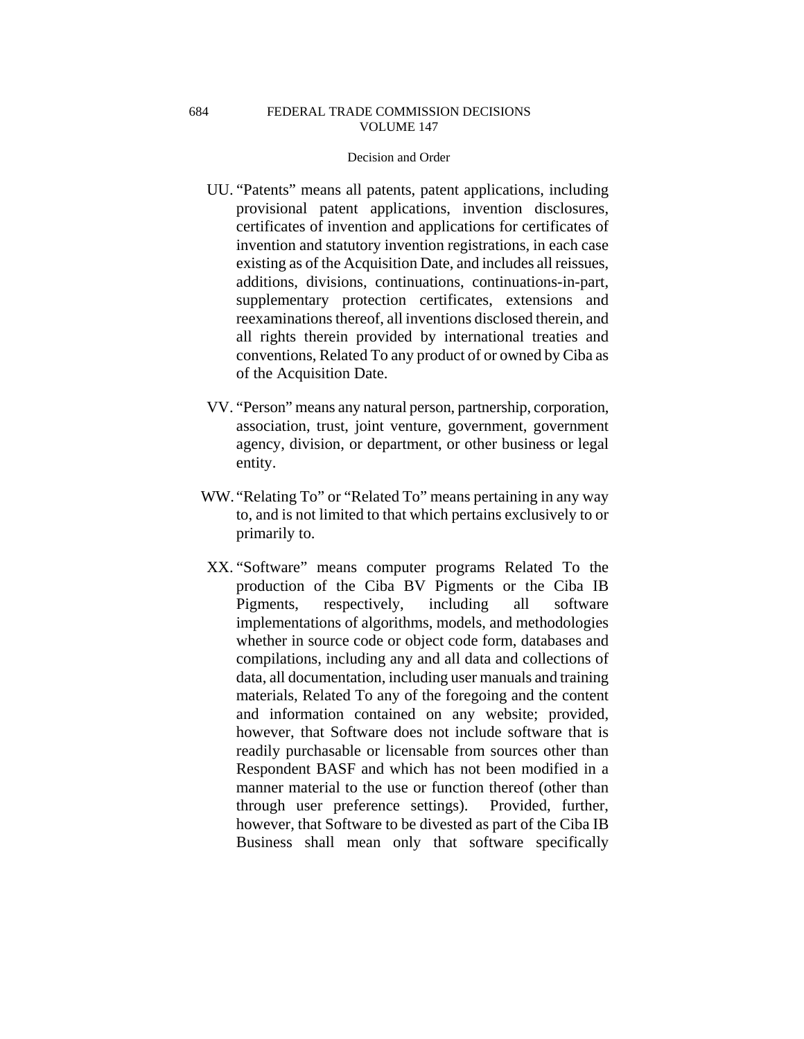- UU. "Patents" means all patents, patent applications, including provisional patent applications, invention disclosures, certificates of invention and applications for certificates of invention and statutory invention registrations, in each case existing as of the Acquisition Date, and includes all reissues, additions, divisions, continuations, continuations-in-part, supplementary protection certificates, extensions and reexaminations thereof, all inventions disclosed therein, and all rights therein provided by international treaties and conventions, Related To any product of or owned by Ciba as of the Acquisition Date.
- VV. "Person" means any natural person, partnership, corporation, association, trust, joint venture, government, government agency, division, or department, or other business or legal entity.
- WW. "Relating To" or "Related To" means pertaining in any way to, and is not limited to that which pertains exclusively to or primarily to.
- XX. "Software" means computer programs Related To the production of the Ciba BV Pigments or the Ciba IB Pigments, respectively, including all software implementations of algorithms, models, and methodologies whether in source code or object code form, databases and compilations, including any and all data and collections of data, all documentation, including user manuals and training materials, Related To any of the foregoing and the content and information contained on any website; provided, however, that Software does not include software that is readily purchasable or licensable from sources other than Respondent BASF and which has not been modified in a manner material to the use or function thereof (other than through user preference settings). Provided, further, however, that Software to be divested as part of the Ciba IB Business shall mean only that software specifically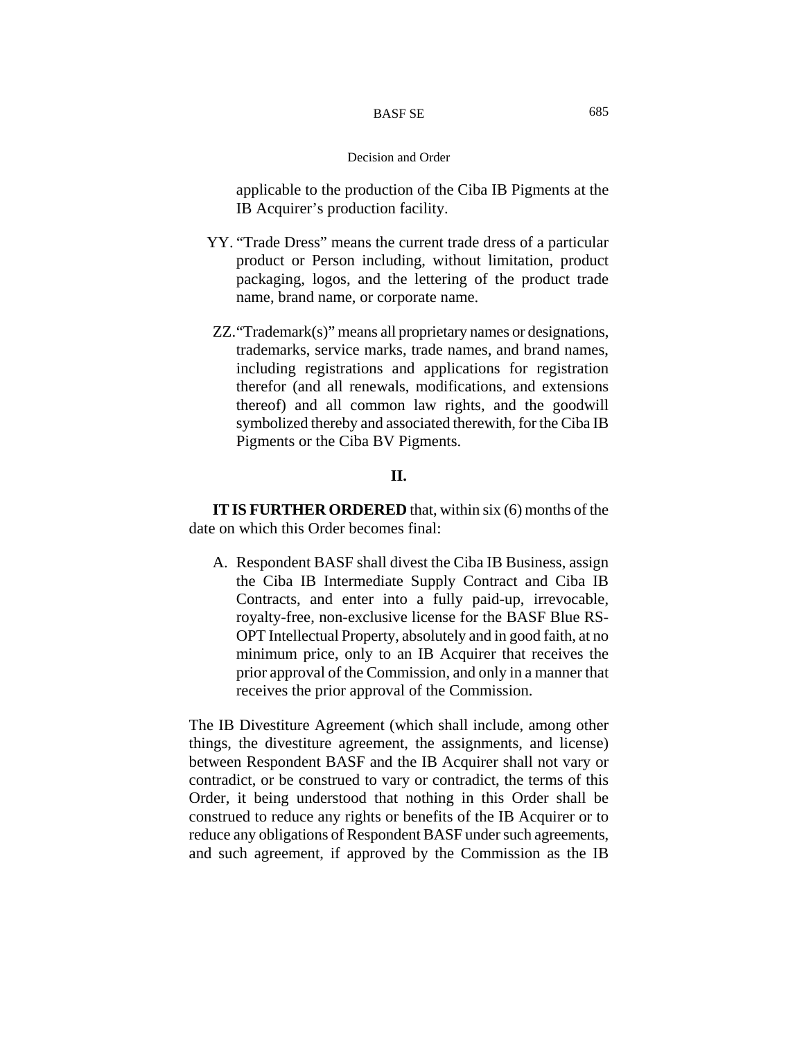applicable to the production of the Ciba IB Pigments at the IB Acquirer's production facility.

- YY. "Trade Dress" means the current trade dress of a particular product or Person including, without limitation, product packaging, logos, and the lettering of the product trade name, brand name, or corporate name.
- ZZ. "Trademark(s)" means all proprietary names or designations, trademarks, service marks, trade names, and brand names, including registrations and applications for registration therefor (and all renewals, modifications, and extensions thereof) and all common law rights, and the goodwill symbolized thereby and associated therewith, for the Ciba IB Pigments or the Ciba BV Pigments.

# **II.**

**IT IS FURTHER ORDERED** that, within six (6) months of the date on which this Order becomes final:

A. Respondent BASF shall divest the Ciba IB Business, assign the Ciba IB Intermediate Supply Contract and Ciba IB Contracts, and enter into a fully paid-up, irrevocable, royalty-free, non-exclusive license for the BASF Blue RS-OPT Intellectual Property, absolutely and in good faith, at no minimum price, only to an IB Acquirer that receives the prior approval of the Commission, and only in a manner that receives the prior approval of the Commission.

The IB Divestiture Agreement (which shall include, among other things, the divestiture agreement, the assignments, and license) between Respondent BASF and the IB Acquirer shall not vary or contradict, or be construed to vary or contradict, the terms of this Order, it being understood that nothing in this Order shall be construed to reduce any rights or benefits of the IB Acquirer or to reduce any obligations of Respondent BASF under such agreements, and such agreement, if approved by the Commission as the IB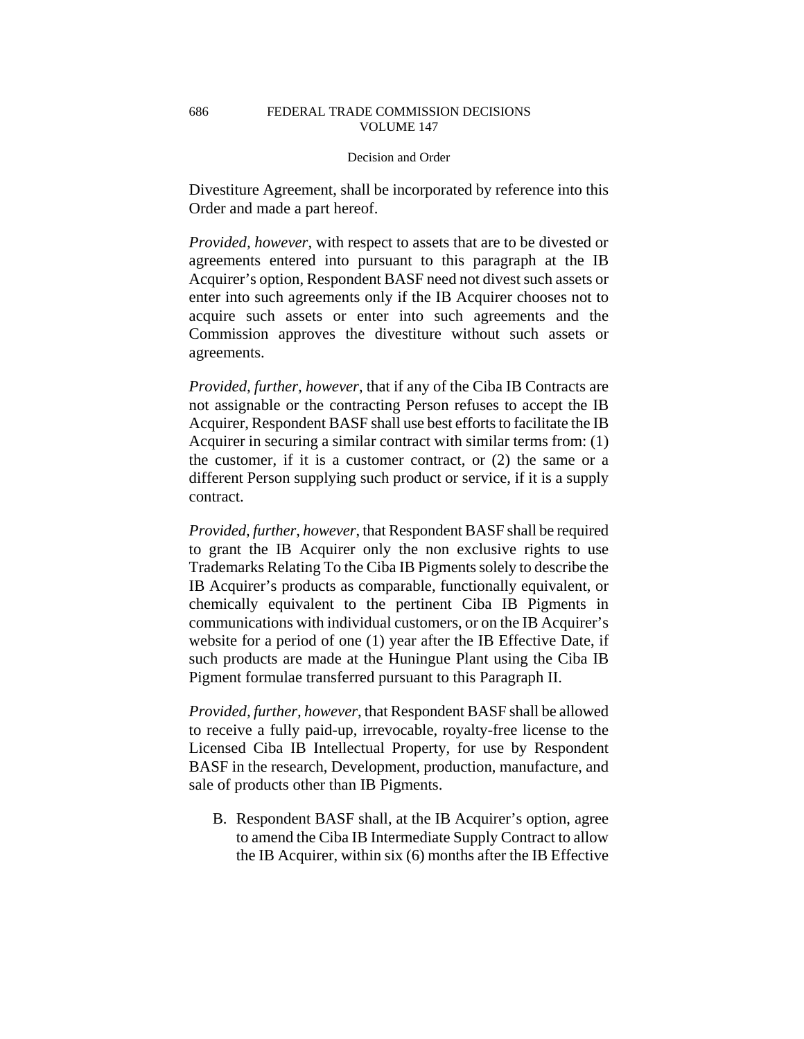Divestiture Agreement, shall be incorporated by reference into this Order and made a part hereof.

*Provided, however*, with respect to assets that are to be divested or agreements entered into pursuant to this paragraph at the IB Acquirer's option, Respondent BASF need not divest such assets or enter into such agreements only if the IB Acquirer chooses not to acquire such assets or enter into such agreements and the Commission approves the divestiture without such assets or agreements.

*Provided, further, however*, that if any of the Ciba IB Contracts are not assignable or the contracting Person refuses to accept the IB Acquirer, Respondent BASF shall use best efforts to facilitate the IB Acquirer in securing a similar contract with similar terms from: (1) the customer, if it is a customer contract, or (2) the same or a different Person supplying such product or service, if it is a supply contract.

*Provided, further, however*, that Respondent BASF shall be required to grant the IB Acquirer only the non exclusive rights to use Trademarks Relating To the Ciba IB Pigments solely to describe the IB Acquirer's products as comparable, functionally equivalent, or chemically equivalent to the pertinent Ciba IB Pigments in communications with individual customers, or on the IB Acquirer's website for a period of one (1) year after the IB Effective Date, if such products are made at the Huningue Plant using the Ciba IB Pigment formulae transferred pursuant to this Paragraph II.

*Provided, further, however*, that Respondent BASF shall be allowed to receive a fully paid-up, irrevocable, royalty-free license to the Licensed Ciba IB Intellectual Property, for use by Respondent BASF in the research, Development, production, manufacture, and sale of products other than IB Pigments.

B. Respondent BASF shall, at the IB Acquirer's option, agree to amend the Ciba IB Intermediate Supply Contract to allow the IB Acquirer, within six (6) months after the IB Effective

686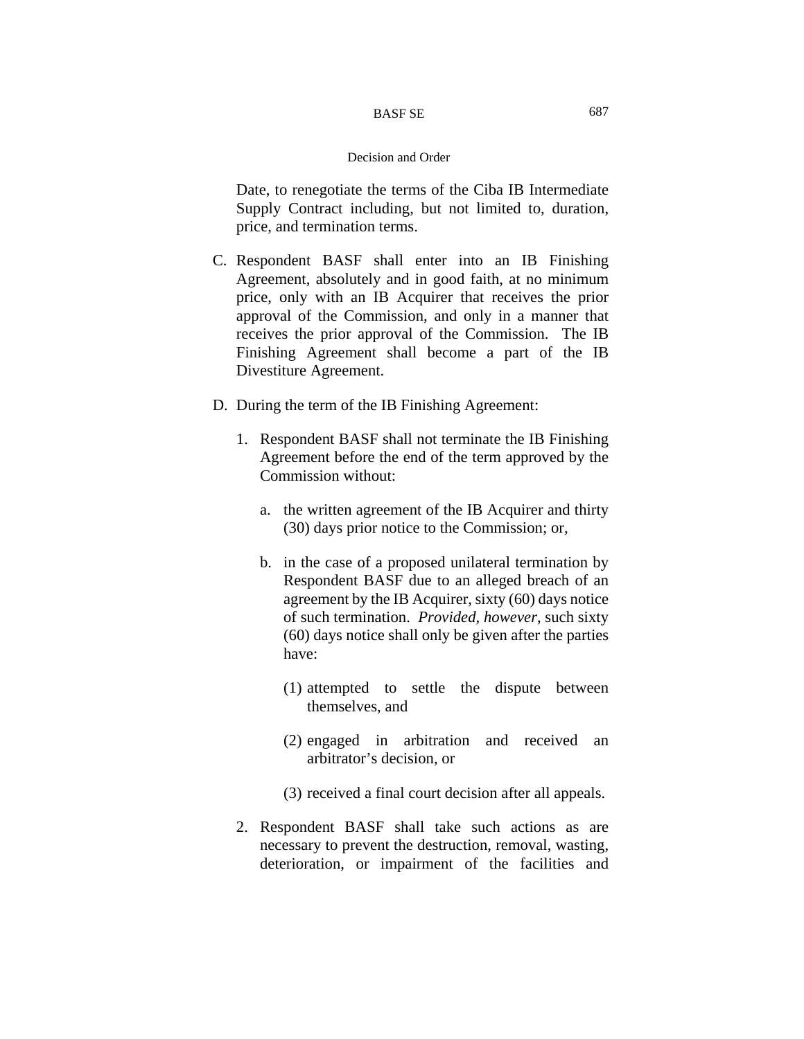Date, to renegotiate the terms of the Ciba IB Intermediate Supply Contract including, but not limited to, duration, price, and termination terms.

- C. Respondent BASF shall enter into an IB Finishing Agreement, absolutely and in good faith, at no minimum price, only with an IB Acquirer that receives the prior approval of the Commission, and only in a manner that receives the prior approval of the Commission. The IB Finishing Agreement shall become a part of the IB Divestiture Agreement.
- D. During the term of the IB Finishing Agreement:
	- 1. Respondent BASF shall not terminate the IB Finishing Agreement before the end of the term approved by the Commission without:
		- a. the written agreement of the IB Acquirer and thirty (30) days prior notice to the Commission; or,
		- b. in the case of a proposed unilateral termination by Respondent BASF due to an alleged breach of an agreement by the IB Acquirer, sixty (60) days notice of such termination. *Provided, however*, such sixty (60) days notice shall only be given after the parties have:
			- (1) attempted to settle the dispute between themselves, and
			- (2) engaged in arbitration and received an arbitrator's decision, or
			- (3) received a final court decision after all appeals.
	- 2. Respondent BASF shall take such actions as are necessary to prevent the destruction, removal, wasting, deterioration, or impairment of the facilities and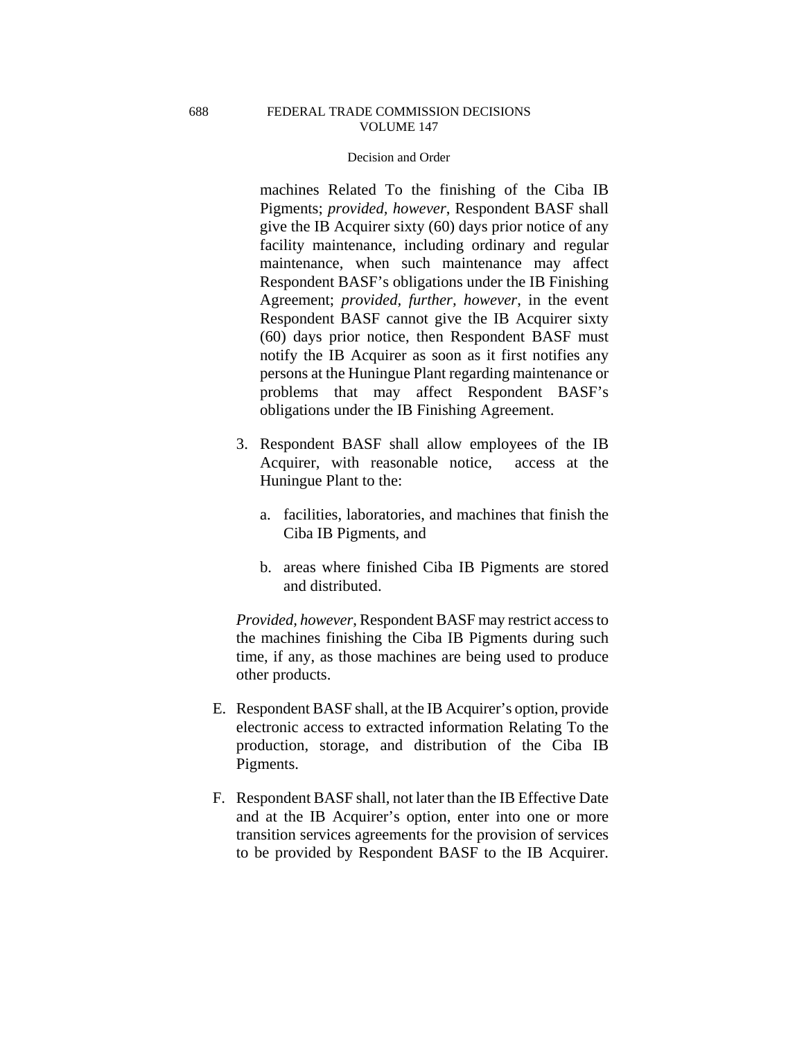### Decision and Order

machines Related To the finishing of the Ciba IB Pigments; *provided, however*, Respondent BASF shall give the IB Acquirer sixty (60) days prior notice of any facility maintenance, including ordinary and regular maintenance, when such maintenance may affect Respondent BASF's obligations under the IB Finishing Agreement; *provided, further, however*, in the event Respondent BASF cannot give the IB Acquirer sixty (60) days prior notice, then Respondent BASF must notify the IB Acquirer as soon as it first notifies any persons at the Huningue Plant regarding maintenance or problems that may affect Respondent BASF's obligations under the IB Finishing Agreement.

- 3. Respondent BASF shall allow employees of the IB Acquirer, with reasonable notice, access at the Huningue Plant to the:
	- a. facilities, laboratories, and machines that finish the Ciba IB Pigments, and
	- b. areas where finished Ciba IB Pigments are stored and distributed.

*Provided, however*, Respondent BASF may restrict access to the machines finishing the Ciba IB Pigments during such time, if any, as those machines are being used to produce other products.

- E. Respondent BASF shall, at the IB Acquirer's option, provide electronic access to extracted information Relating To the production, storage, and distribution of the Ciba IB Pigments.
- F. Respondent BASF shall, not later than the IB Effective Date and at the IB Acquirer's option, enter into one or more transition services agreements for the provision of services to be provided by Respondent BASF to the IB Acquirer.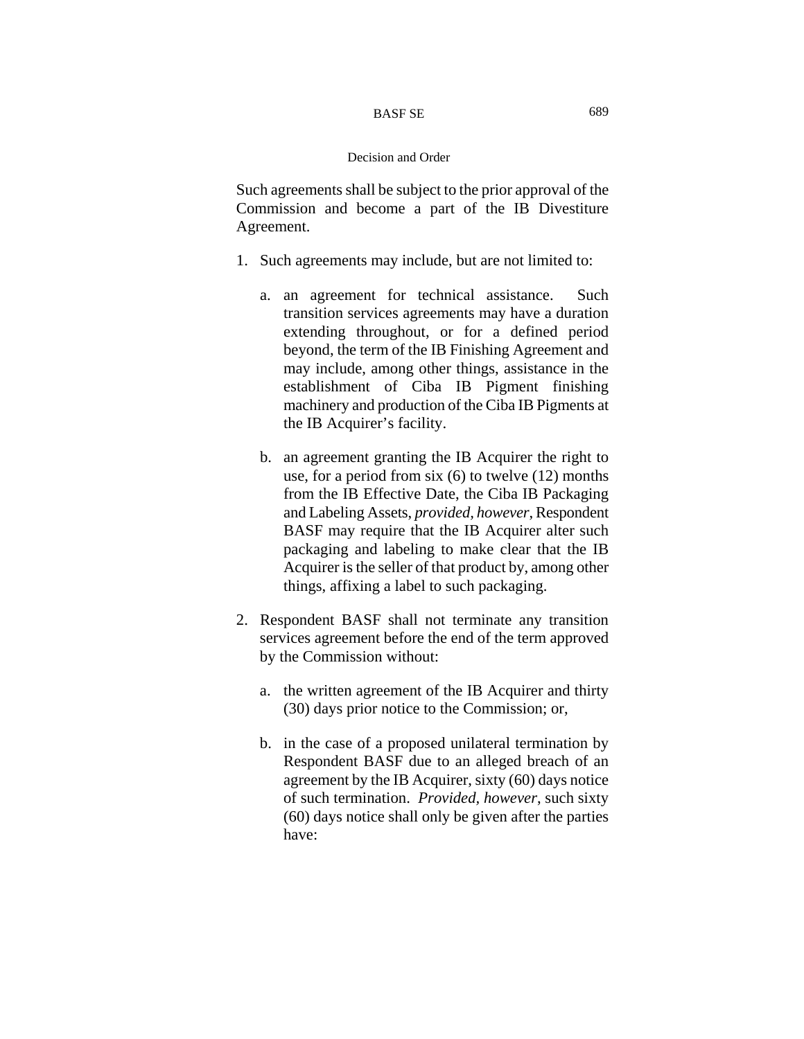Such agreements shall be subject to the prior approval of the Commission and become a part of the IB Divestiture Agreement.

- 1. Such agreements may include, but are not limited to:
	- a. an agreement for technical assistance. Such transition services agreements may have a duration extending throughout, or for a defined period beyond, the term of the IB Finishing Agreement and may include, among other things, assistance in the establishment of Ciba IB Pigment finishing machinery and production of the Ciba IB Pigments at the IB Acquirer's facility.
	- b. an agreement granting the IB Acquirer the right to use, for a period from six (6) to twelve (12) months from the IB Effective Date, the Ciba IB Packaging and Labeling Assets, *provided, however*, Respondent BASF may require that the IB Acquirer alter such packaging and labeling to make clear that the IB Acquirer is the seller of that product by, among other things, affixing a label to such packaging.
- 2. Respondent BASF shall not terminate any transition services agreement before the end of the term approved by the Commission without:
	- a. the written agreement of the IB Acquirer and thirty (30) days prior notice to the Commission; or,
	- b. in the case of a proposed unilateral termination by Respondent BASF due to an alleged breach of an agreement by the IB Acquirer, sixty (60) days notice of such termination. *Provided, however*, such sixty (60) days notice shall only be given after the parties have: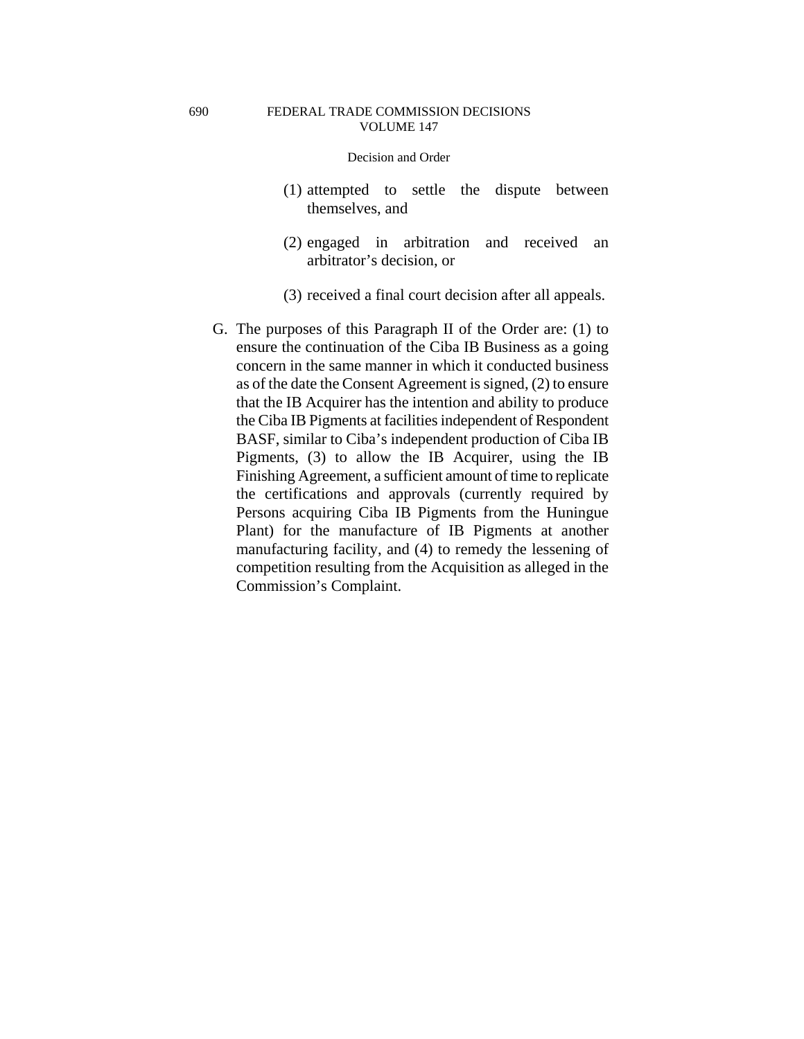- (1) attempted to settle the dispute between themselves, and
- (2) engaged in arbitration and received an arbitrator's decision, or
- (3) received a final court decision after all appeals.
- G. The purposes of this Paragraph II of the Order are: (1) to ensure the continuation of the Ciba IB Business as a going concern in the same manner in which it conducted business as of the date the Consent Agreement is signed, (2) to ensure that the IB Acquirer has the intention and ability to produce the Ciba IB Pigments at facilities independent of Respondent BASF, similar to Ciba's independent production of Ciba IB Pigments, (3) to allow the IB Acquirer, using the IB Finishing Agreement, a sufficient amount of time to replicate the certifications and approvals (currently required by Persons acquiring Ciba IB Pigments from the Huningue Plant) for the manufacture of IB Pigments at another manufacturing facility, and (4) to remedy the lessening of competition resulting from the Acquisition as alleged in the Commission's Complaint.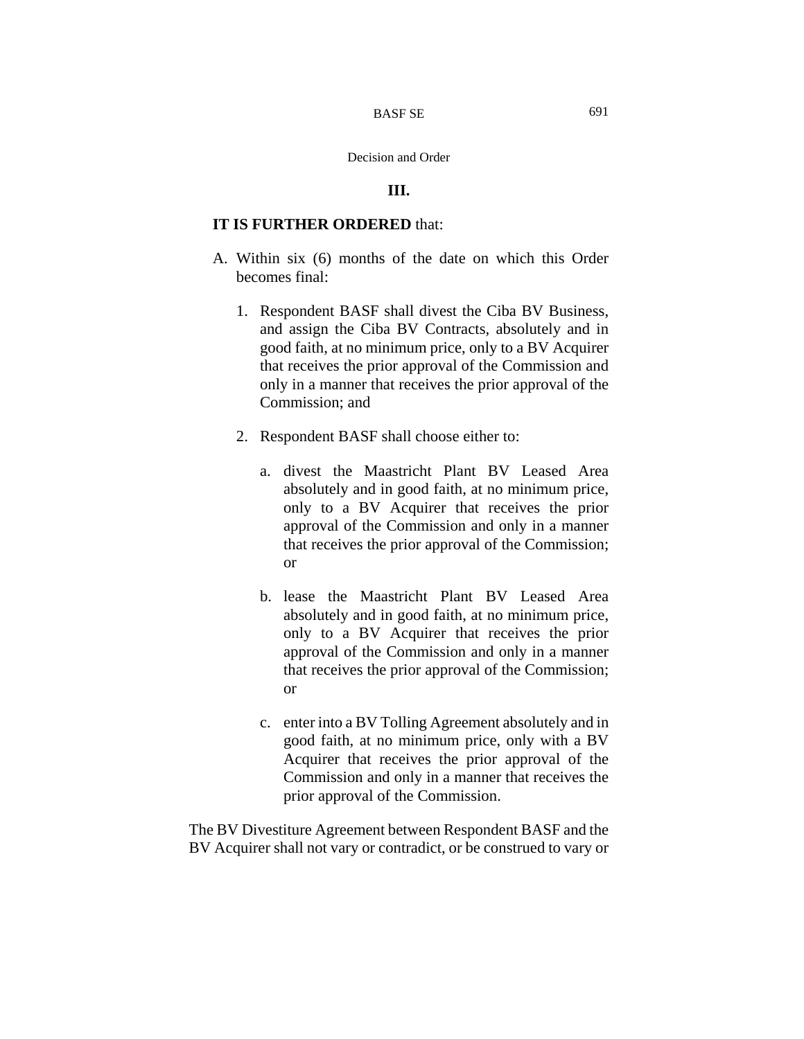## **III.**

# **IT IS FURTHER ORDERED** that:

- A. Within six (6) months of the date on which this Order becomes final:
	- 1. Respondent BASF shall divest the Ciba BV Business, and assign the Ciba BV Contracts, absolutely and in good faith, at no minimum price, only to a BV Acquirer that receives the prior approval of the Commission and only in a manner that receives the prior approval of the Commission; and
	- 2. Respondent BASF shall choose either to:
		- a. divest the Maastricht Plant BV Leased Area absolutely and in good faith, at no minimum price, only to a BV Acquirer that receives the prior approval of the Commission and only in a manner that receives the prior approval of the Commission; or
		- b. lease the Maastricht Plant BV Leased Area absolutely and in good faith, at no minimum price, only to a BV Acquirer that receives the prior approval of the Commission and only in a manner that receives the prior approval of the Commission; or
		- c. enter into a BV Tolling Agreement absolutely and in good faith, at no minimum price, only with a BV Acquirer that receives the prior approval of the Commission and only in a manner that receives the prior approval of the Commission.

The BV Divestiture Agreement between Respondent BASF and the BV Acquirer shall not vary or contradict, or be construed to vary or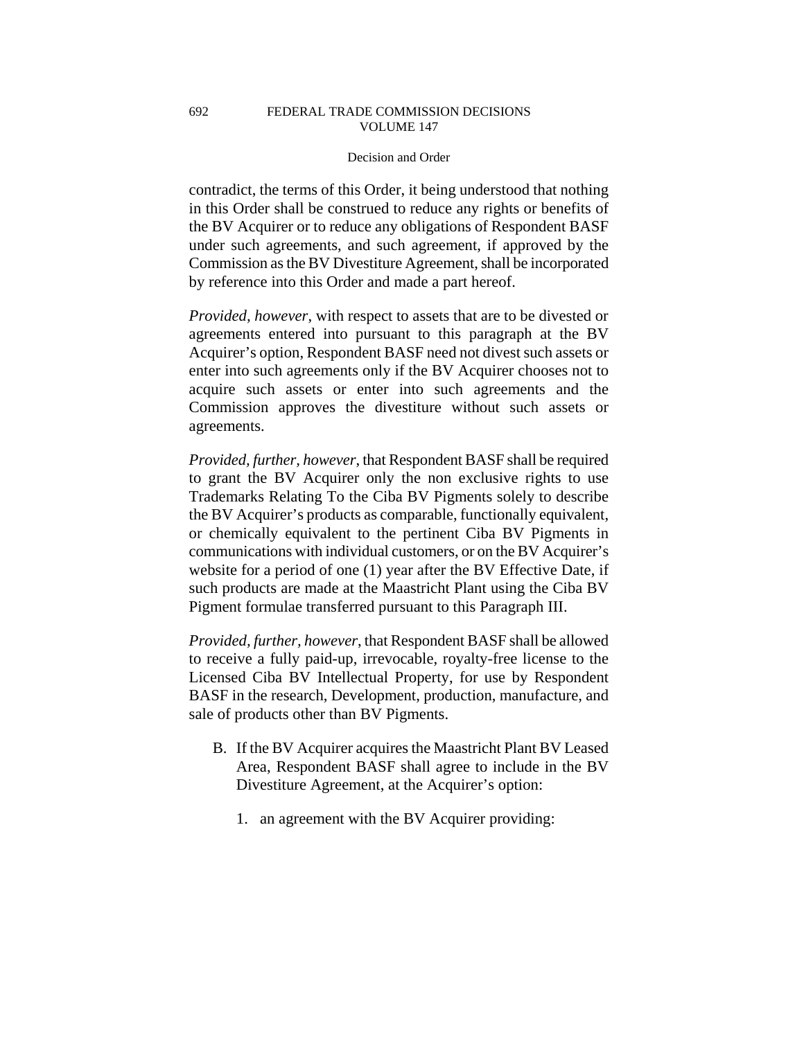contradict, the terms of this Order, it being understood that nothing in this Order shall be construed to reduce any rights or benefits of the BV Acquirer or to reduce any obligations of Respondent BASF under such agreements, and such agreement, if approved by the Commission as the BV Divestiture Agreement, shall be incorporated by reference into this Order and made a part hereof.

*Provided, however*, with respect to assets that are to be divested or agreements entered into pursuant to this paragraph at the BV Acquirer's option, Respondent BASF need not divest such assets or enter into such agreements only if the BV Acquirer chooses not to acquire such assets or enter into such agreements and the Commission approves the divestiture without such assets or agreements.

*Provided, further, however*, that Respondent BASF shall be required to grant the BV Acquirer only the non exclusive rights to use Trademarks Relating To the Ciba BV Pigments solely to describe the BV Acquirer's products as comparable, functionally equivalent, or chemically equivalent to the pertinent Ciba BV Pigments in communications with individual customers, or on the BV Acquirer's website for a period of one (1) year after the BV Effective Date, if such products are made at the Maastricht Plant using the Ciba BV Pigment formulae transferred pursuant to this Paragraph III.

*Provided, further, however*, that Respondent BASF shall be allowed to receive a fully paid-up, irrevocable, royalty-free license to the Licensed Ciba BV Intellectual Property, for use by Respondent BASF in the research, Development, production, manufacture, and sale of products other than BV Pigments.

- B. If the BV Acquirer acquires the Maastricht Plant BV Leased Area, Respondent BASF shall agree to include in the BV Divestiture Agreement, at the Acquirer's option:
	- 1. an agreement with the BV Acquirer providing: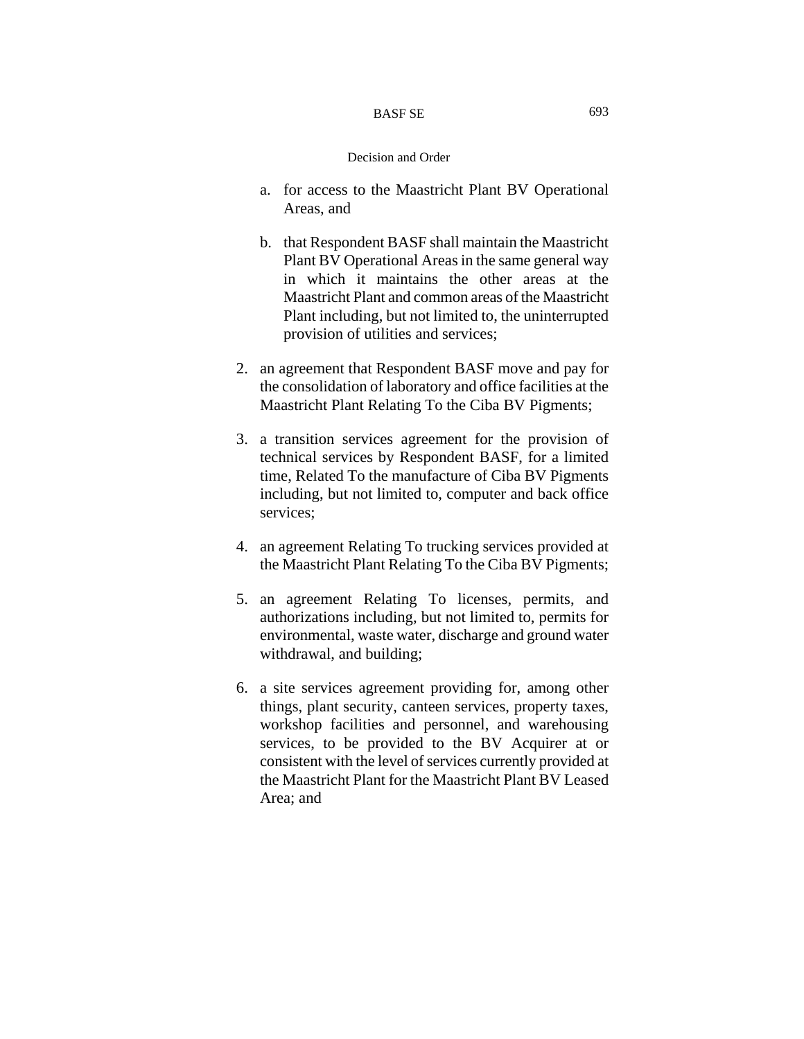#### BASF SE

- a. for access to the Maastricht Plant BV Operational Areas, and
- b. that Respondent BASF shall maintain the Maastricht Plant BV Operational Areas in the same general way in which it maintains the other areas at the Maastricht Plant and common areas of the Maastricht Plant including, but not limited to, the uninterrupted provision of utilities and services;
- 2. an agreement that Respondent BASF move and pay for the consolidation of laboratory and office facilities at the Maastricht Plant Relating To the Ciba BV Pigments;
- 3. a transition services agreement for the provision of technical services by Respondent BASF, for a limited time, Related To the manufacture of Ciba BV Pigments including, but not limited to, computer and back office services;
- 4. an agreement Relating To trucking services provided at the Maastricht Plant Relating To the Ciba BV Pigments;
- 5. an agreement Relating To licenses, permits, and authorizations including, but not limited to, permits for environmental, waste water, discharge and ground water withdrawal, and building;
- 6. a site services agreement providing for, among other things, plant security, canteen services, property taxes, workshop facilities and personnel, and warehousing services, to be provided to the BV Acquirer at or consistent with the level of services currently provided at the Maastricht Plant for the Maastricht Plant BV Leased Area; and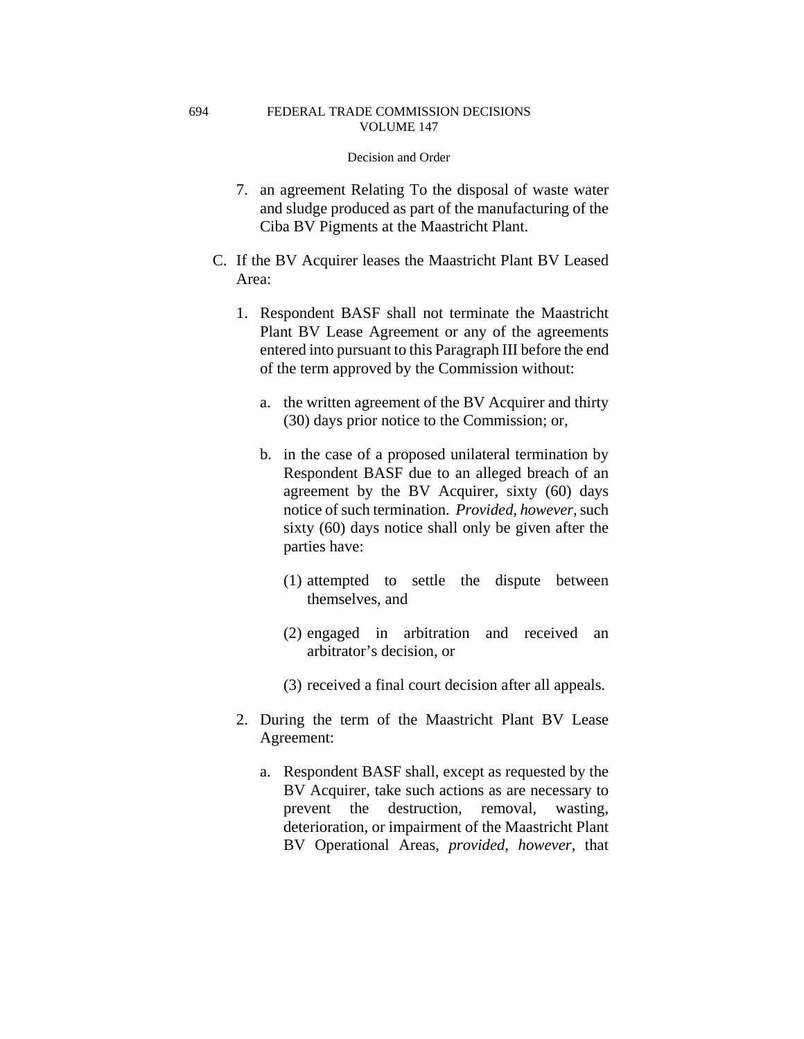694

- 7. an agreement Relating To the disposal of waste water and sludge produced as part of the manufacturing of the Ciba BV Pigments at the Maastricht Plant.
- C. If the BV Acquirer leases the Maastricht Plant BV Leased Area:
	- 1. Respondent BASF shall not terminate the Maastricht Plant BV Lease Agreement or any of the agreements entered into pursuant to this Paragraph III before the end of the term approved by the Commission without:
		- a. the written agreement of the BV Acquirer and thirty (30) days prior notice to the Commission; or,
		- b. in the case of a proposed unilateral termination by Respondent BASF due to an alleged breach of an agreement by the BV Acquirer, sixty (60) days notice of such termination. *Provided, however*, such sixty (60) days notice shall only be given after the parties have:
			- (1) attempted to settle the dispute between themselves, and
			- (2) engaged in arbitration and received an arbitrator's decision, or
			- (3) received a final court decision after all appeals.
	- 2. During the term of the Maastricht Plant BV Lease Agreement:
		- a. Respondent BASF shall, except as requested by the BV Acquirer, take such actions as are necessary to prevent the destruction, removal, wasting, deterioration, or impairment of the Maastricht Plant BV Operational Areas, *provided, however*, that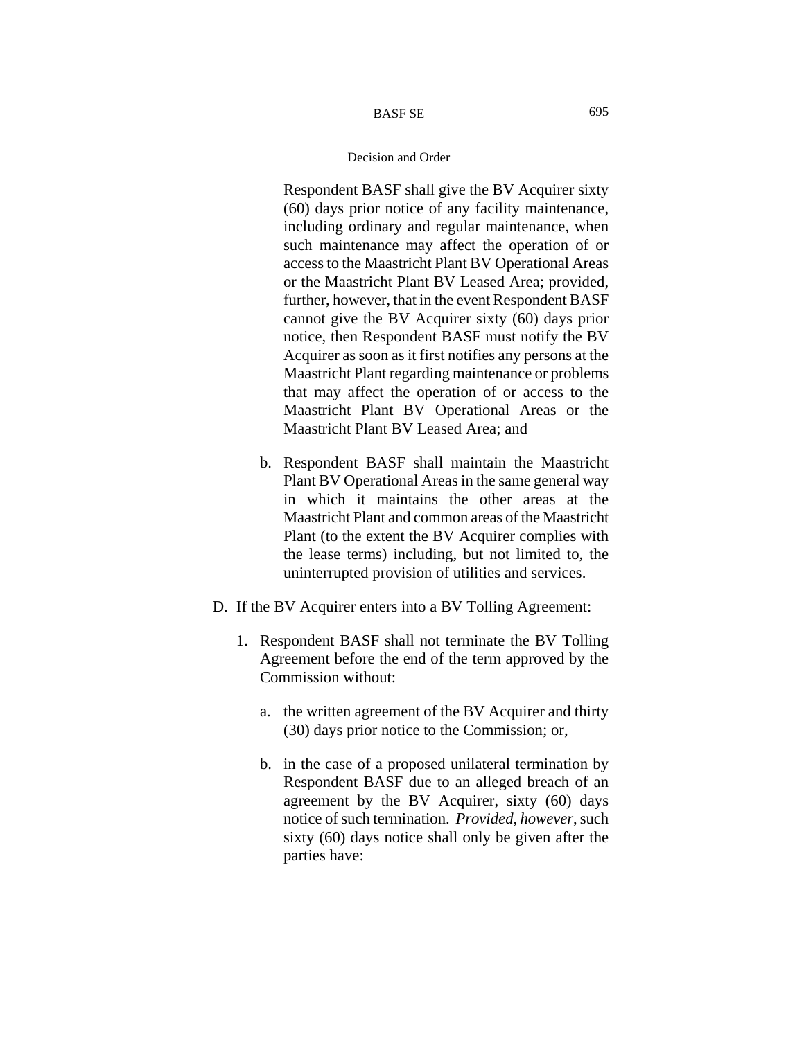Respondent BASF shall give the BV Acquirer sixty (60) days prior notice of any facility maintenance, including ordinary and regular maintenance, when such maintenance may affect the operation of or access to the Maastricht Plant BV Operational Areas or the Maastricht Plant BV Leased Area; provided, further, however, that in the event Respondent BASF cannot give the BV Acquirer sixty (60) days prior notice, then Respondent BASF must notify the BV Acquirer as soon as it first notifies any persons at the Maastricht Plant regarding maintenance or problems that may affect the operation of or access to the Maastricht Plant BV Operational Areas or the Maastricht Plant BV Leased Area; and

- b. Respondent BASF shall maintain the Maastricht Plant BV Operational Areas in the same general way in which it maintains the other areas at the Maastricht Plant and common areas of the Maastricht Plant (to the extent the BV Acquirer complies with the lease terms) including, but not limited to, the uninterrupted provision of utilities and services.
- D. If the BV Acquirer enters into a BV Tolling Agreement:
	- 1. Respondent BASF shall not terminate the BV Tolling Agreement before the end of the term approved by the Commission without:
		- a. the written agreement of the BV Acquirer and thirty (30) days prior notice to the Commission; or,
		- b. in the case of a proposed unilateral termination by Respondent BASF due to an alleged breach of an agreement by the BV Acquirer, sixty (60) days notice of such termination. *Provided, however*, such sixty (60) days notice shall only be given after the parties have: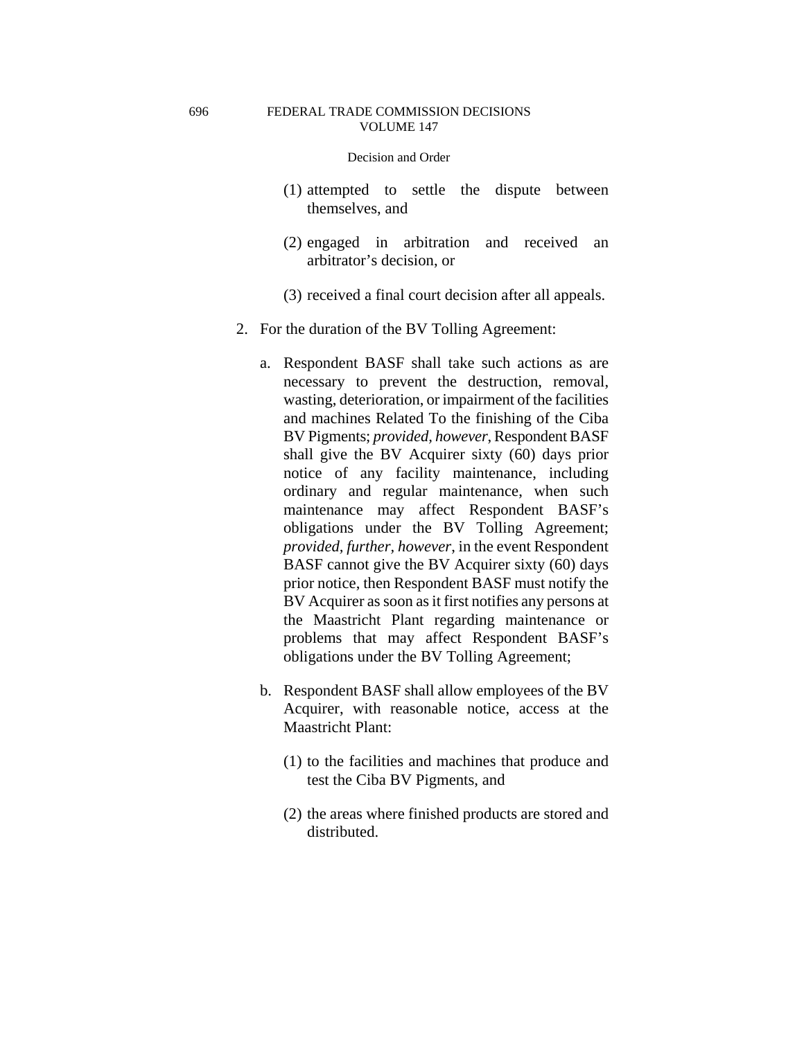- (1) attempted to settle the dispute between themselves, and
- (2) engaged in arbitration and received an arbitrator's decision, or
- (3) received a final court decision after all appeals.
- 2. For the duration of the BV Tolling Agreement:
	- a. Respondent BASF shall take such actions as are necessary to prevent the destruction, removal, wasting, deterioration, or impairment of the facilities and machines Related To the finishing of the Ciba BV Pigments; *provided, however*, Respondent BASF shall give the BV Acquirer sixty (60) days prior notice of any facility maintenance, including ordinary and regular maintenance, when such maintenance may affect Respondent BASF's obligations under the BV Tolling Agreement; *provided, further, however*, in the event Respondent BASF cannot give the BV Acquirer sixty (60) days prior notice, then Respondent BASF must notify the BV Acquirer as soon as it first notifies any persons at the Maastricht Plant regarding maintenance or problems that may affect Respondent BASF's obligations under the BV Tolling Agreement;
	- b. Respondent BASF shall allow employees of the BV Acquirer, with reasonable notice, access at the Maastricht Plant:
		- (1) to the facilities and machines that produce and test the Ciba BV Pigments, and
		- (2) the areas where finished products are stored and distributed.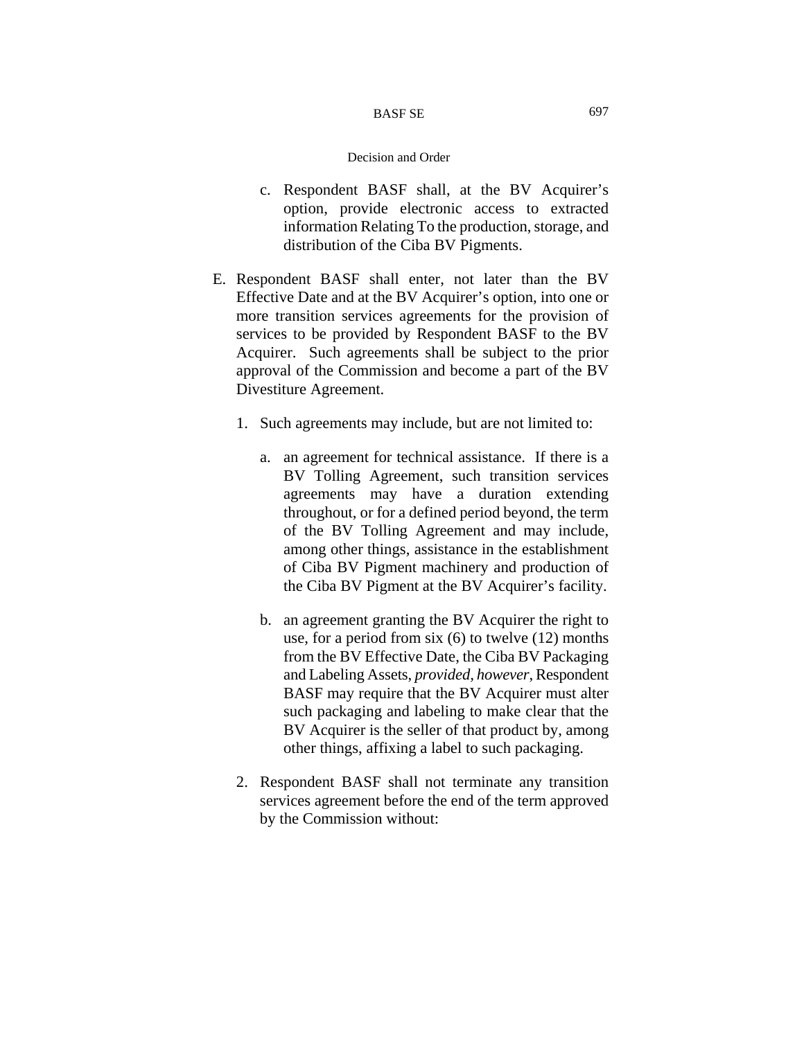#### BASF SE

- c. Respondent BASF shall, at the BV Acquirer's option, provide electronic access to extracted information Relating To the production, storage, and distribution of the Ciba BV Pigments.
- E. Respondent BASF shall enter, not later than the BV Effective Date and at the BV Acquirer's option, into one or more transition services agreements for the provision of services to be provided by Respondent BASF to the BV Acquirer. Such agreements shall be subject to the prior approval of the Commission and become a part of the BV Divestiture Agreement.
	- 1. Such agreements may include, but are not limited to:
		- a. an agreement for technical assistance. If there is a BV Tolling Agreement, such transition services agreements may have a duration extending throughout, or for a defined period beyond, the term of the BV Tolling Agreement and may include, among other things, assistance in the establishment of Ciba BV Pigment machinery and production of the Ciba BV Pigment at the BV Acquirer's facility.
		- b. an agreement granting the BV Acquirer the right to use, for a period from six (6) to twelve (12) months from the BV Effective Date, the Ciba BV Packaging and Labeling Assets, *provided, however*, Respondent BASF may require that the BV Acquirer must alter such packaging and labeling to make clear that the BV Acquirer is the seller of that product by, among other things, affixing a label to such packaging.
	- 2. Respondent BASF shall not terminate any transition services agreement before the end of the term approved by the Commission without: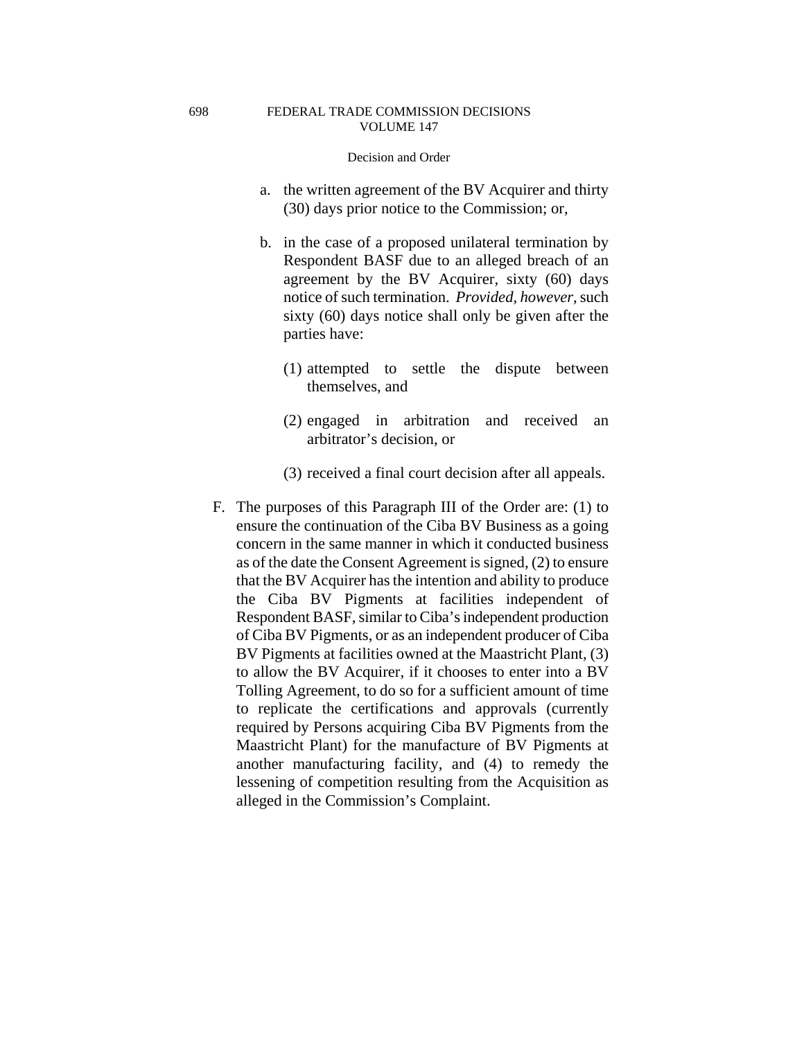- a. the written agreement of the BV Acquirer and thirty (30) days prior notice to the Commission; or,
- b. in the case of a proposed unilateral termination by Respondent BASF due to an alleged breach of an agreement by the BV Acquirer, sixty (60) days notice of such termination. *Provided, however*, such sixty (60) days notice shall only be given after the parties have:
	- (1) attempted to settle the dispute between themselves, and
	- (2) engaged in arbitration and received an arbitrator's decision, or
	- (3) received a final court decision after all appeals.
- F. The purposes of this Paragraph III of the Order are: (1) to ensure the continuation of the Ciba BV Business as a going concern in the same manner in which it conducted business as of the date the Consent Agreement is signed, (2) to ensure that the BV Acquirer has the intention and ability to produce the Ciba BV Pigments at facilities independent of Respondent BASF, similar to Ciba's independent production of Ciba BV Pigments, or as an independent producer of Ciba BV Pigments at facilities owned at the Maastricht Plant, (3) to allow the BV Acquirer, if it chooses to enter into a BV Tolling Agreement, to do so for a sufficient amount of time to replicate the certifications and approvals (currently required by Persons acquiring Ciba BV Pigments from the Maastricht Plant) for the manufacture of BV Pigments at another manufacturing facility, and (4) to remedy the lessening of competition resulting from the Acquisition as alleged in the Commission's Complaint.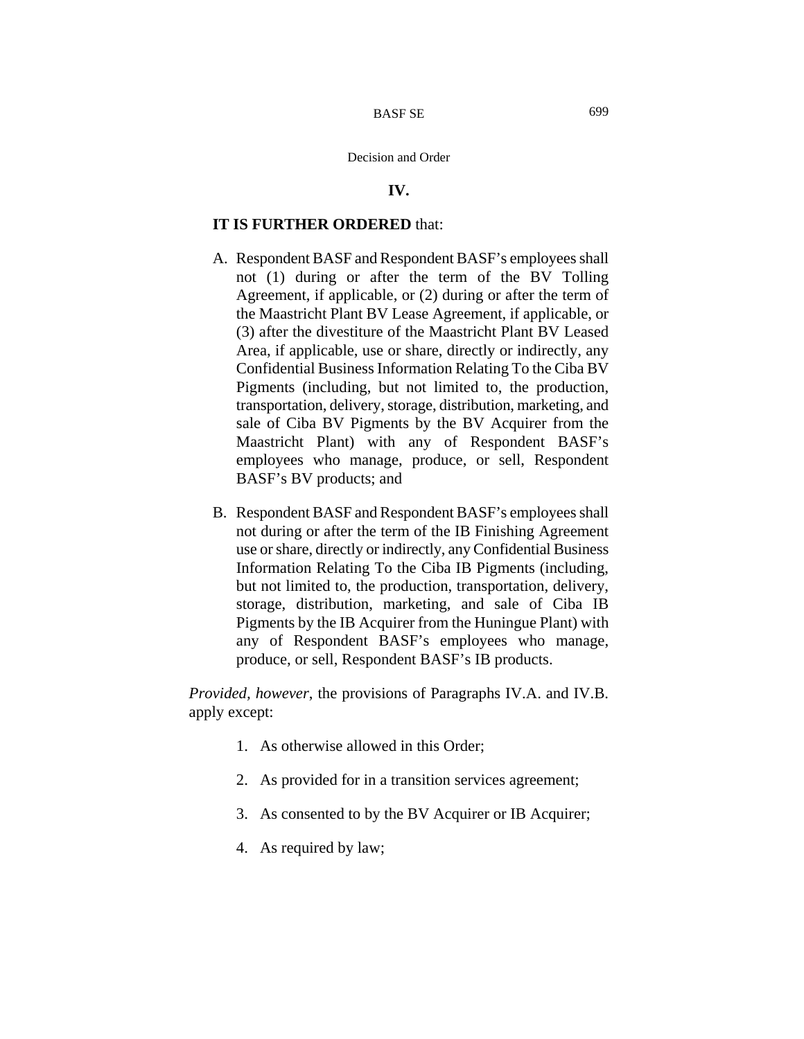## **IV.**

# **IT IS FURTHER ORDERED** that:

- A. Respondent BASF and Respondent BASF's employees shall not (1) during or after the term of the BV Tolling Agreement, if applicable, or (2) during or after the term of the Maastricht Plant BV Lease Agreement, if applicable, or (3) after the divestiture of the Maastricht Plant BV Leased Area, if applicable, use or share, directly or indirectly, any Confidential Business Information Relating To the Ciba BV Pigments (including, but not limited to, the production, transportation, delivery, storage, distribution, marketing, and sale of Ciba BV Pigments by the BV Acquirer from the Maastricht Plant) with any of Respondent BASF's employees who manage, produce, or sell, Respondent BASF's BV products; and
- B. Respondent BASF and Respondent BASF's employees shall not during or after the term of the IB Finishing Agreement use or share, directly or indirectly, any Confidential Business Information Relating To the Ciba IB Pigments (including, but not limited to, the production, transportation, delivery, storage, distribution, marketing, and sale of Ciba IB Pigments by the IB Acquirer from the Huningue Plant) with any of Respondent BASF's employees who manage, produce, or sell, Respondent BASF's IB products.

*Provided, however*, the provisions of Paragraphs IV.A. and IV.B. apply except:

- 1. As otherwise allowed in this Order;
- 2. As provided for in a transition services agreement;
- 3. As consented to by the BV Acquirer or IB Acquirer;
- 4. As required by law;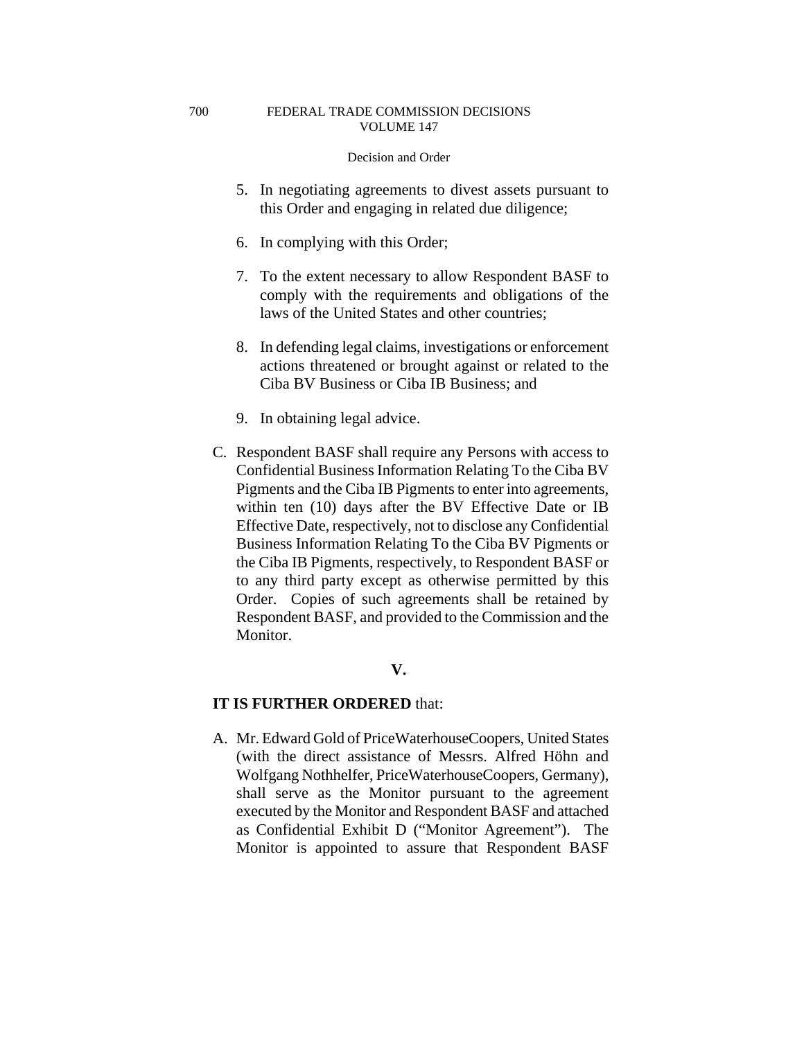#### Decision and Order

- 5. In negotiating agreements to divest assets pursuant to this Order and engaging in related due diligence;
- 6. In complying with this Order;
- 7. To the extent necessary to allow Respondent BASF to comply with the requirements and obligations of the laws of the United States and other countries;
- 8. In defending legal claims, investigations or enforcement actions threatened or brought against or related to the Ciba BV Business or Ciba IB Business; and
- 9. In obtaining legal advice.
- C. Respondent BASF shall require any Persons with access to Confidential Business Information Relating To the Ciba BV Pigments and the Ciba IB Pigments to enter into agreements, within ten (10) days after the BV Effective Date or IB Effective Date, respectively, not to disclose any Confidential Business Information Relating To the Ciba BV Pigments or the Ciba IB Pigments, respectively, to Respondent BASF or to any third party except as otherwise permitted by this Order. Copies of such agreements shall be retained by Respondent BASF, and provided to the Commission and the Monitor.

# **V.**

# **IT IS FURTHER ORDERED** that:

A. Mr. Edward Gold of PriceWaterhouseCoopers, United States (with the direct assistance of Messrs. Alfred Höhn and Wolfgang Nothhelfer, PriceWaterhouseCoopers, Germany), shall serve as the Monitor pursuant to the agreement executed by the Monitor and Respondent BASF and attached as Confidential Exhibit D ("Monitor Agreement"). The Monitor is appointed to assure that Respondent BASF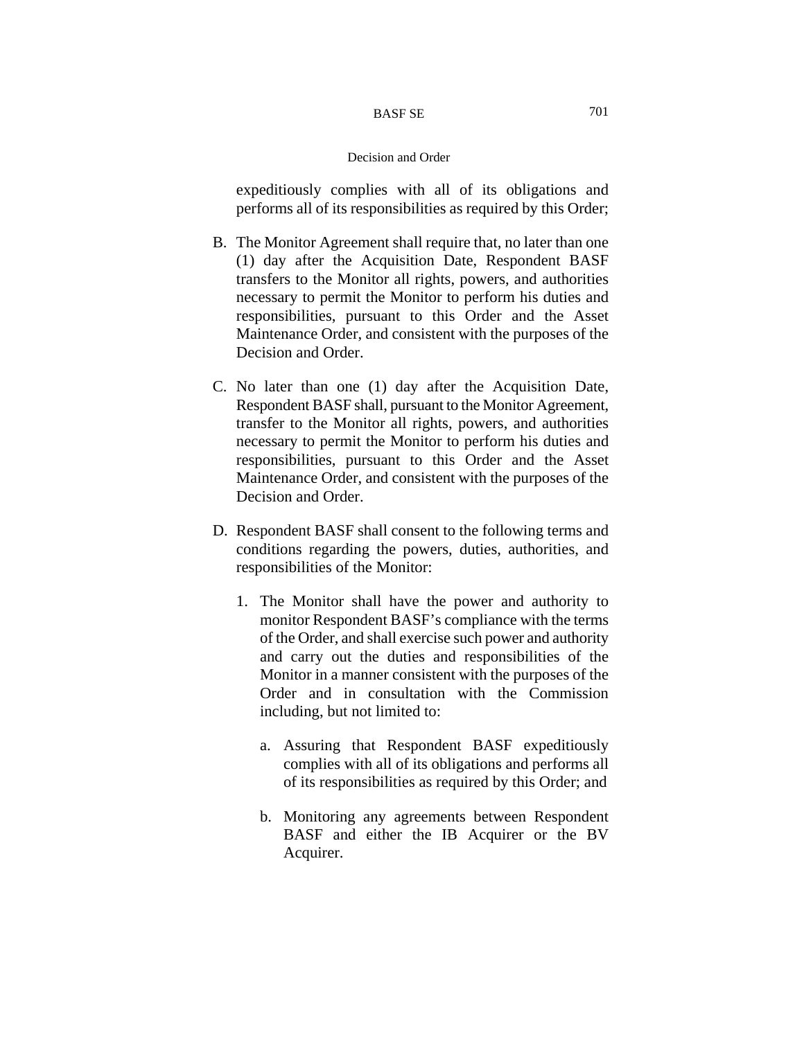expeditiously complies with all of its obligations and performs all of its responsibilities as required by this Order;

- B. The Monitor Agreement shall require that, no later than one (1) day after the Acquisition Date, Respondent BASF transfers to the Monitor all rights, powers, and authorities necessary to permit the Monitor to perform his duties and responsibilities, pursuant to this Order and the Asset Maintenance Order, and consistent with the purposes of the Decision and Order.
- C. No later than one (1) day after the Acquisition Date, Respondent BASF shall, pursuant to the Monitor Agreement, transfer to the Monitor all rights, powers, and authorities necessary to permit the Monitor to perform his duties and responsibilities, pursuant to this Order and the Asset Maintenance Order, and consistent with the purposes of the Decision and Order.
- D. Respondent BASF shall consent to the following terms and conditions regarding the powers, duties, authorities, and responsibilities of the Monitor:
	- 1. The Monitor shall have the power and authority to monitor Respondent BASF's compliance with the terms of the Order, and shall exercise such power and authority and carry out the duties and responsibilities of the Monitor in a manner consistent with the purposes of the Order and in consultation with the Commission including, but not limited to:
		- a. Assuring that Respondent BASF expeditiously complies with all of its obligations and performs all of its responsibilities as required by this Order; and
		- b. Monitoring any agreements between Respondent BASF and either the IB Acquirer or the BV Acquirer.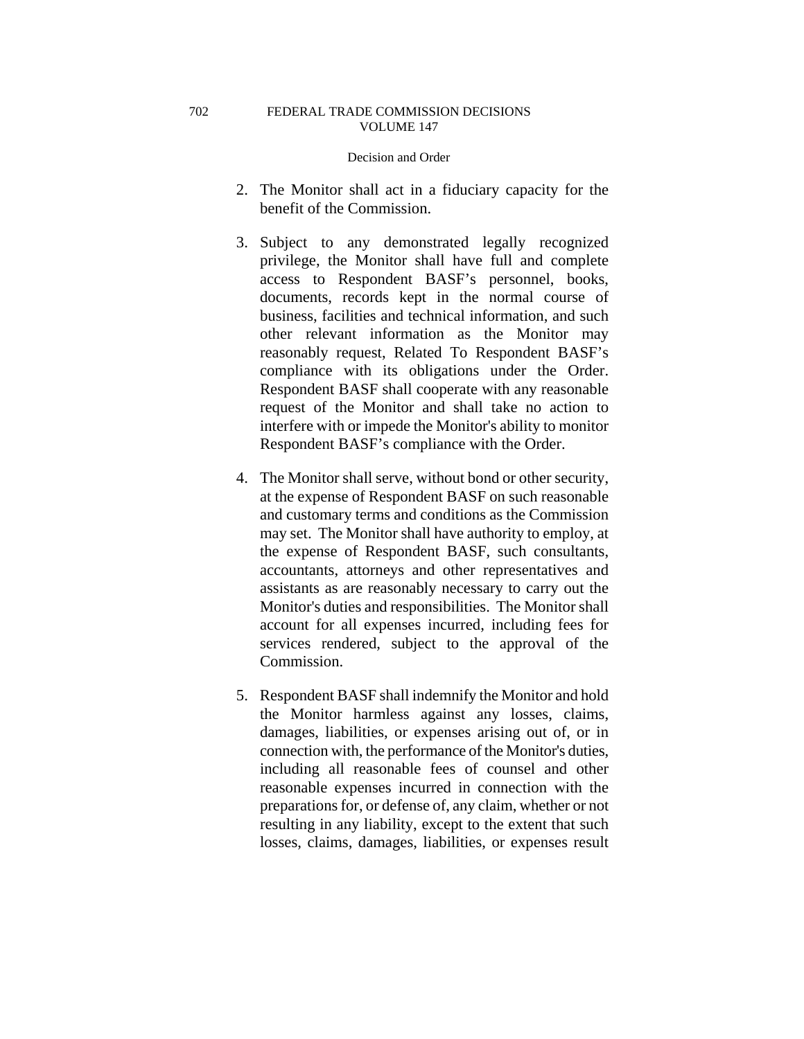- 2. The Monitor shall act in a fiduciary capacity for the benefit of the Commission.
- 3. Subject to any demonstrated legally recognized privilege, the Monitor shall have full and complete access to Respondent BASF's personnel, books, documents, records kept in the normal course of business, facilities and technical information, and such other relevant information as the Monitor may reasonably request, Related To Respondent BASF's compliance with its obligations under the Order. Respondent BASF shall cooperate with any reasonable request of the Monitor and shall take no action to interfere with or impede the Monitor's ability to monitor Respondent BASF's compliance with the Order.
- 4. The Monitor shall serve, without bond or other security, at the expense of Respondent BASF on such reasonable and customary terms and conditions as the Commission may set. The Monitor shall have authority to employ, at the expense of Respondent BASF, such consultants, accountants, attorneys and other representatives and assistants as are reasonably necessary to carry out the Monitor's duties and responsibilities. The Monitor shall account for all expenses incurred, including fees for services rendered, subject to the approval of the Commission.
- 5. Respondent BASF shall indemnify the Monitor and hold the Monitor harmless against any losses, claims, damages, liabilities, or expenses arising out of, or in connection with, the performance of the Monitor's duties, including all reasonable fees of counsel and other reasonable expenses incurred in connection with the preparations for, or defense of, any claim, whether or not resulting in any liability, except to the extent that such losses, claims, damages, liabilities, or expenses result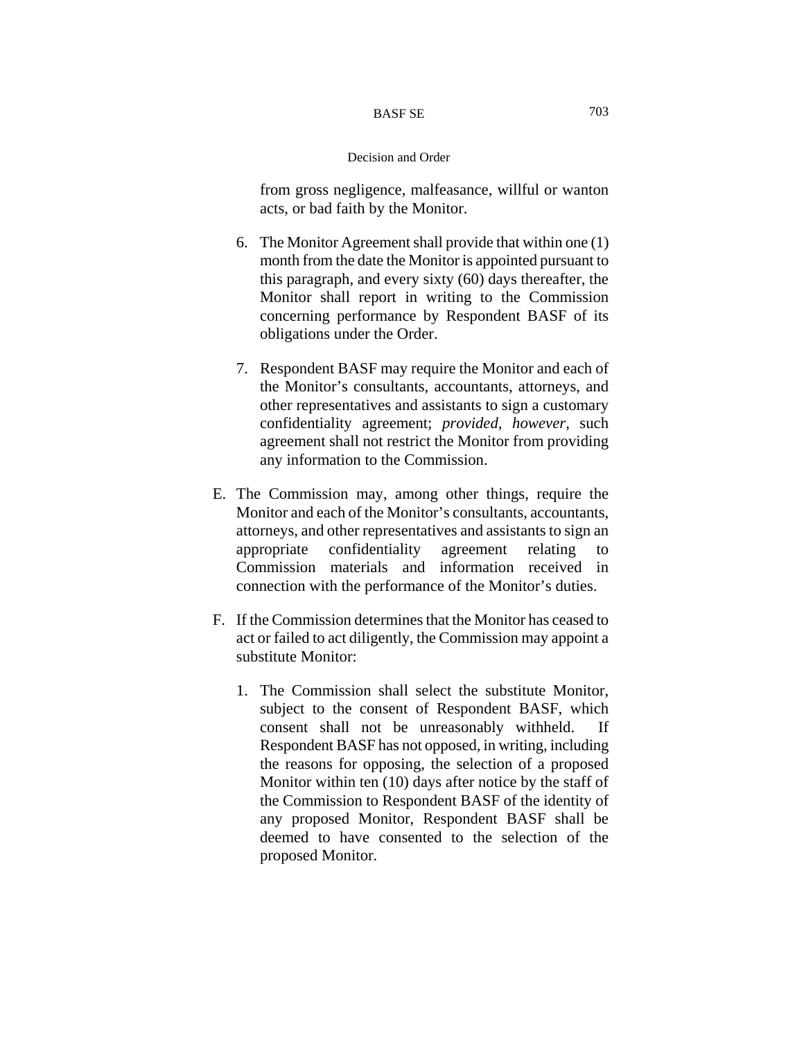from gross negligence, malfeasance, willful or wanton acts, or bad faith by the Monitor.

- 6. The Monitor Agreement shall provide that within one (1) month from the date the Monitor is appointed pursuant to this paragraph, and every sixty (60) days thereafter, the Monitor shall report in writing to the Commission concerning performance by Respondent BASF of its obligations under the Order.
- 7. Respondent BASF may require the Monitor and each of the Monitor's consultants, accountants, attorneys, and other representatives and assistants to sign a customary confidentiality agreement; *provided, however*, such agreement shall not restrict the Monitor from providing any information to the Commission.
- E. The Commission may, among other things, require the Monitor and each of the Monitor's consultants, accountants, attorneys, and other representatives and assistants to sign an appropriate confidentiality agreement relating to Commission materials and information received in connection with the performance of the Monitor's duties.
- F. If the Commission determines that the Monitor has ceased to act or failed to act diligently, the Commission may appoint a substitute Monitor:
	- 1. The Commission shall select the substitute Monitor, subject to the consent of Respondent BASF, which consent shall not be unreasonably withheld. If Respondent BASF has not opposed, in writing, including the reasons for opposing, the selection of a proposed Monitor within ten (10) days after notice by the staff of the Commission to Respondent BASF of the identity of any proposed Monitor, Respondent BASF shall be deemed to have consented to the selection of the proposed Monitor.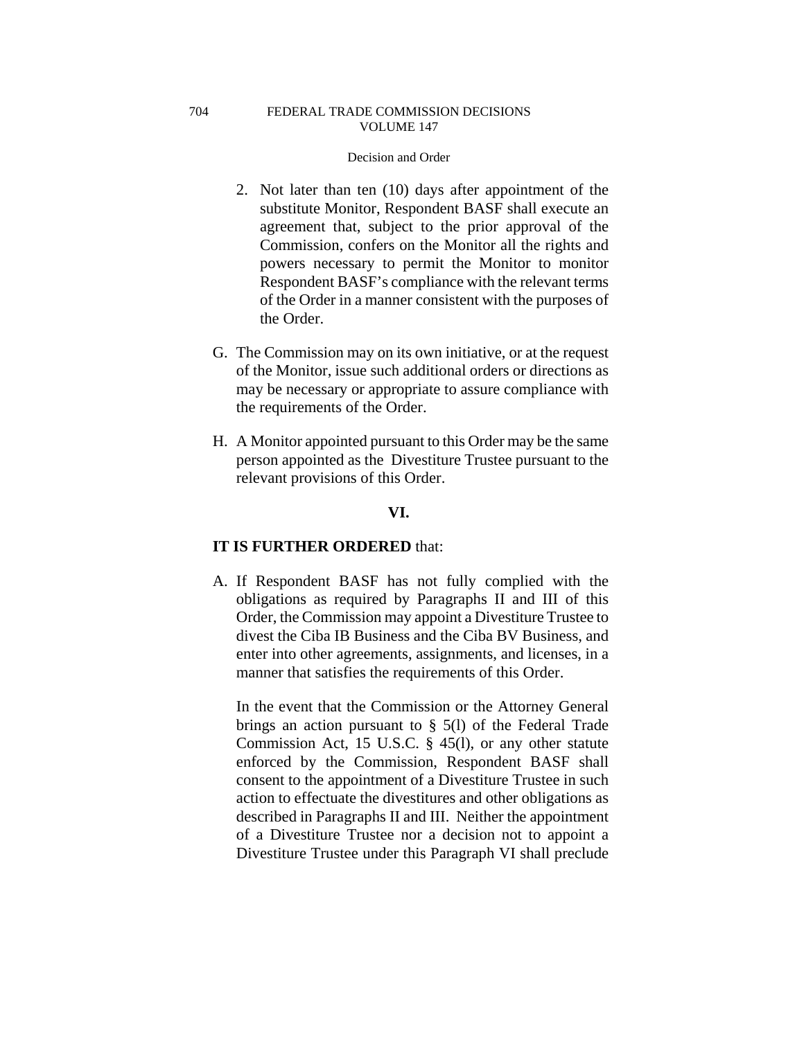# Decision and Order

- 2. Not later than ten (10) days after appointment of the substitute Monitor, Respondent BASF shall execute an agreement that, subject to the prior approval of the Commission, confers on the Monitor all the rights and powers necessary to permit the Monitor to monitor Respondent BASF's compliance with the relevant terms of the Order in a manner consistent with the purposes of the Order.
- G. The Commission may on its own initiative, or at the request of the Monitor, issue such additional orders or directions as may be necessary or appropriate to assure compliance with the requirements of the Order.
- H. A Monitor appointed pursuant to this Order may be the same person appointed as the Divestiture Trustee pursuant to the relevant provisions of this Order.

# **VI.**

# **IT IS FURTHER ORDERED** that:

A. If Respondent BASF has not fully complied with the obligations as required by Paragraphs II and III of this Order, the Commission may appoint a Divestiture Trustee to divest the Ciba IB Business and the Ciba BV Business, and enter into other agreements, assignments, and licenses, in a manner that satisfies the requirements of this Order.

In the event that the Commission or the Attorney General brings an action pursuant to § 5(l) of the Federal Trade Commission Act, 15 U.S.C. § 45(l), or any other statute enforced by the Commission, Respondent BASF shall consent to the appointment of a Divestiture Trustee in such action to effectuate the divestitures and other obligations as described in Paragraphs II and III. Neither the appointment of a Divestiture Trustee nor a decision not to appoint a Divestiture Trustee under this Paragraph VI shall preclude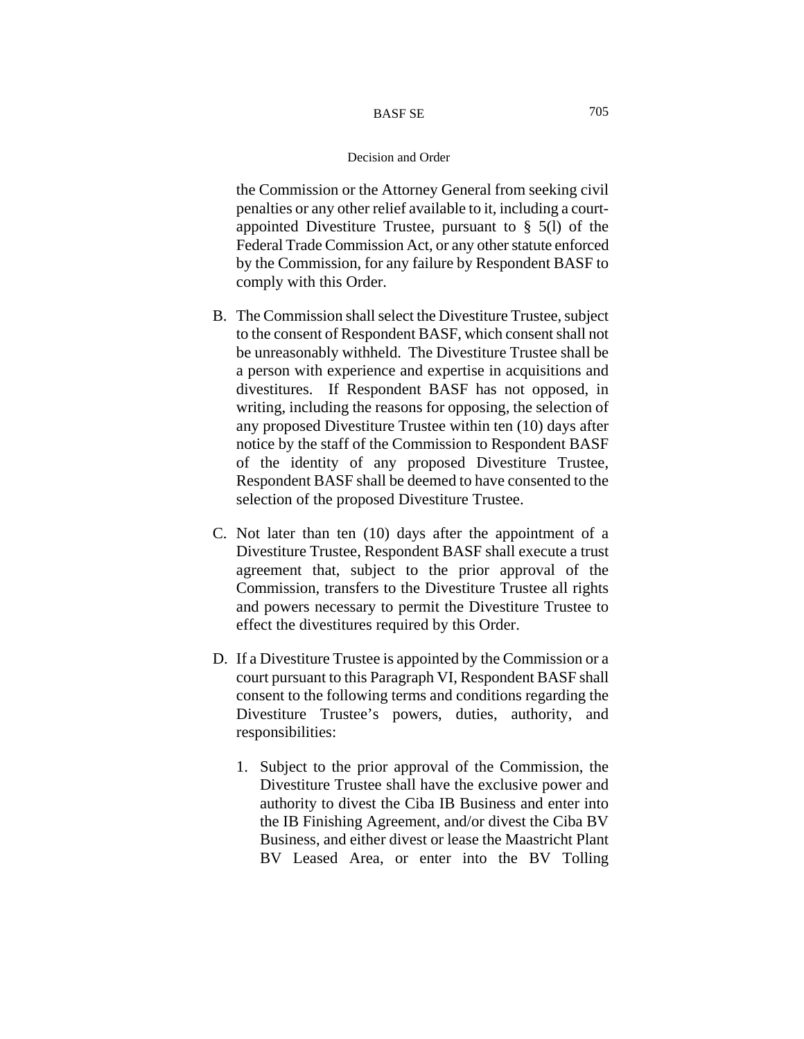the Commission or the Attorney General from seeking civil penalties or any other relief available to it, including a courtappointed Divestiture Trustee, pursuant to  $\S$  5(1) of the Federal Trade Commission Act, or any other statute enforced by the Commission, for any failure by Respondent BASF to comply with this Order.

- B. The Commission shall select the Divestiture Trustee, subject to the consent of Respondent BASF, which consent shall not be unreasonably withheld. The Divestiture Trustee shall be a person with experience and expertise in acquisitions and divestitures. If Respondent BASF has not opposed, in writing, including the reasons for opposing, the selection of any proposed Divestiture Trustee within ten (10) days after notice by the staff of the Commission to Respondent BASF of the identity of any proposed Divestiture Trustee, Respondent BASF shall be deemed to have consented to the selection of the proposed Divestiture Trustee.
- C. Not later than ten (10) days after the appointment of a Divestiture Trustee, Respondent BASF shall execute a trust agreement that, subject to the prior approval of the Commission, transfers to the Divestiture Trustee all rights and powers necessary to permit the Divestiture Trustee to effect the divestitures required by this Order.
- D. If a Divestiture Trustee is appointed by the Commission or a court pursuant to this Paragraph VI, Respondent BASF shall consent to the following terms and conditions regarding the Divestiture Trustee's powers, duties, authority, and responsibilities:
	- 1. Subject to the prior approval of the Commission, the Divestiture Trustee shall have the exclusive power and authority to divest the Ciba IB Business and enter into the IB Finishing Agreement, and/or divest the Ciba BV Business, and either divest or lease the Maastricht Plant BV Leased Area, or enter into the BV Tolling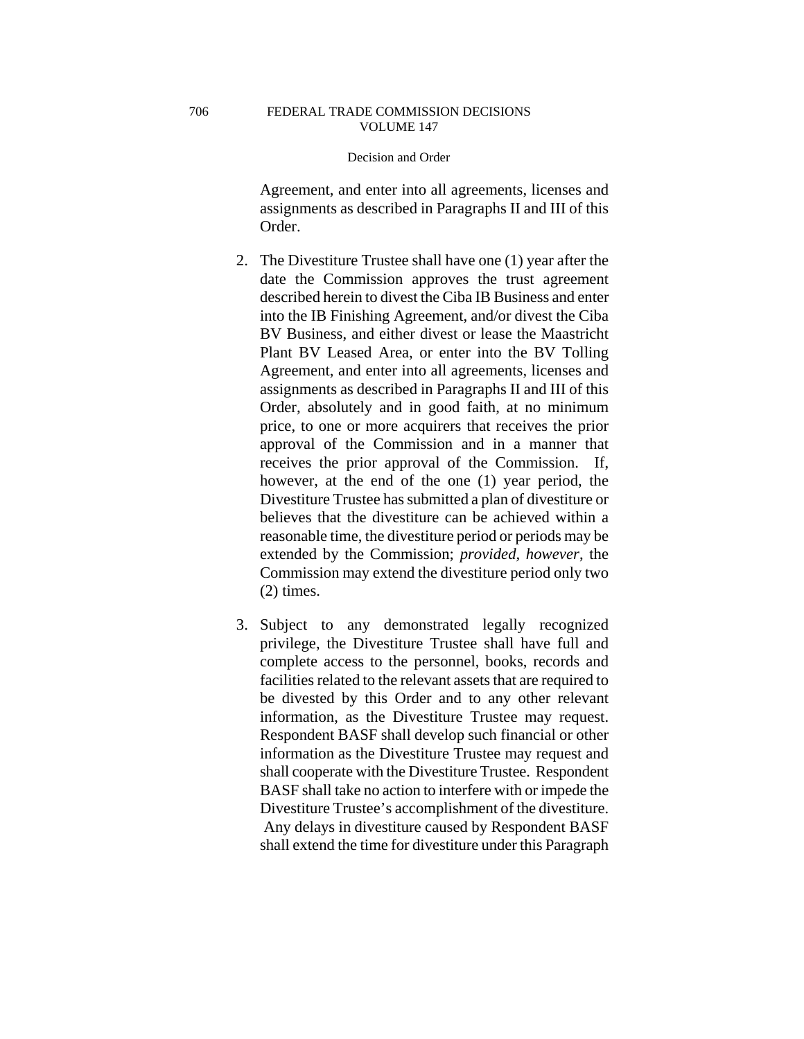Agreement, and enter into all agreements, licenses and assignments as described in Paragraphs II and III of this Order.

- 2. The Divestiture Trustee shall have one (1) year after the date the Commission approves the trust agreement described herein to divest the Ciba IB Business and enter into the IB Finishing Agreement, and/or divest the Ciba BV Business, and either divest or lease the Maastricht Plant BV Leased Area, or enter into the BV Tolling Agreement, and enter into all agreements, licenses and assignments as described in Paragraphs II and III of this Order, absolutely and in good faith, at no minimum price, to one or more acquirers that receives the prior approval of the Commission and in a manner that receives the prior approval of the Commission. If, however, at the end of the one (1) year period, the Divestiture Trustee has submitted a plan of divestiture or believes that the divestiture can be achieved within a reasonable time, the divestiture period or periods may be extended by the Commission; *provided, however*, the Commission may extend the divestiture period only two (2) times.
- 3. Subject to any demonstrated legally recognized privilege, the Divestiture Trustee shall have full and complete access to the personnel, books, records and facilities related to the relevant assets that are required to be divested by this Order and to any other relevant information, as the Divestiture Trustee may request. Respondent BASF shall develop such financial or other information as the Divestiture Trustee may request and shall cooperate with the Divestiture Trustee. Respondent BASF shall take no action to interfere with or impede the Divestiture Trustee's accomplishment of the divestiture. Any delays in divestiture caused by Respondent BASF shall extend the time for divestiture under this Paragraph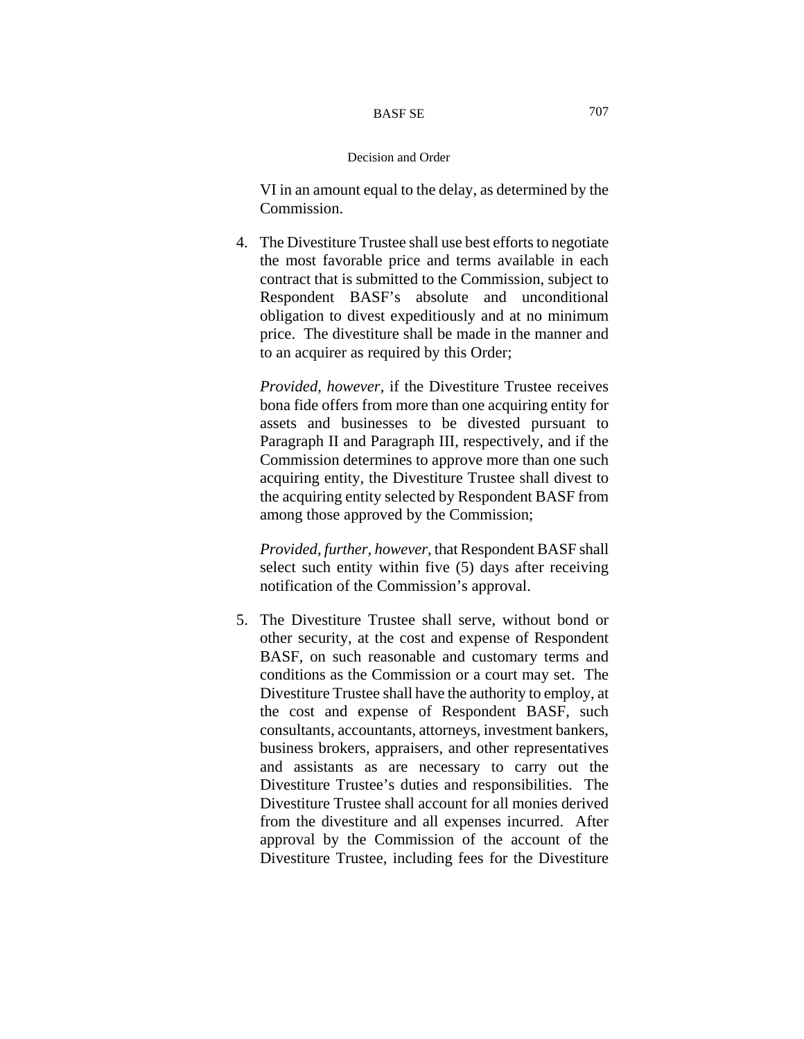VI in an amount equal to the delay, as determined by the Commission.

4. The Divestiture Trustee shall use best efforts to negotiate the most favorable price and terms available in each contract that is submitted to the Commission, subject to Respondent BASF's absolute and unconditional obligation to divest expeditiously and at no minimum price. The divestiture shall be made in the manner and to an acquirer as required by this Order;

*Provided, however*, if the Divestiture Trustee receives bona fide offers from more than one acquiring entity for assets and businesses to be divested pursuant to Paragraph II and Paragraph III, respectively, and if the Commission determines to approve more than one such acquiring entity, the Divestiture Trustee shall divest to the acquiring entity selected by Respondent BASF from among those approved by the Commission;

*Provided, further, however*, that Respondent BASF shall select such entity within five (5) days after receiving notification of the Commission's approval.

5. The Divestiture Trustee shall serve, without bond or other security, at the cost and expense of Respondent BASF, on such reasonable and customary terms and conditions as the Commission or a court may set. The Divestiture Trustee shall have the authority to employ, at the cost and expense of Respondent BASF, such consultants, accountants, attorneys, investment bankers, business brokers, appraisers, and other representatives and assistants as are necessary to carry out the Divestiture Trustee's duties and responsibilities. The Divestiture Trustee shall account for all monies derived from the divestiture and all expenses incurred. After approval by the Commission of the account of the Divestiture Trustee, including fees for the Divestiture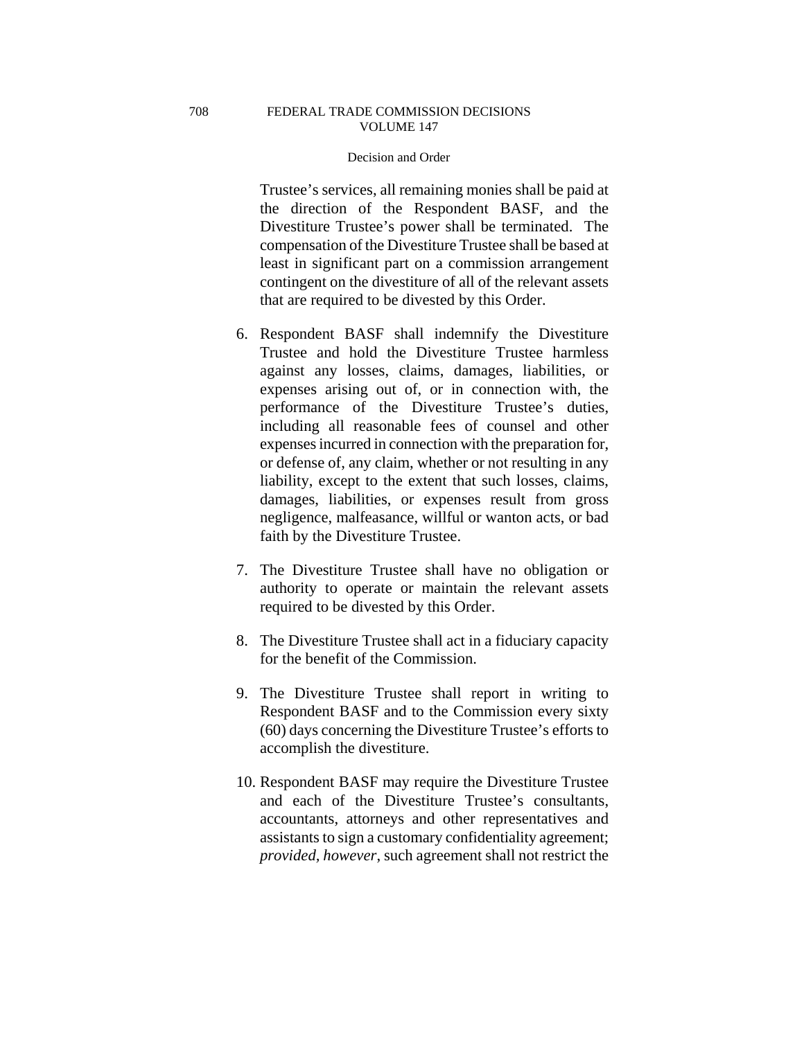### Decision and Order

Trustee's services, all remaining monies shall be paid at the direction of the Respondent BASF, and the Divestiture Trustee's power shall be terminated. The compensation of the Divestiture Trustee shall be based at least in significant part on a commission arrangement contingent on the divestiture of all of the relevant assets that are required to be divested by this Order.

- 6. Respondent BASF shall indemnify the Divestiture Trustee and hold the Divestiture Trustee harmless against any losses, claims, damages, liabilities, or expenses arising out of, or in connection with, the performance of the Divestiture Trustee's duties, including all reasonable fees of counsel and other expenses incurred in connection with the preparation for, or defense of, any claim, whether or not resulting in any liability, except to the extent that such losses, claims, damages, liabilities, or expenses result from gross negligence, malfeasance, willful or wanton acts, or bad faith by the Divestiture Trustee.
- 7. The Divestiture Trustee shall have no obligation or authority to operate or maintain the relevant assets required to be divested by this Order.
- 8. The Divestiture Trustee shall act in a fiduciary capacity for the benefit of the Commission.
- 9. The Divestiture Trustee shall report in writing to Respondent BASF and to the Commission every sixty (60) days concerning the Divestiture Trustee's efforts to accomplish the divestiture.
- 10. Respondent BASF may require the Divestiture Trustee and each of the Divestiture Trustee's consultants, accountants, attorneys and other representatives and assistants to sign a customary confidentiality agreement; *provided, however*, such agreement shall not restrict the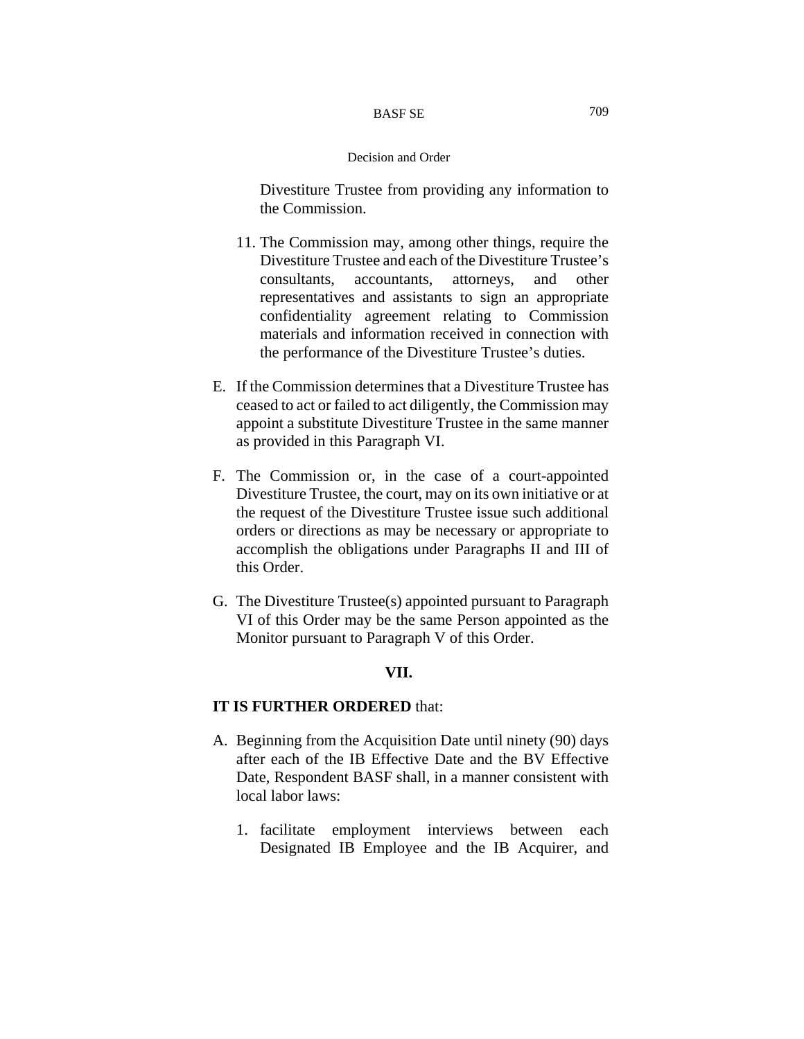Divestiture Trustee from providing any information to the Commission.

- 11. The Commission may, among other things, require the Divestiture Trustee and each of the Divestiture Trustee's consultants, accountants, attorneys, and other representatives and assistants to sign an appropriate confidentiality agreement relating to Commission materials and information received in connection with the performance of the Divestiture Trustee's duties.
- E. If the Commission determines that a Divestiture Trustee has ceased to act or failed to act diligently, the Commission may appoint a substitute Divestiture Trustee in the same manner as provided in this Paragraph VI.
- F. The Commission or, in the case of a court-appointed Divestiture Trustee, the court, may on its own initiative or at the request of the Divestiture Trustee issue such additional orders or directions as may be necessary or appropriate to accomplish the obligations under Paragraphs II and III of this Order.
- G. The Divestiture Trustee(s) appointed pursuant to Paragraph VI of this Order may be the same Person appointed as the Monitor pursuant to Paragraph V of this Order.

# **VII.**

# **IT IS FURTHER ORDERED** that:

- A. Beginning from the Acquisition Date until ninety (90) days after each of the IB Effective Date and the BV Effective Date, Respondent BASF shall, in a manner consistent with local labor laws:
	- 1. facilitate employment interviews between each Designated IB Employee and the IB Acquirer, and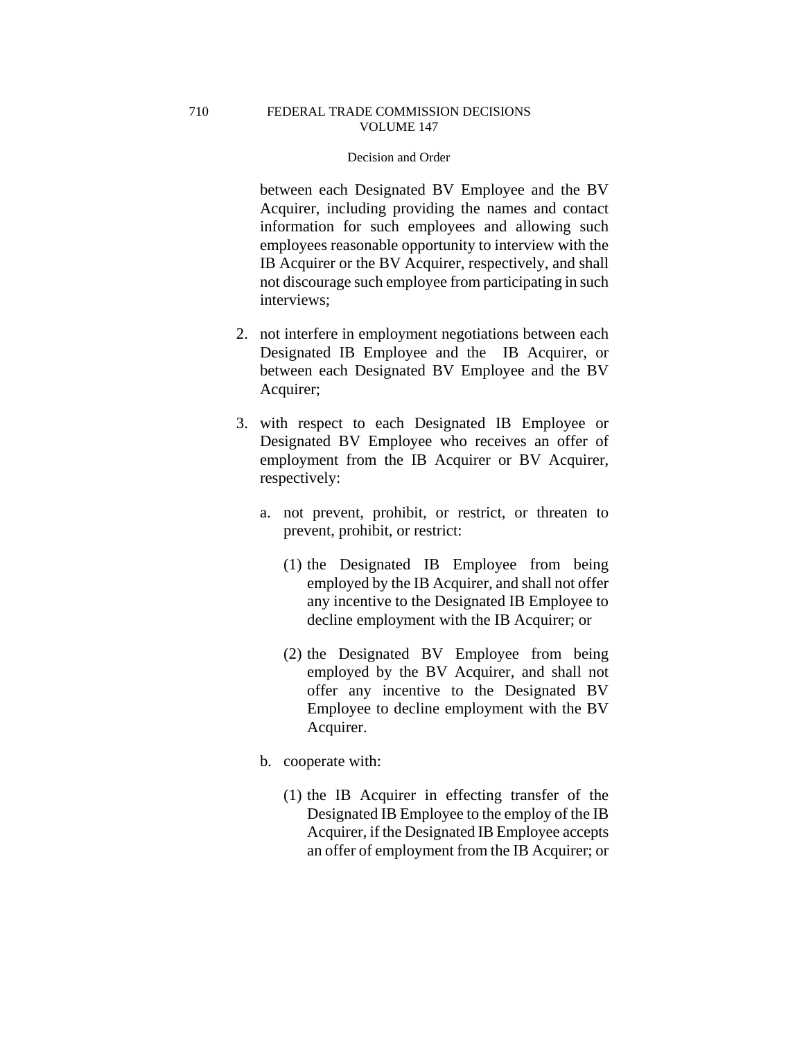between each Designated BV Employee and the BV Acquirer, including providing the names and contact information for such employees and allowing such employees reasonable opportunity to interview with the IB Acquirer or the BV Acquirer, respectively, and shall not discourage such employee from participating in such interviews;

- 2. not interfere in employment negotiations between each Designated IB Employee and the IB Acquirer, or between each Designated BV Employee and the BV Acquirer;
- 3. with respect to each Designated IB Employee or Designated BV Employee who receives an offer of employment from the IB Acquirer or BV Acquirer, respectively:
	- a. not prevent, prohibit, or restrict, or threaten to prevent, prohibit, or restrict:
		- (1) the Designated IB Employee from being employed by the IB Acquirer, and shall not offer any incentive to the Designated IB Employee to decline employment with the IB Acquirer; or
		- (2) the Designated BV Employee from being employed by the BV Acquirer, and shall not offer any incentive to the Designated BV Employee to decline employment with the BV Acquirer.
	- b. cooperate with:
		- (1) the IB Acquirer in effecting transfer of the Designated IB Employee to the employ of the IB Acquirer, if the Designated IB Employee accepts an offer of employment from the IB Acquirer; or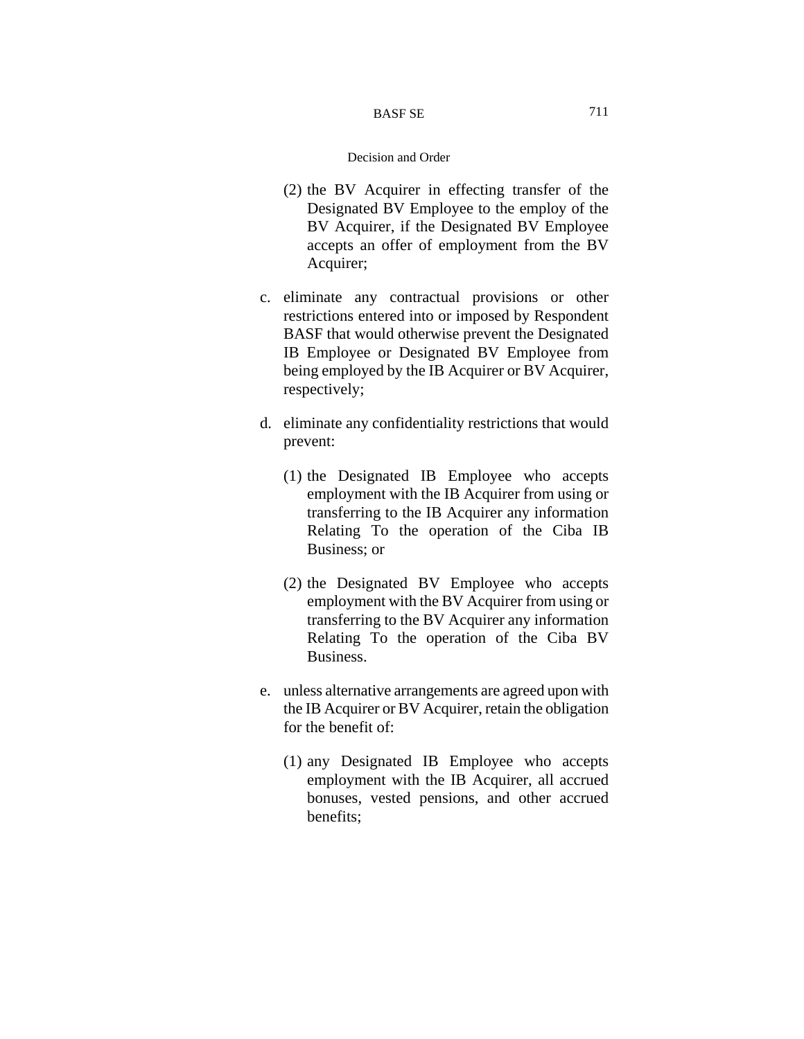#### BASF SE

- (2) the BV Acquirer in effecting transfer of the Designated BV Employee to the employ of the BV Acquirer, if the Designated BV Employee accepts an offer of employment from the BV Acquirer;
- c. eliminate any contractual provisions or other restrictions entered into or imposed by Respondent BASF that would otherwise prevent the Designated IB Employee or Designated BV Employee from being employed by the IB Acquirer or BV Acquirer, respectively;
- d. eliminate any confidentiality restrictions that would prevent:
	- (1) the Designated IB Employee who accepts employment with the IB Acquirer from using or transferring to the IB Acquirer any information Relating To the operation of the Ciba IB Business; or
	- (2) the Designated BV Employee who accepts employment with the BV Acquirer from using or transferring to the BV Acquirer any information Relating To the operation of the Ciba BV Business.
- e. unless alternative arrangements are agreed upon with the IB Acquirer or BV Acquirer, retain the obligation for the benefit of:
	- (1) any Designated IB Employee who accepts employment with the IB Acquirer, all accrued bonuses, vested pensions, and other accrued benefits;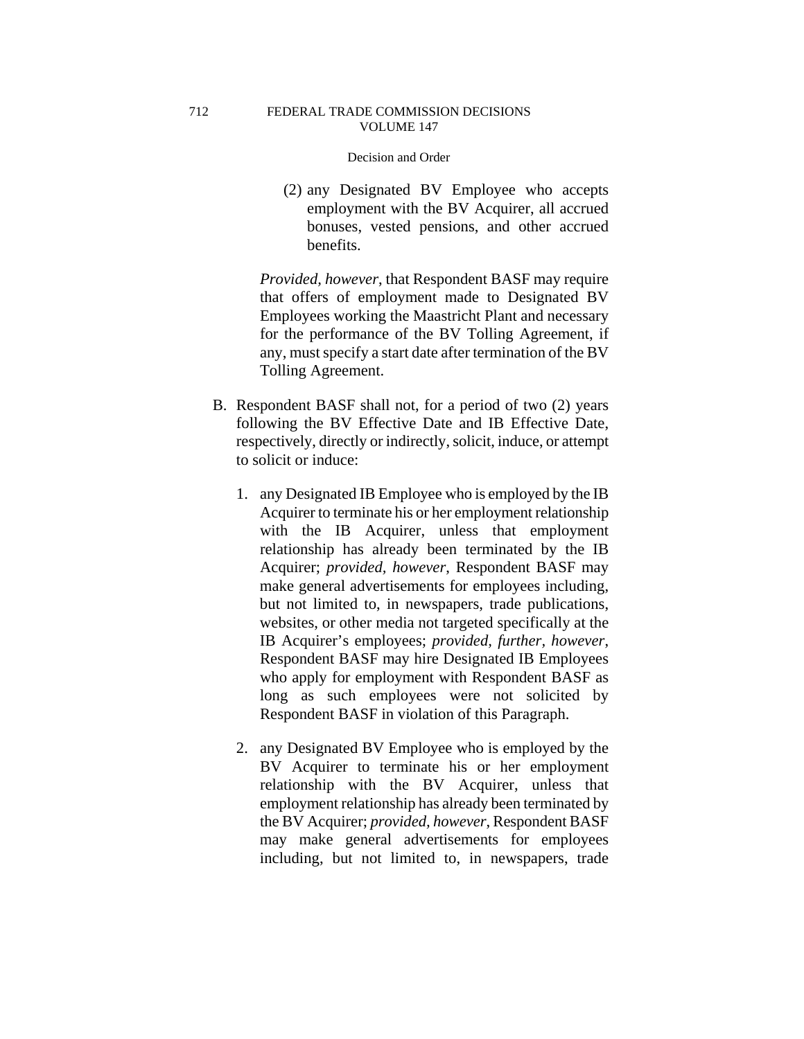#### Decision and Order

(2) any Designated BV Employee who accepts employment with the BV Acquirer, all accrued bonuses, vested pensions, and other accrued benefits.

*Provided, however*, that Respondent BASF may require that offers of employment made to Designated BV Employees working the Maastricht Plant and necessary for the performance of the BV Tolling Agreement, if any, must specify a start date after termination of the BV Tolling Agreement.

- B. Respondent BASF shall not, for a period of two (2) years following the BV Effective Date and IB Effective Date, respectively, directly or indirectly, solicit, induce, or attempt to solicit or induce:
	- 1. any Designated IB Employee who is employed by the IB Acquirer to terminate his or her employment relationship with the IB Acquirer, unless that employment relationship has already been terminated by the IB Acquirer; *provided, however*, Respondent BASF may make general advertisements for employees including, but not limited to, in newspapers, trade publications, websites, or other media not targeted specifically at the IB Acquirer's employees; *provided, further, however*, Respondent BASF may hire Designated IB Employees who apply for employment with Respondent BASF as long as such employees were not solicited by Respondent BASF in violation of this Paragraph.
	- 2. any Designated BV Employee who is employed by the BV Acquirer to terminate his or her employment relationship with the BV Acquirer, unless that employment relationship has already been terminated by the BV Acquirer; *provided, however*, Respondent BASF may make general advertisements for employees including, but not limited to, in newspapers, trade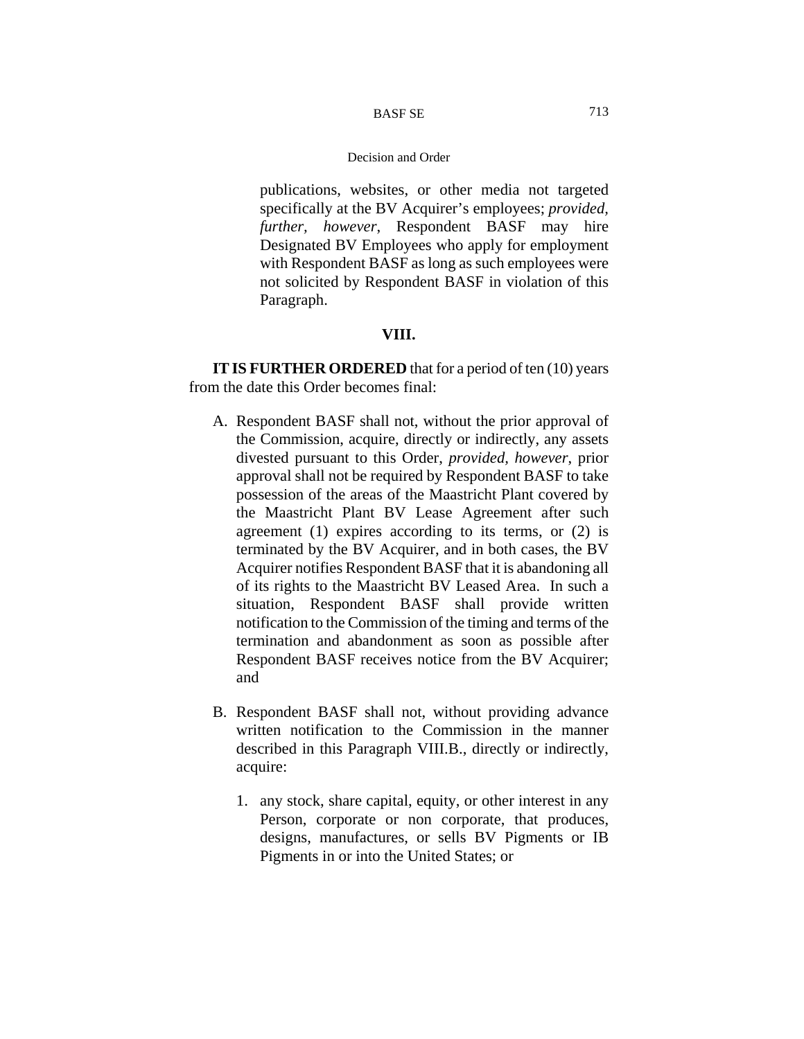publications, websites, or other media not targeted specifically at the BV Acquirer's employees; *provided, further, however*, Respondent BASF may hire Designated BV Employees who apply for employment with Respondent BASF as long as such employees were not solicited by Respondent BASF in violation of this Paragraph.

# **VIII.**

**IT IS FURTHER ORDERED** that for a period of ten (10) years from the date this Order becomes final:

- A. Respondent BASF shall not, without the prior approval of the Commission, acquire, directly or indirectly, any assets divested pursuant to this Order, *provided, however*, prior approval shall not be required by Respondent BASF to take possession of the areas of the Maastricht Plant covered by the Maastricht Plant BV Lease Agreement after such agreement (1) expires according to its terms, or (2) is terminated by the BV Acquirer, and in both cases, the BV Acquirer notifies Respondent BASF that it is abandoning all of its rights to the Maastricht BV Leased Area. In such a situation, Respondent BASF shall provide written notification to the Commission of the timing and terms of the termination and abandonment as soon as possible after Respondent BASF receives notice from the BV Acquirer; and
- B. Respondent BASF shall not, without providing advance written notification to the Commission in the manner described in this Paragraph VIII.B., directly or indirectly, acquire:
	- 1. any stock, share capital, equity, or other interest in any Person, corporate or non corporate, that produces, designs, manufactures, or sells BV Pigments or IB Pigments in or into the United States; or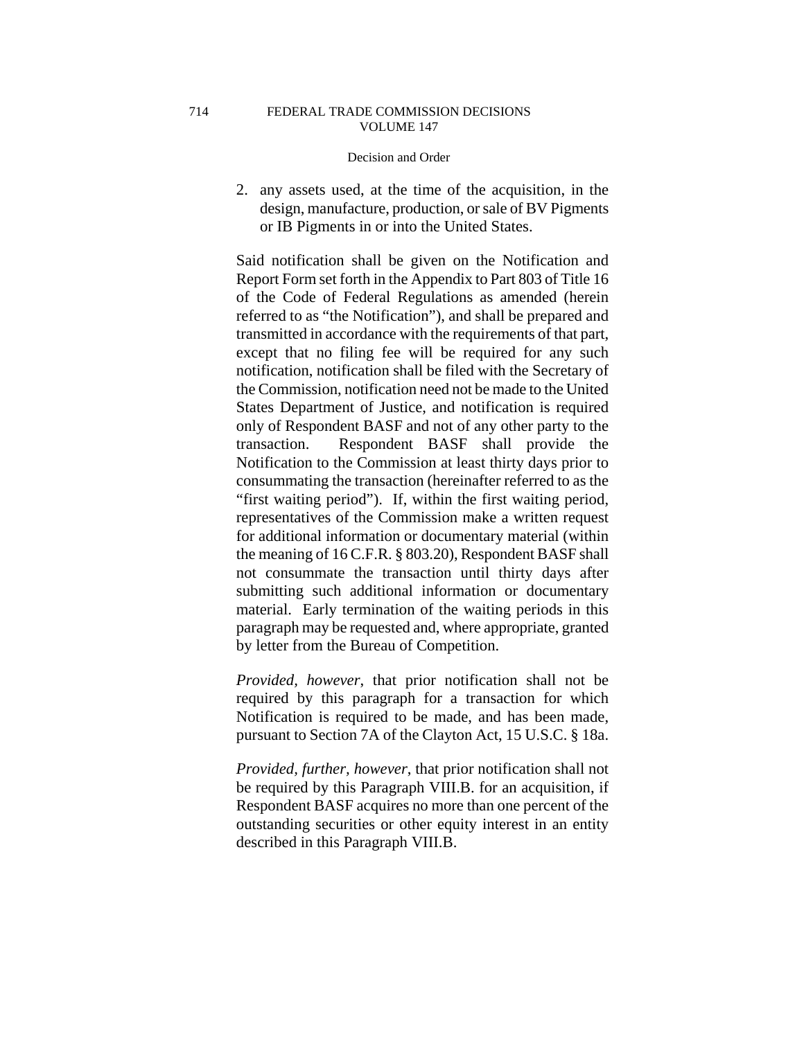### Decision and Order

2. any assets used, at the time of the acquisition, in the design, manufacture, production, or sale of BV Pigments or IB Pigments in or into the United States.

Said notification shall be given on the Notification and Report Form set forth in the Appendix to Part 803 of Title 16 of the Code of Federal Regulations as amended (herein referred to as "the Notification"), and shall be prepared and transmitted in accordance with the requirements of that part, except that no filing fee will be required for any such notification, notification shall be filed with the Secretary of the Commission, notification need not be made to the United States Department of Justice, and notification is required only of Respondent BASF and not of any other party to the transaction. Respondent BASF shall provide the Notification to the Commission at least thirty days prior to consummating the transaction (hereinafter referred to as the "first waiting period"). If, within the first waiting period, representatives of the Commission make a written request for additional information or documentary material (within the meaning of 16 C.F.R. § 803.20), Respondent BASF shall not consummate the transaction until thirty days after submitting such additional information or documentary material. Early termination of the waiting periods in this paragraph may be requested and, where appropriate, granted by letter from the Bureau of Competition.

*Provided, however*, that prior notification shall not be required by this paragraph for a transaction for which Notification is required to be made, and has been made, pursuant to Section 7A of the Clayton Act, 15 U.S.C. § 18a.

*Provided, further, however*, that prior notification shall not be required by this Paragraph VIII.B. for an acquisition, if Respondent BASF acquires no more than one percent of the outstanding securities or other equity interest in an entity described in this Paragraph VIII.B.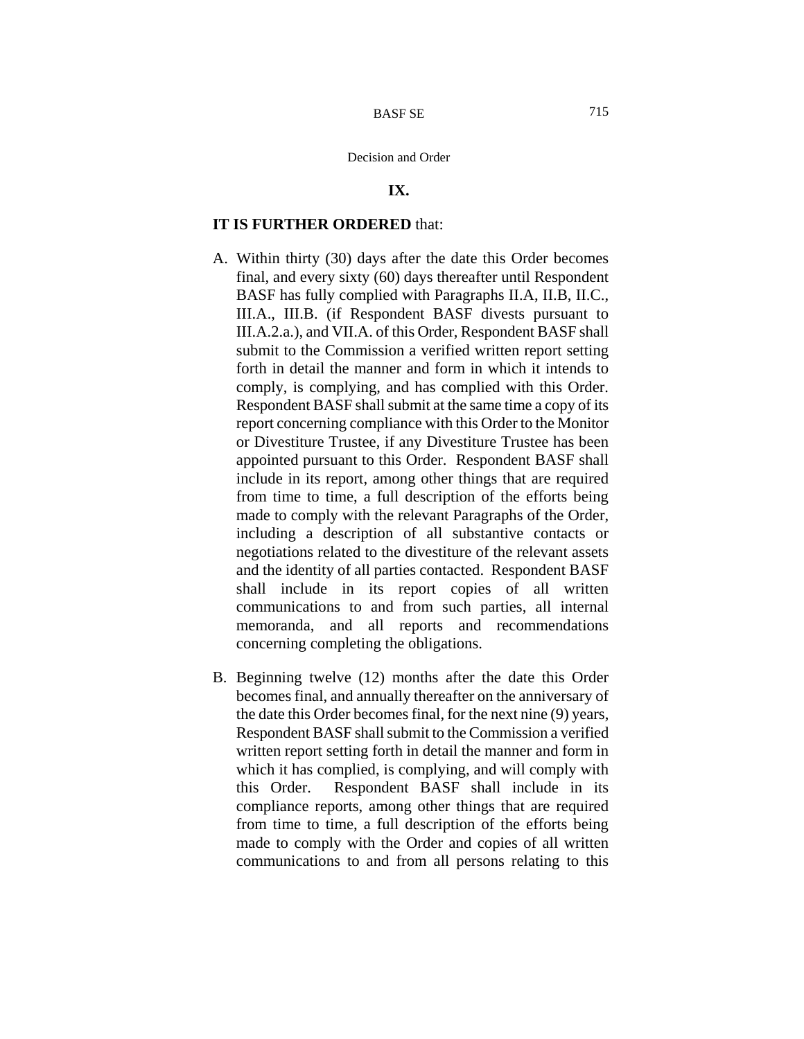# **IX.**

# **IT IS FURTHER ORDERED** that:

- A. Within thirty (30) days after the date this Order becomes final, and every sixty (60) days thereafter until Respondent BASF has fully complied with Paragraphs II.A, II.B, II.C., III.A., III.B. (if Respondent BASF divests pursuant to III.A.2.a.), and VII.A. of this Order, Respondent BASF shall submit to the Commission a verified written report setting forth in detail the manner and form in which it intends to comply, is complying, and has complied with this Order. Respondent BASF shall submit at the same time a copy of its report concerning compliance with this Order to the Monitor or Divestiture Trustee, if any Divestiture Trustee has been appointed pursuant to this Order. Respondent BASF shall include in its report, among other things that are required from time to time, a full description of the efforts being made to comply with the relevant Paragraphs of the Order, including a description of all substantive contacts or negotiations related to the divestiture of the relevant assets and the identity of all parties contacted. Respondent BASF shall include in its report copies of all written communications to and from such parties, all internal memoranda, and all reports and recommendations concerning completing the obligations.
- B. Beginning twelve (12) months after the date this Order becomes final, and annually thereafter on the anniversary of the date this Order becomes final, for the next nine (9) years, Respondent BASF shall submit to the Commission a verified written report setting forth in detail the manner and form in which it has complied, is complying, and will comply with this Order. Respondent BASF shall include in its compliance reports, among other things that are required from time to time, a full description of the efforts being made to comply with the Order and copies of all written communications to and from all persons relating to this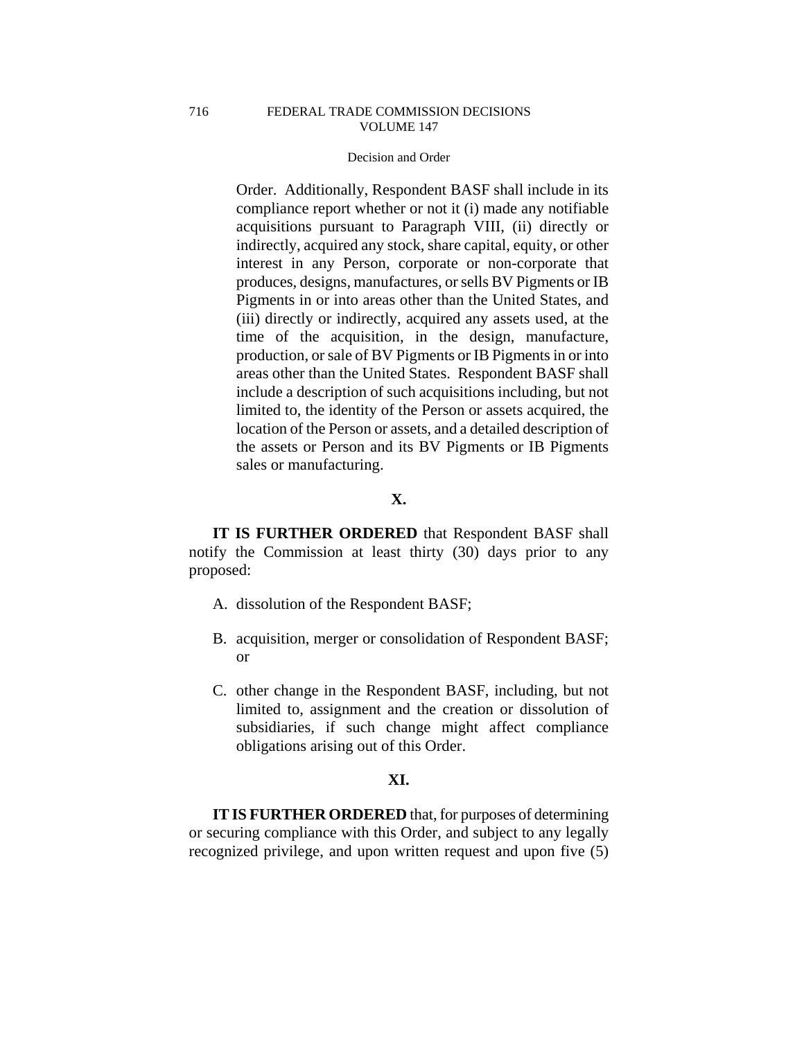#### Decision and Order

Order. Additionally, Respondent BASF shall include in its compliance report whether or not it (i) made any notifiable acquisitions pursuant to Paragraph VIII, (ii) directly or indirectly, acquired any stock, share capital, equity, or other interest in any Person, corporate or non-corporate that produces, designs, manufactures, or sells BV Pigments or IB Pigments in or into areas other than the United States, and (iii) directly or indirectly, acquired any assets used, at the time of the acquisition, in the design, manufacture, production, or sale of BV Pigments or IB Pigments in or into areas other than the United States. Respondent BASF shall include a description of such acquisitions including, but not limited to, the identity of the Person or assets acquired, the location of the Person or assets, and a detailed description of the assets or Person and its BV Pigments or IB Pigments sales or manufacturing.

# **X.**

**IT IS FURTHER ORDERED** that Respondent BASF shall notify the Commission at least thirty (30) days prior to any proposed:

- A. dissolution of the Respondent BASF;
- B. acquisition, merger or consolidation of Respondent BASF; or
- C. other change in the Respondent BASF, including, but not limited to, assignment and the creation or dissolution of subsidiaries, if such change might affect compliance obligations arising out of this Order.

# **XI.**

**IT IS FURTHER ORDERED** that, for purposes of determining or securing compliance with this Order, and subject to any legally recognized privilege, and upon written request and upon five (5)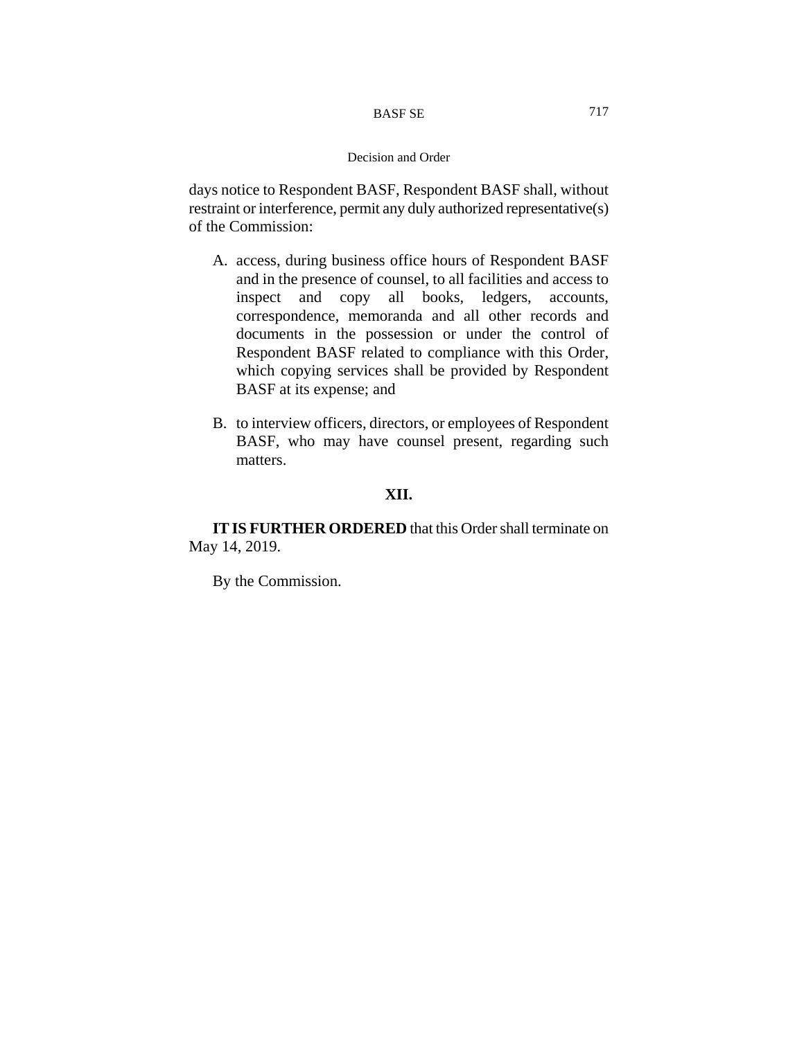#### BASF SE

### Decision and Order

days notice to Respondent BASF, Respondent BASF shall, without restraint or interference, permit any duly authorized representative(s) of the Commission:

- A. access, during business office hours of Respondent BASF and in the presence of counsel, to all facilities and access to inspect and copy all books, ledgers, accounts, correspondence, memoranda and all other records and documents in the possession or under the control of Respondent BASF related to compliance with this Order, which copying services shall be provided by Respondent BASF at its expense; and
- B. to interview officers, directors, or employees of Respondent BASF, who may have counsel present, regarding such matters.

# **XII.**

**IT IS FURTHER ORDERED** that this Order shall terminate on May 14, 2019.

By the Commission.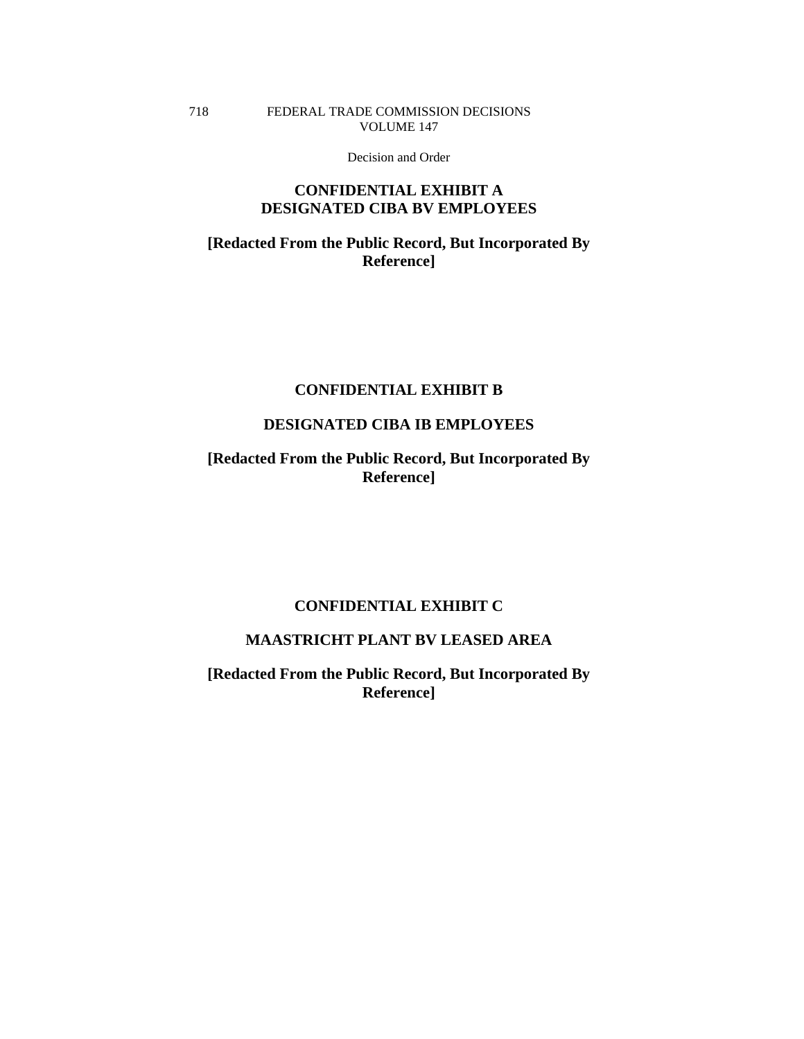## FEDERAL TRADE COMMISSION DECISIONS VOLUME 147

718

Decision and Order

# **CONFIDENTIAL EXHIBIT A DESIGNATED CIBA BV EMPLOYEES**

# **[Redacted From the Public Record, But Incorporated By Reference]**

# **CONFIDENTIAL EXHIBIT B**

# **DESIGNATED CIBA IB EMPLOYEES**

**[Redacted From the Public Record, But Incorporated By Reference]** 

# **CONFIDENTIAL EXHIBIT C**

# **MAASTRICHT PLANT BV LEASED AREA**

**[Redacted From the Public Record, But Incorporated By Reference]**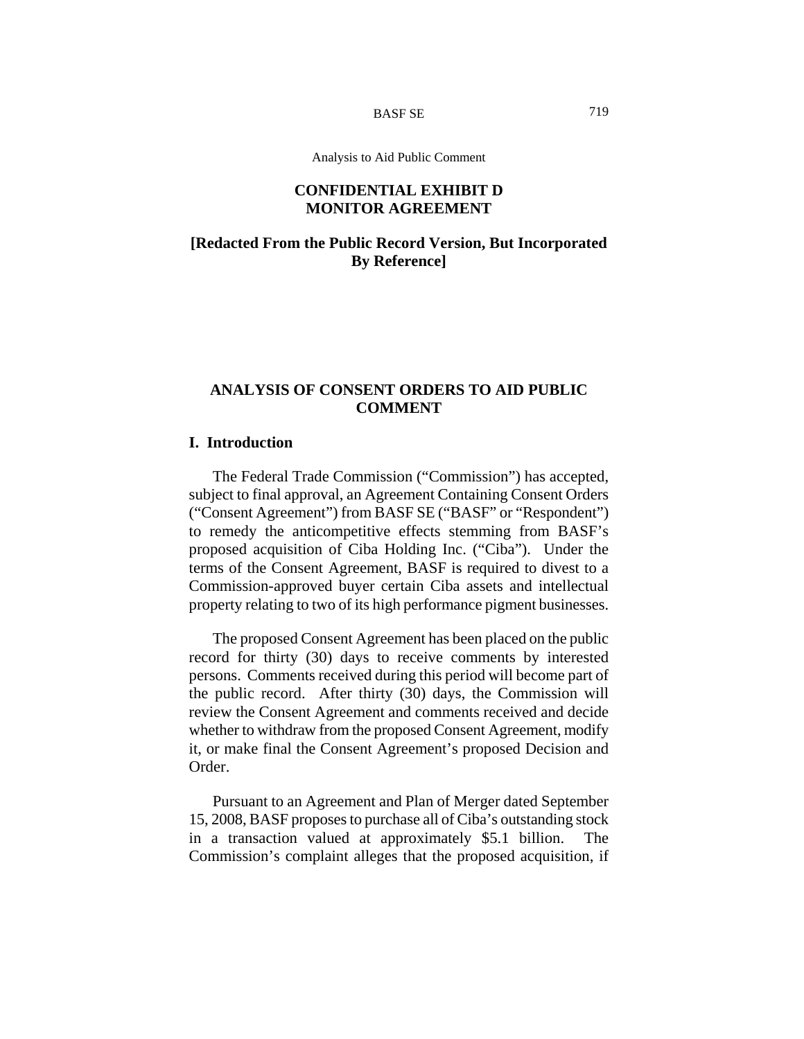BASF SE

Analysis to Aid Public Comment

# **CONFIDENTIAL EXHIBIT D MONITOR AGREEMENT**

# **[Redacted From the Public Record Version, But Incorporated By Reference]**

# **ANALYSIS OF CONSENT ORDERS TO AID PUBLIC COMMENT**

# **I. Introduction**

The Federal Trade Commission ("Commission") has accepted, subject to final approval, an Agreement Containing Consent Orders ("Consent Agreement") from BASF SE ("BASF" or "Respondent") to remedy the anticompetitive effects stemming from BASF's proposed acquisition of Ciba Holding Inc. ("Ciba"). Under the terms of the Consent Agreement, BASF is required to divest to a Commission-approved buyer certain Ciba assets and intellectual property relating to two of its high performance pigment businesses.

The proposed Consent Agreement has been placed on the public record for thirty (30) days to receive comments by interested persons. Comments received during this period will become part of the public record. After thirty (30) days, the Commission will review the Consent Agreement and comments received and decide whether to withdraw from the proposed Consent Agreement, modify it, or make final the Consent Agreement's proposed Decision and Order.

Pursuant to an Agreement and Plan of Merger dated September 15, 2008, BASF proposes to purchase all of Ciba's outstanding stock in a transaction valued at approximately \$5.1 billion. The Commission's complaint alleges that the proposed acquisition, if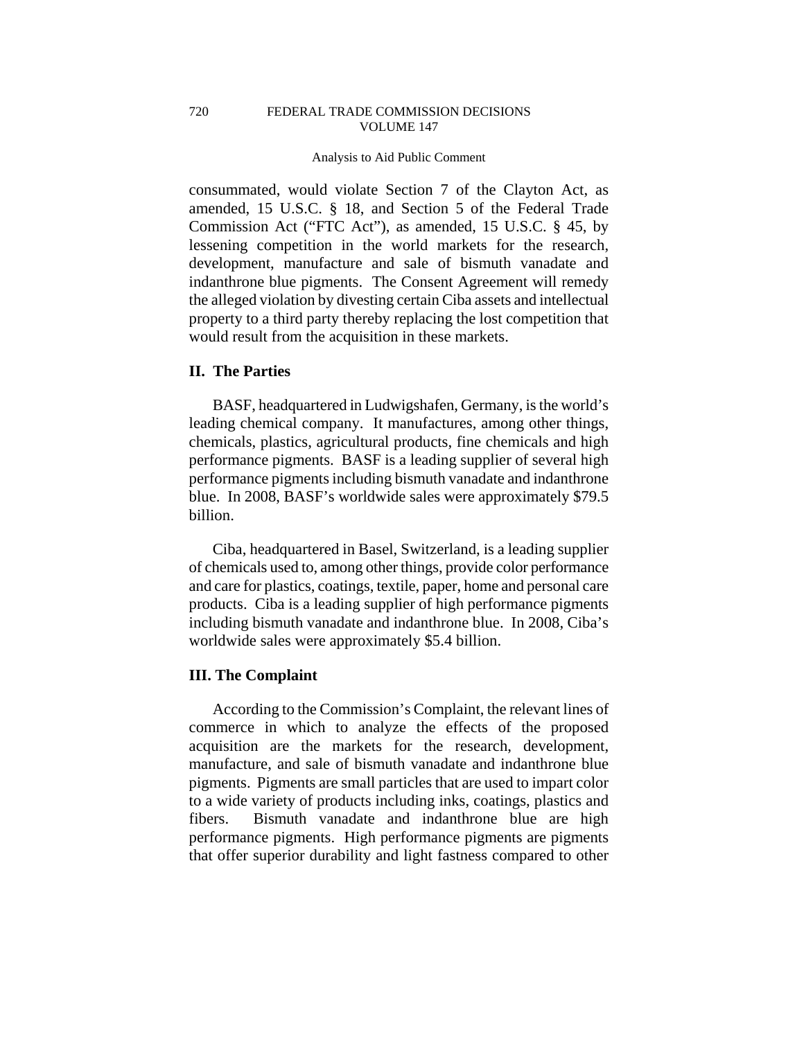#### Analysis to Aid Public Comment

consummated, would violate Section 7 of the Clayton Act, as amended, 15 U.S.C. § 18, and Section 5 of the Federal Trade Commission Act ("FTC Act"), as amended, 15 U.S.C. § 45, by lessening competition in the world markets for the research, development, manufacture and sale of bismuth vanadate and indanthrone blue pigments. The Consent Agreement will remedy the alleged violation by divesting certain Ciba assets and intellectual property to a third party thereby replacing the lost competition that would result from the acquisition in these markets.

## **II. The Parties**

720

BASF, headquartered in Ludwigshafen, Germany, is the world's leading chemical company. It manufactures, among other things, chemicals, plastics, agricultural products, fine chemicals and high performance pigments. BASF is a leading supplier of several high performance pigments including bismuth vanadate and indanthrone blue. In 2008, BASF's worldwide sales were approximately \$79.5 billion.

Ciba, headquartered in Basel, Switzerland, is a leading supplier of chemicals used to, among other things, provide color performance and care for plastics, coatings, textile, paper, home and personal care products. Ciba is a leading supplier of high performance pigments including bismuth vanadate and indanthrone blue. In 2008, Ciba's worldwide sales were approximately \$5.4 billion.

## **III. The Complaint**

According to the Commission's Complaint, the relevant lines of commerce in which to analyze the effects of the proposed acquisition are the markets for the research, development, manufacture, and sale of bismuth vanadate and indanthrone blue pigments. Pigments are small particles that are used to impart color to a wide variety of products including inks, coatings, plastics and fibers. Bismuth vanadate and indanthrone blue are high performance pigments. High performance pigments are pigments that offer superior durability and light fastness compared to other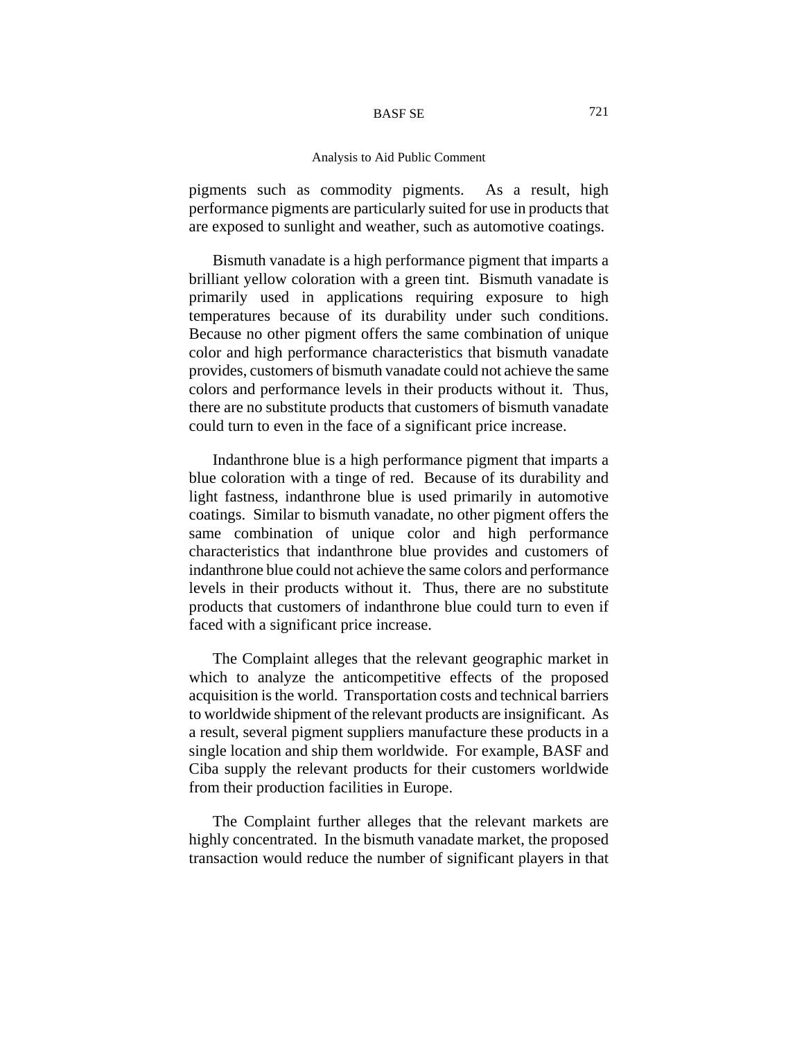#### BASF SE

#### Analysis to Aid Public Comment

pigments such as commodity pigments. As a result, high performance pigments are particularly suited for use in products that are exposed to sunlight and weather, such as automotive coatings.

Bismuth vanadate is a high performance pigment that imparts a brilliant yellow coloration with a green tint. Bismuth vanadate is primarily used in applications requiring exposure to high temperatures because of its durability under such conditions. Because no other pigment offers the same combination of unique color and high performance characteristics that bismuth vanadate provides, customers of bismuth vanadate could not achieve the same colors and performance levels in their products without it. Thus, there are no substitute products that customers of bismuth vanadate could turn to even in the face of a significant price increase.

Indanthrone blue is a high performance pigment that imparts a blue coloration with a tinge of red. Because of its durability and light fastness, indanthrone blue is used primarily in automotive coatings. Similar to bismuth vanadate, no other pigment offers the same combination of unique color and high performance characteristics that indanthrone blue provides and customers of indanthrone blue could not achieve the same colors and performance levels in their products without it. Thus, there are no substitute products that customers of indanthrone blue could turn to even if faced with a significant price increase.

The Complaint alleges that the relevant geographic market in which to analyze the anticompetitive effects of the proposed acquisition is the world. Transportation costs and technical barriers to worldwide shipment of the relevant products are insignificant. As a result, several pigment suppliers manufacture these products in a single location and ship them worldwide. For example, BASF and Ciba supply the relevant products for their customers worldwide from their production facilities in Europe.

The Complaint further alleges that the relevant markets are highly concentrated. In the bismuth vanadate market, the proposed transaction would reduce the number of significant players in that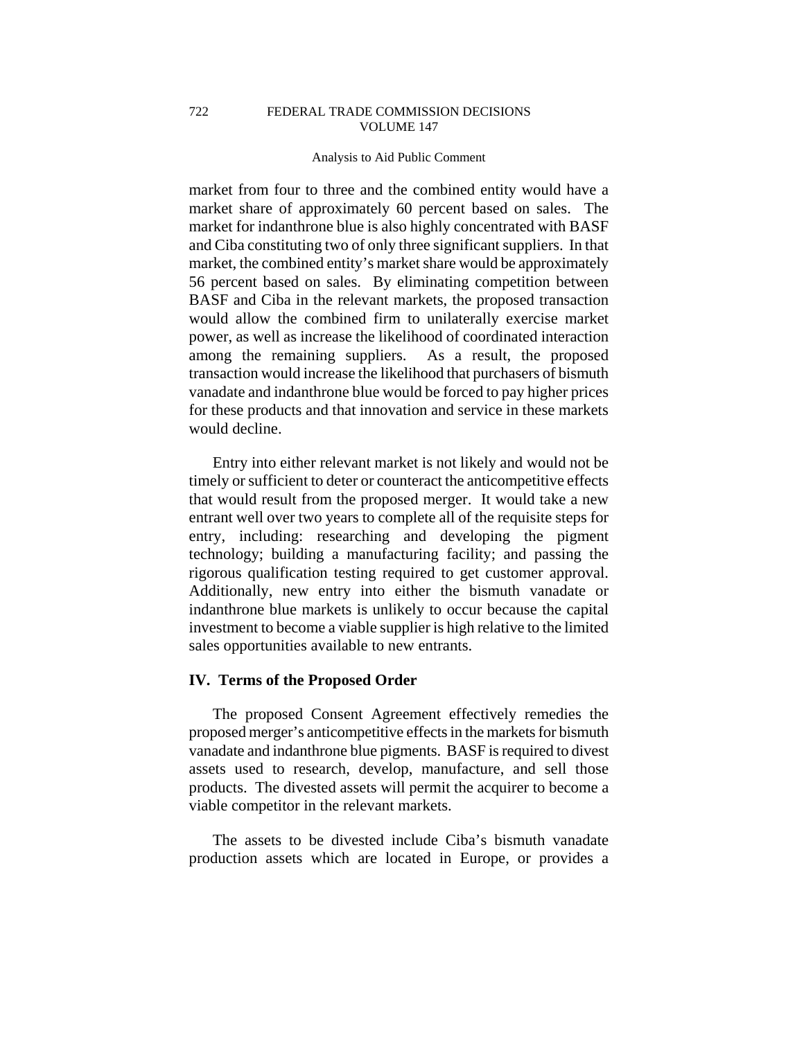722

#### Analysis to Aid Public Comment

market from four to three and the combined entity would have a market share of approximately 60 percent based on sales. The market for indanthrone blue is also highly concentrated with BASF and Ciba constituting two of only three significant suppliers. In that market, the combined entity's market share would be approximately 56 percent based on sales. By eliminating competition between BASF and Ciba in the relevant markets, the proposed transaction would allow the combined firm to unilaterally exercise market power, as well as increase the likelihood of coordinated interaction among the remaining suppliers. As a result, the proposed transaction would increase the likelihood that purchasers of bismuth vanadate and indanthrone blue would be forced to pay higher prices for these products and that innovation and service in these markets would decline.

Entry into either relevant market is not likely and would not be timely or sufficient to deter or counteract the anticompetitive effects that would result from the proposed merger. It would take a new entrant well over two years to complete all of the requisite steps for entry, including: researching and developing the pigment technology; building a manufacturing facility; and passing the rigorous qualification testing required to get customer approval. Additionally, new entry into either the bismuth vanadate or indanthrone blue markets is unlikely to occur because the capital investment to become a viable supplier is high relative to the limited sales opportunities available to new entrants.

### **IV. Terms of the Proposed Order**

The proposed Consent Agreement effectively remedies the proposed merger's anticompetitive effects in the markets for bismuth vanadate and indanthrone blue pigments. BASF is required to divest assets used to research, develop, manufacture, and sell those products. The divested assets will permit the acquirer to become a viable competitor in the relevant markets.

The assets to be divested include Ciba's bismuth vanadate production assets which are located in Europe, or provides a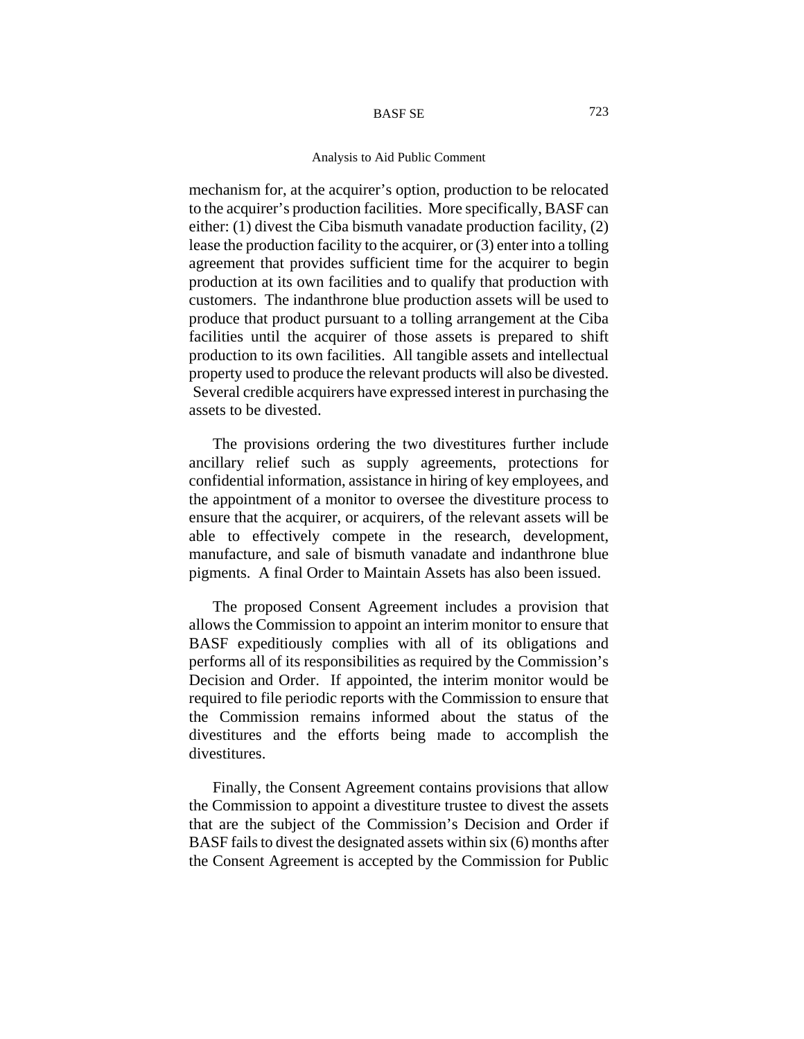#### BASF SE

#### Analysis to Aid Public Comment

mechanism for, at the acquirer's option, production to be relocated to the acquirer's production facilities. More specifically, BASF can either: (1) divest the Ciba bismuth vanadate production facility, (2) lease the production facility to the acquirer, or (3) enter into a tolling agreement that provides sufficient time for the acquirer to begin production at its own facilities and to qualify that production with customers. The indanthrone blue production assets will be used to produce that product pursuant to a tolling arrangement at the Ciba facilities until the acquirer of those assets is prepared to shift production to its own facilities. All tangible assets and intellectual property used to produce the relevant products will also be divested. Several credible acquirers have expressed interest in purchasing the assets to be divested.

The provisions ordering the two divestitures further include ancillary relief such as supply agreements, protections for confidential information, assistance in hiring of key employees, and the appointment of a monitor to oversee the divestiture process to ensure that the acquirer, or acquirers, of the relevant assets will be able to effectively compete in the research, development, manufacture, and sale of bismuth vanadate and indanthrone blue pigments. A final Order to Maintain Assets has also been issued.

The proposed Consent Agreement includes a provision that allows the Commission to appoint an interim monitor to ensure that BASF expeditiously complies with all of its obligations and performs all of its responsibilities as required by the Commission's Decision and Order. If appointed, the interim monitor would be required to file periodic reports with the Commission to ensure that the Commission remains informed about the status of the divestitures and the efforts being made to accomplish the divestitures.

Finally, the Consent Agreement contains provisions that allow the Commission to appoint a divestiture trustee to divest the assets that are the subject of the Commission's Decision and Order if BASF fails to divest the designated assets within six (6) months after the Consent Agreement is accepted by the Commission for Public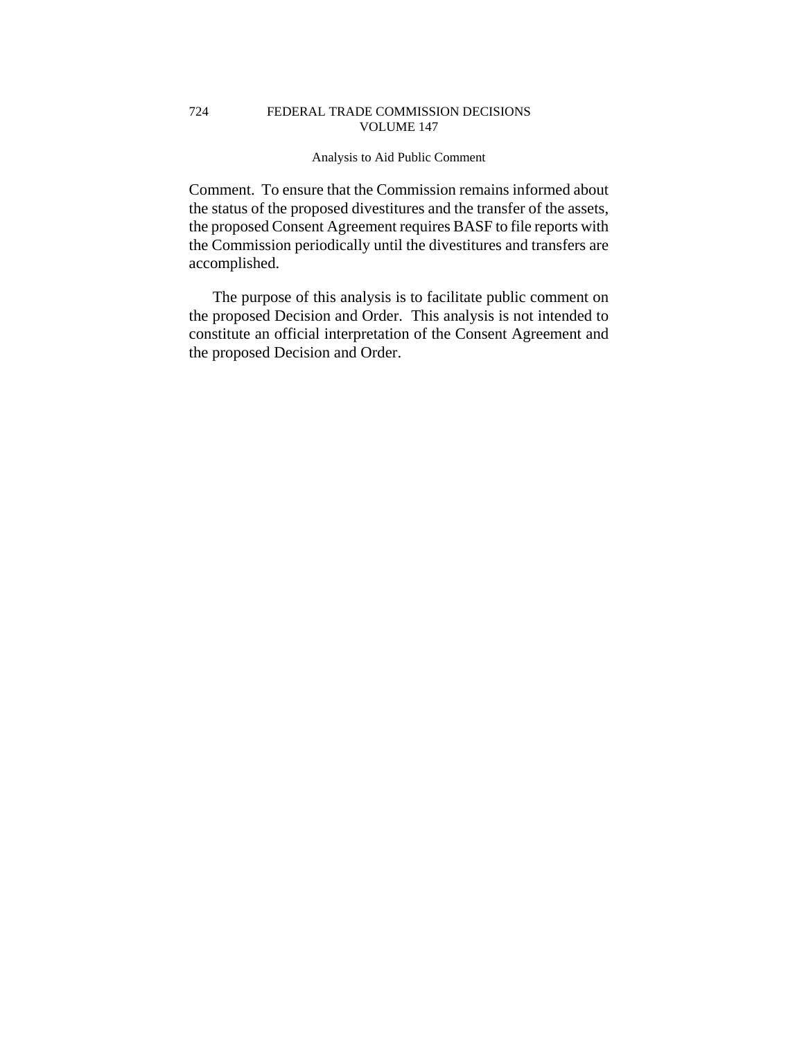#### FEDERAL TRADE COMMISSION DECISIONS VOLUME 147 724

### Analysis to Aid Public Comment

Comment. To ensure that the Commission remains informed about the status of the proposed divestitures and the transfer of the assets, the proposed Consent Agreement requires BASF to file reports with the Commission periodically until the divestitures and transfers are accomplished.

The purpose of this analysis is to facilitate public comment on the proposed Decision and Order. This analysis is not intended to constitute an official interpretation of the Consent Agreement and the proposed Decision and Order.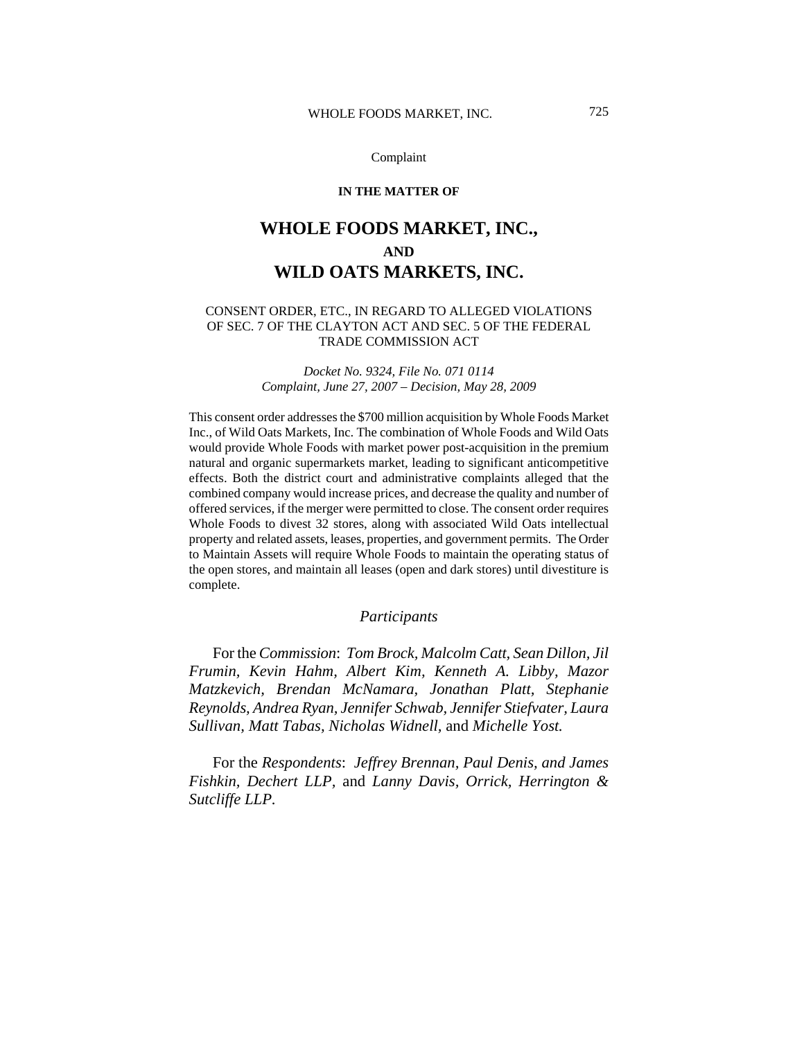### **IN THE MATTER OF**

# **WHOLE FOODS MARKET, INC., AND WILD OATS MARKETS, INC.**

### CONSENT ORDER, ETC., IN REGARD TO ALLEGED VIOLATIONS OF SEC. 7 OF THE CLAYTON ACT AND SEC. 5 OF THE FEDERAL TRADE COMMISSION ACT

## *Docket No. 9324, File No. 071 0114 Complaint, June 27, 2007 – Decision, May 28, 2009*

This consent order addresses the \$700 million acquisition by Whole Foods Market Inc., of Wild Oats Markets, Inc. The combination of Whole Foods and Wild Oats would provide Whole Foods with market power post-acquisition in the premium natural and organic supermarkets market, leading to significant anticompetitive effects. Both the district court and administrative complaints alleged that the combined company would increase prices, and decrease the quality and number of offered services, if the merger were permitted to close. The consent order requires Whole Foods to divest 32 stores, along with associated Wild Oats intellectual property and related assets, leases, properties, and government permits. The Order to Maintain Assets will require Whole Foods to maintain the operating status of the open stores, and maintain all leases (open and dark stores) until divestiture is complete.

### *Participants*

For the *Commission*: *Tom Brock, Malcolm Catt, Sean Dillon, Jil Frumin, Kevin Hahm, Albert Kim, Kenneth A. Libby, Mazor Matzkevich, Brendan McNamara, Jonathan Platt, Stephanie Reynolds, Andrea Ryan, Jennifer Schwab, Jennifer Stiefvater, Laura Sullivan, Matt Tabas, Nicholas Widnell,* and *Michelle Yost.*

For the *Respondents*: *Jeffrey Brennan, Paul Denis, and James Fishkin, Dechert LLP,* and *Lanny Davis, Orrick, Herrington & Sutcliffe LLP.*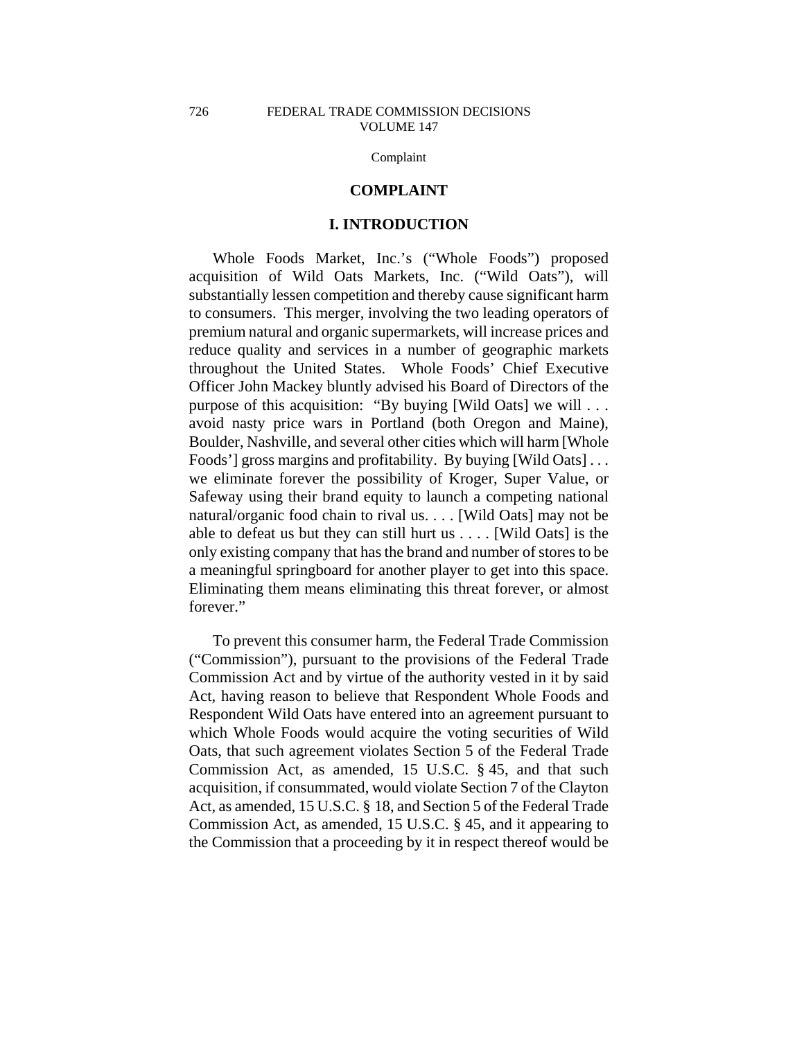### **COMPLAINT**

# **I. INTRODUCTION**

Whole Foods Market, Inc.'s ("Whole Foods") proposed acquisition of Wild Oats Markets, Inc. ("Wild Oats"), will substantially lessen competition and thereby cause significant harm to consumers. This merger, involving the two leading operators of premium natural and organic supermarkets, will increase prices and reduce quality and services in a number of geographic markets throughout the United States. Whole Foods' Chief Executive Officer John Mackey bluntly advised his Board of Directors of the purpose of this acquisition: "By buying [Wild Oats] we will . . . avoid nasty price wars in Portland (both Oregon and Maine), Boulder, Nashville, and several other cities which will harm [Whole Foods'] gross margins and profitability. By buying [Wild Oats] . . . we eliminate forever the possibility of Kroger, Super Value, or Safeway using their brand equity to launch a competing national natural/organic food chain to rival us. . . . [Wild Oats] may not be able to defeat us but they can still hurt us . . . . [Wild Oats] is the only existing company that has the brand and number of stores to be a meaningful springboard for another player to get into this space. Eliminating them means eliminating this threat forever, or almost forever."

To prevent this consumer harm, the Federal Trade Commission ("Commission"), pursuant to the provisions of the Federal Trade Commission Act and by virtue of the authority vested in it by said Act, having reason to believe that Respondent Whole Foods and Respondent Wild Oats have entered into an agreement pursuant to which Whole Foods would acquire the voting securities of Wild Oats, that such agreement violates Section 5 of the Federal Trade Commission Act, as amended, 15 U.S.C. § 45, and that such acquisition, if consummated, would violate Section 7 of the Clayton Act, as amended, 15 U.S.C. § 18, and Section 5 of the Federal Trade Commission Act, as amended, 15 U.S.C. § 45, and it appearing to the Commission that a proceeding by it in respect thereof would be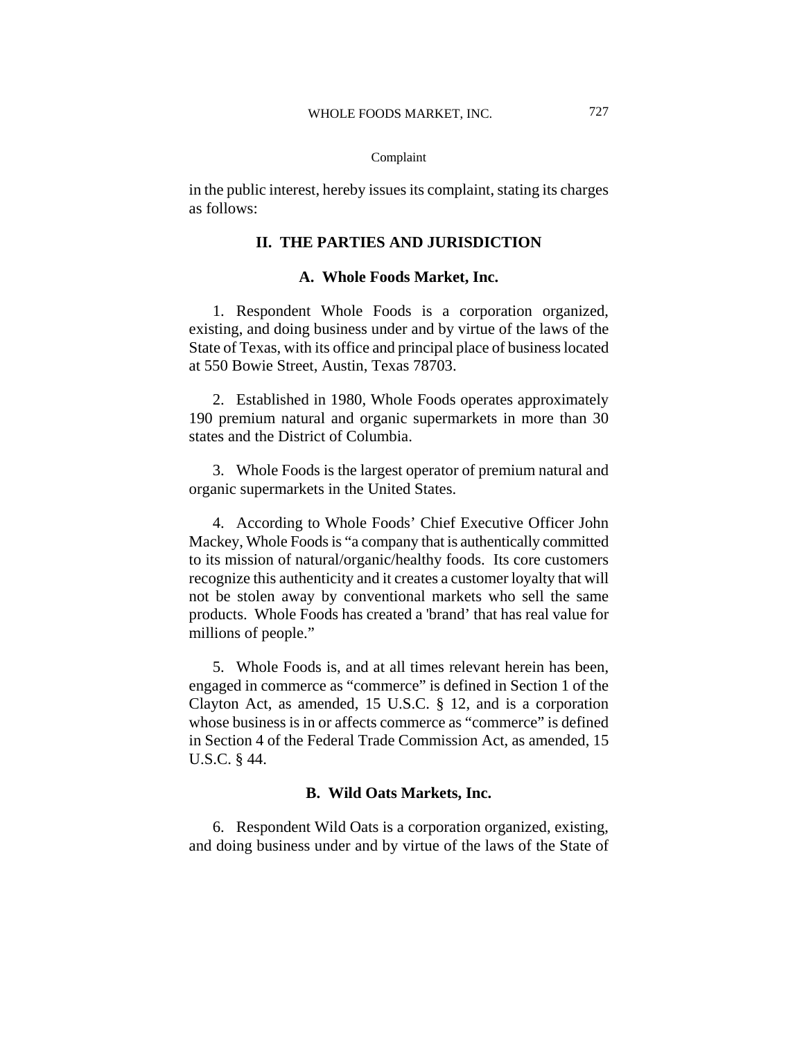in the public interest, hereby issues its complaint, stating its charges as follows:

# **II. THE PARTIES AND JURISDICTION**

### **A. Whole Foods Market, Inc.**

1. Respondent Whole Foods is a corporation organized, existing, and doing business under and by virtue of the laws of the State of Texas, with its office and principal place of business located at 550 Bowie Street, Austin, Texas 78703.

2. Established in 1980, Whole Foods operates approximately 190 premium natural and organic supermarkets in more than 30 states and the District of Columbia.

3. Whole Foods is the largest operator of premium natural and organic supermarkets in the United States.

4. According to Whole Foods' Chief Executive Officer John Mackey, Whole Foods is "a company that is authentically committed to its mission of natural/organic/healthy foods. Its core customers recognize this authenticity and it creates a customer loyalty that will not be stolen away by conventional markets who sell the same products. Whole Foods has created a 'brand' that has real value for millions of people."

5. Whole Foods is, and at all times relevant herein has been, engaged in commerce as "commerce" is defined in Section 1 of the Clayton Act, as amended, 15 U.S.C. § 12, and is a corporation whose business is in or affects commerce as "commerce" is defined in Section 4 of the Federal Trade Commission Act, as amended, 15 U.S.C. § 44.

# **B. Wild Oats Markets, Inc.**

6. Respondent Wild Oats is a corporation organized, existing, and doing business under and by virtue of the laws of the State of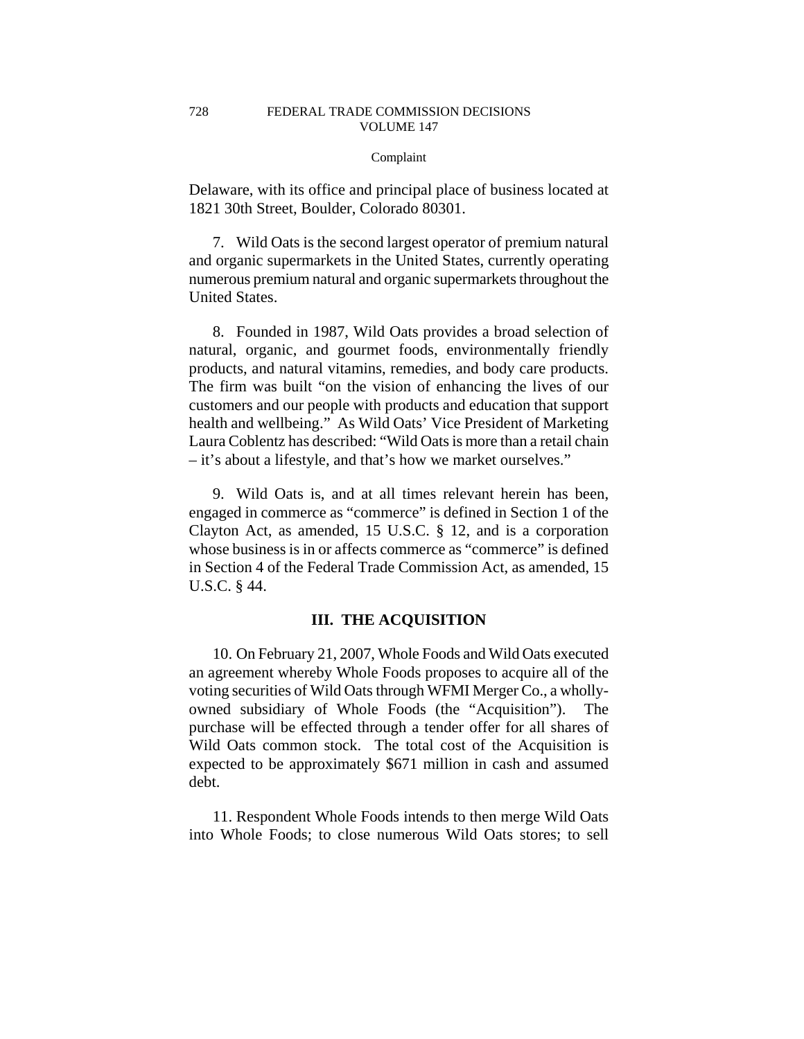Delaware, with its office and principal place of business located at 1821 30th Street, Boulder, Colorado 80301.

7. Wild Oats is the second largest operator of premium natural and organic supermarkets in the United States, currently operating numerous premium natural and organic supermarkets throughout the United States.

8. Founded in 1987, Wild Oats provides a broad selection of natural, organic, and gourmet foods, environmentally friendly products, and natural vitamins, remedies, and body care products. The firm was built "on the vision of enhancing the lives of our customers and our people with products and education that support health and wellbeing." As Wild Oats' Vice President of Marketing Laura Coblentz has described: "Wild Oats is more than a retail chain – it's about a lifestyle, and that's how we market ourselves."

9. Wild Oats is, and at all times relevant herein has been, engaged in commerce as "commerce" is defined in Section 1 of the Clayton Act, as amended, 15 U.S.C. § 12, and is a corporation whose business is in or affects commerce as "commerce" is defined in Section 4 of the Federal Trade Commission Act, as amended, 15 U.S.C. § 44.

# **III. THE ACQUISITION**

10. On February 21, 2007, Whole Foods and Wild Oats executed an agreement whereby Whole Foods proposes to acquire all of the voting securities of Wild Oats through WFMI Merger Co., a whollyowned subsidiary of Whole Foods (the "Acquisition"). The purchase will be effected through a tender offer for all shares of Wild Oats common stock. The total cost of the Acquisition is expected to be approximately \$671 million in cash and assumed debt.

11. Respondent Whole Foods intends to then merge Wild Oats into Whole Foods; to close numerous Wild Oats stores; to sell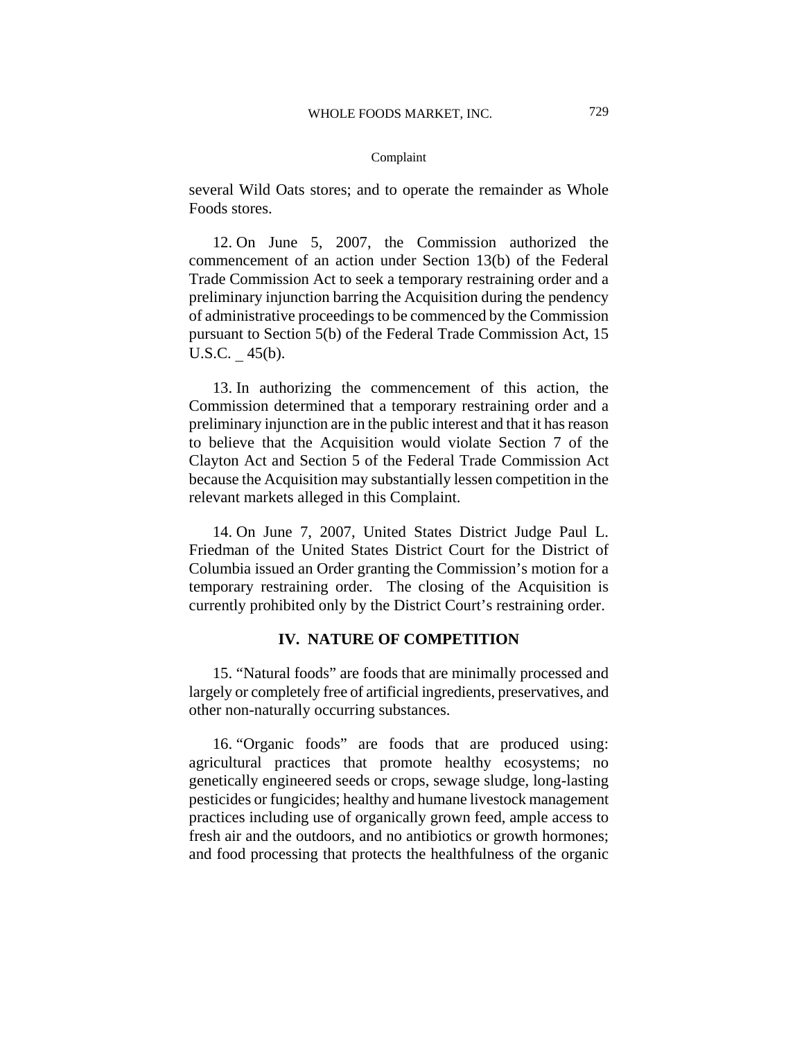several Wild Oats stores; and to operate the remainder as Whole Foods stores.

12. On June 5, 2007, the Commission authorized the commencement of an action under Section 13(b) of the Federal Trade Commission Act to seek a temporary restraining order and a preliminary injunction barring the Acquisition during the pendency of administrative proceedings to be commenced by the Commission pursuant to Section 5(b) of the Federal Trade Commission Act, 15 U.S.C. 45(b).

13. In authorizing the commencement of this action, the Commission determined that a temporary restraining order and a preliminary injunction are in the public interest and that it has reason to believe that the Acquisition would violate Section 7 of the Clayton Act and Section 5 of the Federal Trade Commission Act because the Acquisition may substantially lessen competition in the relevant markets alleged in this Complaint.

14. On June 7, 2007, United States District Judge Paul L. Friedman of the United States District Court for the District of Columbia issued an Order granting the Commission's motion for a temporary restraining order. The closing of the Acquisition is currently prohibited only by the District Court's restraining order.

# **IV. NATURE OF COMPETITION**

15. "Natural foods" are foods that are minimally processed and largely or completely free of artificial ingredients, preservatives, and other non-naturally occurring substances.

16. "Organic foods" are foods that are produced using: agricultural practices that promote healthy ecosystems; no genetically engineered seeds or crops, sewage sludge, long-lasting pesticides or fungicides; healthy and humane livestock management practices including use of organically grown feed, ample access to fresh air and the outdoors, and no antibiotics or growth hormones; and food processing that protects the healthfulness of the organic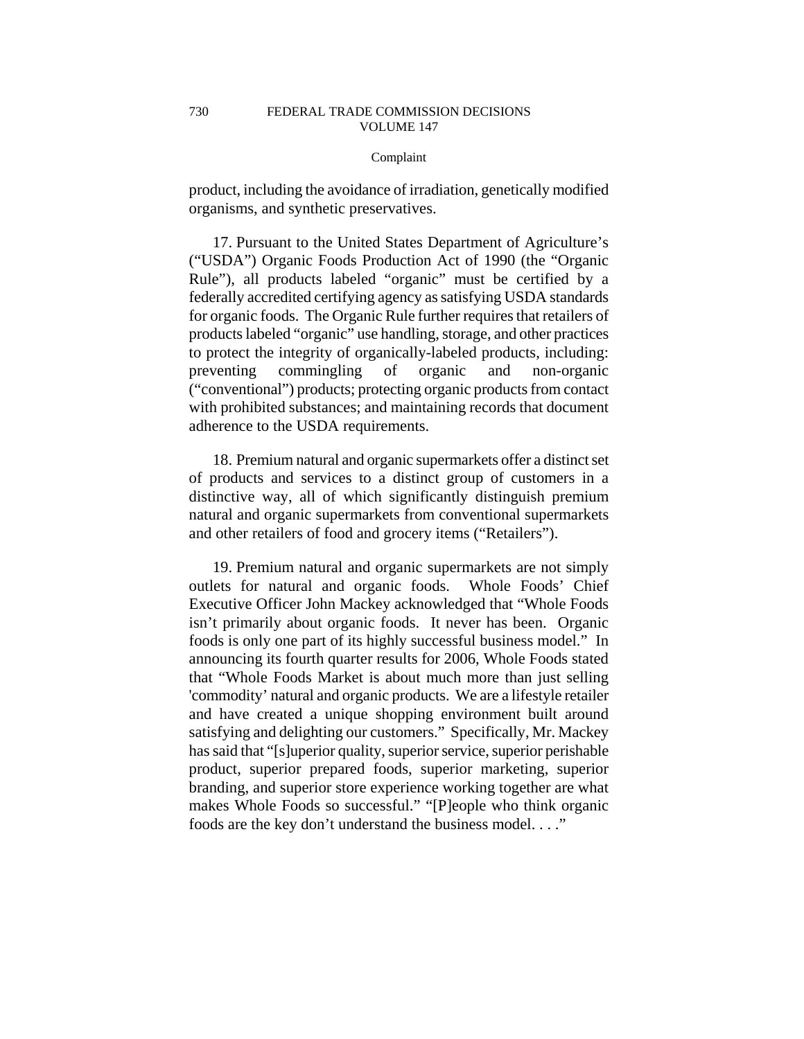product, including the avoidance of irradiation, genetically modified organisms, and synthetic preservatives.

17. Pursuant to the United States Department of Agriculture's ("USDA") Organic Foods Production Act of 1990 (the "Organic Rule"), all products labeled "organic" must be certified by a federally accredited certifying agency as satisfying USDA standards for organic foods. The Organic Rule further requires that retailers of products labeled "organic" use handling, storage, and other practices to protect the integrity of organically-labeled products, including: preventing commingling of organic and non-organic ("conventional") products; protecting organic products from contact with prohibited substances; and maintaining records that document adherence to the USDA requirements.

18. Premium natural and organic supermarkets offer a distinct set of products and services to a distinct group of customers in a distinctive way, all of which significantly distinguish premium natural and organic supermarkets from conventional supermarkets and other retailers of food and grocery items ("Retailers").

19. Premium natural and organic supermarkets are not simply outlets for natural and organic foods. Whole Foods' Chief Executive Officer John Mackey acknowledged that "Whole Foods isn't primarily about organic foods. It never has been. Organic foods is only one part of its highly successful business model." In announcing its fourth quarter results for 2006, Whole Foods stated that "Whole Foods Market is about much more than just selling 'commodity' natural and organic products. We are a lifestyle retailer and have created a unique shopping environment built around satisfying and delighting our customers." Specifically, Mr. Mackey has said that "[s]uperior quality, superior service, superior perishable product, superior prepared foods, superior marketing, superior branding, and superior store experience working together are what makes Whole Foods so successful." "[P]eople who think organic foods are the key don't understand the business model. . . ."

730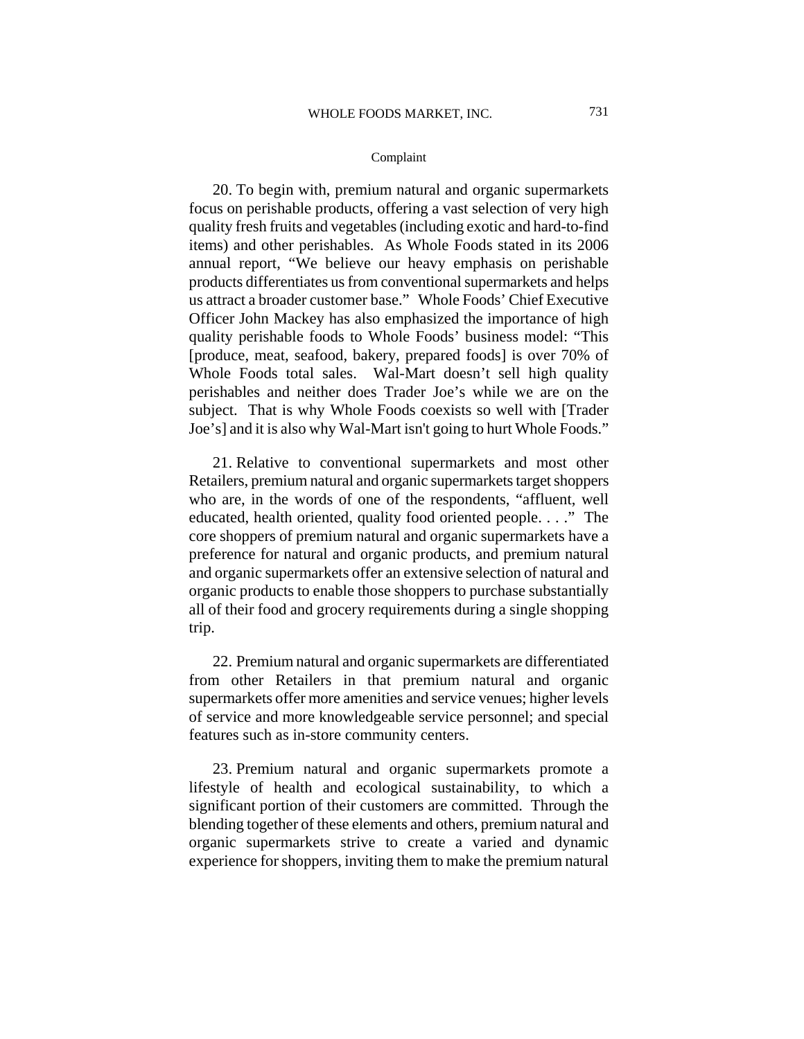20. To begin with, premium natural and organic supermarkets focus on perishable products, offering a vast selection of very high quality fresh fruits and vegetables (including exotic and hard-to-find items) and other perishables. As Whole Foods stated in its 2006 annual report, "We believe our heavy emphasis on perishable products differentiates us from conventional supermarkets and helps us attract a broader customer base." Whole Foods' Chief Executive Officer John Mackey has also emphasized the importance of high quality perishable foods to Whole Foods' business model: "This [produce, meat, seafood, bakery, prepared foods] is over 70% of Whole Foods total sales. Wal-Mart doesn't sell high quality perishables and neither does Trader Joe's while we are on the subject. That is why Whole Foods coexists so well with [Trader Joe's] and it is also why Wal-Mart isn't going to hurt Whole Foods."

21. Relative to conventional supermarkets and most other Retailers, premium natural and organic supermarkets target shoppers who are, in the words of one of the respondents, "affluent, well educated, health oriented, quality food oriented people. . . ." The core shoppers of premium natural and organic supermarkets have a preference for natural and organic products, and premium natural and organic supermarkets offer an extensive selection of natural and organic products to enable those shoppers to purchase substantially all of their food and grocery requirements during a single shopping trip.

22. Premium natural and organic supermarkets are differentiated from other Retailers in that premium natural and organic supermarkets offer more amenities and service venues; higher levels of service and more knowledgeable service personnel; and special features such as in-store community centers.

23. Premium natural and organic supermarkets promote a lifestyle of health and ecological sustainability, to which a significant portion of their customers are committed. Through the blending together of these elements and others, premium natural and organic supermarkets strive to create a varied and dynamic experience for shoppers, inviting them to make the premium natural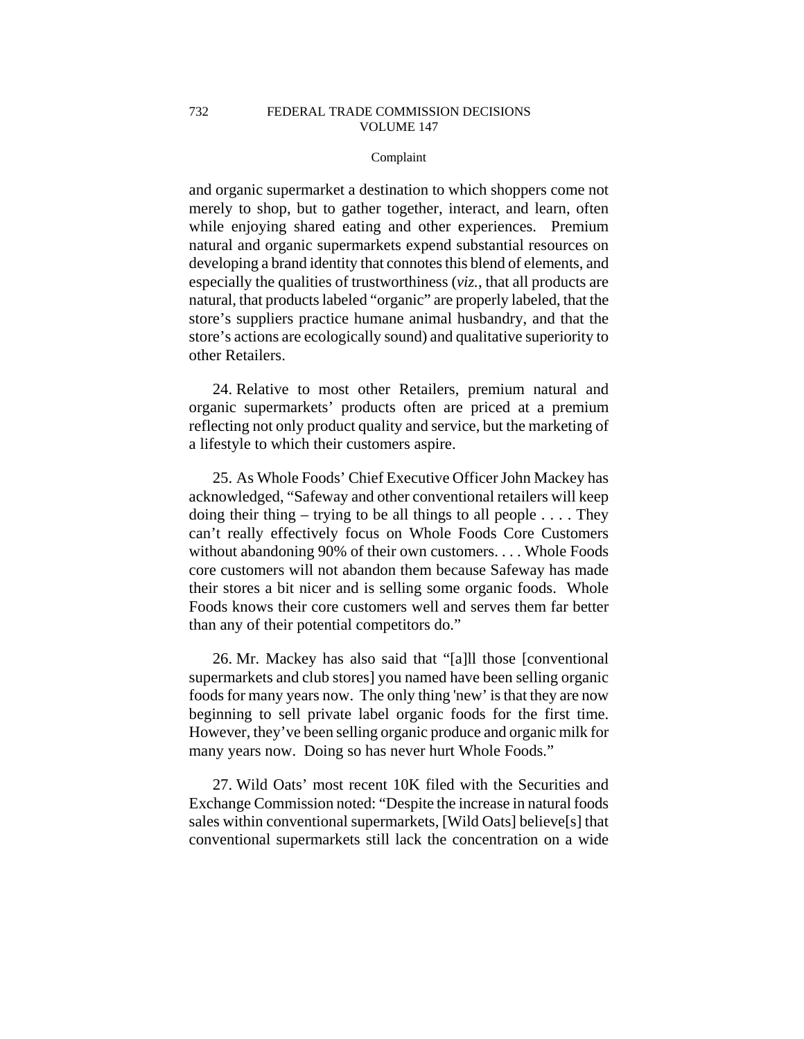and organic supermarket a destination to which shoppers come not merely to shop, but to gather together, interact, and learn, often while enjoying shared eating and other experiences. Premium natural and organic supermarkets expend substantial resources on developing a brand identity that connotes this blend of elements, and especially the qualities of trustworthiness (*viz.*, that all products are natural, that products labeled "organic" are properly labeled, that the store's suppliers practice humane animal husbandry, and that the store's actions are ecologically sound) and qualitative superiority to other Retailers.

24. Relative to most other Retailers, premium natural and organic supermarkets' products often are priced at a premium reflecting not only product quality and service, but the marketing of a lifestyle to which their customers aspire.

25. As Whole Foods' Chief Executive Officer John Mackey has acknowledged, "Safeway and other conventional retailers will keep doing their thing – trying to be all things to all people  $\dots$ . They can't really effectively focus on Whole Foods Core Customers without abandoning 90% of their own customers. . . . Whole Foods core customers will not abandon them because Safeway has made their stores a bit nicer and is selling some organic foods. Whole Foods knows their core customers well and serves them far better than any of their potential competitors do."

26. Mr. Mackey has also said that "[a]ll those [conventional supermarkets and club stores] you named have been selling organic foods for many years now. The only thing 'new' is that they are now beginning to sell private label organic foods for the first time. However, they've been selling organic produce and organic milk for many years now. Doing so has never hurt Whole Foods."

27. Wild Oats' most recent 10K filed with the Securities and Exchange Commission noted: "Despite the increase in natural foods sales within conventional supermarkets, [Wild Oats] believe[s] that conventional supermarkets still lack the concentration on a wide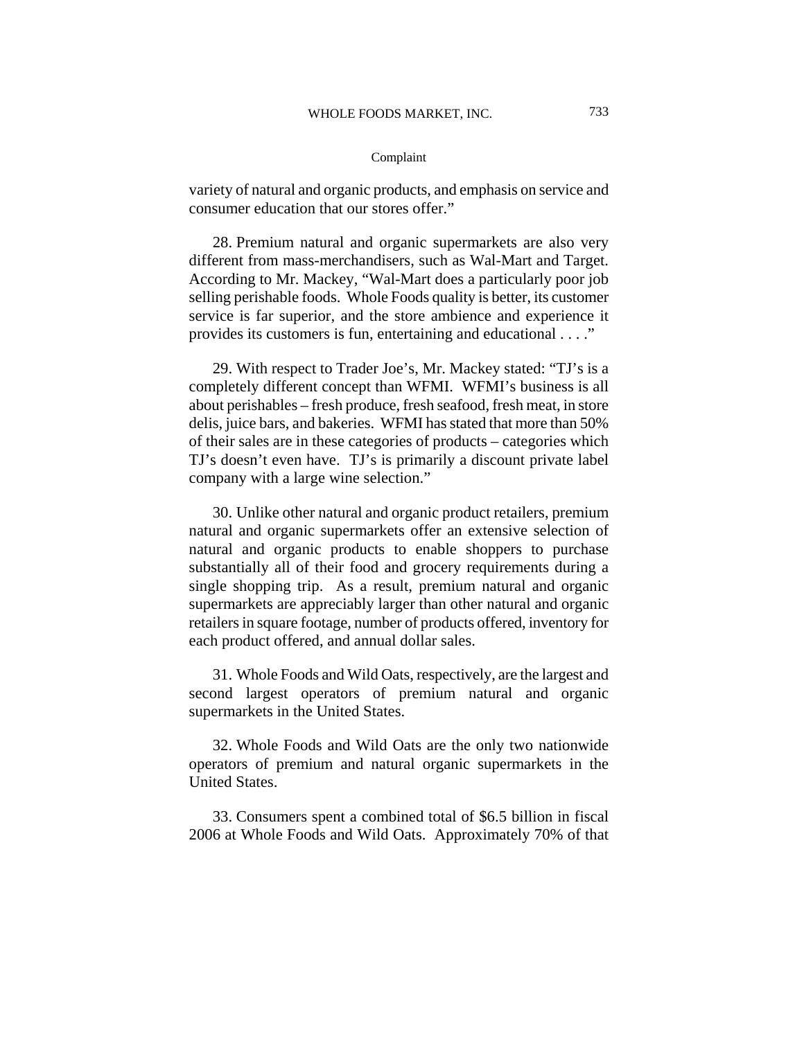variety of natural and organic products, and emphasis on service and consumer education that our stores offer."

28. Premium natural and organic supermarkets are also very different from mass-merchandisers, such as Wal-Mart and Target. According to Mr. Mackey, "Wal-Mart does a particularly poor job selling perishable foods. Whole Foods quality is better, its customer service is far superior, and the store ambience and experience it provides its customers is fun, entertaining and educational . . . ."

29. With respect to Trader Joe's, Mr. Mackey stated: "TJ's is a completely different concept than WFMI. WFMI's business is all about perishables – fresh produce, fresh seafood, fresh meat, in store delis, juice bars, and bakeries. WFMI has stated that more than 50% of their sales are in these categories of products – categories which TJ's doesn't even have. TJ's is primarily a discount private label company with a large wine selection."

30. Unlike other natural and organic product retailers, premium natural and organic supermarkets offer an extensive selection of natural and organic products to enable shoppers to purchase substantially all of their food and grocery requirements during a single shopping trip. As a result, premium natural and organic supermarkets are appreciably larger than other natural and organic retailers in square footage, number of products offered, inventory for each product offered, and annual dollar sales.

31. Whole Foods and Wild Oats, respectively, are the largest and second largest operators of premium natural and organic supermarkets in the United States.

32. Whole Foods and Wild Oats are the only two nationwide operators of premium and natural organic supermarkets in the United States.

33. Consumers spent a combined total of \$6.5 billion in fiscal 2006 at Whole Foods and Wild Oats. Approximately 70% of that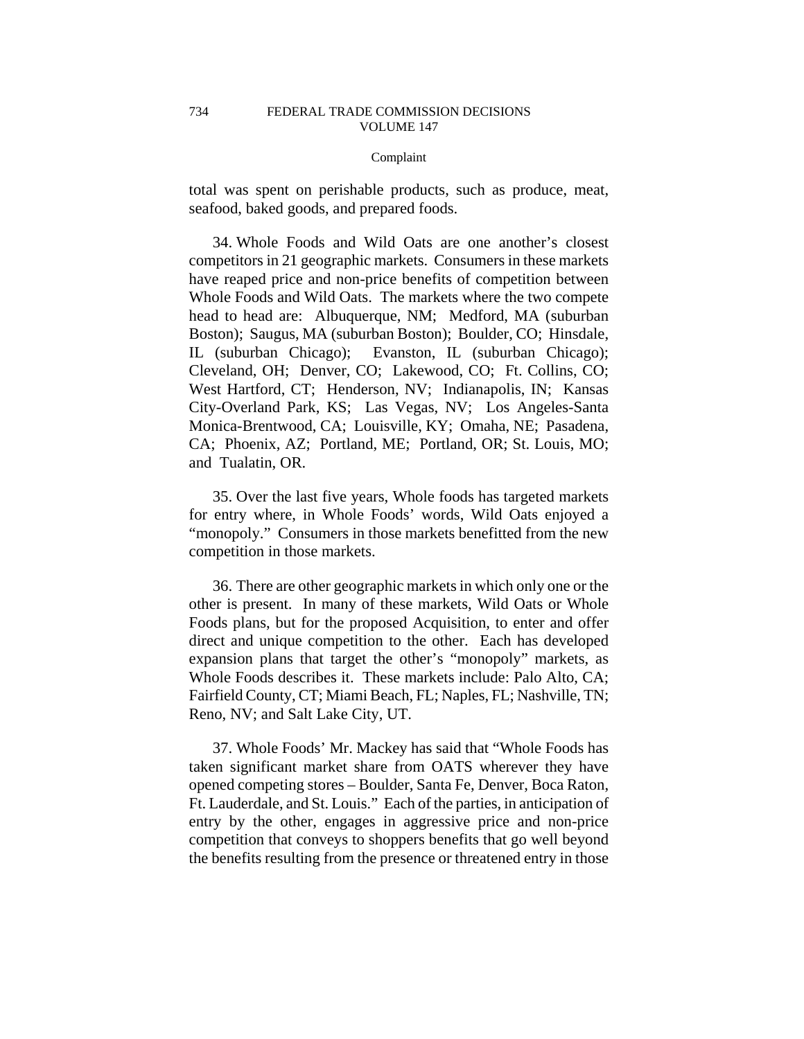total was spent on perishable products, such as produce, meat, seafood, baked goods, and prepared foods.

34. Whole Foods and Wild Oats are one another's closest competitors in 21 geographic markets. Consumers in these markets have reaped price and non-price benefits of competition between Whole Foods and Wild Oats. The markets where the two compete head to head are: Albuquerque, NM; Medford, MA (suburban Boston); Saugus, MA (suburban Boston); Boulder, CO; Hinsdale, IL (suburban Chicago); Evanston, IL (suburban Chicago); Cleveland, OH; Denver, CO; Lakewood, CO; Ft. Collins, CO; West Hartford, CT; Henderson, NV; Indianapolis, IN; Kansas City-Overland Park, KS; Las Vegas, NV; Los Angeles-Santa Monica-Brentwood, CA; Louisville, KY; Omaha, NE; Pasadena, CA; Phoenix, AZ; Portland, ME; Portland, OR; St. Louis, MO; and Tualatin, OR.

35. Over the last five years, Whole foods has targeted markets for entry where, in Whole Foods' words, Wild Oats enjoyed a "monopoly." Consumers in those markets benefitted from the new competition in those markets.

36. There are other geographic markets in which only one or the other is present. In many of these markets, Wild Oats or Whole Foods plans, but for the proposed Acquisition, to enter and offer direct and unique competition to the other. Each has developed expansion plans that target the other's "monopoly" markets, as Whole Foods describes it. These markets include: Palo Alto, CA; Fairfield County, CT; Miami Beach, FL; Naples, FL; Nashville, TN; Reno, NV; and Salt Lake City, UT.

37. Whole Foods' Mr. Mackey has said that "Whole Foods has taken significant market share from OATS wherever they have opened competing stores – Boulder, Santa Fe, Denver, Boca Raton, Ft. Lauderdale, and St. Louis." Each of the parties, in anticipation of entry by the other, engages in aggressive price and non-price competition that conveys to shoppers benefits that go well beyond the benefits resulting from the presence or threatened entry in those

734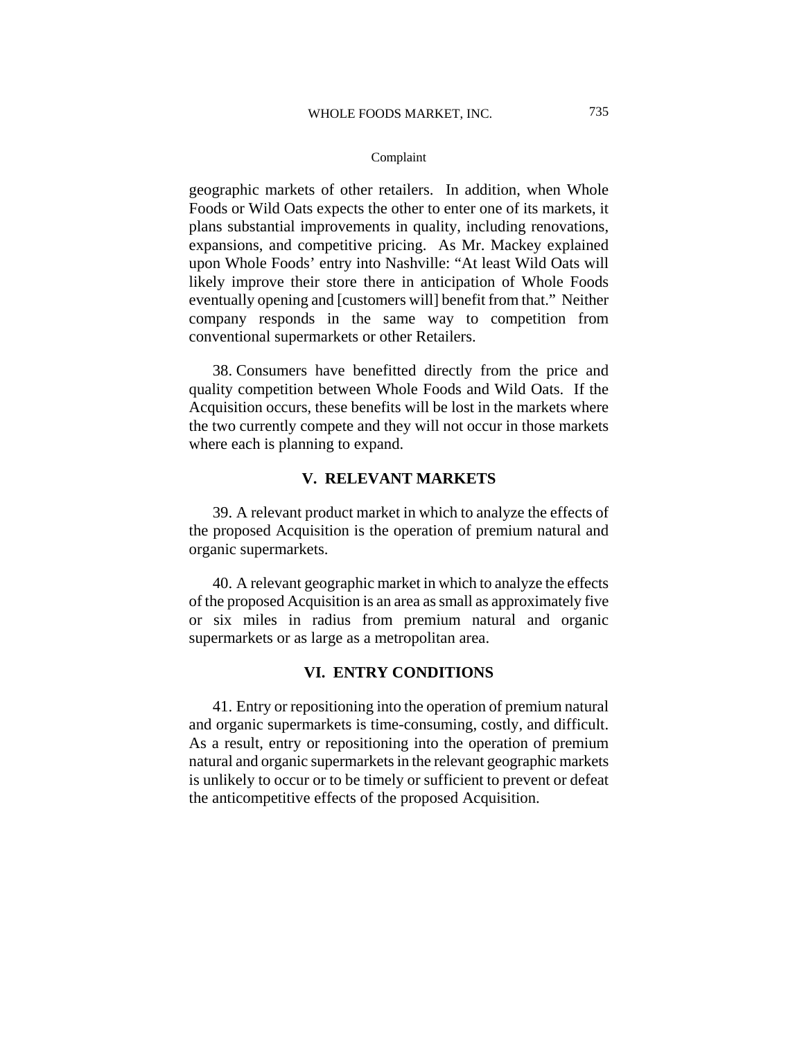geographic markets of other retailers. In addition, when Whole Foods or Wild Oats expects the other to enter one of its markets, it plans substantial improvements in quality, including renovations, expansions, and competitive pricing. As Mr. Mackey explained upon Whole Foods' entry into Nashville: "At least Wild Oats will likely improve their store there in anticipation of Whole Foods eventually opening and [customers will] benefit from that." Neither company responds in the same way to competition from conventional supermarkets or other Retailers.

38. Consumers have benefitted directly from the price and quality competition between Whole Foods and Wild Oats. If the Acquisition occurs, these benefits will be lost in the markets where the two currently compete and they will not occur in those markets where each is planning to expand.

# **V. RELEVANT MARKETS**

39. A relevant product market in which to analyze the effects of the proposed Acquisition is the operation of premium natural and organic supermarkets.

40. A relevant geographic market in which to analyze the effects of the proposed Acquisition is an area as small as approximately five or six miles in radius from premium natural and organic supermarkets or as large as a metropolitan area.

# **VI. ENTRY CONDITIONS**

41. Entry or repositioning into the operation of premium natural and organic supermarkets is time-consuming, costly, and difficult. As a result, entry or repositioning into the operation of premium natural and organic supermarkets in the relevant geographic markets is unlikely to occur or to be timely or sufficient to prevent or defeat the anticompetitive effects of the proposed Acquisition.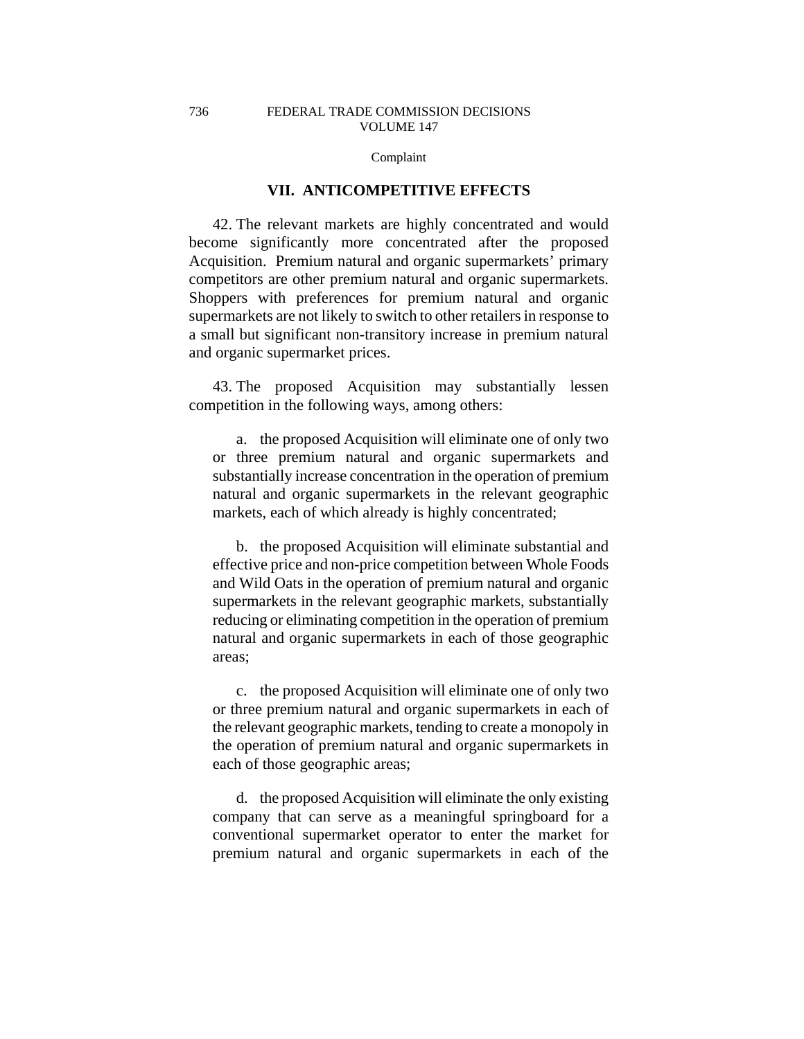# **VII. ANTICOMPETITIVE EFFECTS**

42. The relevant markets are highly concentrated and would become significantly more concentrated after the proposed Acquisition. Premium natural and organic supermarkets' primary competitors are other premium natural and organic supermarkets. Shoppers with preferences for premium natural and organic supermarkets are not likely to switch to other retailers in response to a small but significant non-transitory increase in premium natural and organic supermarket prices.

43. The proposed Acquisition may substantially lessen competition in the following ways, among others:

a. the proposed Acquisition will eliminate one of only two or three premium natural and organic supermarkets and substantially increase concentration in the operation of premium natural and organic supermarkets in the relevant geographic markets, each of which already is highly concentrated;

b. the proposed Acquisition will eliminate substantial and effective price and non-price competition between Whole Foods and Wild Oats in the operation of premium natural and organic supermarkets in the relevant geographic markets, substantially reducing or eliminating competition in the operation of premium natural and organic supermarkets in each of those geographic areas;

c. the proposed Acquisition will eliminate one of only two or three premium natural and organic supermarkets in each of the relevant geographic markets, tending to create a monopoly in the operation of premium natural and organic supermarkets in each of those geographic areas;

d. the proposed Acquisition will eliminate the only existing company that can serve as a meaningful springboard for a conventional supermarket operator to enter the market for premium natural and organic supermarkets in each of the

736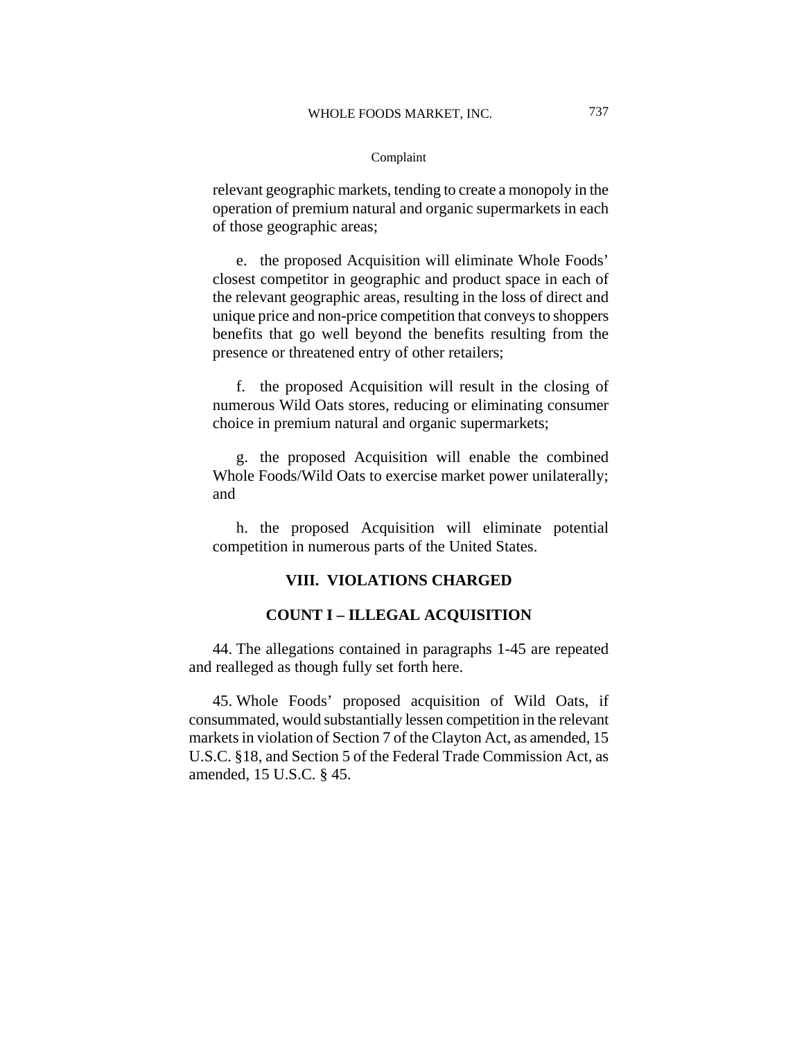relevant geographic markets, tending to create a monopoly in the operation of premium natural and organic supermarkets in each of those geographic areas;

e. the proposed Acquisition will eliminate Whole Foods' closest competitor in geographic and product space in each of the relevant geographic areas, resulting in the loss of direct and unique price and non-price competition that conveys to shoppers benefits that go well beyond the benefits resulting from the presence or threatened entry of other retailers;

f. the proposed Acquisition will result in the closing of numerous Wild Oats stores, reducing or eliminating consumer choice in premium natural and organic supermarkets;

g. the proposed Acquisition will enable the combined Whole Foods/Wild Oats to exercise market power unilaterally; and

h. the proposed Acquisition will eliminate potential competition in numerous parts of the United States.

# **VIII. VIOLATIONS CHARGED**

# **COUNT I – ILLEGAL ACQUISITION**

44. The allegations contained in paragraphs 1-45 are repeated and realleged as though fully set forth here.

45. Whole Foods' proposed acquisition of Wild Oats, if consummated, would substantially lessen competition in the relevant markets in violation of Section 7 of the Clayton Act, as amended, 15 U.S.C. §18, and Section 5 of the Federal Trade Commission Act, as amended, 15 U.S.C. § 45.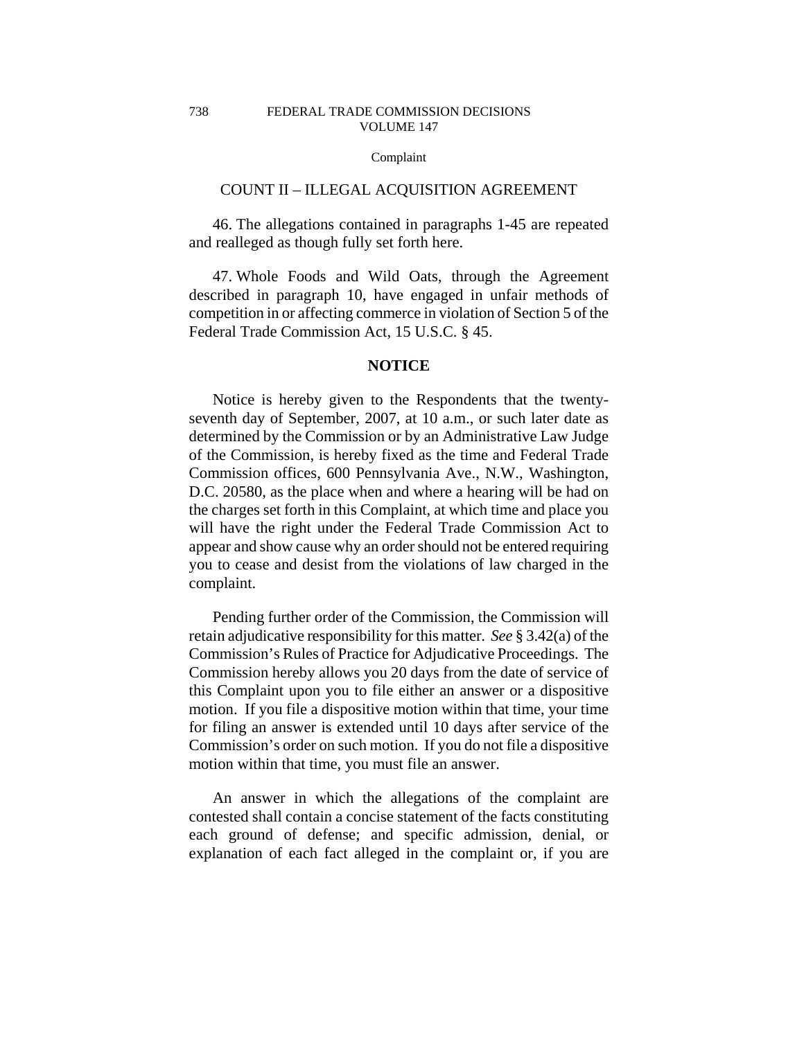### COUNT II – ILLEGAL ACQUISITION AGREEMENT

46. The allegations contained in paragraphs 1-45 are repeated and realleged as though fully set forth here.

47. Whole Foods and Wild Oats, through the Agreement described in paragraph 10, have engaged in unfair methods of competition in or affecting commerce in violation of Section 5 of the Federal Trade Commission Act, 15 U.S.C. § 45.

### **NOTICE**

Notice is hereby given to the Respondents that the twentyseventh day of September, 2007, at 10 a.m., or such later date as determined by the Commission or by an Administrative Law Judge of the Commission, is hereby fixed as the time and Federal Trade Commission offices, 600 Pennsylvania Ave., N.W., Washington, D.C. 20580, as the place when and where a hearing will be had on the charges set forth in this Complaint, at which time and place you will have the right under the Federal Trade Commission Act to appear and show cause why an order should not be entered requiring you to cease and desist from the violations of law charged in the complaint.

Pending further order of the Commission, the Commission will retain adjudicative responsibility for this matter. *See* § 3.42(a) of the Commission's Rules of Practice for Adjudicative Proceedings. The Commission hereby allows you 20 days from the date of service of this Complaint upon you to file either an answer or a dispositive motion. If you file a dispositive motion within that time, your time for filing an answer is extended until 10 days after service of the Commission's order on such motion. If you do not file a dispositive motion within that time, you must file an answer.

An answer in which the allegations of the complaint are contested shall contain a concise statement of the facts constituting each ground of defense; and specific admission, denial, or explanation of each fact alleged in the complaint or, if you are

738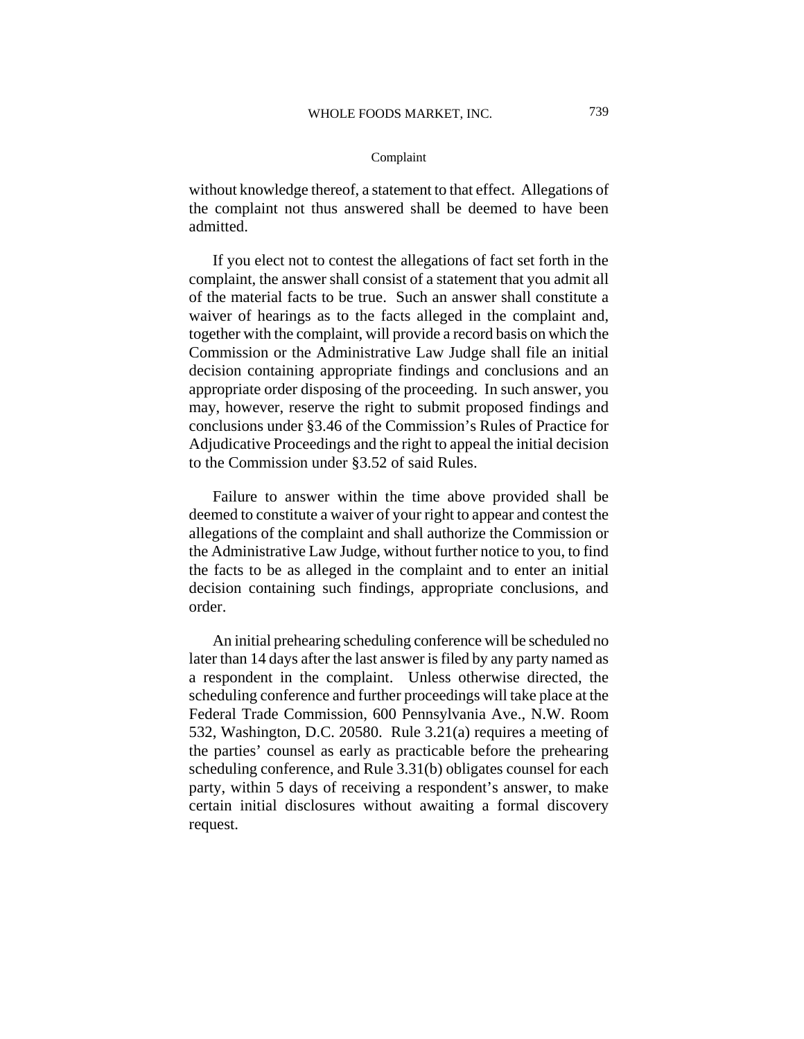without knowledge thereof, a statement to that effect. Allegations of the complaint not thus answered shall be deemed to have been admitted.

If you elect not to contest the allegations of fact set forth in the complaint, the answer shall consist of a statement that you admit all of the material facts to be true. Such an answer shall constitute a waiver of hearings as to the facts alleged in the complaint and, together with the complaint, will provide a record basis on which the Commission or the Administrative Law Judge shall file an initial decision containing appropriate findings and conclusions and an appropriate order disposing of the proceeding. In such answer, you may, however, reserve the right to submit proposed findings and conclusions under §3.46 of the Commission's Rules of Practice for Adjudicative Proceedings and the right to appeal the initial decision to the Commission under §3.52 of said Rules.

Failure to answer within the time above provided shall be deemed to constitute a waiver of your right to appear and contest the allegations of the complaint and shall authorize the Commission or the Administrative Law Judge, without further notice to you, to find the facts to be as alleged in the complaint and to enter an initial decision containing such findings, appropriate conclusions, and order.

An initial prehearing scheduling conference will be scheduled no later than 14 days after the last answer is filed by any party named as a respondent in the complaint. Unless otherwise directed, the scheduling conference and further proceedings will take place at the Federal Trade Commission, 600 Pennsylvania Ave., N.W. Room 532, Washington, D.C. 20580. Rule 3.21(a) requires a meeting of the parties' counsel as early as practicable before the prehearing scheduling conference, and Rule 3.31(b) obligates counsel for each party, within 5 days of receiving a respondent's answer, to make certain initial disclosures without awaiting a formal discovery request.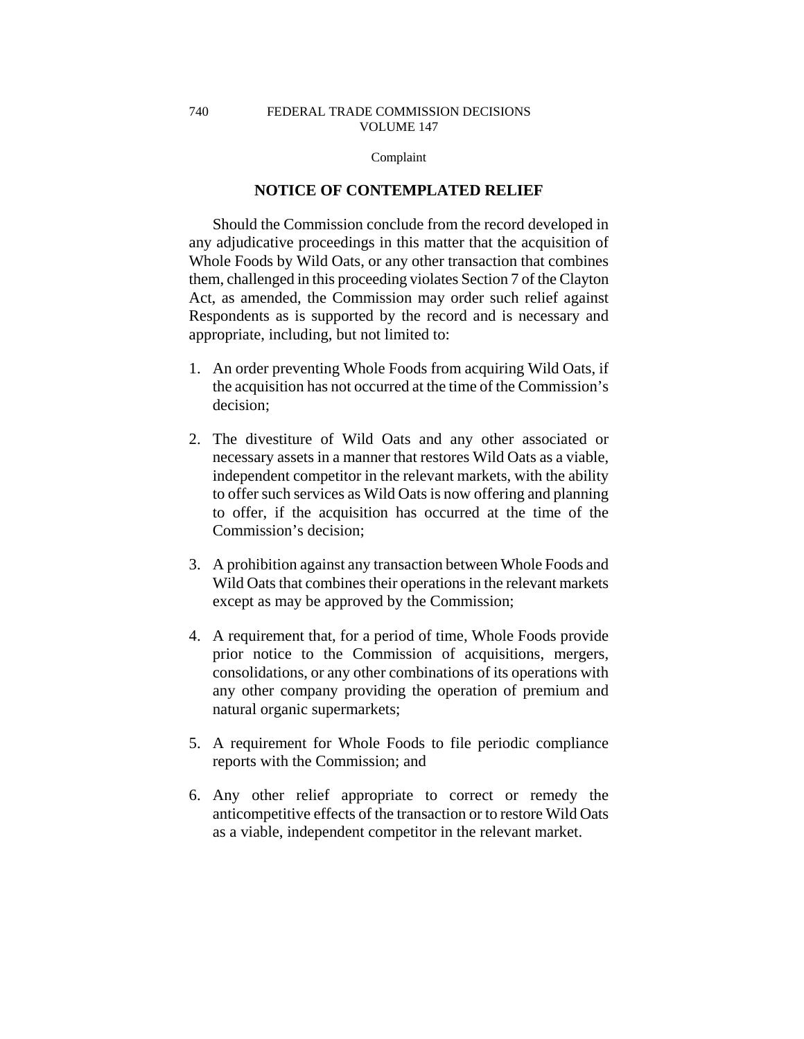### FEDERAL TRADE COMMISSION DECISIONS VOLUME 147

### Complaint

# **NOTICE OF CONTEMPLATED RELIEF**

Should the Commission conclude from the record developed in any adjudicative proceedings in this matter that the acquisition of Whole Foods by Wild Oats, or any other transaction that combines them, challenged in this proceeding violates Section 7 of the Clayton Act, as amended, the Commission may order such relief against Respondents as is supported by the record and is necessary and appropriate, including, but not limited to:

- 1. An order preventing Whole Foods from acquiring Wild Oats, if the acquisition has not occurred at the time of the Commission's decision;
- 2. The divestiture of Wild Oats and any other associated or necessary assets in a manner that restores Wild Oats as a viable, independent competitor in the relevant markets, with the ability to offer such services as Wild Oats is now offering and planning to offer, if the acquisition has occurred at the time of the Commission's decision;
- 3. A prohibition against any transaction between Whole Foods and Wild Oats that combines their operations in the relevant markets except as may be approved by the Commission;
- 4. A requirement that, for a period of time, Whole Foods provide prior notice to the Commission of acquisitions, mergers, consolidations, or any other combinations of its operations with any other company providing the operation of premium and natural organic supermarkets;
- 5. A requirement for Whole Foods to file periodic compliance reports with the Commission; and
- 6. Any other relief appropriate to correct or remedy the anticompetitive effects of the transaction or to restore Wild Oats as a viable, independent competitor in the relevant market.

740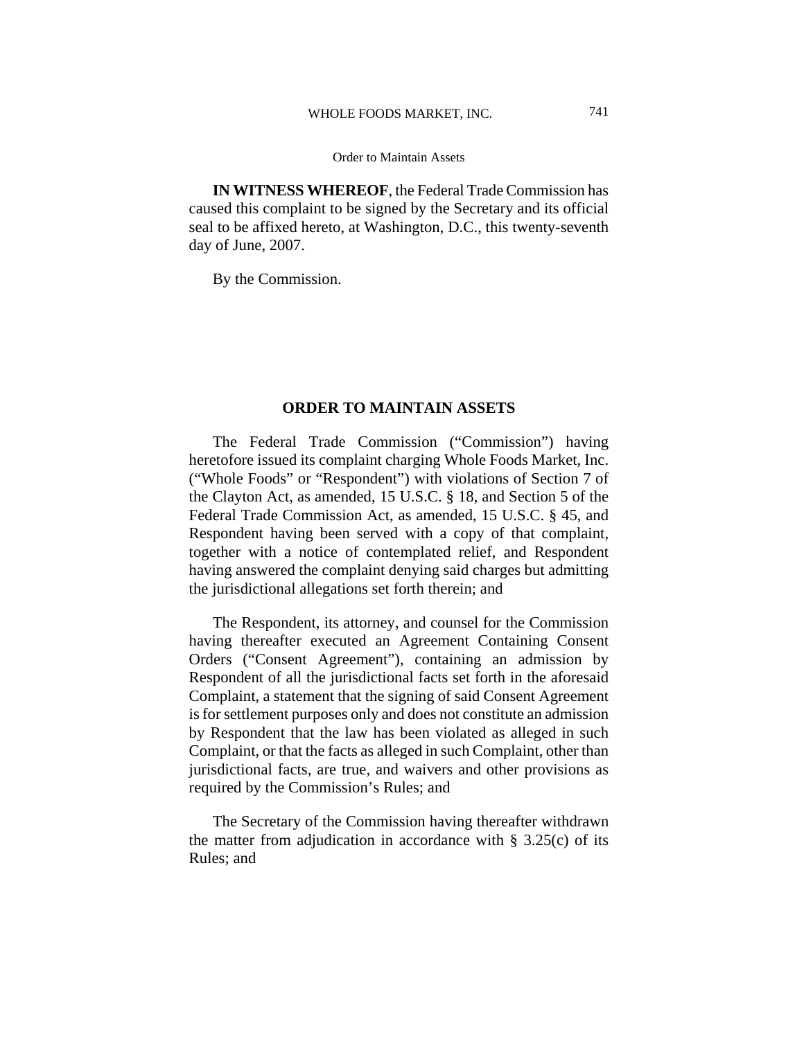**IN WITNESS WHEREOF**, the Federal Trade Commission has caused this complaint to be signed by the Secretary and its official seal to be affixed hereto, at Washington, D.C., this twenty-seventh day of June, 2007.

By the Commission.

## **ORDER TO MAINTAIN ASSETS**

The Federal Trade Commission ("Commission") having heretofore issued its complaint charging Whole Foods Market, Inc. ("Whole Foods" or "Respondent") with violations of Section 7 of the Clayton Act, as amended, 15 U.S.C. § 18, and Section 5 of the Federal Trade Commission Act, as amended, 15 U.S.C. § 45, and Respondent having been served with a copy of that complaint, together with a notice of contemplated relief, and Respondent having answered the complaint denying said charges but admitting the jurisdictional allegations set forth therein; and

The Respondent, its attorney, and counsel for the Commission having thereafter executed an Agreement Containing Consent Orders ("Consent Agreement"), containing an admission by Respondent of all the jurisdictional facts set forth in the aforesaid Complaint, a statement that the signing of said Consent Agreement is for settlement purposes only and does not constitute an admission by Respondent that the law has been violated as alleged in such Complaint, or that the facts as alleged in such Complaint, other than jurisdictional facts, are true, and waivers and other provisions as required by the Commission's Rules; and

The Secretary of the Commission having thereafter withdrawn the matter from adjudication in accordance with  $\S$  3.25(c) of its Rules; and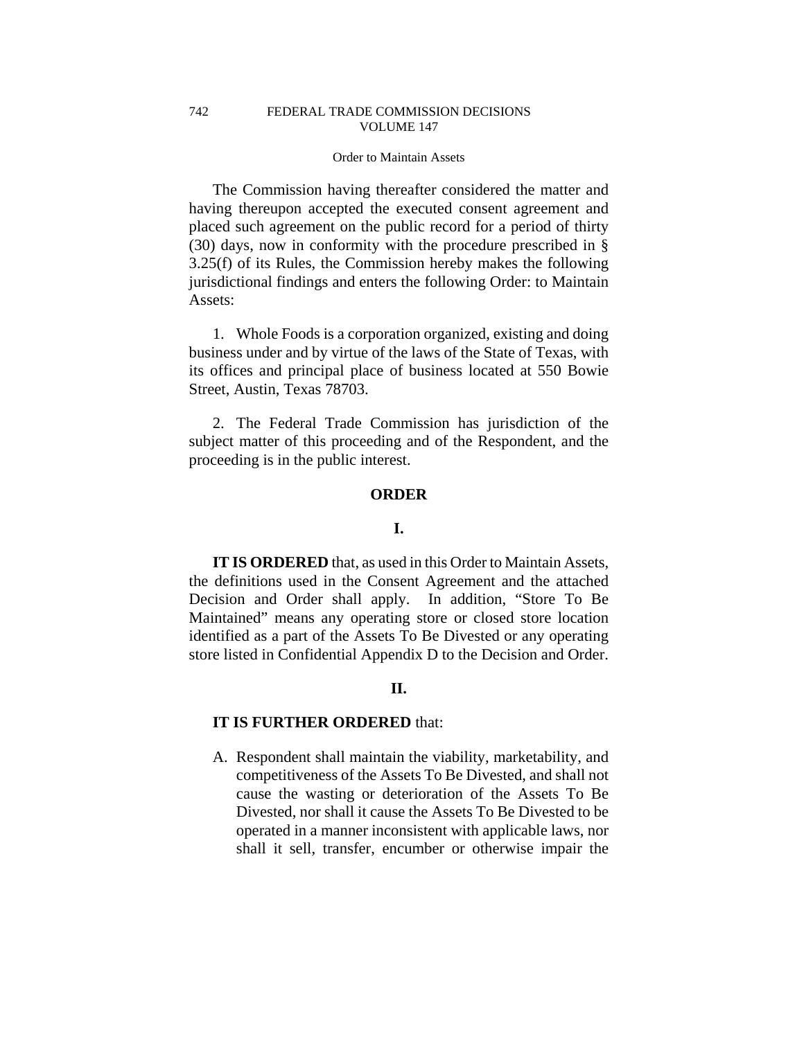The Commission having thereafter considered the matter and having thereupon accepted the executed consent agreement and placed such agreement on the public record for a period of thirty (30) days, now in conformity with the procedure prescribed in § 3.25(f) of its Rules, the Commission hereby makes the following jurisdictional findings and enters the following Order: to Maintain Assets:

1. Whole Foods is a corporation organized, existing and doing business under and by virtue of the laws of the State of Texas, with its offices and principal place of business located at 550 Bowie Street, Austin, Texas 78703.

2. The Federal Trade Commission has jurisdiction of the subject matter of this proceeding and of the Respondent, and the proceeding is in the public interest.

### **ORDER**

# **I.**

**IT IS ORDERED** that, as used in this Order to Maintain Assets, the definitions used in the Consent Agreement and the attached Decision and Order shall apply. In addition, "Store To Be Maintained" means any operating store or closed store location identified as a part of the Assets To Be Divested or any operating store listed in Confidential Appendix D to the Decision and Order.

# **II.**

## **IT IS FURTHER ORDERED** that:

A. Respondent shall maintain the viability, marketability, and competitiveness of the Assets To Be Divested, and shall not cause the wasting or deterioration of the Assets To Be Divested, nor shall it cause the Assets To Be Divested to be operated in a manner inconsistent with applicable laws, nor shall it sell, transfer, encumber or otherwise impair the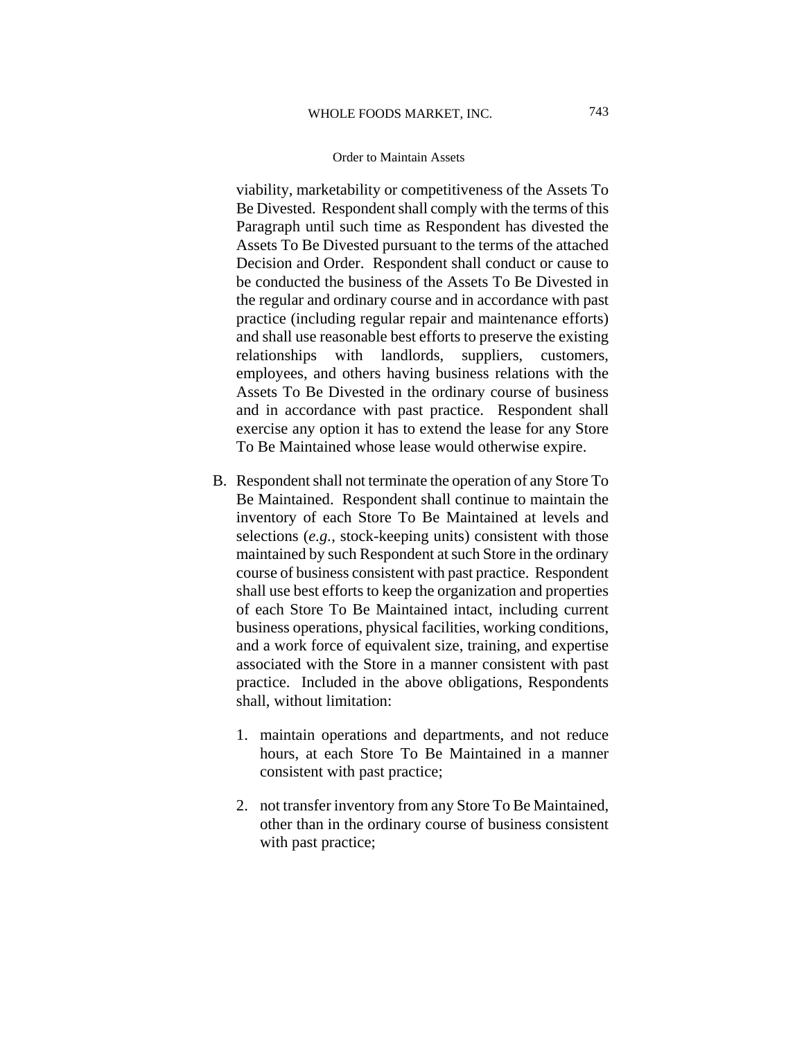viability, marketability or competitiveness of the Assets To Be Divested. Respondent shall comply with the terms of this Paragraph until such time as Respondent has divested the Assets To Be Divested pursuant to the terms of the attached Decision and Order. Respondent shall conduct or cause to be conducted the business of the Assets To Be Divested in the regular and ordinary course and in accordance with past practice (including regular repair and maintenance efforts) and shall use reasonable best efforts to preserve the existing relationships with landlords, suppliers, customers, employees, and others having business relations with the Assets To Be Divested in the ordinary course of business and in accordance with past practice. Respondent shall exercise any option it has to extend the lease for any Store To Be Maintained whose lease would otherwise expire.

- B. Respondent shall not terminate the operation of any Store To Be Maintained. Respondent shall continue to maintain the inventory of each Store To Be Maintained at levels and selections (*e.g.*, stock-keeping units) consistent with those maintained by such Respondent at such Store in the ordinary course of business consistent with past practice. Respondent shall use best efforts to keep the organization and properties of each Store To Be Maintained intact, including current business operations, physical facilities, working conditions, and a work force of equivalent size, training, and expertise associated with the Store in a manner consistent with past practice. Included in the above obligations, Respondents shall, without limitation:
	- 1. maintain operations and departments, and not reduce hours, at each Store To Be Maintained in a manner consistent with past practice;
	- 2. not transfer inventory from any Store To Be Maintained, other than in the ordinary course of business consistent with past practice;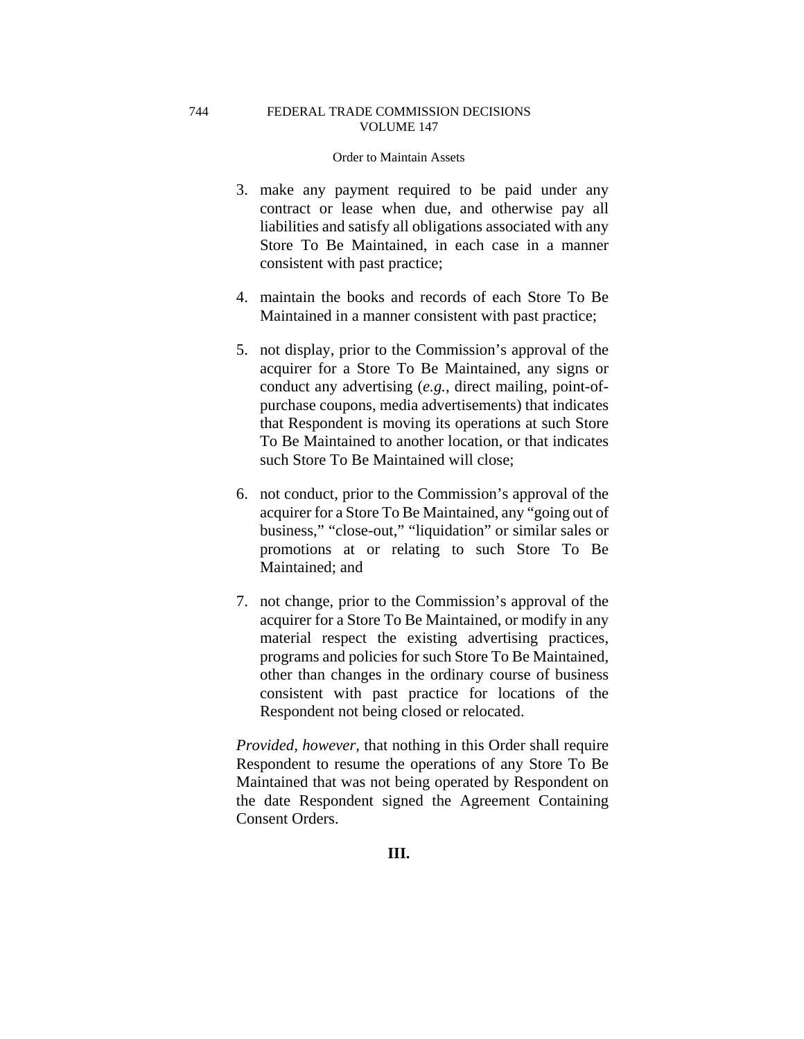## FEDERAL TRADE COMMISSION DECISIONS VOLUME 147

### Order to Maintain Assets

- 3. make any payment required to be paid under any contract or lease when due, and otherwise pay all liabilities and satisfy all obligations associated with any Store To Be Maintained, in each case in a manner consistent with past practice;
- 4. maintain the books and records of each Store To Be Maintained in a manner consistent with past practice;
- 5. not display, prior to the Commission's approval of the acquirer for a Store To Be Maintained, any signs or conduct any advertising (*e.g.*, direct mailing, point-ofpurchase coupons, media advertisements) that indicates that Respondent is moving its operations at such Store To Be Maintained to another location, or that indicates such Store To Be Maintained will close;
- 6. not conduct, prior to the Commission's approval of the acquirer for a Store To Be Maintained, any "going out of business," "close-out," "liquidation" or similar sales or promotions at or relating to such Store To Be Maintained; and
- 7. not change, prior to the Commission's approval of the acquirer for a Store To Be Maintained, or modify in any material respect the existing advertising practices, programs and policies for such Store To Be Maintained, other than changes in the ordinary course of business consistent with past practice for locations of the Respondent not being closed or relocated.

*Provided, however,* that nothing in this Order shall require Respondent to resume the operations of any Store To Be Maintained that was not being operated by Respondent on the date Respondent signed the Agreement Containing Consent Orders.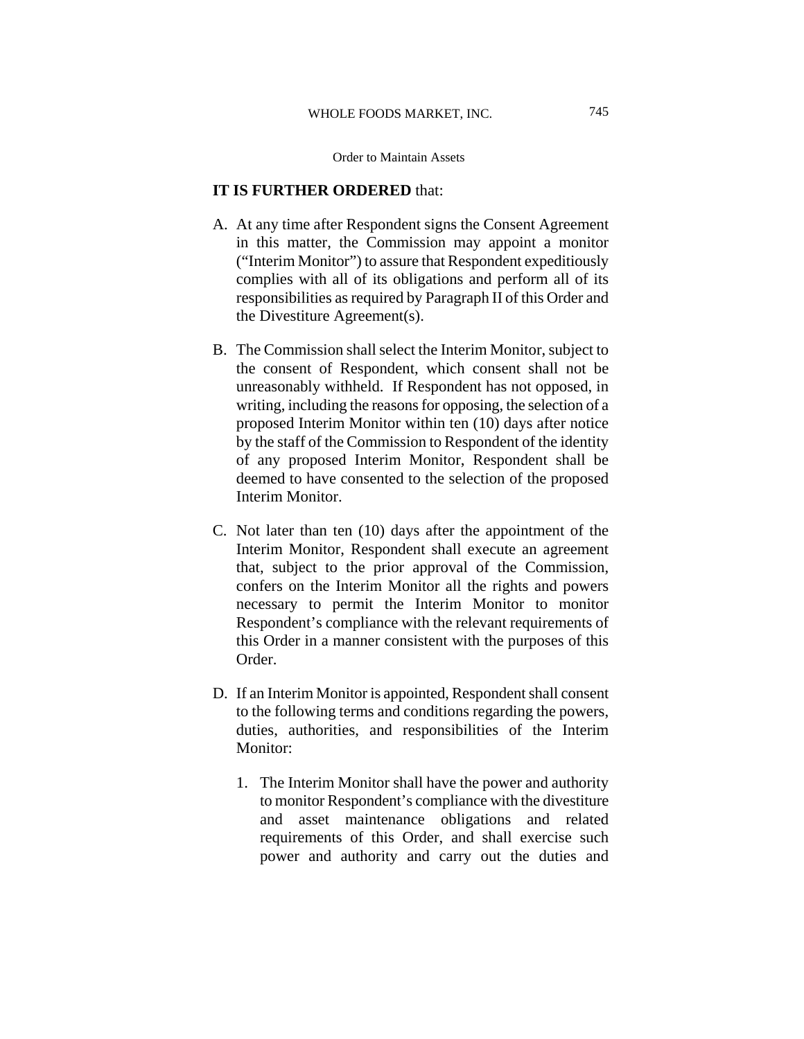# **IT IS FURTHER ORDERED** that:

- A. At any time after Respondent signs the Consent Agreement in this matter, the Commission may appoint a monitor ("Interim Monitor") to assure that Respondent expeditiously complies with all of its obligations and perform all of its responsibilities as required by Paragraph II of this Order and the Divestiture Agreement(s).
- B. The Commission shall select the Interim Monitor, subject to the consent of Respondent, which consent shall not be unreasonably withheld. If Respondent has not opposed, in writing, including the reasons for opposing, the selection of a proposed Interim Monitor within ten (10) days after notice by the staff of the Commission to Respondent of the identity of any proposed Interim Monitor, Respondent shall be deemed to have consented to the selection of the proposed Interim Monitor.
- C. Not later than ten (10) days after the appointment of the Interim Monitor, Respondent shall execute an agreement that, subject to the prior approval of the Commission, confers on the Interim Monitor all the rights and powers necessary to permit the Interim Monitor to monitor Respondent's compliance with the relevant requirements of this Order in a manner consistent with the purposes of this Order.
- D. If an Interim Monitor is appointed, Respondent shall consent to the following terms and conditions regarding the powers, duties, authorities, and responsibilities of the Interim Monitor:
	- 1. The Interim Monitor shall have the power and authority to monitor Respondent's compliance with the divestiture and asset maintenance obligations and related requirements of this Order, and shall exercise such power and authority and carry out the duties and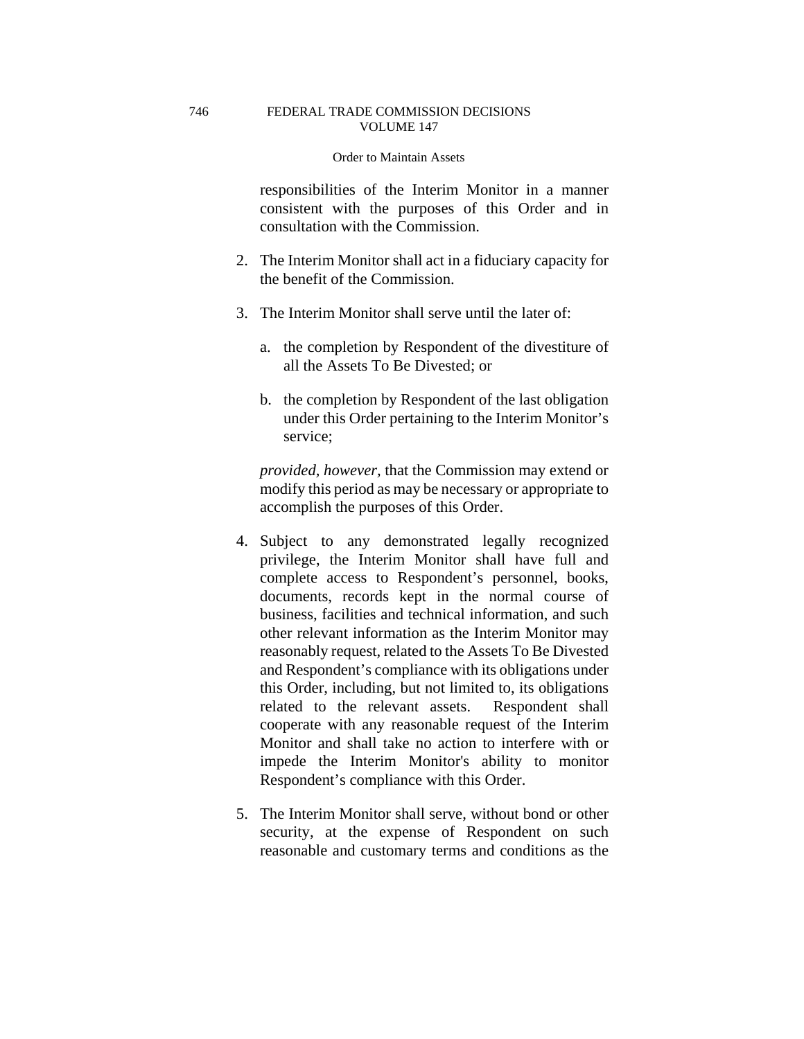responsibilities of the Interim Monitor in a manner consistent with the purposes of this Order and in consultation with the Commission.

- 2. The Interim Monitor shall act in a fiduciary capacity for the benefit of the Commission.
- 3. The Interim Monitor shall serve until the later of:
	- a. the completion by Respondent of the divestiture of all the Assets To Be Divested; or
	- b. the completion by Respondent of the last obligation under this Order pertaining to the Interim Monitor's service;

*provided, however,* that the Commission may extend or modify this period as may be necessary or appropriate to accomplish the purposes of this Order.

- 4. Subject to any demonstrated legally recognized privilege, the Interim Monitor shall have full and complete access to Respondent's personnel, books, documents, records kept in the normal course of business, facilities and technical information, and such other relevant information as the Interim Monitor may reasonably request, related to the Assets To Be Divested and Respondent's compliance with its obligations under this Order, including, but not limited to, its obligations related to the relevant assets. Respondent shall cooperate with any reasonable request of the Interim Monitor and shall take no action to interfere with or impede the Interim Monitor's ability to monitor Respondent's compliance with this Order.
- 5. The Interim Monitor shall serve, without bond or other security, at the expense of Respondent on such reasonable and customary terms and conditions as the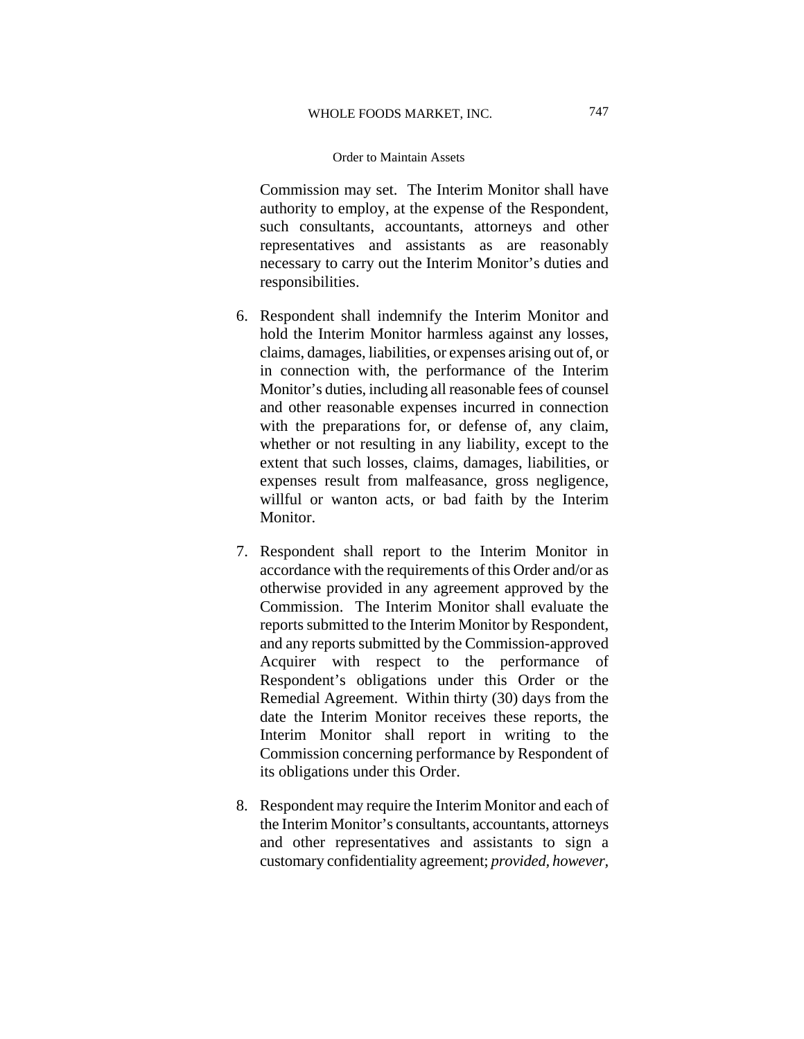Commission may set. The Interim Monitor shall have authority to employ, at the expense of the Respondent, such consultants, accountants, attorneys and other representatives and assistants as are reasonably necessary to carry out the Interim Monitor's duties and responsibilities.

- 6. Respondent shall indemnify the Interim Monitor and hold the Interim Monitor harmless against any losses, claims, damages, liabilities, or expenses arising out of, or in connection with, the performance of the Interim Monitor's duties, including all reasonable fees of counsel and other reasonable expenses incurred in connection with the preparations for, or defense of, any claim, whether or not resulting in any liability, except to the extent that such losses, claims, damages, liabilities, or expenses result from malfeasance, gross negligence, willful or wanton acts, or bad faith by the Interim Monitor.
- 7. Respondent shall report to the Interim Monitor in accordance with the requirements of this Order and/or as otherwise provided in any agreement approved by the Commission. The Interim Monitor shall evaluate the reports submitted to the Interim Monitor by Respondent, and any reports submitted by the Commission-approved Acquirer with respect to the performance of Respondent's obligations under this Order or the Remedial Agreement. Within thirty (30) days from the date the Interim Monitor receives these reports, the Interim Monitor shall report in writing to the Commission concerning performance by Respondent of its obligations under this Order.
- 8. Respondent may require the Interim Monitor and each of the Interim Monitor's consultants, accountants, attorneys and other representatives and assistants to sign a customary confidentiality agreement; *provided, however,*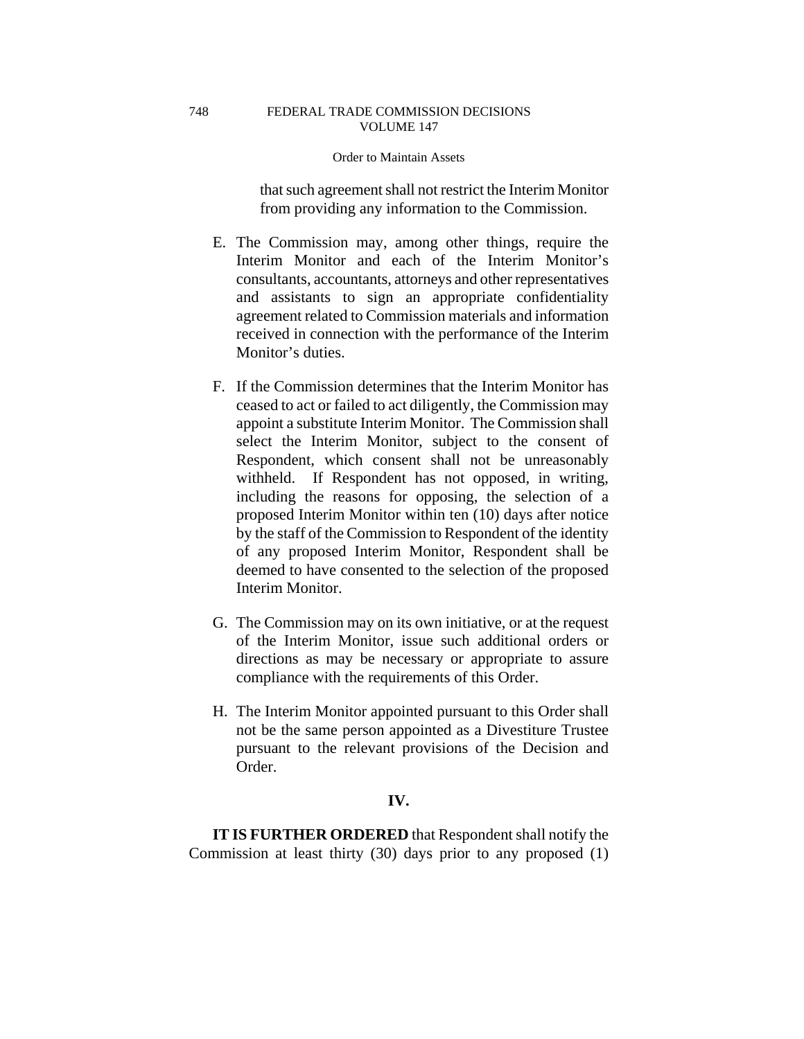that such agreement shall not restrict the Interim Monitor from providing any information to the Commission.

- E. The Commission may, among other things, require the Interim Monitor and each of the Interim Monitor's consultants, accountants, attorneys and other representatives and assistants to sign an appropriate confidentiality agreement related to Commission materials and information received in connection with the performance of the Interim Monitor's duties.
- F. If the Commission determines that the Interim Monitor has ceased to act or failed to act diligently, the Commission may appoint a substitute Interim Monitor. The Commission shall select the Interim Monitor, subject to the consent of Respondent, which consent shall not be unreasonably withheld. If Respondent has not opposed, in writing, including the reasons for opposing, the selection of a proposed Interim Monitor within ten (10) days after notice by the staff of the Commission to Respondent of the identity of any proposed Interim Monitor, Respondent shall be deemed to have consented to the selection of the proposed Interim Monitor.
- G. The Commission may on its own initiative, or at the request of the Interim Monitor, issue such additional orders or directions as may be necessary or appropriate to assure compliance with the requirements of this Order.
- H. The Interim Monitor appointed pursuant to this Order shall not be the same person appointed as a Divestiture Trustee pursuant to the relevant provisions of the Decision and Order.

## **IV.**

**IT IS FURTHER ORDERED** that Respondent shall notify the Commission at least thirty (30) days prior to any proposed (1)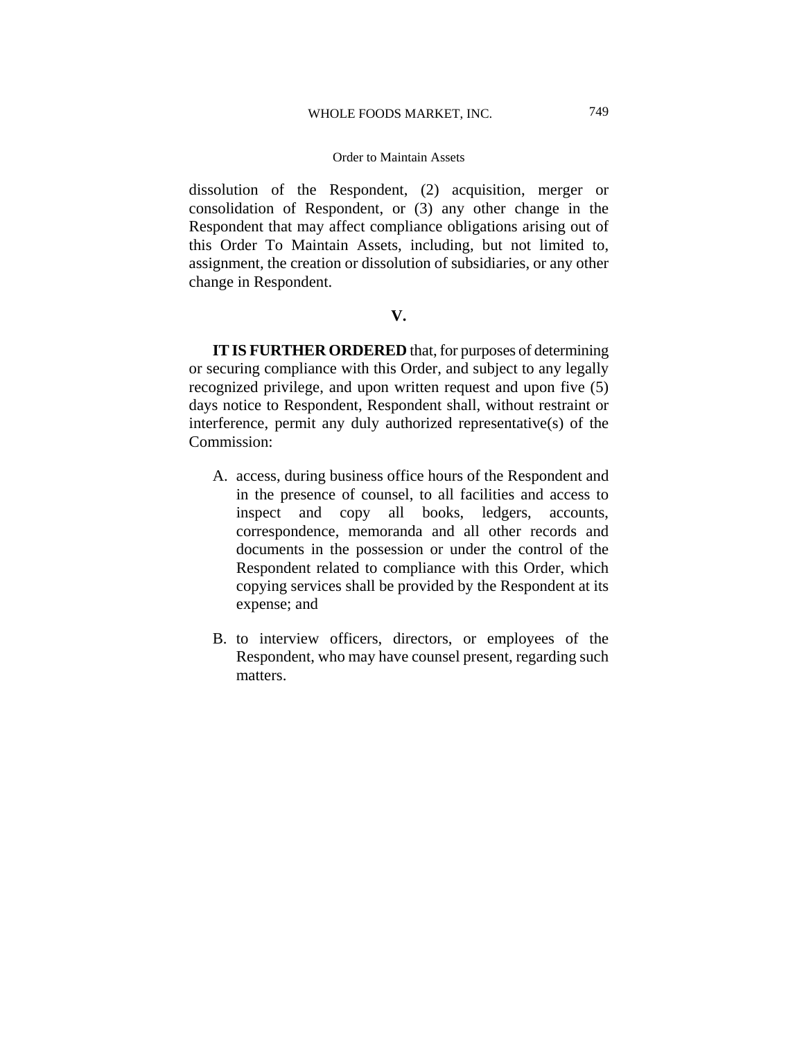#### WHOLE FOODS MARKET, INC.

### Order to Maintain Assets

dissolution of the Respondent, (2) acquisition, merger or consolidation of Respondent, or (3) any other change in the Respondent that may affect compliance obligations arising out of this Order To Maintain Assets, including, but not limited to, assignment, the creation or dissolution of subsidiaries, or any other change in Respondent.

# **V.**

**IT IS FURTHER ORDERED** that, for purposes of determining or securing compliance with this Order, and subject to any legally recognized privilege, and upon written request and upon five (5) days notice to Respondent, Respondent shall, without restraint or interference, permit any duly authorized representative(s) of the Commission:

- A. access, during business office hours of the Respondent and in the presence of counsel, to all facilities and access to inspect and copy all books, ledgers, accounts, correspondence, memoranda and all other records and documents in the possession or under the control of the Respondent related to compliance with this Order, which copying services shall be provided by the Respondent at its expense; and
- B. to interview officers, directors, or employees of the Respondent, who may have counsel present, regarding such matters.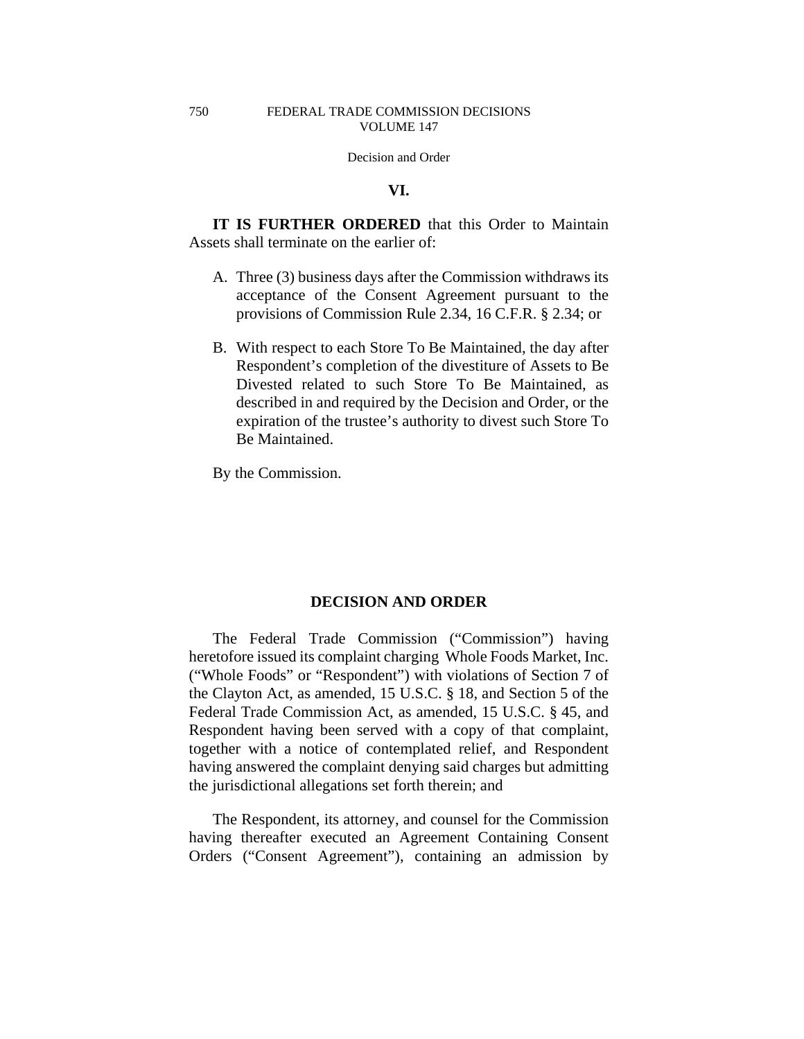Decision and Order

# **VI.**

**IT IS FURTHER ORDERED** that this Order to Maintain Assets shall terminate on the earlier of:

- A. Three (3) business days after the Commission withdraws its acceptance of the Consent Agreement pursuant to the provisions of Commission Rule 2.34, 16 C.F.R. § 2.34; or
- B. With respect to each Store To Be Maintained, the day after Respondent's completion of the divestiture of Assets to Be Divested related to such Store To Be Maintained, as described in and required by the Decision and Order, or the expiration of the trustee's authority to divest such Store To Be Maintained.

By the Commission.

# **DECISION AND ORDER**

The Federal Trade Commission ("Commission") having heretofore issued its complaint charging Whole Foods Market, Inc. ("Whole Foods" or "Respondent") with violations of Section 7 of the Clayton Act, as amended, 15 U.S.C. § 18, and Section 5 of the Federal Trade Commission Act, as amended, 15 U.S.C. § 45, and Respondent having been served with a copy of that complaint, together with a notice of contemplated relief, and Respondent having answered the complaint denying said charges but admitting the jurisdictional allegations set forth therein; and

The Respondent, its attorney, and counsel for the Commission having thereafter executed an Agreement Containing Consent Orders ("Consent Agreement"), containing an admission by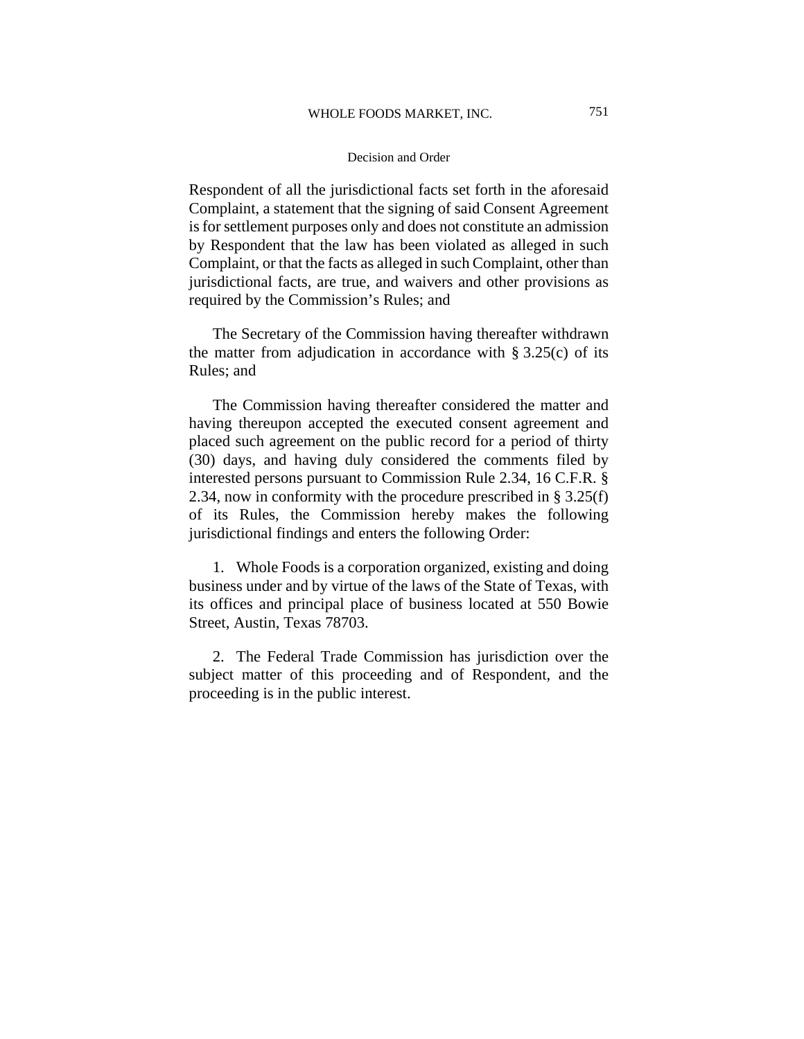### Decision and Order

Respondent of all the jurisdictional facts set forth in the aforesaid Complaint, a statement that the signing of said Consent Agreement is for settlement purposes only and does not constitute an admission by Respondent that the law has been violated as alleged in such Complaint, or that the facts as alleged in such Complaint, other than jurisdictional facts, are true, and waivers and other provisions as required by the Commission's Rules; and

The Secretary of the Commission having thereafter withdrawn the matter from adjudication in accordance with  $\S 3.25(c)$  of its Rules; and

The Commission having thereafter considered the matter and having thereupon accepted the executed consent agreement and placed such agreement on the public record for a period of thirty (30) days, and having duly considered the comments filed by interested persons pursuant to Commission Rule 2.34, 16 C.F.R. § 2.34, now in conformity with the procedure prescribed in § 3.25(f) of its Rules, the Commission hereby makes the following jurisdictional findings and enters the following Order:

1. Whole Foods is a corporation organized, existing and doing business under and by virtue of the laws of the State of Texas, with its offices and principal place of business located at 550 Bowie Street, Austin, Texas 78703.

2. The Federal Trade Commission has jurisdiction over the subject matter of this proceeding and of Respondent, and the proceeding is in the public interest.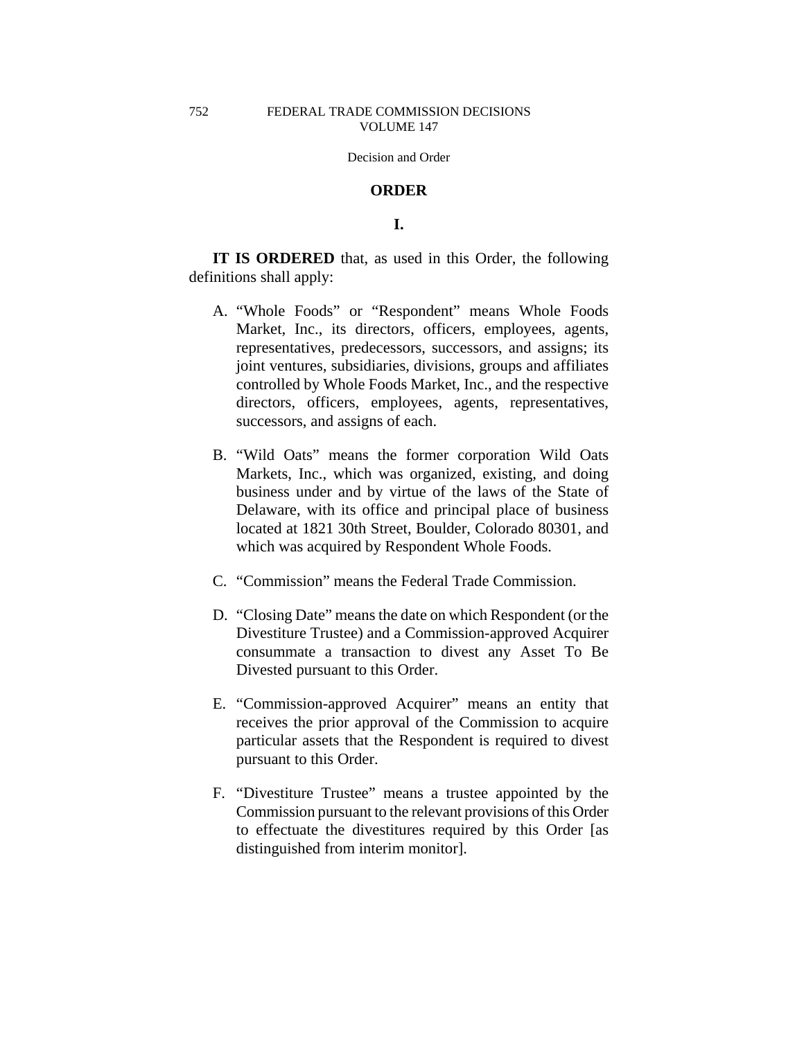Decision and Order

### **ORDER**

# **I.**

**IT IS ORDERED** that, as used in this Order, the following definitions shall apply:

- A. "Whole Foods" or "Respondent" means Whole Foods Market, Inc., its directors, officers, employees, agents, representatives, predecessors, successors, and assigns; its joint ventures, subsidiaries, divisions, groups and affiliates controlled by Whole Foods Market, Inc., and the respective directors, officers, employees, agents, representatives, successors, and assigns of each.
- B. "Wild Oats" means the former corporation Wild Oats Markets, Inc., which was organized, existing, and doing business under and by virtue of the laws of the State of Delaware, with its office and principal place of business located at 1821 30th Street, Boulder, Colorado 80301, and which was acquired by Respondent Whole Foods.
- C. "Commission" means the Federal Trade Commission.
- D. "Closing Date" means the date on which Respondent (or the Divestiture Trustee) and a Commission-approved Acquirer consummate a transaction to divest any Asset To Be Divested pursuant to this Order.
- E. "Commission-approved Acquirer" means an entity that receives the prior approval of the Commission to acquire particular assets that the Respondent is required to divest pursuant to this Order.
- F. "Divestiture Trustee" means a trustee appointed by the Commission pursuant to the relevant provisions of this Order to effectuate the divestitures required by this Order [as distinguished from interim monitor].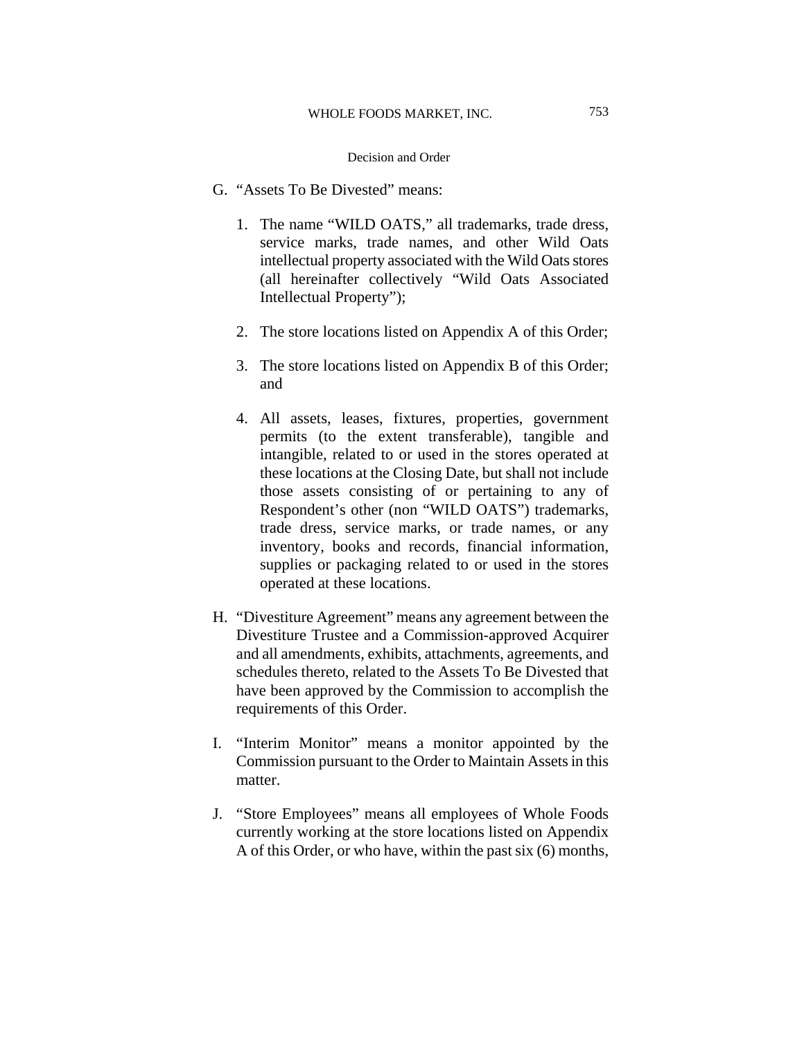- G. "Assets To Be Divested" means:
	- 1. The name "WILD OATS," all trademarks, trade dress, service marks, trade names, and other Wild Oats intellectual property associated with the Wild Oats stores (all hereinafter collectively "Wild Oats Associated Intellectual Property");
	- 2. The store locations listed on Appendix A of this Order;
	- 3. The store locations listed on Appendix B of this Order; and
	- 4. All assets, leases, fixtures, properties, government permits (to the extent transferable), tangible and intangible, related to or used in the stores operated at these locations at the Closing Date, but shall not include those assets consisting of or pertaining to any of Respondent's other (non "WILD OATS") trademarks, trade dress, service marks, or trade names, or any inventory, books and records, financial information, supplies or packaging related to or used in the stores operated at these locations.
- H. "Divestiture Agreement" means any agreement between the Divestiture Trustee and a Commission-approved Acquirer and all amendments, exhibits, attachments, agreements, and schedules thereto, related to the Assets To Be Divested that have been approved by the Commission to accomplish the requirements of this Order.
- I. "Interim Monitor" means a monitor appointed by the Commission pursuant to the Order to Maintain Assets in this matter.
- J. "Store Employees" means all employees of Whole Foods currently working at the store locations listed on Appendix A of this Order, or who have, within the past six (6) months,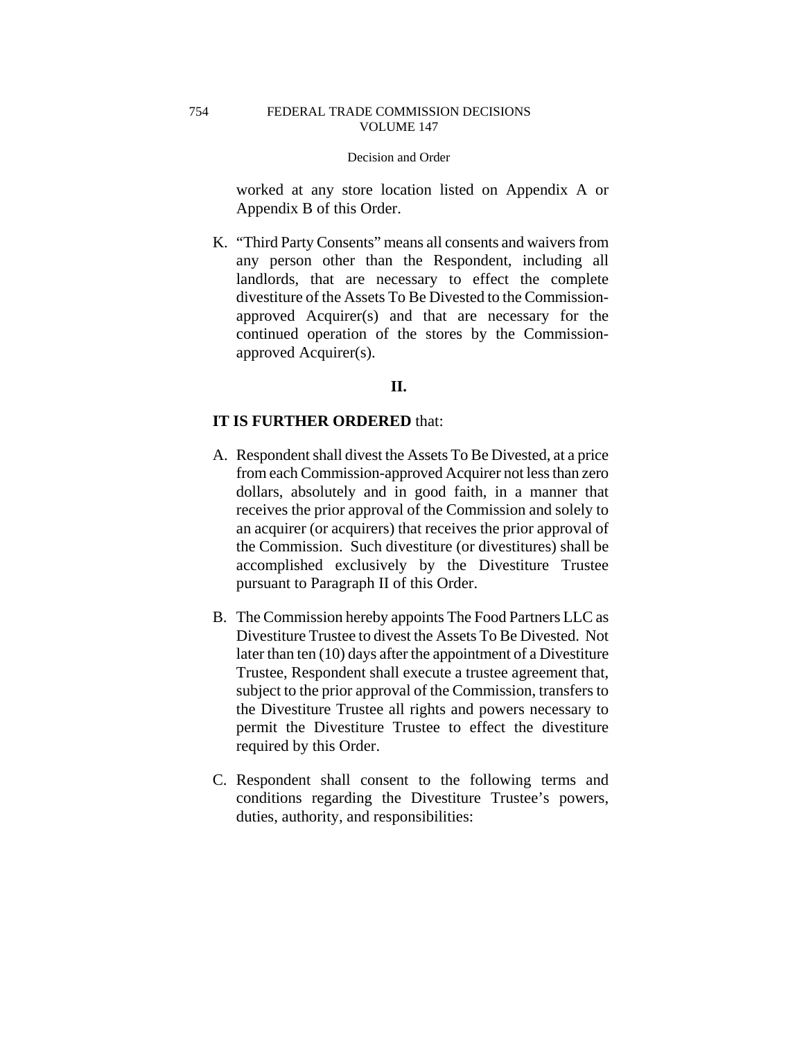worked at any store location listed on Appendix A or Appendix B of this Order.

K. "Third Party Consents" means all consents and waivers from any person other than the Respondent, including all landlords, that are necessary to effect the complete divestiture of the Assets To Be Divested to the Commissionapproved Acquirer(s) and that are necessary for the continued operation of the stores by the Commissionapproved Acquirer(s).

# **II.**

# **IT IS FURTHER ORDERED** that:

- A. Respondent shall divest the Assets To Be Divested, at a price from each Commission-approved Acquirer not less than zero dollars, absolutely and in good faith, in a manner that receives the prior approval of the Commission and solely to an acquirer (or acquirers) that receives the prior approval of the Commission. Such divestiture (or divestitures) shall be accomplished exclusively by the Divestiture Trustee pursuant to Paragraph II of this Order.
- B. The Commission hereby appoints The Food Partners LLC as Divestiture Trustee to divest the Assets To Be Divested. Not later than ten (10) days after the appointment of a Divestiture Trustee, Respondent shall execute a trustee agreement that, subject to the prior approval of the Commission, transfers to the Divestiture Trustee all rights and powers necessary to permit the Divestiture Trustee to effect the divestiture required by this Order.
- C. Respondent shall consent to the following terms and conditions regarding the Divestiture Trustee's powers, duties, authority, and responsibilities:

754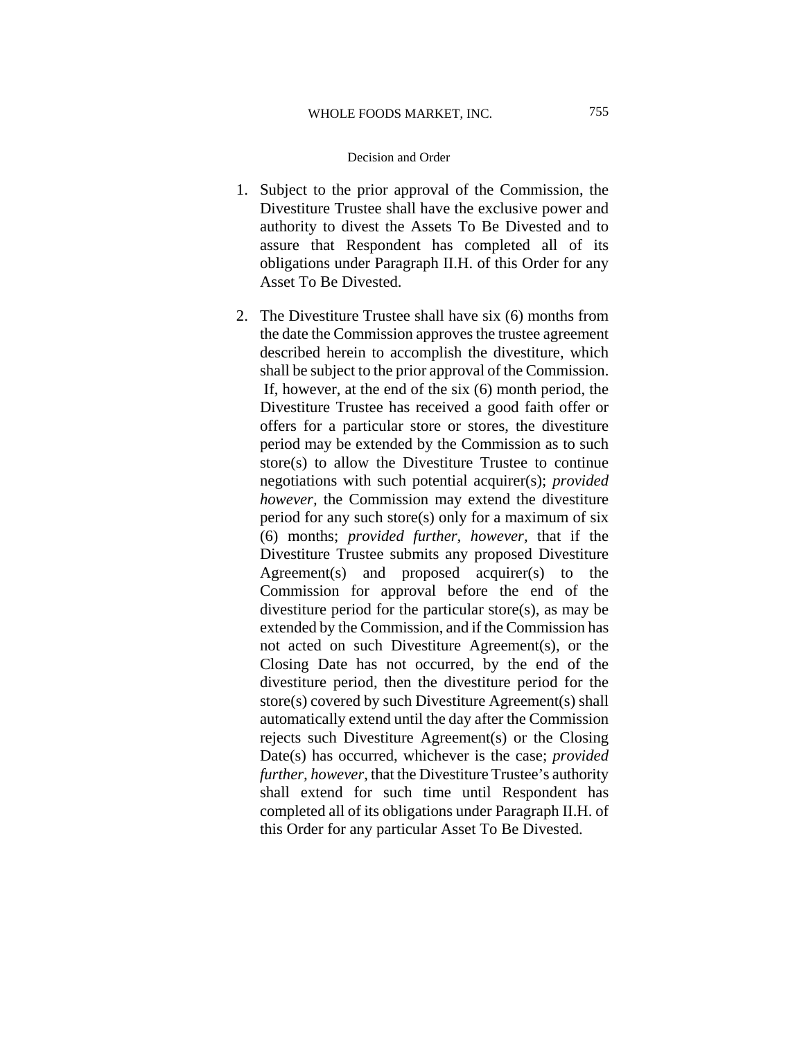- 1. Subject to the prior approval of the Commission, the Divestiture Trustee shall have the exclusive power and authority to divest the Assets To Be Divested and to assure that Respondent has completed all of its obligations under Paragraph II.H. of this Order for any Asset To Be Divested.
- 2. The Divestiture Trustee shall have six (6) months from the date the Commission approves the trustee agreement described herein to accomplish the divestiture, which shall be subject to the prior approval of the Commission. If, however, at the end of the six (6) month period, the Divestiture Trustee has received a good faith offer or offers for a particular store or stores, the divestiture period may be extended by the Commission as to such store(s) to allow the Divestiture Trustee to continue negotiations with such potential acquirer(s); *provided however,* the Commission may extend the divestiture period for any such store(s) only for a maximum of six (6) months; *provided further, however,* that if the Divestiture Trustee submits any proposed Divestiture Agreement(s) and proposed acquirer(s) to the Commission for approval before the end of the divestiture period for the particular store(s), as may be extended by the Commission, and if the Commission has not acted on such Divestiture Agreement(s), or the Closing Date has not occurred, by the end of the divestiture period, then the divestiture period for the store(s) covered by such Divestiture Agreement(s) shall automatically extend until the day after the Commission rejects such Divestiture Agreement(s) or the Closing Date(s) has occurred, whichever is the case; *provided further, however*, that the Divestiture Trustee's authority shall extend for such time until Respondent has completed all of its obligations under Paragraph II.H. of this Order for any particular Asset To Be Divested.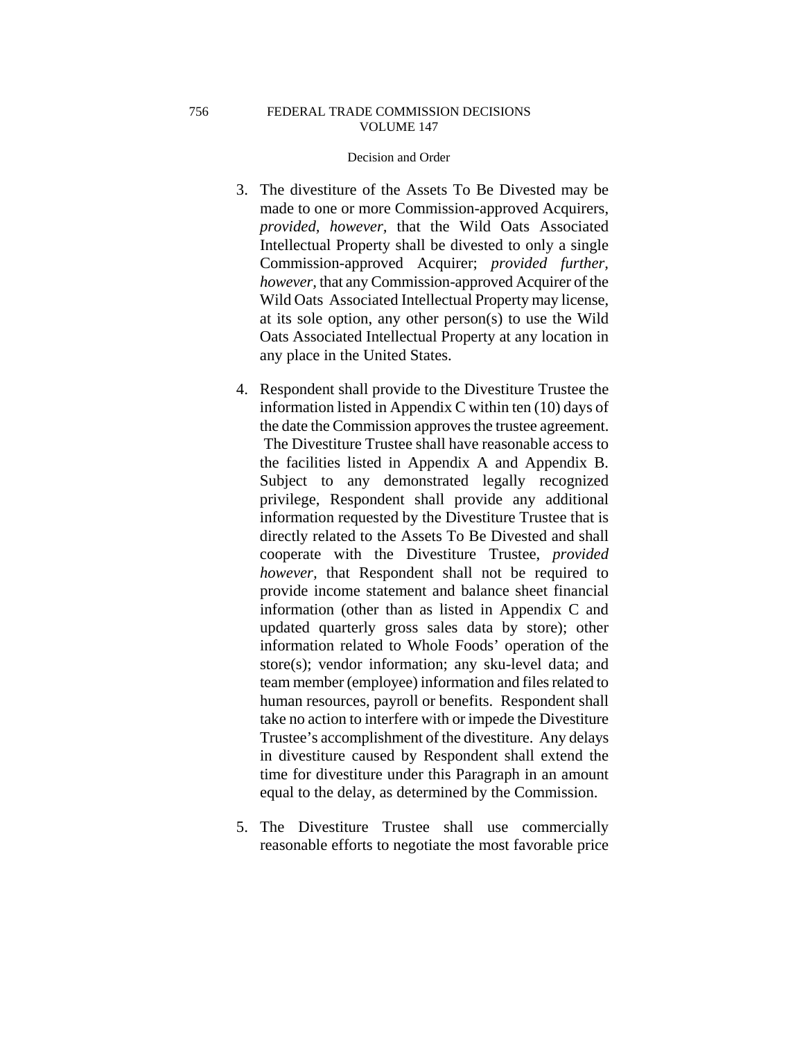### FEDERAL TRADE COMMISSION DECISIONS VOLUME 147

### Decision and Order

- 3. The divestiture of the Assets To Be Divested may be made to one or more Commission-approved Acquirers, *provided, however,* that the Wild Oats Associated Intellectual Property shall be divested to only a single Commission-approved Acquirer; *provided further, however,* that any Commission-approved Acquirer of the Wild Oats Associated Intellectual Property may license, at its sole option, any other person(s) to use the Wild Oats Associated Intellectual Property at any location in any place in the United States.
- 4. Respondent shall provide to the Divestiture Trustee the information listed in Appendix C within ten (10) days of the date the Commission approves the trustee agreement. The Divestiture Trustee shall have reasonable access to the facilities listed in Appendix A and Appendix B. Subject to any demonstrated legally recognized privilege, Respondent shall provide any additional information requested by the Divestiture Trustee that is directly related to the Assets To Be Divested and shall cooperate with the Divestiture Trustee, *provided however,* that Respondent shall not be required to provide income statement and balance sheet financial information (other than as listed in Appendix C and updated quarterly gross sales data by store); other information related to Whole Foods' operation of the store(s); vendor information; any sku-level data; and team member (employee) information and files related to human resources, payroll or benefits. Respondent shall take no action to interfere with or impede the Divestiture Trustee's accomplishment of the divestiture. Any delays in divestiture caused by Respondent shall extend the time for divestiture under this Paragraph in an amount equal to the delay, as determined by the Commission.
- 5. The Divestiture Trustee shall use commercially reasonable efforts to negotiate the most favorable price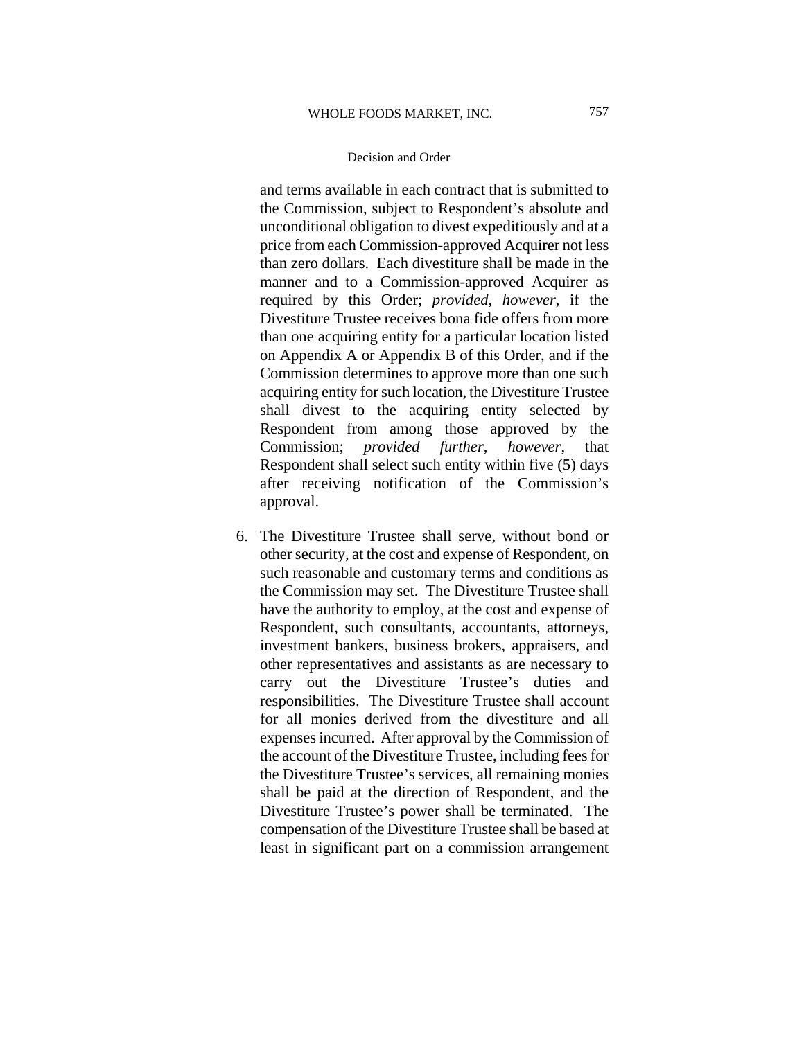and terms available in each contract that is submitted to the Commission, subject to Respondent's absolute and unconditional obligation to divest expeditiously and at a price from each Commission-approved Acquirer not less than zero dollars. Each divestiture shall be made in the manner and to a Commission-approved Acquirer as required by this Order; *provided, however*, if the Divestiture Trustee receives bona fide offers from more than one acquiring entity for a particular location listed on Appendix A or Appendix B of this Order, and if the Commission determines to approve more than one such acquiring entity for such location, the Divestiture Trustee shall divest to the acquiring entity selected by Respondent from among those approved by the Commission; *provided further, however*, that Respondent shall select such entity within five (5) days after receiving notification of the Commission's approval.

6. The Divestiture Trustee shall serve, without bond or other security, at the cost and expense of Respondent, on such reasonable and customary terms and conditions as the Commission may set. The Divestiture Trustee shall have the authority to employ, at the cost and expense of Respondent, such consultants, accountants, attorneys, investment bankers, business brokers, appraisers, and other representatives and assistants as are necessary to carry out the Divestiture Trustee's duties and responsibilities. The Divestiture Trustee shall account for all monies derived from the divestiture and all expenses incurred. After approval by the Commission of the account of the Divestiture Trustee, including fees for the Divestiture Trustee's services, all remaining monies shall be paid at the direction of Respondent, and the Divestiture Trustee's power shall be terminated. The compensation of the Divestiture Trustee shall be based at least in significant part on a commission arrangement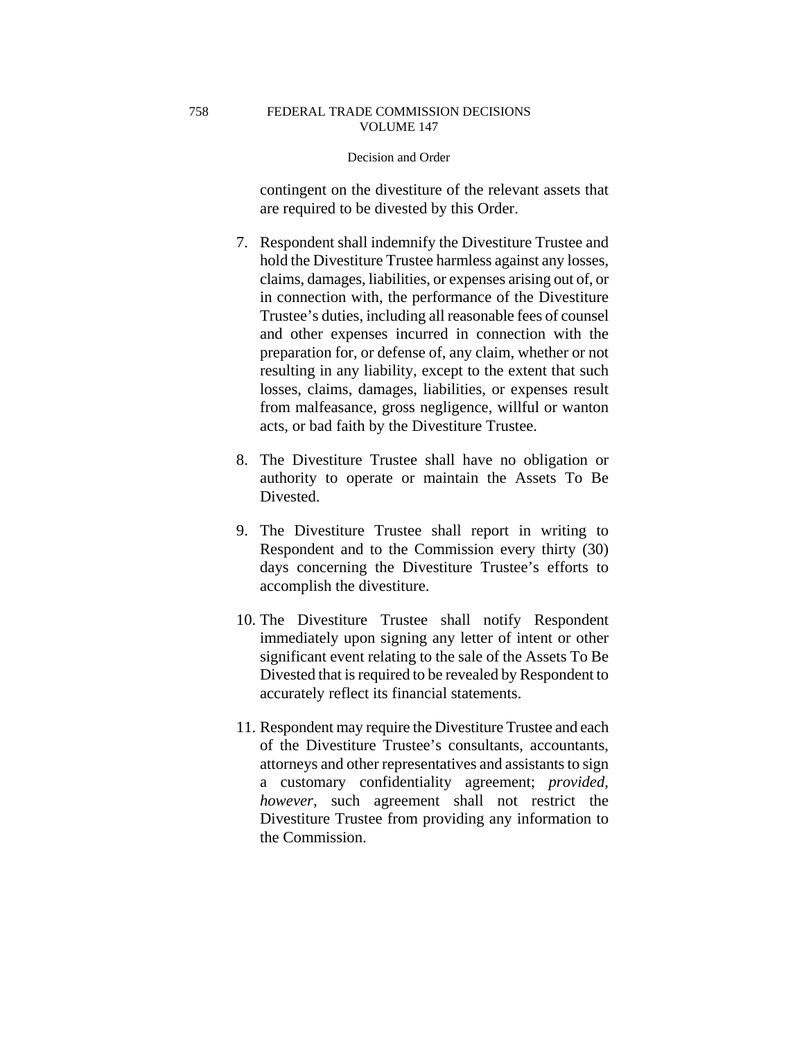contingent on the divestiture of the relevant assets that are required to be divested by this Order.

- 7. Respondent shall indemnify the Divestiture Trustee and hold the Divestiture Trustee harmless against any losses, claims, damages, liabilities, or expenses arising out of, or in connection with, the performance of the Divestiture Trustee's duties, including all reasonable fees of counsel and other expenses incurred in connection with the preparation for, or defense of, any claim, whether or not resulting in any liability, except to the extent that such losses, claims, damages, liabilities, or expenses result from malfeasance, gross negligence, willful or wanton acts, or bad faith by the Divestiture Trustee.
- 8. The Divestiture Trustee shall have no obligation or authority to operate or maintain the Assets To Be Divested.
- 9. The Divestiture Trustee shall report in writing to Respondent and to the Commission every thirty (30) days concerning the Divestiture Trustee's efforts to accomplish the divestiture.
- 10. The Divestiture Trustee shall notify Respondent immediately upon signing any letter of intent or other significant event relating to the sale of the Assets To Be Divested that is required to be revealed by Respondent to accurately reflect its financial statements.
- 11. Respondent may require the Divestiture Trustee and each of the Divestiture Trustee's consultants, accountants, attorneys and other representatives and assistants to sign a customary confidentiality agreement; *provided, however,* such agreement shall not restrict the Divestiture Trustee from providing any information to the Commission.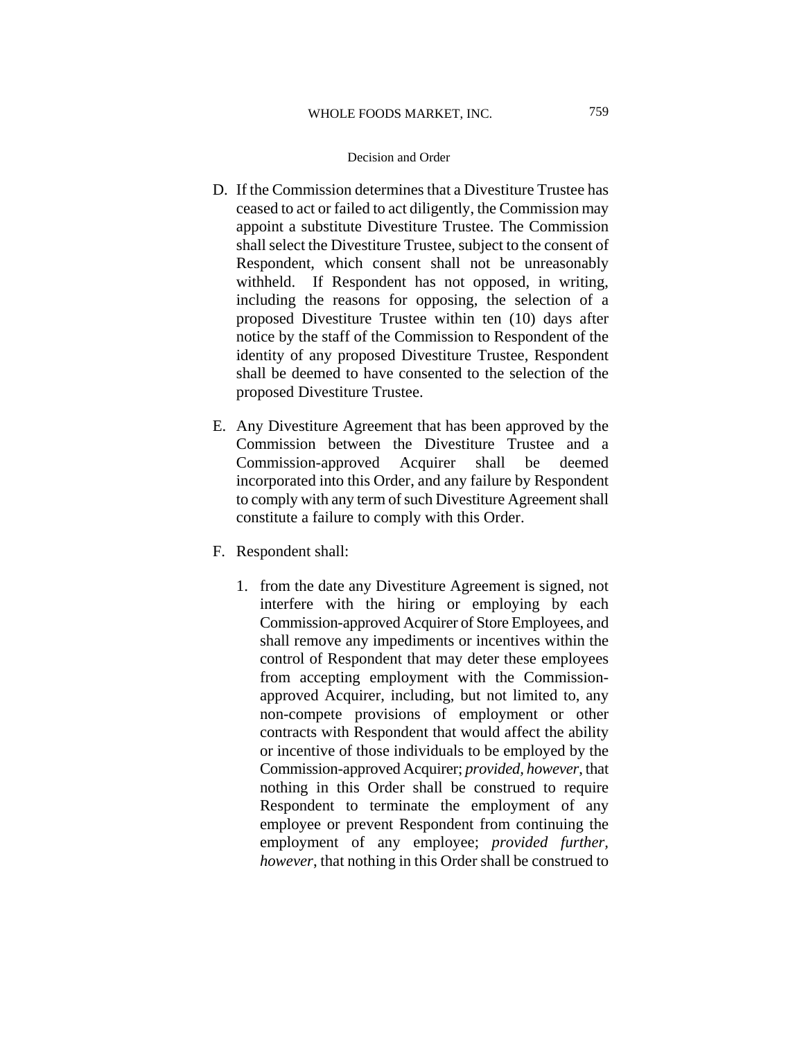- D. If the Commission determines that a Divestiture Trustee has ceased to act or failed to act diligently, the Commission may appoint a substitute Divestiture Trustee. The Commission shall select the Divestiture Trustee, subject to the consent of Respondent, which consent shall not be unreasonably withheld. If Respondent has not opposed, in writing, including the reasons for opposing, the selection of a proposed Divestiture Trustee within ten (10) days after notice by the staff of the Commission to Respondent of the identity of any proposed Divestiture Trustee, Respondent shall be deemed to have consented to the selection of the proposed Divestiture Trustee.
- E. Any Divestiture Agreement that has been approved by the Commission between the Divestiture Trustee and a Commission-approved Acquirer shall be deemed incorporated into this Order, and any failure by Respondent to comply with any term of such Divestiture Agreement shall constitute a failure to comply with this Order.
- F. Respondent shall:
	- 1. from the date any Divestiture Agreement is signed, not interfere with the hiring or employing by each Commission-approved Acquirer of Store Employees, and shall remove any impediments or incentives within the control of Respondent that may deter these employees from accepting employment with the Commissionapproved Acquirer, including, but not limited to, any non-compete provisions of employment or other contracts with Respondent that would affect the ability or incentive of those individuals to be employed by the Commission-approved Acquirer; *provided, however*, that nothing in this Order shall be construed to require Respondent to terminate the employment of any employee or prevent Respondent from continuing the employment of any employee; *provided further, however*, that nothing in this Order shall be construed to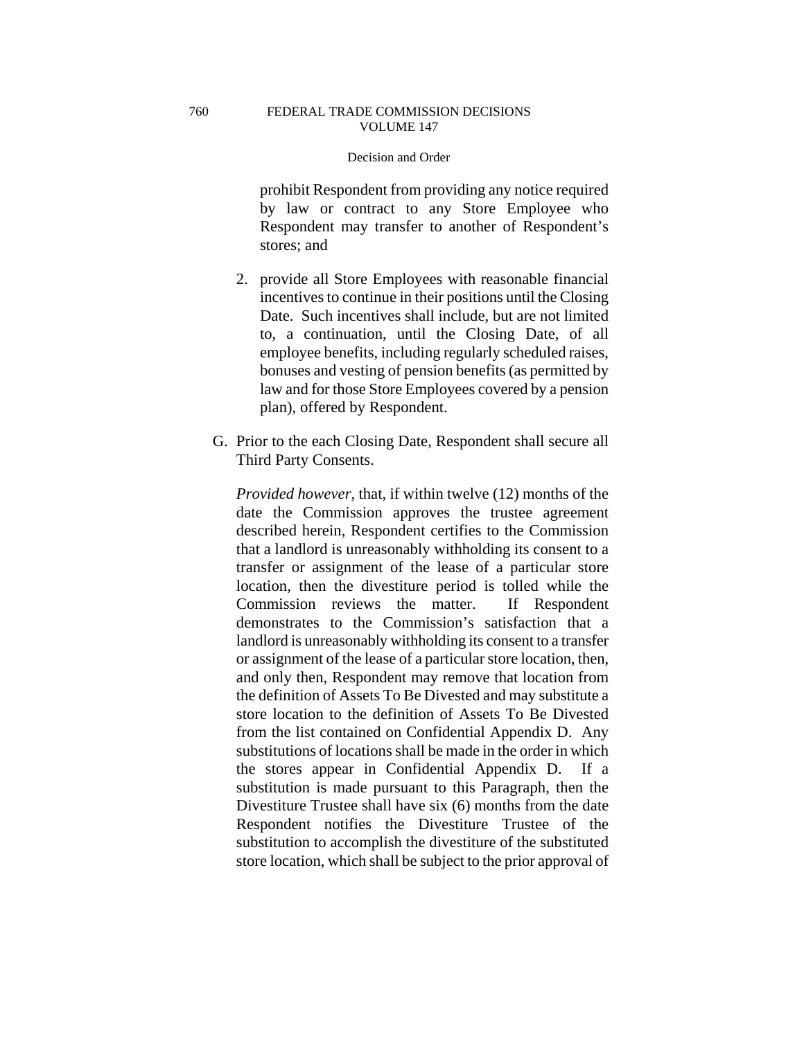### FEDERAL TRADE COMMISSION DECISIONS VOLUME 147

# Decision and Order

prohibit Respondent from providing any notice required by law or contract to any Store Employee who Respondent may transfer to another of Respondent's stores; and

- 2. provide all Store Employees with reasonable financial incentives to continue in their positions until the Closing Date. Such incentives shall include, but are not limited to, a continuation, until the Closing Date, of all employee benefits, including regularly scheduled raises, bonuses and vesting of pension benefits (as permitted by law and for those Store Employees covered by a pension plan), offered by Respondent.
- G. Prior to the each Closing Date, Respondent shall secure all Third Party Consents.

*Provided however,* that, if within twelve (12) months of the date the Commission approves the trustee agreement described herein, Respondent certifies to the Commission that a landlord is unreasonably withholding its consent to a transfer or assignment of the lease of a particular store location, then the divestiture period is tolled while the Commission reviews the matter. If Respondent demonstrates to the Commission's satisfaction that a landlord is unreasonably withholding its consent to a transfer or assignment of the lease of a particular store location, then, and only then, Respondent may remove that location from the definition of Assets To Be Divested and may substitute a store location to the definition of Assets To Be Divested from the list contained on Confidential Appendix D. Any substitutions of locations shall be made in the order in which the stores appear in Confidential Appendix D. If a substitution is made pursuant to this Paragraph, then the Divestiture Trustee shall have six (6) months from the date Respondent notifies the Divestiture Trustee of the substitution to accomplish the divestiture of the substituted store location, which shall be subject to the prior approval of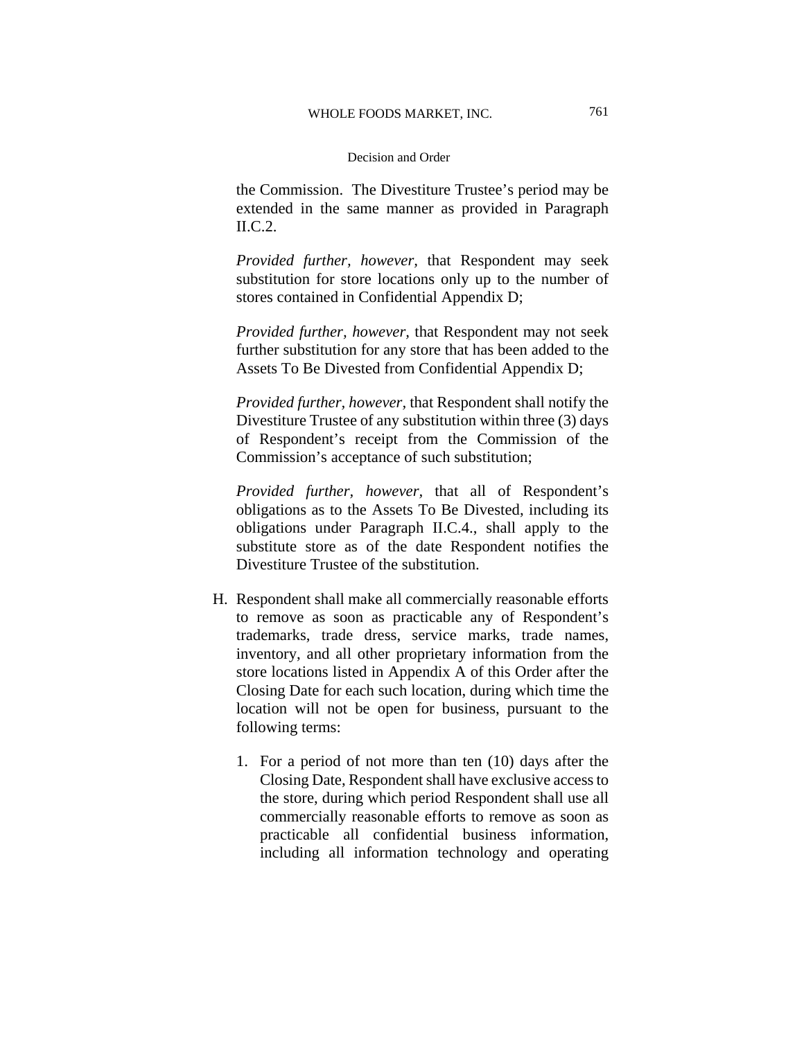the Commission. The Divestiture Trustee's period may be extended in the same manner as provided in Paragraph II.C.2.

*Provided further, however,* that Respondent may seek substitution for store locations only up to the number of stores contained in Confidential Appendix D;

*Provided further, however,* that Respondent may not seek further substitution for any store that has been added to the Assets To Be Divested from Confidential Appendix D;

*Provided further, however,* that Respondent shall notify the Divestiture Trustee of any substitution within three (3) days of Respondent's receipt from the Commission of the Commission's acceptance of such substitution;

*Provided further, however,* that all of Respondent's obligations as to the Assets To Be Divested, including its obligations under Paragraph II.C.4., shall apply to the substitute store as of the date Respondent notifies the Divestiture Trustee of the substitution.

- H. Respondent shall make all commercially reasonable efforts to remove as soon as practicable any of Respondent's trademarks, trade dress, service marks, trade names, inventory, and all other proprietary information from the store locations listed in Appendix A of this Order after the Closing Date for each such location, during which time the location will not be open for business, pursuant to the following terms:
	- 1. For a period of not more than ten (10) days after the Closing Date, Respondent shall have exclusive access to the store, during which period Respondent shall use all commercially reasonable efforts to remove as soon as practicable all confidential business information, including all information technology and operating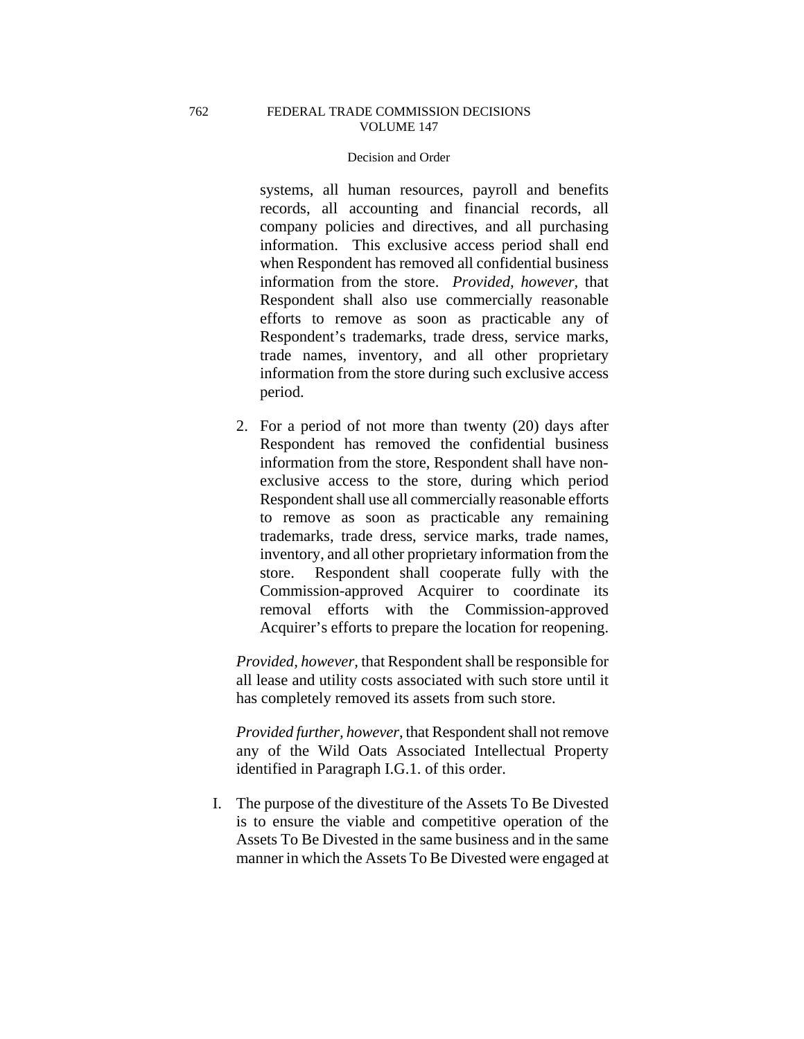# FEDERAL TRADE COMMISSION DECISIONS VOLUME 147

## Decision and Order

systems, all human resources, payroll and benefits records, all accounting and financial records, all company policies and directives, and all purchasing information. This exclusive access period shall end when Respondent has removed all confidential business information from the store. *Provided, however,* that Respondent shall also use commercially reasonable efforts to remove as soon as practicable any of Respondent's trademarks, trade dress, service marks, trade names, inventory, and all other proprietary information from the store during such exclusive access period.

2. For a period of not more than twenty (20) days after Respondent has removed the confidential business information from the store, Respondent shall have nonexclusive access to the store, during which period Respondent shall use all commercially reasonable efforts to remove as soon as practicable any remaining trademarks, trade dress, service marks, trade names, inventory, and all other proprietary information from the store. Respondent shall cooperate fully with the Commission-approved Acquirer to coordinate its removal efforts with the Commission-approved Acquirer's efforts to prepare the location for reopening.

*Provided, however,* that Respondent shall be responsible for all lease and utility costs associated with such store until it has completely removed its assets from such store.

*Provided further, however*, that Respondent shall not remove any of the Wild Oats Associated Intellectual Property identified in Paragraph I.G.1. of this order.

I. The purpose of the divestiture of the Assets To Be Divested is to ensure the viable and competitive operation of the Assets To Be Divested in the same business and in the same manner in which the Assets To Be Divested were engaged at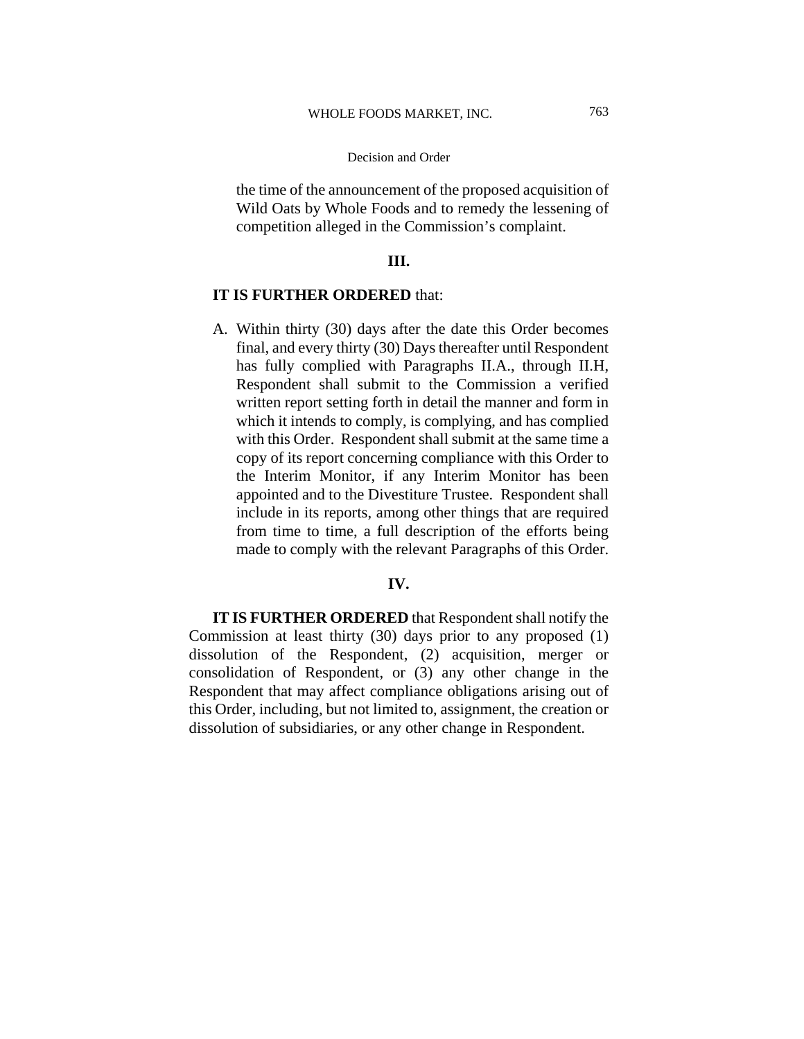the time of the announcement of the proposed acquisition of Wild Oats by Whole Foods and to remedy the lessening of competition alleged in the Commission's complaint.

# **III.**

# **IT IS FURTHER ORDERED** that:

A. Within thirty (30) days after the date this Order becomes final, and every thirty (30) Days thereafter until Respondent has fully complied with Paragraphs II.A., through II.H, Respondent shall submit to the Commission a verified written report setting forth in detail the manner and form in which it intends to comply, is complying, and has complied with this Order. Respondent shall submit at the same time a copy of its report concerning compliance with this Order to the Interim Monitor, if any Interim Monitor has been appointed and to the Divestiture Trustee. Respondent shall include in its reports, among other things that are required from time to time, a full description of the efforts being made to comply with the relevant Paragraphs of this Order.

# **IV.**

**IT IS FURTHER ORDERED** that Respondent shall notify the Commission at least thirty (30) days prior to any proposed (1) dissolution of the Respondent, (2) acquisition, merger or consolidation of Respondent, or (3) any other change in the Respondent that may affect compliance obligations arising out of this Order, including, but not limited to, assignment, the creation or dissolution of subsidiaries, or any other change in Respondent.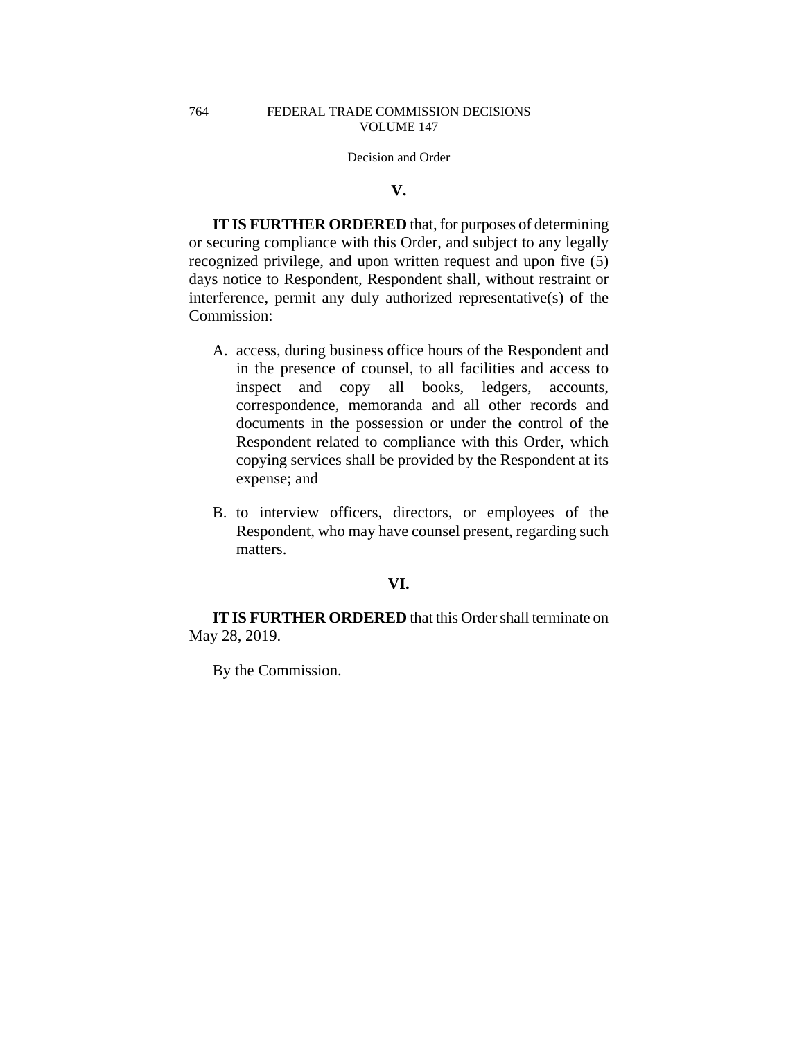# **V.**

**IT IS FURTHER ORDERED** that, for purposes of determining or securing compliance with this Order, and subject to any legally recognized privilege, and upon written request and upon five (5) days notice to Respondent, Respondent shall, without restraint or interference, permit any duly authorized representative(s) of the Commission:

- A. access, during business office hours of the Respondent and in the presence of counsel, to all facilities and access to inspect and copy all books, ledgers, accounts, correspondence, memoranda and all other records and documents in the possession or under the control of the Respondent related to compliance with this Order, which copying services shall be provided by the Respondent at its expense; and
- B. to interview officers, directors, or employees of the Respondent, who may have counsel present, regarding such matters.

# **VI.**

**IT IS FURTHER ORDERED** that this Order shall terminate on May 28, 2019.

By the Commission.

764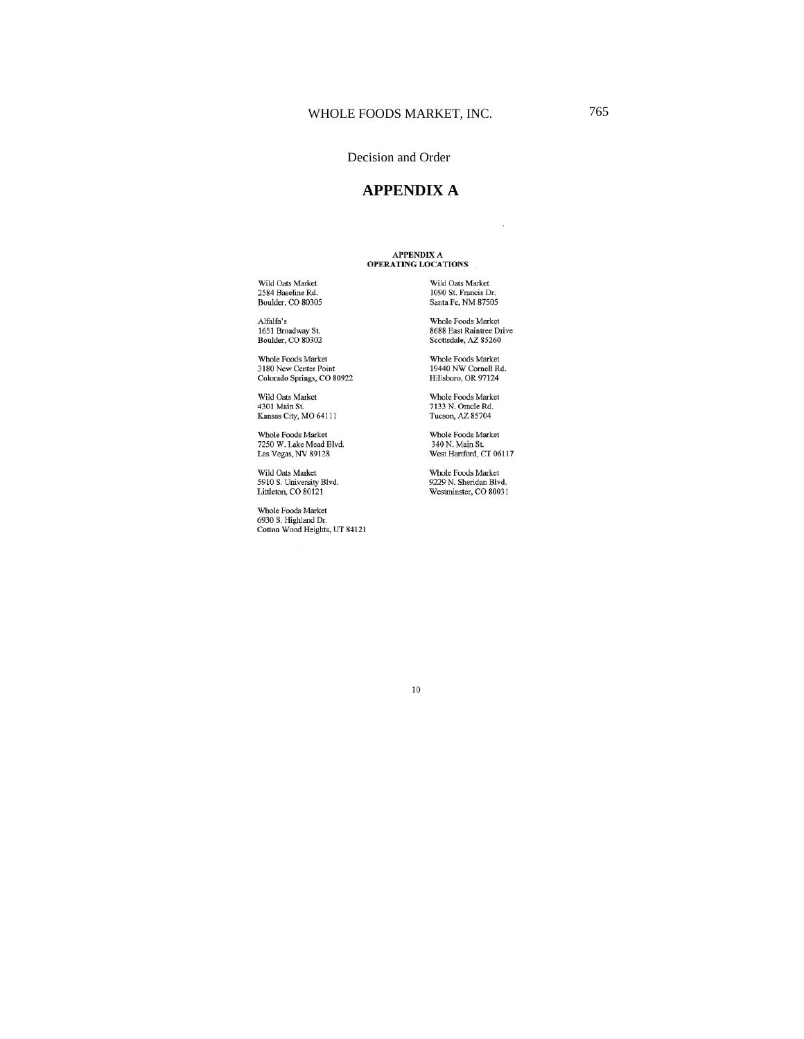# **APPENDIX A**

# APPENDIX A<br>OPERATING LOCATIONS

Wild Oats Market<br>2584 Baseline Rd.<br>Boulder, CO 80305

Alfalfa's<br>1651 Broadway St.<br>Boulder, CO 80302

Whole Foods Market<br>3180 New Center Point<br>Colorado Springs, CO 80922

Wild Oats Market<br>4301 Main St.<br>Kansas City, MO 64111

Whole Foods Market<br>7250 W. Lake Mead Blvd.<br>Las Vegas, NV 89128

Wild Oats Market<br>5910 S. University Blvd. Littleton, CO 80121

Whole Foods Market<br>6930 S. Highland Dr.<br>Cotton Wood Heights, UT 84121

Wild Oats Market<br>1090 St. Francis Dr.<br>Santa Fe, NM 87505

Whole Foods Market<br>8688 East Raintree Drive<br>Scottsdale, AZ 85260

Whole Foods Market<br>19440 NW Cornell Rd.<br>Hillsboro, OR 97124

Whole Foods Market<br>7133 N. Oracle Rd.<br>Tucson, AZ 85704

Whole Foods Market<br>340 N. Main St.<br>West Hartford, CT 06117

Whole Foods Market<br>9229 N. Sheridan Blvd. Westminster, CO 80031

 $10\,$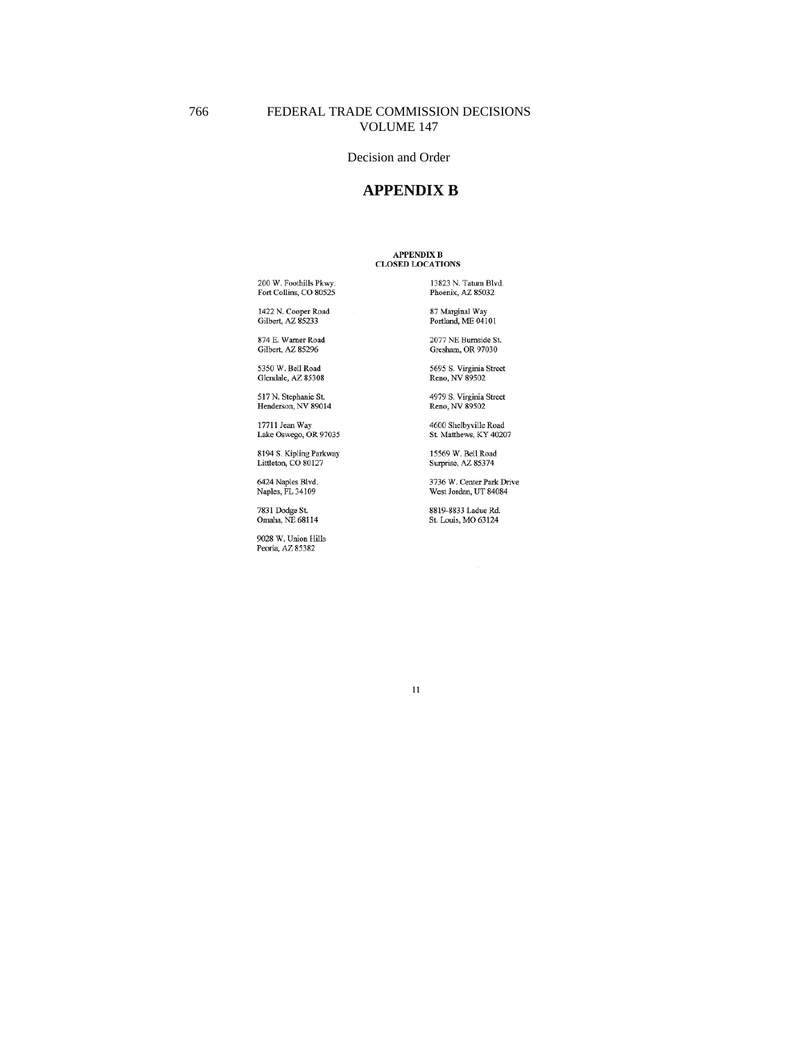# **APPENDIX B**

# APPENDIX B<br>CLOSED LOCATIONS

200 W. Foothills Pkwy.<br>Fort Collins, CO 80525

1422 N. Cooper Road<br>Gilbert, AZ 85233

874 E. Warner Road Gilbert, AZ 85296

5350 W. Bell Road Glendale, AZ 85308

517 N. Stephanie St.<br>Henderson, NV 89014

17711 Jean Way<br>Lake Oswego, OR 97035

8194 S. Kipling Parkway<br>Littleton, CO 80127

6424 Naples Blvd.<br>Naples, FL 34109

7831 Dodge St.<br>Omaha, NE 68114

9028 W. Union Hills<br>Peoria, AZ 85382

13823 N. Tatum Blvd.<br>Phoenix, AZ 85032

87 Marginal Way<br>Portland, ME 04101

2077 NE Burnside St. Gresham, OR 97030

5695 S. Virginia Street<br>Reno, NV 89502

4979 S. Virginia Street<br>Reno, NV 89502

4600 Shelbyville Road<br>St. Matthews, KY 40207

15569 W. Bell Road Surprise, AZ 85374

3736 W. Center Park Drive<br>West Jordan, UT 84084

8819-8833 Ladue Rd. St. Louis, MO 63124

 $11\,$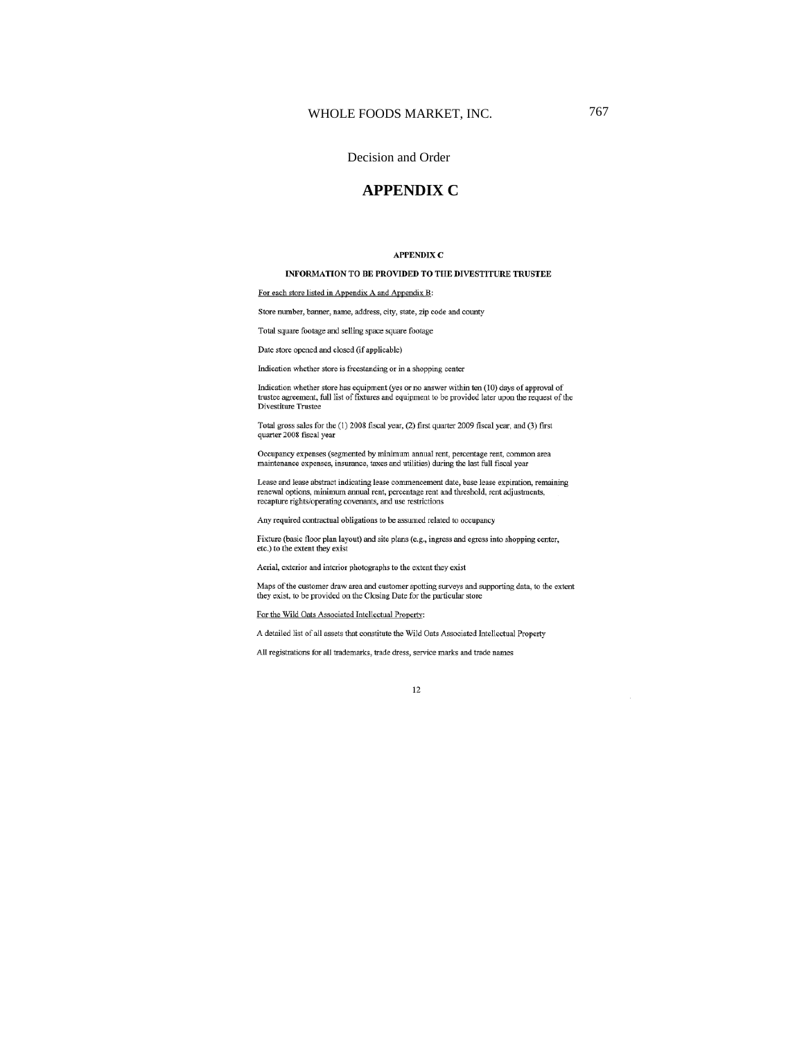767

#### Decision and Order

# **APPENDIX C**

#### **APPENDIX C**

#### INFORMATION TO BE PROVIDED TO THE DIVESTITURE TRUSTEE

For each store listed in Appendix A and Appendix B:

Store number, banner, name, address, city, state, zip code and county

Total square footage and selling space square footage

Date store opened and closed (if applicable)

Indication whether store is freestanding or in a shopping center

Indication whether store has equipment (yes or no answer within ten (10) days of approval of marcanon whener store has equipment (yes or no answer within ten  $(10)$  days of approval or<br>tratste agreement, full list of fixtures and equipment to be provided later upon the request of the<br>Divestiture Trustee

Total gross sales for the (1) 2008 fiscal year, (2) first quarter 2009 fiscal year, and (3) first quarter 2008 fiscal year

Occupancy expenses (segmented by minimum annual rent, percentage rent, common area maintenance expenses, insurance, taxes and utilities) during the last full fiscal year

Lease and lease abstract indicating lease commencement date, base lease expiration, remaining Exact an exact and constant measurement and the percentage rent and the shold, rent adjustments, renewal options, minimum annual rent, percentage rent and threshold, rent adjustments, recepture rights/operating covenants,

Any required contractual obligations to be assumed related to occupancy

Fixture (basic floor plan layout) and site plans (e.g., ingress and egress into shopping center, etc.) to the extent they exist

Aerial, exterior and interior photographs to the extent they exist

Maps of the customer draw area and customer spotting surveys and supporting data, to the extent they exist, to be provided on the Closing Date for the particular store

For the Wild Oats Associated Intellectual Property:

A detailed list of all assets that constitute the Wild Oats Associated Intellectual Property

All registrations for all trademarks, trade dress, service marks and trade names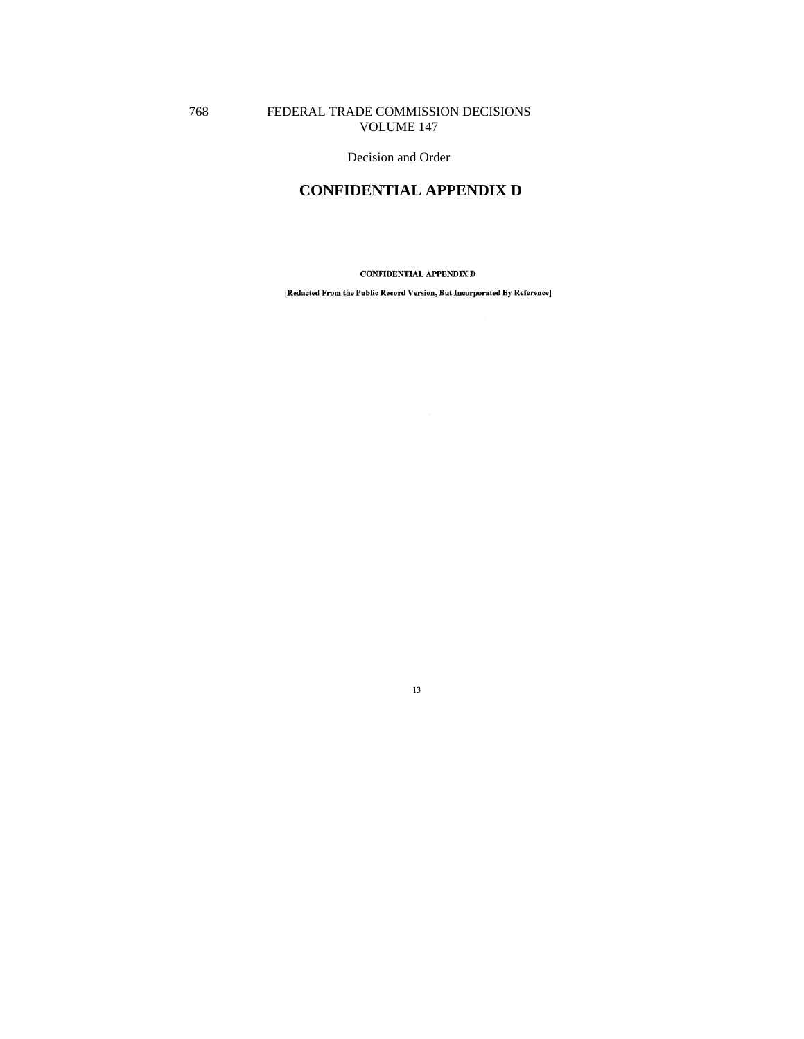# FEDERAL TRADE COMMISSION DECISIONS VOLUME 147

768

Decision and Order

# **CONFIDENTIAL APPENDIX D**

CONFIDENTIAL APPENDIX D

[Redacted From the Public Record Version, But Incorporated By Reference]

 $13\,$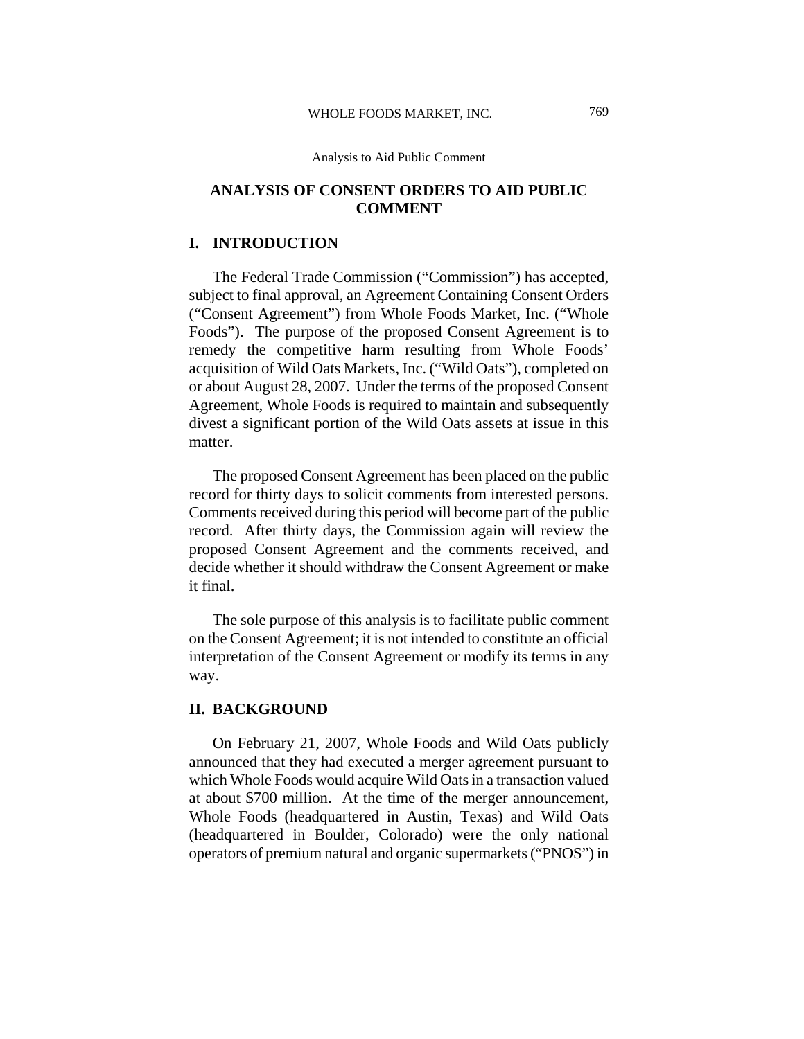# **ANALYSIS OF CONSENT ORDERS TO AID PUBLIC COMMENT**

# **I. INTRODUCTION**

The Federal Trade Commission ("Commission") has accepted, subject to final approval, an Agreement Containing Consent Orders ("Consent Agreement") from Whole Foods Market, Inc. ("Whole Foods"). The purpose of the proposed Consent Agreement is to remedy the competitive harm resulting from Whole Foods' acquisition of Wild Oats Markets, Inc. ("Wild Oats"), completed on or about August 28, 2007. Under the terms of the proposed Consent Agreement, Whole Foods is required to maintain and subsequently divest a significant portion of the Wild Oats assets at issue in this matter.

The proposed Consent Agreement has been placed on the public record for thirty days to solicit comments from interested persons. Comments received during this period will become part of the public record. After thirty days, the Commission again will review the proposed Consent Agreement and the comments received, and decide whether it should withdraw the Consent Agreement or make it final.

The sole purpose of this analysis is to facilitate public comment on the Consent Agreement; it is not intended to constitute an official interpretation of the Consent Agreement or modify its terms in any way.

# **II. BACKGROUND**

On February 21, 2007, Whole Foods and Wild Oats publicly announced that they had executed a merger agreement pursuant to which Whole Foods would acquire Wild Oats in a transaction valued at about \$700 million. At the time of the merger announcement, Whole Foods (headquartered in Austin, Texas) and Wild Oats (headquartered in Boulder, Colorado) were the only national operators of premium natural and organic supermarkets ("PNOS") in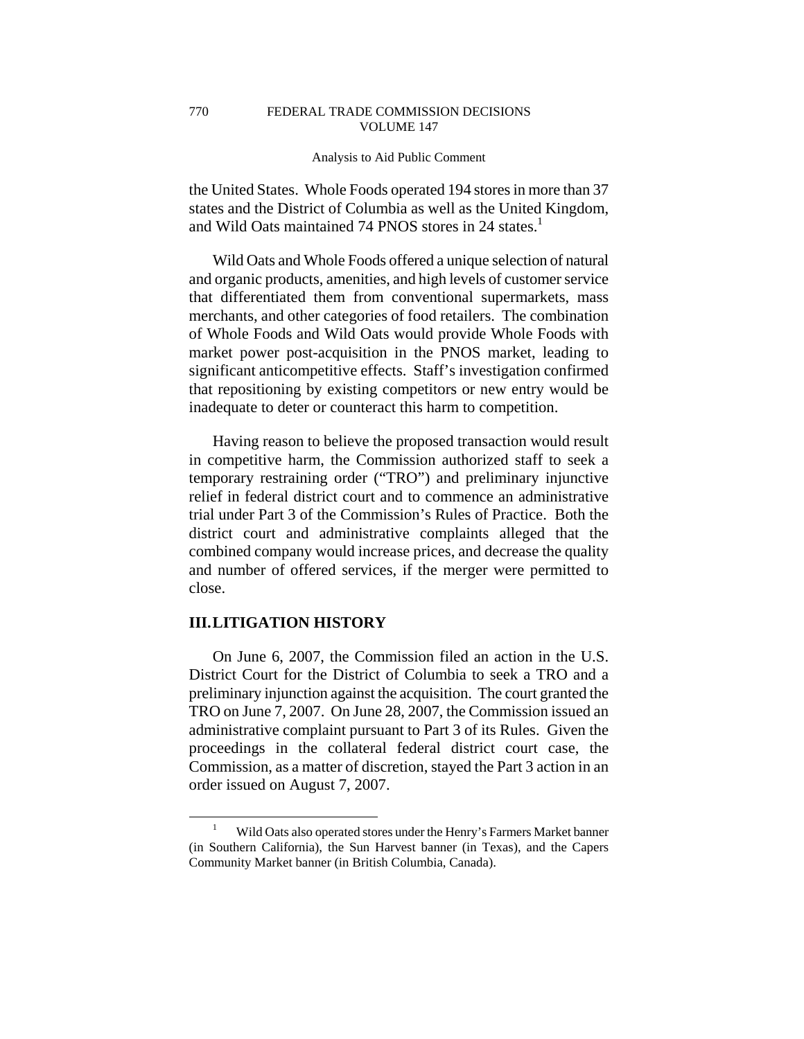770

#### Analysis to Aid Public Comment

the United States. Whole Foods operated 194 stores in more than 37 states and the District of Columbia as well as the United Kingdom, and Wild Oats maintained 74 PNOS stores in 24 states.<sup>1</sup>

Wild Oats and Whole Foods offered a unique selection of natural and organic products, amenities, and high levels of customer service that differentiated them from conventional supermarkets, mass merchants, and other categories of food retailers. The combination of Whole Foods and Wild Oats would provide Whole Foods with market power post-acquisition in the PNOS market, leading to significant anticompetitive effects. Staff's investigation confirmed that repositioning by existing competitors or new entry would be inadequate to deter or counteract this harm to competition.

Having reason to believe the proposed transaction would result in competitive harm, the Commission authorized staff to seek a temporary restraining order ("TRO") and preliminary injunctive relief in federal district court and to commence an administrative trial under Part 3 of the Commission's Rules of Practice. Both the district court and administrative complaints alleged that the combined company would increase prices, and decrease the quality and number of offered services, if the merger were permitted to close.

# **III. LITIGATION HISTORY**

On June 6, 2007, the Commission filed an action in the U.S. District Court for the District of Columbia to seek a TRO and a preliminary injunction against the acquisition. The court granted the TRO on June 7, 2007. On June 28, 2007, the Commission issued an administrative complaint pursuant to Part 3 of its Rules. Given the proceedings in the collateral federal district court case, the Commission, as a matter of discretion, stayed the Part 3 action in an order issued on August 7, 2007.

 <sup>1</sup> Wild Oats also operated stores under the Henry's Farmers Market banner (in Southern California), the Sun Harvest banner (in Texas), and the Capers Community Market banner (in British Columbia, Canada).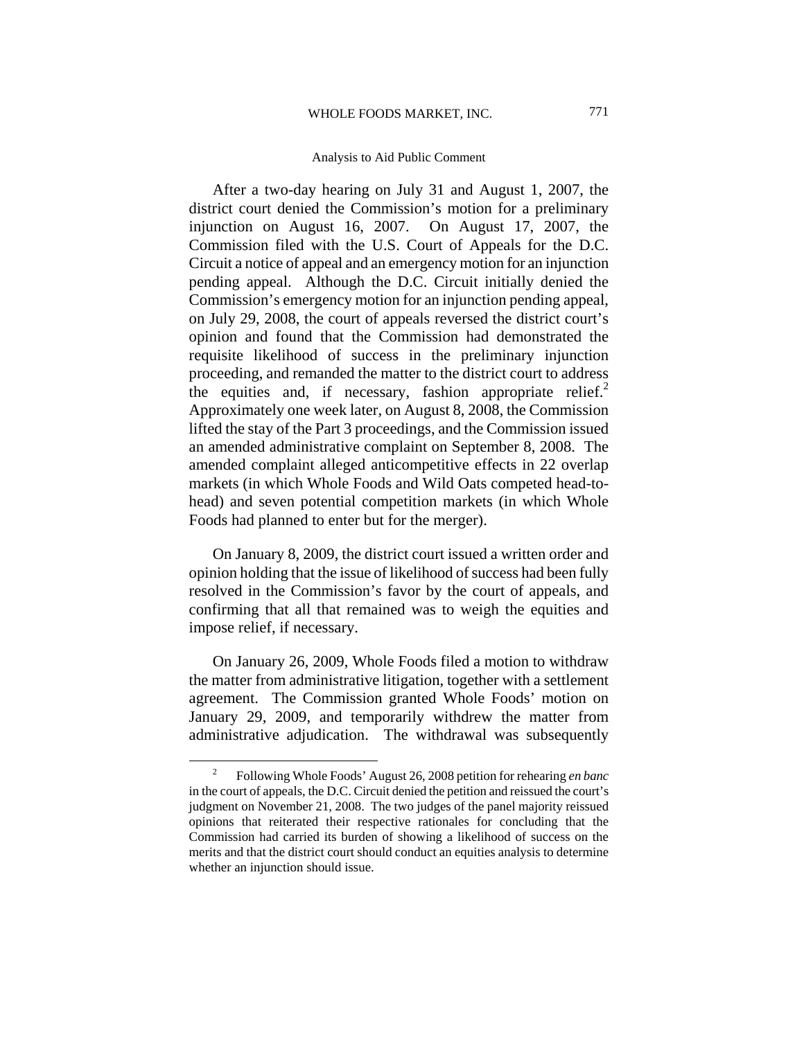After a two-day hearing on July 31 and August 1, 2007, the district court denied the Commission's motion for a preliminary injunction on August 16, 2007. On August 17, 2007, the Commission filed with the U.S. Court of Appeals for the D.C. Circuit a notice of appeal and an emergency motion for an injunction pending appeal. Although the D.C. Circuit initially denied the Commission's emergency motion for an injunction pending appeal, on July 29, 2008, the court of appeals reversed the district court's opinion and found that the Commission had demonstrated the requisite likelihood of success in the preliminary injunction proceeding, and remanded the matter to the district court to address the equities and, if necessary, fashion appropriate relief.<sup>2</sup> Approximately one week later, on August 8, 2008, the Commission lifted the stay of the Part 3 proceedings, and the Commission issued an amended administrative complaint on September 8, 2008. The amended complaint alleged anticompetitive effects in 22 overlap markets (in which Whole Foods and Wild Oats competed head-tohead) and seven potential competition markets (in which Whole Foods had planned to enter but for the merger).

On January 8, 2009, the district court issued a written order and opinion holding that the issue of likelihood of success had been fully resolved in the Commission's favor by the court of appeals, and confirming that all that remained was to weigh the equities and impose relief, if necessary.

On January 26, 2009, Whole Foods filed a motion to withdraw the matter from administrative litigation, together with a settlement agreement. The Commission granted Whole Foods' motion on January 29, 2009, and temporarily withdrew the matter from administrative adjudication. The withdrawal was subsequently

 $\frac{1}{2}$  Following Whole Foods' August 26, 2008 petition for rehearing *en banc* in the court of appeals, the D.C. Circuit denied the petition and reissued the court's judgment on November 21, 2008. The two judges of the panel majority reissued opinions that reiterated their respective rationales for concluding that the Commission had carried its burden of showing a likelihood of success on the merits and that the district court should conduct an equities analysis to determine whether an injunction should issue.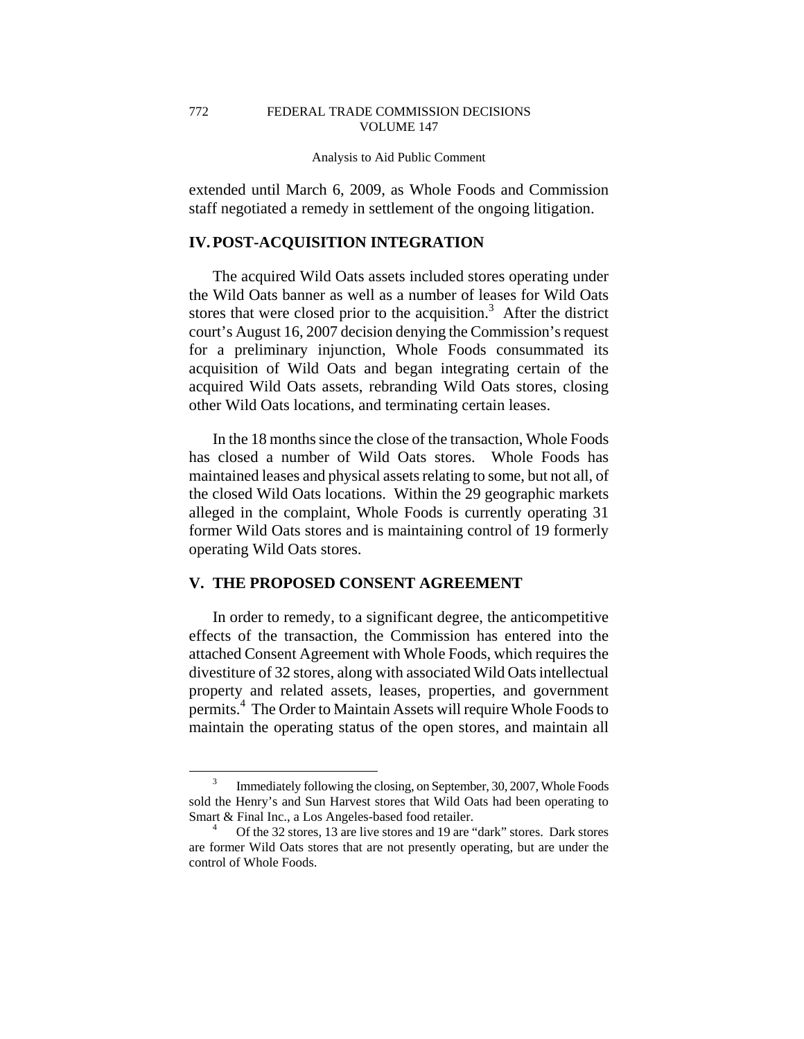extended until March 6, 2009, as Whole Foods and Commission staff negotiated a remedy in settlement of the ongoing litigation.

# **IV. POST-ACQUISITION INTEGRATION**

The acquired Wild Oats assets included stores operating under the Wild Oats banner as well as a number of leases for Wild Oats stores that were closed prior to the acquisition.<sup>3</sup> After the district court's August 16, 2007 decision denying the Commission's request for a preliminary injunction, Whole Foods consummated its acquisition of Wild Oats and began integrating certain of the acquired Wild Oats assets, rebranding Wild Oats stores, closing other Wild Oats locations, and terminating certain leases.

In the 18 months since the close of the transaction, Whole Foods has closed a number of Wild Oats stores. Whole Foods has maintained leases and physical assets relating to some, but not all, of the closed Wild Oats locations. Within the 29 geographic markets alleged in the complaint, Whole Foods is currently operating 31 former Wild Oats stores and is maintaining control of 19 formerly operating Wild Oats stores.

# **V. THE PROPOSED CONSENT AGREEMENT**

In order to remedy, to a significant degree, the anticompetitive effects of the transaction, the Commission has entered into the attached Consent Agreement with Whole Foods, which requires the divestiture of 32 stores, along with associated Wild Oats intellectual property and related assets, leases, properties, and government permits.<sup>4</sup> The Order to Maintain Assets will require Whole Foods to maintain the operating status of the open stores, and maintain all

 $\frac{1}{3}$  Immediately following the closing, on September, 30, 2007, Whole Foods sold the Henry's and Sun Harvest stores that Wild Oats had been operating to Smart & Final Inc., a Los Angeles-based food retailer.

Of the 32 stores, 13 are live stores and 19 are "dark" stores. Dark stores are former Wild Oats stores that are not presently operating, but are under the control of Whole Foods.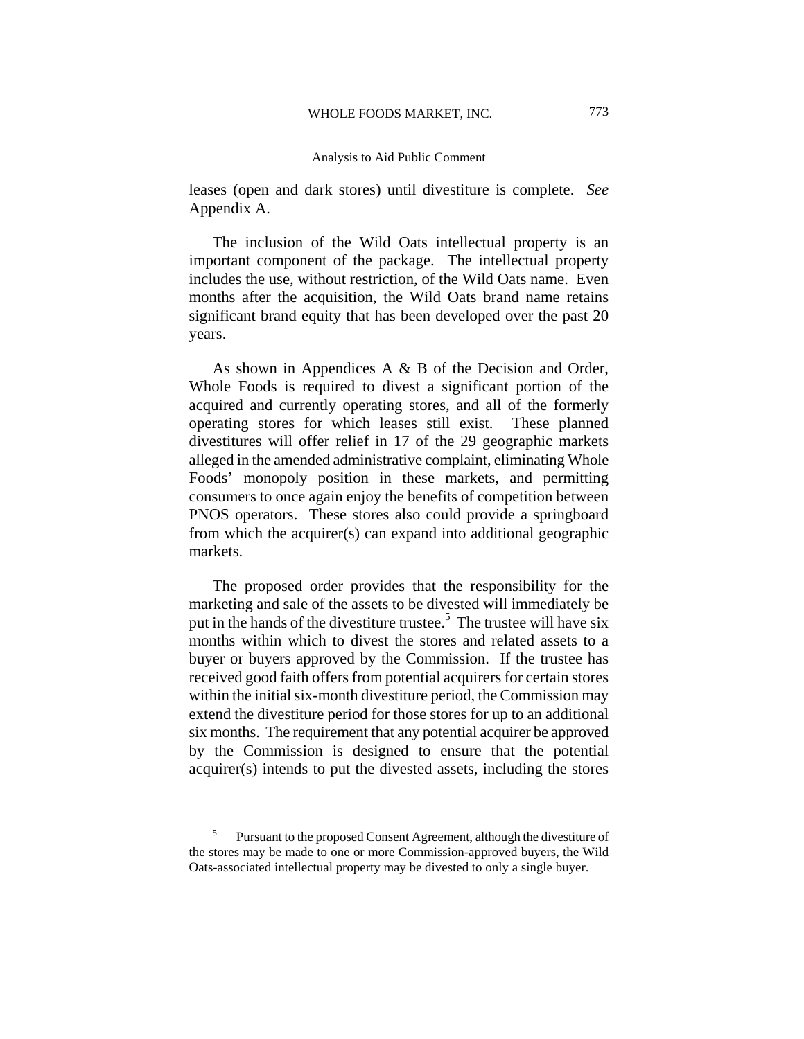leases (open and dark stores) until divestiture is complete. *See*  Appendix A.

The inclusion of the Wild Oats intellectual property is an important component of the package. The intellectual property includes the use, without restriction, of the Wild Oats name. Even months after the acquisition, the Wild Oats brand name retains significant brand equity that has been developed over the past 20 years.

As shown in Appendices A & B of the Decision and Order, Whole Foods is required to divest a significant portion of the acquired and currently operating stores, and all of the formerly operating stores for which leases still exist. These planned divestitures will offer relief in 17 of the 29 geographic markets alleged in the amended administrative complaint, eliminating Whole Foods' monopoly position in these markets, and permitting consumers to once again enjoy the benefits of competition between PNOS operators. These stores also could provide a springboard from which the acquirer(s) can expand into additional geographic markets.

The proposed order provides that the responsibility for the marketing and sale of the assets to be divested will immediately be put in the hands of the divestiture trustee.<sup>5</sup> The trustee will have six months within which to divest the stores and related assets to a buyer or buyers approved by the Commission. If the trustee has received good faith offers from potential acquirers for certain stores within the initial six-month divestiture period, the Commission may extend the divestiture period for those stores for up to an additional six months. The requirement that any potential acquirer be approved by the Commission is designed to ensure that the potential acquirer(s) intends to put the divested assets, including the stores

 $rac{1}{5}$  Pursuant to the proposed Consent Agreement, although the divestiture of the stores may be made to one or more Commission-approved buyers, the Wild Oats-associated intellectual property may be divested to only a single buyer.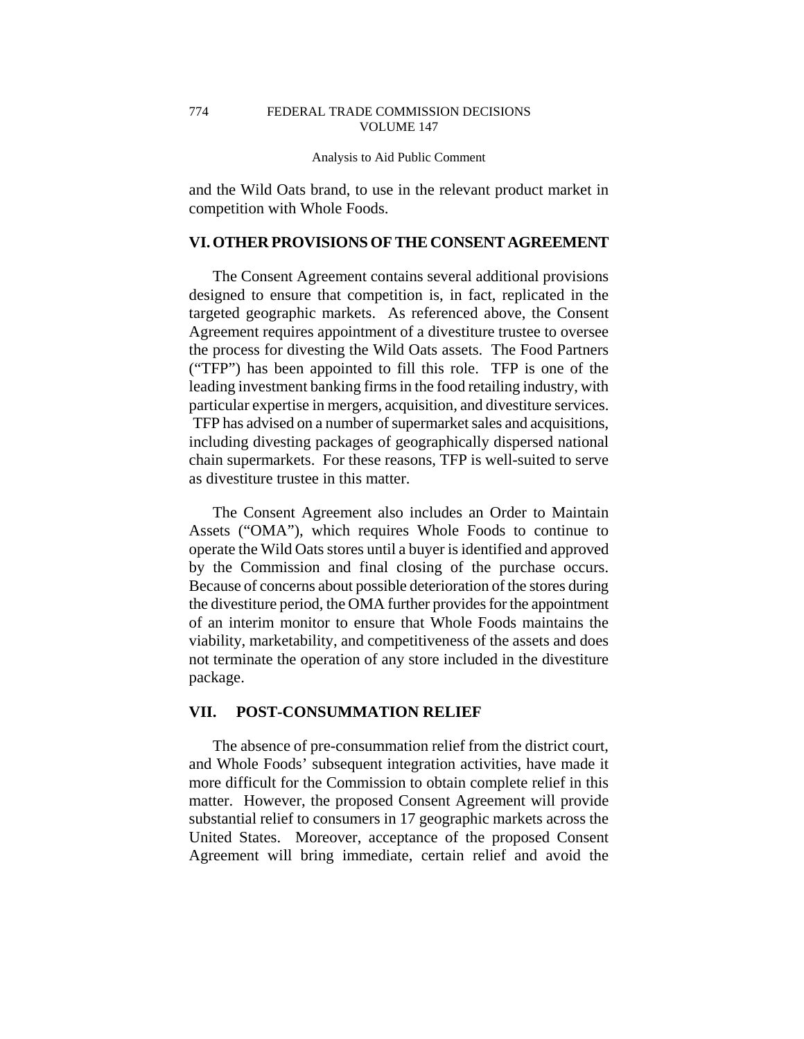and the Wild Oats brand, to use in the relevant product market in competition with Whole Foods.

# **VI. OTHER PROVISIONS OF THE CONSENT AGREEMENT**

The Consent Agreement contains several additional provisions designed to ensure that competition is, in fact, replicated in the targeted geographic markets. As referenced above, the Consent Agreement requires appointment of a divestiture trustee to oversee the process for divesting the Wild Oats assets. The Food Partners ("TFP") has been appointed to fill this role. TFP is one of the leading investment banking firms in the food retailing industry, with particular expertise in mergers, acquisition, and divestiture services. TFP has advised on a number of supermarket sales and acquisitions, including divesting packages of geographically dispersed national chain supermarkets. For these reasons, TFP is well-suited to serve as divestiture trustee in this matter.

The Consent Agreement also includes an Order to Maintain Assets ("OMA"), which requires Whole Foods to continue to operate the Wild Oats stores until a buyer is identified and approved by the Commission and final closing of the purchase occurs. Because of concerns about possible deterioration of the stores during the divestiture period, the OMA further provides for the appointment of an interim monitor to ensure that Whole Foods maintains the viability, marketability, and competitiveness of the assets and does not terminate the operation of any store included in the divestiture package.

## **VII. POST-CONSUMMATION RELIEF**

The absence of pre-consummation relief from the district court, and Whole Foods' subsequent integration activities, have made it more difficult for the Commission to obtain complete relief in this matter. However, the proposed Consent Agreement will provide substantial relief to consumers in 17 geographic markets across the United States. Moreover, acceptance of the proposed Consent Agreement will bring immediate, certain relief and avoid the

774